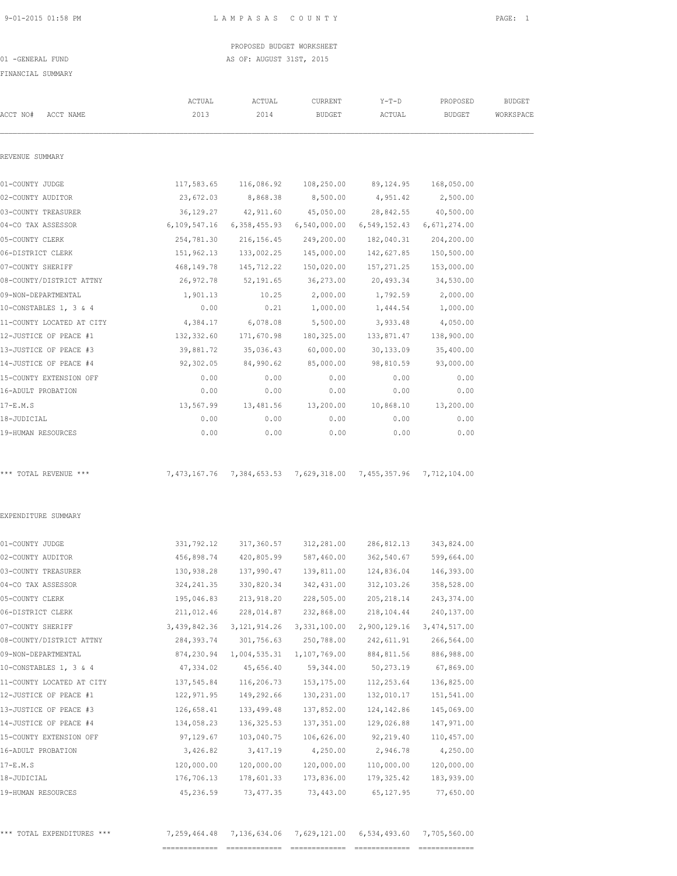PROPOSED BUDGET WORKSHEET 01 -GENERAL FUND AS OF: AUGUST 31ST, 2015

FINANCIAL SUMMARY

| ביות המשפט שומצאים של ה   |              |                                                                  |               |                      |                       |               |
|---------------------------|--------------|------------------------------------------------------------------|---------------|----------------------|-----------------------|---------------|
|                           | ACTUAL       | ACTUAL                                                           | CURRENT       | $Y-T-D$              | PROPOSED              | <b>BUDGET</b> |
| ACCT NO#<br>ACCT NAME     | 2013         | 2014                                                             | <b>BUDGET</b> | ACTUAL               | <b>BUDGET</b>         | WORKSPACE     |
| REVENUE SUMMARY           |              |                                                                  |               |                      |                       |               |
| 01-COUNTY JUDGE           |              | 117,583.65 116,086.92                                            |               | 108,250.00 89,124.95 | 168,050.00            |               |
| 02-COUNTY AUDITOR         | 23,672.03    | 8,868.38                                                         | 8,500.00      | 4,951.42             | 2,500.00              |               |
| 03-COUNTY TREASURER       | 36, 129. 27  | 42,911.60                                                        | 45,050.00     | 28,842.55            | 40,500.00             |               |
| 04-CO TAX ASSESSOR        |              | 6,109,547.16 6,358,455.93                                        | 6,540,000.00  | 6,549,152.43         | 6,671,274.00          |               |
| 05-COUNTY CLERK           | 254,781.30   | 216, 156.45                                                      | 249,200.00    | 182,040.31           | 204,200.00            |               |
| 06-DISTRICT CLERK         | 151,962.13   | 133,002.25                                                       | 145,000.00    | 142,627.85           | 150,500.00            |               |
| 07-COUNTY SHERIFF         | 468,149.78   | 145,712.22                                                       | 150,020.00    | 157,271.25           | 153,000.00            |               |
| 08-COUNTY/DISTRICT ATTNY  | 26,972.78    | 52,191.65                                                        | 36,273.00     | 20,493.34            | 34,530.00             |               |
| 09-NON-DEPARTMENTAL       | 1,901.13     | 10.25                                                            | 2,000.00      | 1,792.59             | 2,000.00              |               |
| 10-CONSTABLES 1, 3 & 4    | 0.00         | 0.21                                                             | 1,000.00      | 1,444.54             | 1,000.00              |               |
| 11-COUNTY LOCATED AT CITY | 4,384.17     | 6,078.08                                                         | 5,500.00      | 3,933.48             | 4,050.00              |               |
| 12-JUSTICE OF PEACE #1    | 132,332.60   | 171,670.98                                                       | 180,325.00    | 133,871.47           | 138,900.00            |               |
| 13-JUSTICE OF PEACE #3    | 39,881.72    | 35,036.43                                                        | 60,000.00     | 30,133.09            | 35,400.00             |               |
| 14-JUSTICE OF PEACE #4    | 92,302.05    | 84,990.62                                                        | 85,000.00     | 98,810.59            | 93,000.00             |               |
| 15-COUNTY EXTENSION OFF   | 0.00         | 0.00                                                             | 0.00          | 0.00                 | 0.00                  |               |
| 16-ADULT PROBATION        | 0.00         | 0.00                                                             | 0.00          | 0.00                 | 0.00                  |               |
| $17-E.M.S$                | 13,567.99    | 13,481.56                                                        | 13,200.00     | 10,868.10            | 13,200.00             |               |
| 18-JUDICIAL               | 0.00         | 0.00                                                             | 0.00          | 0.00                 | 0.00                  |               |
| 19-HUMAN RESOURCES        | 0.00         | 0.00                                                             | 0.00          | 0.00                 | 0.00                  |               |
| *** TOTAL REVENUE ***     |              | 7,473,167.76 7,384,653.53 7,629,318.00 7,455,357.96 7,712,104.00 |               |                      |                       |               |
| EXPENDITURE SUMMARY       |              |                                                                  |               |                      |                       |               |
| 01-COUNTY JUDGE           |              | 331,792.12 317,360.57 312,281.00                                 |               |                      | 286,812.13 343,824.00 |               |
| 02-COUNTY AUDITOR         | 456,898.74   | 420,805.99                                                       | 587,460.00    | 362,540.67           | 599,664.00            |               |
| 03-COUNTY TREASURER       |              | 130,938.28  137,990.47  139,811.00  124,836.04  146,393.00       |               |                      |                       |               |
| 04-CO TAX ASSESSOR        | 324, 241.35  | 330,820.34                                                       | 342,431.00    | 312, 103.26          | 358,528.00            |               |
| 05-COUNTY CLERK           | 195,046.83   | 213,918.20                                                       | 228,505.00    | 205, 218.14          | 243, 374.00           |               |
| 06-DISTRICT CLERK         | 211,012.46   | 228,014.87                                                       | 232,868.00    | 218,104.44           | 240,137.00            |               |
| 07-COUNTY SHERIFF         | 3,439,842.36 | 3, 121, 914.26                                                   | 3,331,100.00  | 2,900,129.16         | 3,474,517.00          |               |
| 08-COUNTY/DISTRICT ATTNY  | 284, 393.74  | 301,756.63                                                       | 250,788.00    | 242,611.91           | 266,564.00            |               |
| 09-NON-DEPARTMENTAL       | 874,230.94   | 1,004,535.31                                                     | 1,107,769.00  | 884, 811.56          | 886,988.00            |               |
| 10-CONSTABLES 1, 3 & 4    | 47,334.02    | 45,656.40                                                        | 59,344.00     | 50,273.19            | 67,869.00             |               |
| 11-COUNTY LOCATED AT CITY | 137,545.84   | 116,206.73                                                       | 153, 175.00   | 112,253.64           | 136,825.00            |               |
| 12-JUSTICE OF PEACE #1    | 122,971.95   | 149,292.66                                                       | 130,231.00    | 132,010.17           | 151,541.00            |               |
| 13-JUSTICE OF PEACE #3    | 126,658.41   | 133,499.48                                                       | 137,852.00    | 124, 142.86          | 145,069.00            |               |
| 14-JUSTICE OF PEACE #4    | 134,058.23   | 136, 325.53                                                      | 137,351.00    | 129,026.88           | 147,971.00            |               |
| 15-COUNTY EXTENSION OFF   | 97,129.67    | 103,040.75                                                       | 106,626.00    | 92, 219.40           | 110,457.00            |               |
| 16-ADULT PROBATION        | 3,426.82     | 3,417.19                                                         | 4,250.00      | 2,946.78             | 4,250.00              |               |
| $17-E.M.S$                | 120,000.00   | 120,000.00                                                       | 120,000.00    | 110,000.00           | 120,000.00            |               |
| 18-JUDICIAL               | 176,706.13   | 178,601.33                                                       | 173,836.00    | 179,325.42           | 183,939.00            |               |
| 19-HUMAN RESOURCES        | 45,236.59    | 73, 477.35                                                       | 73,443.00     | 65, 127.95           | 77,650.00             |               |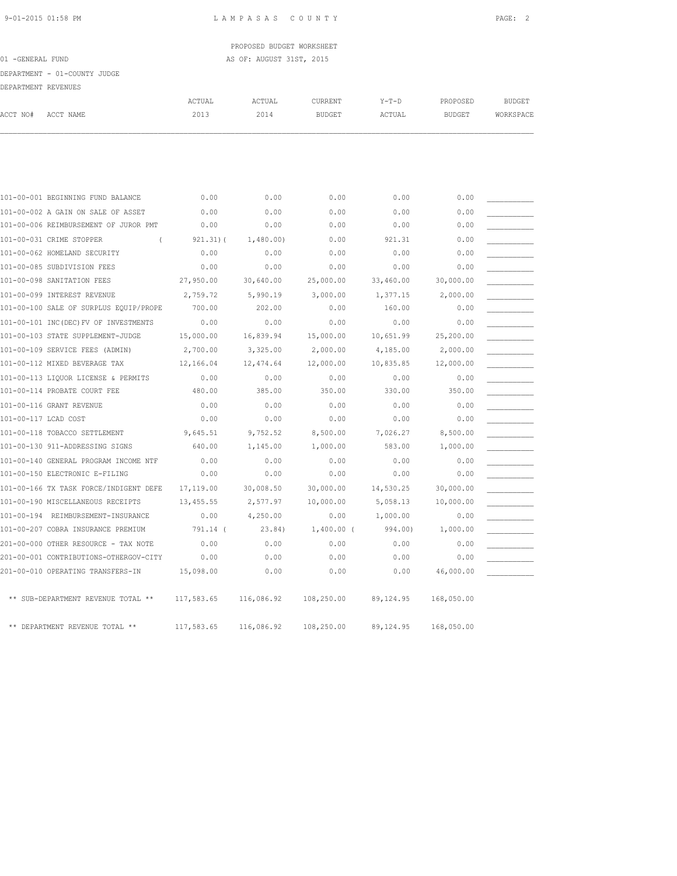PROPOSED BUDGET WORKSHEET 01 -GENERAL FUND **AS OF: AUGUST 31ST, 2015** 

DEPARTMENT - 01-COUNTY JUDGE

| DEPARTMENT REVENUES |           |                |                |                          |                   |                           |                     |
|---------------------|-----------|----------------|----------------|--------------------------|-------------------|---------------------------|---------------------|
| ACCT NO#            | ACCT NAME | ACTUAL<br>2013 | ACTUAL<br>2014 | CURRENT<br><b>BUDGET</b> | $Y-T-D$<br>ACTUAL | PROPOSED<br><b>BUDGET</b> | BUDGET<br>WORKSPACE |
|                     |           |                |                |                          |                   |                           |                     |
|                     |           |                |                |                          |                   |                           |                     |

|                      | 101-00-001 BEGINNING FUND BALANCE      | 0.00         | 0.00       | 0.00         | 0.00       | 0.00       |  |
|----------------------|----------------------------------------|--------------|------------|--------------|------------|------------|--|
|                      | 101-00-002 A GAIN ON SALE OF ASSET     | 0.00         | 0.00       | 0.00         | 0.00       | 0.00       |  |
|                      | 101-00-006 REIMBURSEMENT OF JUROR PMT  | 0.00         | 0.00       | 0.00         | 0.00       | 0.00       |  |
|                      | 101-00-031 CRIME STOPPER<br>$\left($   | $921.31$ ) ( | 1,480.00   | 0.00         | 921.31     | 0.00       |  |
|                      | 101-00-062 HOMELAND SECURITY           | 0.00         | 0.00       | 0.00         | 0.00       | 0.00       |  |
|                      | 101-00-085 SUBDIVISION FEES            | 0.00         | 0.00       | 0.00         | 0.00       | 0.00       |  |
|                      | 101-00-098 SANITATION FEES             | 27,950.00    | 30,640.00  | 25,000.00    | 33,460.00  | 30,000.00  |  |
|                      | 101-00-099 INTEREST REVENUE            | 2,759.72     | 5,990.19   | 3,000.00     | 1,377.15   | 2,000.00   |  |
|                      | 101-00-100 SALE OF SURPLUS EQUIP/PROPE | 700.00       | 202.00     | 0.00         | 160.00     | 0.00       |  |
|                      | 101-00-101 INC(DEC) FV OF INVESTMENTS  | 0.00         | 0.00       | 0.00         | 0.00       | 0.00       |  |
|                      | 101-00-103 STATE SUPPLEMENT-JUDGE      | 15,000.00    | 16,839.94  | 15,000.00    | 10,651.99  | 25,200.00  |  |
|                      | 101-00-109 SERVICE FEES (ADMIN)        | 2,700.00     | 3,325.00   | 2,000.00     | 4,185.00   | 2,000.00   |  |
|                      | 101-00-112 MIXED BEVERAGE TAX          | 12,166.04    | 12,474.64  | 12,000.00    | 10,835.85  | 12,000.00  |  |
|                      | 101-00-113 LIOUOR LICENSE & PERMITS    | 0.00         | 0.00       | 0.00         | 0.00       | 0.00       |  |
|                      | 101-00-114 PROBATE COURT FEE           | 480.00       | 385.00     | 350.00       | 330.00     | 350.00     |  |
|                      | 101-00-116 GRANT REVENUE               | 0.00         | 0.00       | 0.00         | 0.00       | 0.00       |  |
| 101-00-117 LCAD COST |                                        | 0.00         | 0.00       | 0.00         | 0.00       | 0.00       |  |
|                      | 101-00-118 TOBACCO SETTLEMENT          | 9,645.51     | 9,752.52   | 8,500.00     | 7,026.27   | 8,500.00   |  |
|                      | 101-00-130 911-ADDRESSING SIGNS        | 640.00       | 1,145.00   | 1,000.00     | 583.00     | 1,000.00   |  |
|                      | 101-00-140 GENERAL PROGRAM INCOME NTF  | 0.00         | 0.00       | 0.00         | 0.00       | 0.00       |  |
|                      | 101-00-150 ELECTRONIC E-FILING         | 0.00         | 0.00       | 0.00         | 0.00       | 0.00       |  |
|                      | 101-00-166 TX TASK FORCE/INDIGENT DEFE | 17,119.00    | 30,008.50  | 30,000.00    | 14,530.25  | 30,000.00  |  |
|                      | 101-00-190 MISCELLANEOUS RECEIPTS      | 13,455.55    | 2,577.97   | 10,000.00    | 5,058.13   | 10,000.00  |  |
|                      | 101-00-194 REIMBURSEMENT-INSURANCE     | 0.00         | 4,250.00   | 0.00         | 1,000.00   | 0.00       |  |
|                      | 101-00-207 COBRA INSURANCE PREMIUM     | 791.14 (     | 23.84)     | $1,400.00$ ( | 994.00)    | 1,000.00   |  |
|                      | 201-00-000 OTHER RESOURCE - TAX NOTE   | 0.00         | 0.00       | 0.00         | 0.00       | 0.00       |  |
|                      | 201-00-001 CONTRIBUTIONS-OTHERGOV-CITY | 0.00         | 0.00       | 0.00         | 0.00       | 0.00       |  |
|                      | 201-00-010 OPERATING TRANSFERS-IN      | 15,098.00    | 0.00       | 0.00         | 0.00       | 46,000.00  |  |
|                      | ** SUB-DEPARTMENT REVENUE TOTAL **     | 117,583.65   | 116,086.92 | 108,250.00   | 89, 124.95 | 168,050.00 |  |
|                      | ** DEPARTMENT REVENUE TOTAL **         | 117,583.65   | 116,086.92 | 108,250.00   | 89, 124.95 | 168,050.00 |  |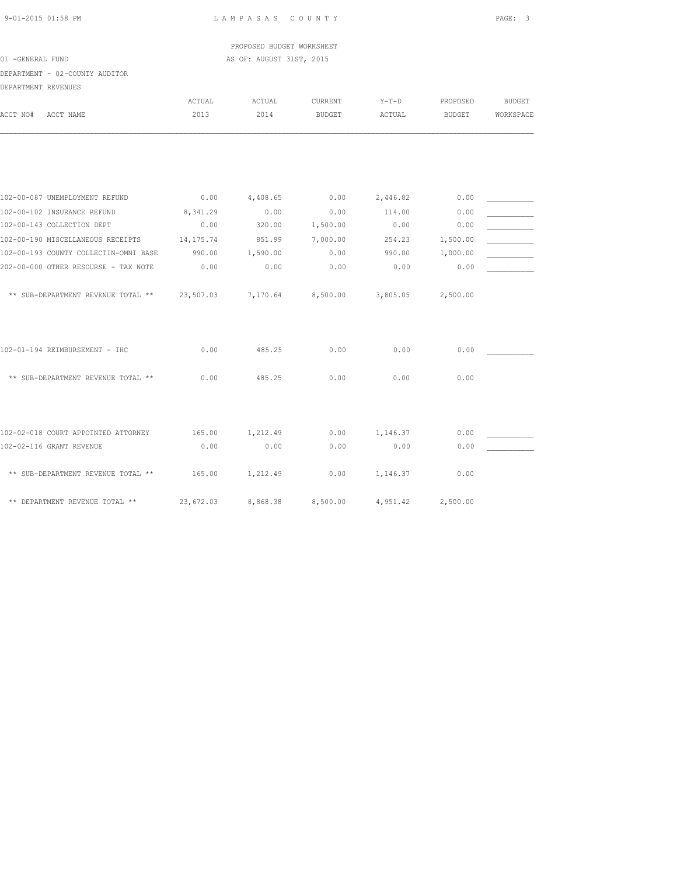PROPOSED BUDGET WORKSHEET 01 -GENERAL FUND AS OF: AUGUST 31ST, 2015

DEPARTMENT - 02-COUNTY AUDITOR

| DEPARTMENT REVENUES                          |           |          |                   |          |          |               |
|----------------------------------------------|-----------|----------|-------------------|----------|----------|---------------|
|                                              | ACTUAL    | ACTUAL   | CURRENT           | $Y-T-D$  | PROPOSED | <b>BUDGET</b> |
| ACCT NO#<br>ACCT NAME                        | 2013      | 2014     | <b>BUDGET</b>     | ACTUAL   | BUDGET   | WORKSPACE     |
|                                              |           |          |                   |          |          |               |
| 102-00-087 UNEMPLOYMENT REFUND               | 0.00      | 4,408.65 | 0.00              | 2,446.82 | 0.00     |               |
| 102-00-102 INSURANCE REFUND                  | 8,341.29  | 0.00     | 0.00              | 114.00   | 0.00     |               |
| 102-00-143 COLLECTION DEPT                   | 0.00      | 320.00   | 1,500.00          | 0.00     | 0.00     |               |
| 102-00-190 MISCELLANEOUS RECEIPTS 14,175.74  |           | 851.99   | 7,000.00          | 254.23   | 1,500.00 |               |
| 102-00-193 COUNTY COLLECTIN-OMNI BASE        | 990.00    | 1,590.00 | 0.00              | 990.00   | 1,000.00 |               |
| 202-00-000 OTHER RESOURSE - TAX NOTE         | 0.00      | 0.00     | 0.00              | 0.00     | 0.00     |               |
| ** SUB-DEPARTMENT REVENUE TOTAL ** 23,507.03 |           |          | 7,170.64 8,500.00 | 3,805.05 | 2,500.00 |               |
| 102-01-194 REIMBURSEMENT - IHC               | 0.00      | 485.25   | 0.00              | 0.00     | 0.00     |               |
| ** SUB-DEPARTMENT REVENUE TOTAL **           | 0.00      | 485.25   | 0.00              | 0.00     | 0.00     |               |
| 102-02-018 COURT APPOINTED ATTORNEY          | 165.00    | 1,212.49 | 0.00              | 1,146.37 | 0.00     |               |
| 102-02-116 GRANT REVENUE                     | 0.00      | 0.00     | 0.00              | 0.00     | 0.00     |               |
| ** SUB-DEPARTMENT REVENUE TOTAL **           | 165.00    | 1,212.49 | 0.00              | 1,146.37 | 0.00     |               |
| ** DEPARTMENT REVENUE TOTAL **               | 23,672.03 | 8,868.38 | 8,500.00          | 4,951.42 | 2,500.00 |               |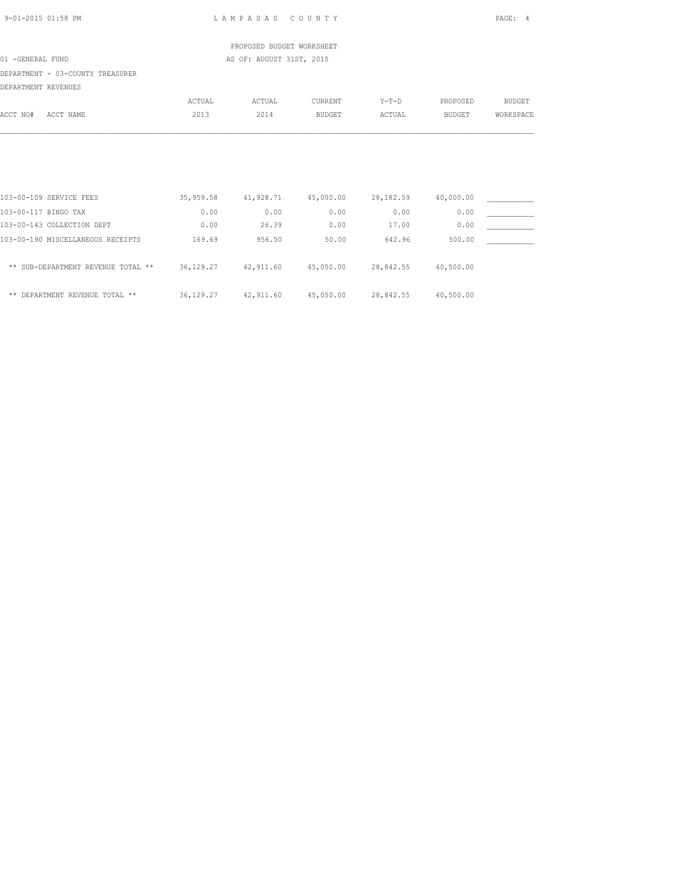| 9-01-2015 01:58 PM                           |                                    |                     | LAMPASAS COUNTY           |                     |                                         |           | PAGE: 4       |  |
|----------------------------------------------|------------------------------------|---------------------|---------------------------|---------------------|-----------------------------------------|-----------|---------------|--|
|                                              |                                    |                     | PROPOSED BUDGET WORKSHEET |                     |                                         |           |               |  |
| 01 -GENERAL FUND<br>AS OF: AUGUST 31ST, 2015 |                                    |                     |                           |                     |                                         |           |               |  |
|                                              | DEPARTMENT - 03-COUNTY TREASURER   |                     |                           |                     |                                         |           |               |  |
| DEPARTMENT REVENUES                          |                                    |                     |                           |                     |                                         |           |               |  |
|                                              |                                    | ACTUAL              | ACTUAL                    | CURRENT             | $Y-T-D$                                 | PROPOSED  | <b>BUDGET</b> |  |
| ACCT NO#                                     | ACCT NAME                          | 2013                | 2014                      | <b>BUDGET</b>       | ACTUAL                                  | BUDGET    | WORKSPACE     |  |
|                                              |                                    |                     |                           |                     |                                         |           |               |  |
|                                              | 103-00-109 SERVICE FEES            | 35,959.58 41,928.71 |                           | 45,000.00 28,182.59 |                                         | 40,000.00 |               |  |
| 103-00-117 BINGO TAX                         |                                    | 0.00                | 0.00                      | 0.00                | 0.00                                    | 0.00      |               |  |
|                                              | 103-00-143 COLLECTION DEPT         | 0.00                | 26.39                     | 0.00                | 17.00                                   | 0.00      |               |  |
|                                              | 103-00-190 MISCELLANEOUS RECEIPTS  | 169.69              | 956.50                    | 50.00               | 642.96                                  | 500.00    |               |  |
|                                              | ** SUB-DEPARTMENT REVENUE TOTAL ** |                     |                           |                     | 36,129.27 42,911.60 45,050.00 28,842.55 | 40,500.00 |               |  |

\*\* DEPARTMENT REVENUE TOTAL \*\* 36,129.27 42,911.60 45,050.00 28,842.55 40,500.00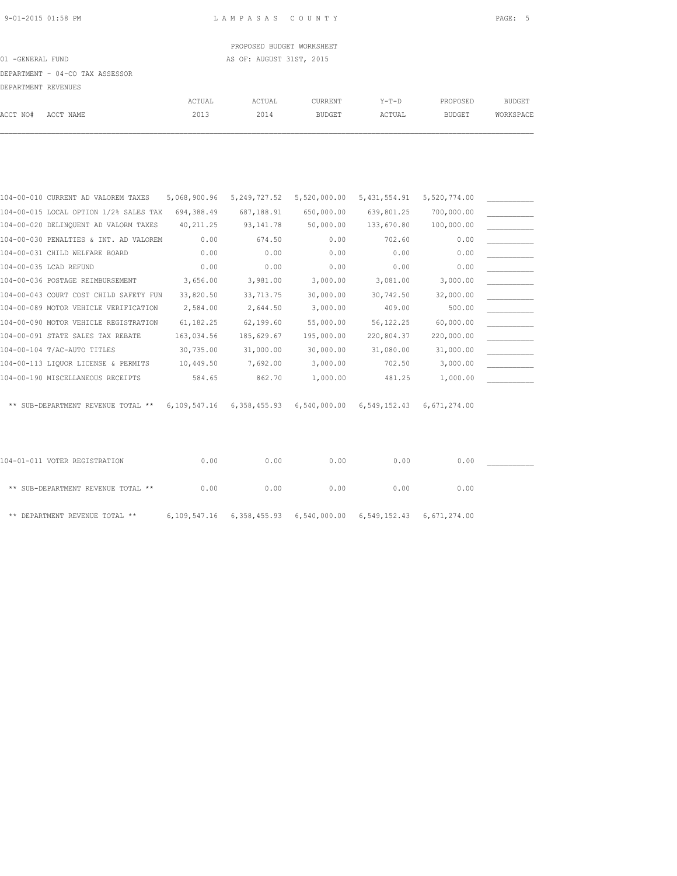PROPOSED BUDGET WORKSHEET 01 -GENERAL FUND AS OF: AUGUST 31ST, 2015

DEPARTMENT - 04-CO TAX ASSESSOR

| DEPARTMENT REVENUES |           |        |        |                |         |               |           |
|---------------------|-----------|--------|--------|----------------|---------|---------------|-----------|
|                     |           | ACTUAL | ACTUAL | <b>CURRENT</b> | $Y-T-D$ | PROPOSED      | BUDGET    |
| ACCT NO#            | ACCT NAME | 2013   | 2014   | BUDGET         | ACTUAL  | <b>BUDGET</b> | WORKSPACE |

| 104-00-010 CURRENT AD VALOREM TAXES    | 5,068,900.96 | 5, 249, 727.52 | 5,520,000.00 | 5, 431, 554.91 | 5,520,774.00 |  |
|----------------------------------------|--------------|----------------|--------------|----------------|--------------|--|
| 104-00-015 LOCAL OPTION 1/2% SALES TAX | 694,388.49   | 687,188.91     | 650,000.00   | 639,801.25     | 700,000.00   |  |
| 104-00-020 DELINQUENT AD VALORM TAXES  | 40, 211.25   | 93, 141.78     | 50,000.00    | 133,670.80     | 100,000.00   |  |
| 104-00-030 PENALTIES & INT. AD VALOREM | 0.00         | 674.50         | 0.00         | 702.60         | 0.00         |  |
| 104-00-031 CHILD WELFARE BOARD         | 0.00         | 0.00           | 0.00         | 0.00           | 0.00         |  |
| 104-00-035 LCAD REFUND                 | 0.00         | 0.00           | 0.00         | 0.00           | 0.00         |  |
| 104-00-036 POSTAGE REIMBURSEMENT       | 3,656.00     | 3,981.00       | 3,000.00     | 3,081.00       | 3,000.00     |  |
| 104-00-043 COURT COST CHILD SAFETY FUN | 33,820.50    | 33,713.75      | 30,000.00    | 30,742.50      | 32,000.00    |  |
| 104-00-089 MOTOR VEHICLE VERIFICATION  | 2,584.00     | 2,644.50       | 3,000.00     | 409.00         | 500.00       |  |
| 104-00-090 MOTOR VEHICLE REGISTRATION  | 61, 182. 25  | 62,199.60      | 55,000.00    | 56, 122. 25    | 60,000.00    |  |
| 104-00-091 STATE SALES TAX REBATE      | 163,034.56   | 185,629.67     | 195,000.00   | 220,804.37     | 220,000.00   |  |
| 104-00-104 T/AC-AUTO TITLES            | 30,735.00    | 31,000.00      | 30,000.00    | 31,080.00      | 31,000.00    |  |
| 104-00-113 LIQUOR LICENSE & PERMITS    | 10,449.50    | 7,692.00       | 3,000.00     | 702.50         | 3,000.00     |  |
| 104-00-190 MISCELLANEOUS RECEIPTS      | 584.65       | 862.70         | 1,000.00     | 481.25         | 1,000.00     |  |
|                                        |              |                |              |                |              |  |
| ** SUB-DEPARTMENT REVENUE TOTAL **     | 6,109,547.16 | 6,358,455.93   | 6,540,000.00 | 6,549,152.43   | 6,671,274.00 |  |

| 104-01-011 VOTER REGISTRATION      | 0.00 | 0.00 | 0.00 | 0.00                                                                       | 0.00 |  |
|------------------------------------|------|------|------|----------------------------------------------------------------------------|------|--|
| ** SUB-DEPARTMENT REVENUE TOTAL ** | 0.00 | 0.00 | 0.00 | 0.00                                                                       | 0.00 |  |
| ** DEPARTMENT REVENUE TOTAL **     |      |      |      | 6, 109, 547.16 6, 358, 455.93 6, 540, 000.00 6, 549, 152.43 6, 671, 274.00 |      |  |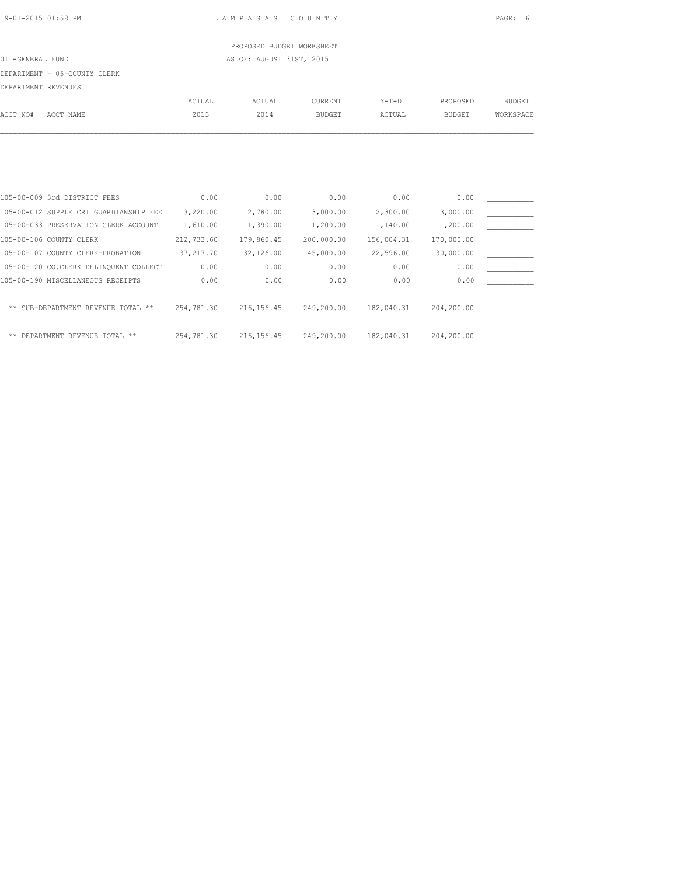PROPOSED BUDGET WORKSHEET 01 -GENERAL FUND AS OF: AUGUST 31ST, 2015

DEPARTMENT - 05-COUNTY CLERK

DEPARTMENT REVENUES

|          |                                        | <b>ACTUAL</b> | ACTUAL      | <b>CURRENT</b> | $Y-T-D$    | PROPOSED      | <b>BUDGET</b> |
|----------|----------------------------------------|---------------|-------------|----------------|------------|---------------|---------------|
| ACCT NO# | ACCT NAME                              | 2013          | 2014        | <b>BUDGET</b>  | ACTUAL     | <b>BUDGET</b> | WORKSPACE     |
|          |                                        |               |             |                |            |               |               |
|          |                                        |               |             |                |            |               |               |
|          |                                        |               |             |                |            |               |               |
|          |                                        |               |             |                |            |               |               |
|          | 105-00-009 3rd DISTRICT FEES           | 0.00          | 0.00        | 0.00           | 0.00       | 0.00          |               |
|          | 105-00-012 SUPPLE CRT GUARDIANSHIP FEE | 3,220.00      | 2,780.00    | 3,000.00       | 2,300.00   | 3,000.00      |               |
|          | 105-00-033 PRESERVATION CLERK ACCOUNT  | 1,610.00      | 1,390.00    | 1,200.00       | 1,140.00   | 1,200.00      |               |
|          | 105-00-106 COUNTY CLERK                | 212,733.60    | 179,860.45  | 200,000.00     | 156,004.31 | 170,000.00    |               |
|          | 105-00-107 COUNTY CLERK-PROBATION      | 37, 217.70    | 32,126.00   | 45,000.00      | 22,596.00  | 30,000.00     |               |
|          | 105-00-120 CO.CLERK DELINOUENT COLLECT | 0.00          | 0.00        | 0.00           | 0.00       | 0.00          |               |
|          | 105-00-190 MISCELLANEOUS RECEIPTS      | 0.00          | 0.00        | 0.00           | 0.00       | 0.00          |               |
|          | ** SUB-DEPARTMENT REVENUE TOTAL **     | 254,781.30    | 216, 156.45 | 249,200.00     | 182,040.31 | 204,200.00    |               |
|          |                                        |               |             |                |            |               |               |

\*\* DEPARTMENT REVENUE TOTAL \*\* 254,781.30 216,156.45 249,200.00 182,040.31 204,200.00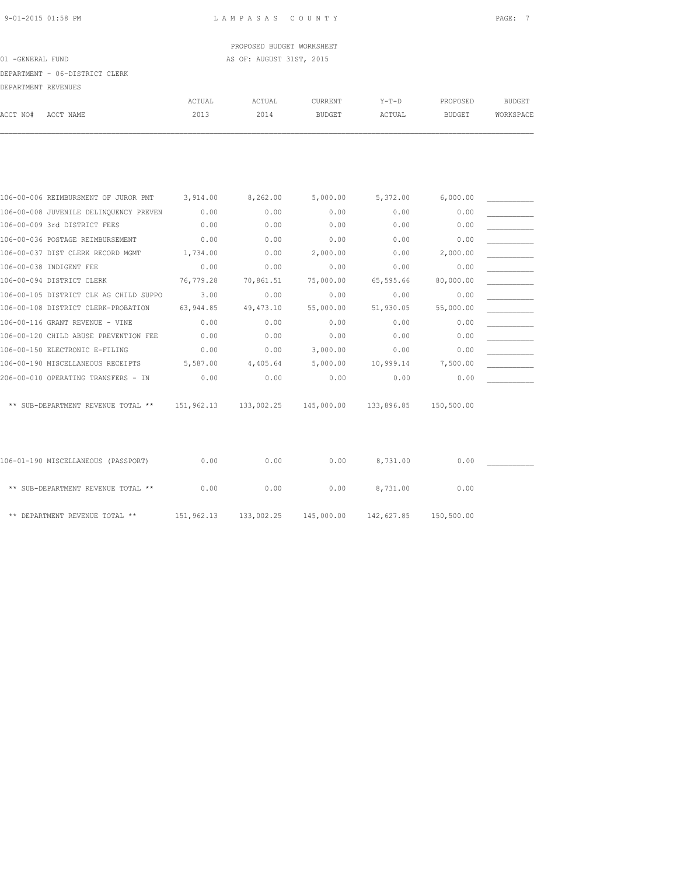# PROPOSED BUDGET WORKSHEET 01 -GENERAL FUND AS OF: AUGUST 31ST, 2015

### DEPARTMENT - 06-DISTRICT CLERK

|          | DELANITENI IVEVENUED |        |        |               |         |          |           |
|----------|----------------------|--------|--------|---------------|---------|----------|-----------|
|          |                      | ACTUAL | ACTUAL | CURRENT       | $Y-T-D$ | PROPOSED | BUDGET    |
| ACCT NO# | ACCT NAME            | 2013   | 2014   | <b>BUDGET</b> | ACTUAL  | BUDGET   | WORKSPACE |
|          |                      |        |        |               |         |          |           |

| 106-00-006 REIMBURSMENT OF JUROR PMT   | 3,914.00   | 8,262.00   | 5,000.00   | 5,372.00   | 6,000.00   |  |
|----------------------------------------|------------|------------|------------|------------|------------|--|
| 106-00-008 JUVENILE DELINQUENCY PREVEN | 0.00       | 0.00       | 0.00       | 0.00       | 0.00       |  |
| 106-00-009 3rd DISTRICT FEES           | 0.00       | 0.00       | 0.00       | 0.00       | 0.00       |  |
| 106-00-036 POSTAGE REIMBURSEMENT       | 0.00       | 0.00       | 0.00       | 0.00       | 0.00       |  |
| 106-00-037 DIST CLERK RECORD MGMT      | 1,734.00   | 0.00       | 2,000.00   | 0.00       | 2,000.00   |  |
| 106-00-038 INDIGENT FEE                | 0.00       | 0.00       | 0.00       | 0.00       | 0.00       |  |
| 106-00-094 DISTRICT CLERK              | 76,779.28  | 70,861.51  | 75,000.00  | 65,595.66  | 80,000.00  |  |
| 106-00-105 DISTRICT CLK AG CHILD SUPPO | 3.00       | 0.00       | 0.00       | 0.00       | 0.00       |  |
| 106-00-108 DISTRICT CLERK-PROBATION    | 63,944.85  | 49, 473.10 | 55,000.00  | 51,930.05  | 55,000.00  |  |
| 106-00-116 GRANT REVENUE - VINE        | 0.00       | 0.00       | 0.00       | 0.00       | 0.00       |  |
| 106-00-120 CHILD ABUSE PREVENTION FEE  | 0.00       | 0.00       | 0.00       | 0.00       | 0.00       |  |
| 106-00-150 ELECTRONIC E-FILING         | 0.00       | 0.00       | 3,000.00   | 0.00       | 0.00       |  |
| 106-00-190 MISCELLANEOUS RECEIPTS      | 5,587.00   | 4,405.64   | 5,000.00   | 10,999.14  | 7,500.00   |  |
| 206-00-010 OPERATING TRANSFERS - IN    | 0.00       | 0.00       | 0.00       | 0.00       | 0.00       |  |
|                                        |            |            |            |            |            |  |
| ** SUB-DEPARTMENT REVENUE TOTAL **     | 151,962.13 | 133,002.25 | 145,000.00 | 133,896.85 | 150,500.00 |  |
|                                        |            |            |            |            |            |  |
|                                        |            |            |            |            |            |  |

| 106-01-190 MISCELLANEOUS (PASSPORT) | 0.00       | 0.00       | 0.00       | 8,731.00   | 0.00       |  |
|-------------------------------------|------------|------------|------------|------------|------------|--|
| ** SUB-DEPARTMENT REVENUE TOTAL **  | 0.00       | 0.00       | 0.00       | 8,731.00   | 0.00       |  |
| ** DEPARTMENT REVENUE TOTAL **      | 151,962.13 | 133,002.25 | 145,000.00 | 142,627.85 | 150,500.00 |  |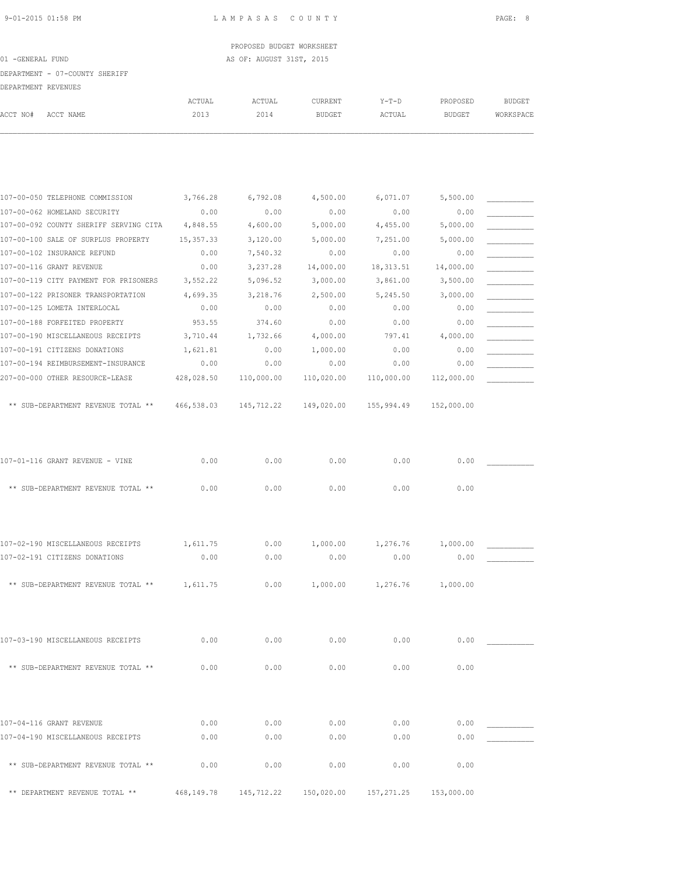PROPOSED BUDGET WORKSHEET 01 -GENERAL FUND AS OF: AUGUST 31ST, 2015

### DEPARTMENT - 07-COUNTY SHERIFF

| ACCT NO# | ACCT NAME                              | ACTUAL<br>2013 | ACTUAL<br>2014 | CURRENT<br><b>BUDGET</b> | Y-T-D<br>ACTUAL | PROPOSED<br><b>BUDGET</b> | <b>BUDGET</b><br>WORKSPACE |
|----------|----------------------------------------|----------------|----------------|--------------------------|-----------------|---------------------------|----------------------------|
|          |                                        |                |                |                          |                 |                           |                            |
|          |                                        |                |                |                          |                 |                           |                            |
|          | 107-00-050 TELEPHONE COMMISSION        | 3,766.28       | 6,792.08       | 4,500.00                 | 6,071.07        | 5,500.00                  |                            |
|          | 107-00-062 HOMELAND SECURITY           | 0.00           | 0.00           | 0.00                     | 0.00            | 0.00                      |                            |
|          | 107-00-092 COUNTY SHERIFF SERVING CITA | 4,848.55       | 4,600.00       | 5,000.00                 | 4,455.00        | 5,000.00                  |                            |
|          | 107-00-100 SALE OF SURPLUS PROPERTY    | 15, 357.33     | 3,120.00       | 5,000.00                 | 7,251.00        | 5,000.00                  |                            |
|          | 107-00-102 INSURANCE REFUND            | 0.00           | 7,540.32       | 0.00                     | 0.00            | 0.00                      |                            |
|          | 107-00-116 GRANT REVENUE               | 0.00           | 3,237.28       | 14,000.00                | 18, 313.51      | 14,000.00                 |                            |
|          | 107-00-119 CITY PAYMENT FOR PRISONERS  | 3,552.22       | 5,096.52       | 3,000.00                 | 3,861.00        | 3,500.00                  |                            |
|          | 107-00-122 PRISONER TRANSPORTATION     | 4,699.35       | 3,218.76       | 2,500.00                 | 5,245.50        | 3,000.00                  |                            |
|          | 107-00-125 LOMETA INTERLOCAL           | 0.00           | 0.00           | 0.00                     | 0.00            | 0.00                      |                            |
|          | 107-00-188 FORFEITED PROPERTY          | 953.55         | 374.60         | 0.00                     | 0.00            | 0.00                      |                            |
|          | 107-00-190 MISCELLANEOUS RECEIPTS      | 3,710.44       | 1,732.66       | 4,000.00                 | 797.41          | 4,000.00                  |                            |
|          | 107-00-191 CITIZENS DONATIONS          | 1,621.81       | 0.00           | 1,000.00                 | 0.00            | 0.00                      |                            |
|          | 107-00-194 REIMBURSEMENT-INSURANCE     | 0.00           | 0.00           | 0.00                     | 0.00            | 0.00                      |                            |
|          | 207-00-000 OTHER RESOURCE-LEASE        | 428,028.50     | 110,000.00     | 110,020.00               | 110,000.00      | 112,000.00                |                            |
|          | ** SUB-DEPARTMENT REVENUE TOTAL **     | 466,538.03     | 145,712.22     | 149,020.00               | 155,994.49      | 152,000.00                |                            |
|          | 107-01-116 GRANT REVENUE - VINE        | 0.00           | 0.00           | 0.00                     | 0.00            | 0.00                      |                            |
|          |                                        |                |                |                          |                 |                           |                            |
|          | ** SUB-DEPARTMENT REVENUE TOTAL **     | 0.00           | 0.00           | 0.00                     | 0.00            | 0.00                      |                            |
|          | 107-02-190 MISCELLANEOUS RECEIPTS      | 1,611.75       | 0.00           | 1,000.00                 | 1,276.76        | 1,000.00                  |                            |
|          | 107-02-191 CITIZENS DONATIONS          | 0.00           | 0.00           | 0.00                     | 0.00            | 0.00                      |                            |
|          |                                        |                |                |                          |                 |                           |                            |
|          | ** SUB-DEPARTMENT REVENUE TOTAL **     | 1,611.75       | 0.00           | 1,000.00                 | 1,276.76        | 1,000.00                  |                            |
|          | 107-03-190 MISCELLANEOUS RECEIPTS      | 0.00           | 0.00           | 0.00                     | 0.00            | 0.00                      |                            |
|          | ** SUB-DEPARTMENT REVENUE TOTAL **     | 0.00           | 0.00           | 0.00                     | 0.00            | 0.00                      |                            |
|          |                                        |                |                |                          |                 |                           |                            |
|          | 107-04-116 GRANT REVENUE               | 0.00           | 0.00           | 0.00                     | 0.00            | 0.00                      |                            |
|          | 107-04-190 MISCELLANEOUS RECEIPTS      | 0.00           | 0.00           | 0.00                     | 0.00            | 0.00                      |                            |
|          | ** SUB-DEPARTMENT REVENUE TOTAL **     | 0.00           | 0.00           | 0.00                     | 0.00            | 0.00                      |                            |
|          | ** DEPARTMENT REVENUE TOTAL **         | 468,149.78     | 145,712.22     | 150,020.00               | 157, 271.25     | 153,000.00                |                            |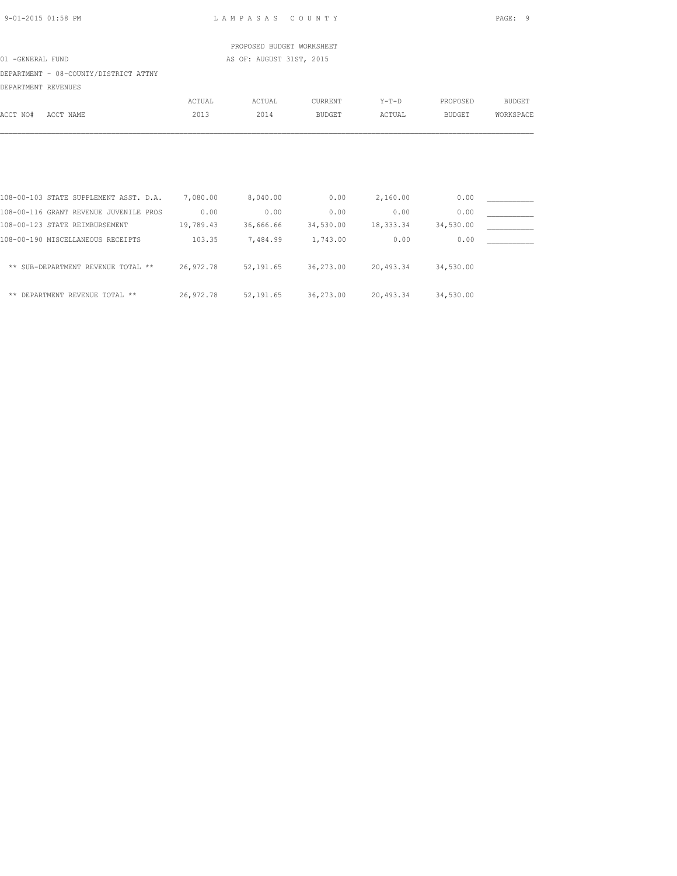| 9-01-2015 01:58 PM                                                                   |        | LAMPASAS COUNTY           |                                                   |          |               | PAGE: 9       |
|--------------------------------------------------------------------------------------|--------|---------------------------|---------------------------------------------------|----------|---------------|---------------|
|                                                                                      |        | PROPOSED BUDGET WORKSHEET |                                                   |          |               |               |
| 01 -GENERAL FUND                                                                     |        | AS OF: AUGUST 31ST, 2015  |                                                   |          |               |               |
| DEPARTMENT - 08-COUNTY/DISTRICT ATTNY                                                |        |                           |                                                   |          |               |               |
| DEPARTMENT REVENUES                                                                  |        |                           |                                                   |          |               |               |
|                                                                                      | ACTUAL | ACTUAL                    | CURRENT                                           | Y-T-D    | PROPOSED      | <b>BUDGET</b> |
| ACCT NO#<br>ACCT NAME                                                                | 2013   | 2014                      | <b>BUDGET</b>                                     | ACTUAL   | <b>BUDGET</b> | WORKSPACE     |
|                                                                                      |        |                           |                                                   |          |               |               |
|                                                                                      |        |                           |                                                   |          |               |               |
|                                                                                      |        |                           |                                                   |          |               |               |
| 108-00-103 STATE SUPPLEMENT ASST. D.A. 7,080.00 8,040.00                             |        |                           | 0.00                                              | 2,160.00 | 0.00          |               |
| 108-00-116 GRANT REVENUE JUVENILE PROS 0.00                                          |        | 0.00                      | 0.00                                              | 0.00     | 0.00          |               |
| 108-00-123 STATE REIMBURSEMENT 19,789.43 36,666.66 34,530.00 18,333.34               |        |                           |                                                   |          | 34,530.00     |               |
| 108-00-190 MISCELLANEOUS RECEIPTS                                                    | 103.35 |                           | 7,484.99 1,743.00                                 | 0.00     | 0.00          |               |
| ** SUB-DEPARTMENT REVENUE TOTAL ** 26,972.78 52,191.65 36,273.00 20,493.34 34,530.00 |        |                           |                                                   |          |               |               |
|                                                                                      |        |                           |                                                   |          |               |               |
| ** DEPARTMENT REVENUE TOTAL **                                                       |        |                           | 26,972.78 52,191.65 36,273.00 20,493.34 34,530.00 |          |               |               |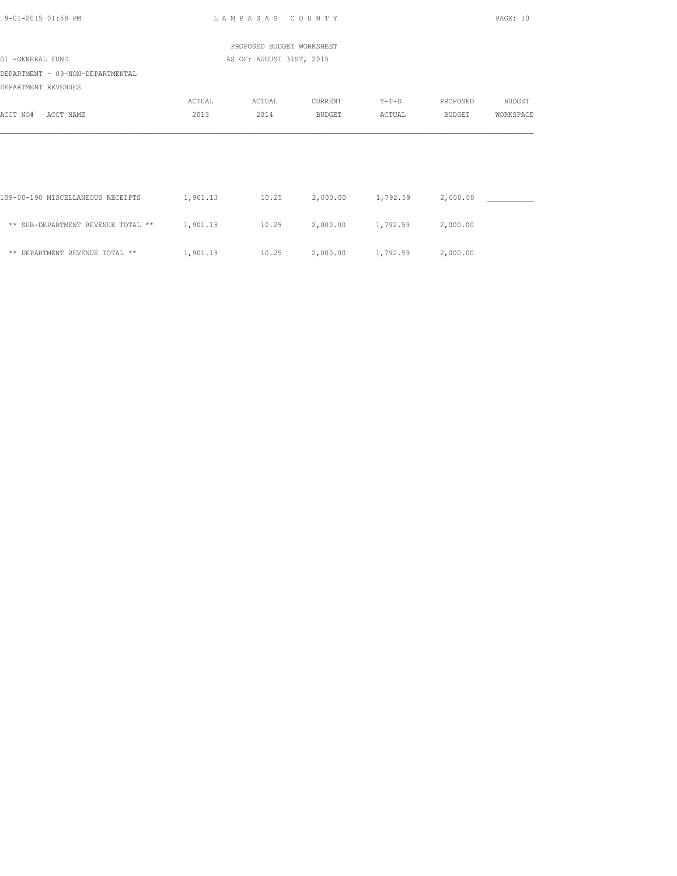| 9-01-2015 01:58 PM                                      |                | LAMPASAS COUNTY           |                               |                   |                           | PAGE: 10            |
|---------------------------------------------------------|----------------|---------------------------|-------------------------------|-------------------|---------------------------|---------------------|
|                                                         |                | PROPOSED BUDGET WORKSHEET |                               |                   |                           |                     |
| 01 -GENERAL FUND                                        |                | AS OF: AUGUST 31ST, 2015  |                               |                   |                           |                     |
| DEPARTMENT - 09-NON-DEPARTMENTAL<br>DEPARTMENT REVENUES |                |                           |                               |                   |                           |                     |
| ACCT NO#<br>ACCT NAME                                   | ACTUAL<br>2013 | ACTUAL<br>2014            | CURRENT<br><b>BUDGET</b>      | $Y-T-D$<br>ACTUAL | PROPOSED<br><b>BUDGET</b> | BUDGET<br>WORKSPACE |
|                                                         |                |                           |                               |                   |                           |                     |
|                                                         |                |                           |                               |                   |                           |                     |
| 109-00-190 MISCELLANEOUS RECEIPTS                       | 1,901.13       |                           | $10.25$ $2,000.00$ $1,792.59$ |                   | 2,000.00                  |                     |
| ** SUB-DEPARTMENT REVENUE TOTAL **                      | 1,901.13       | 10.25                     |                               | 2,000.00 1,792.59 | 2,000.00                  |                     |
| ** DEPARTMENT REVENUE TOTAL **                          | 1,901.13       | 10.25                     | 2,000.00 1,792.59             |                   | 2,000.00                  |                     |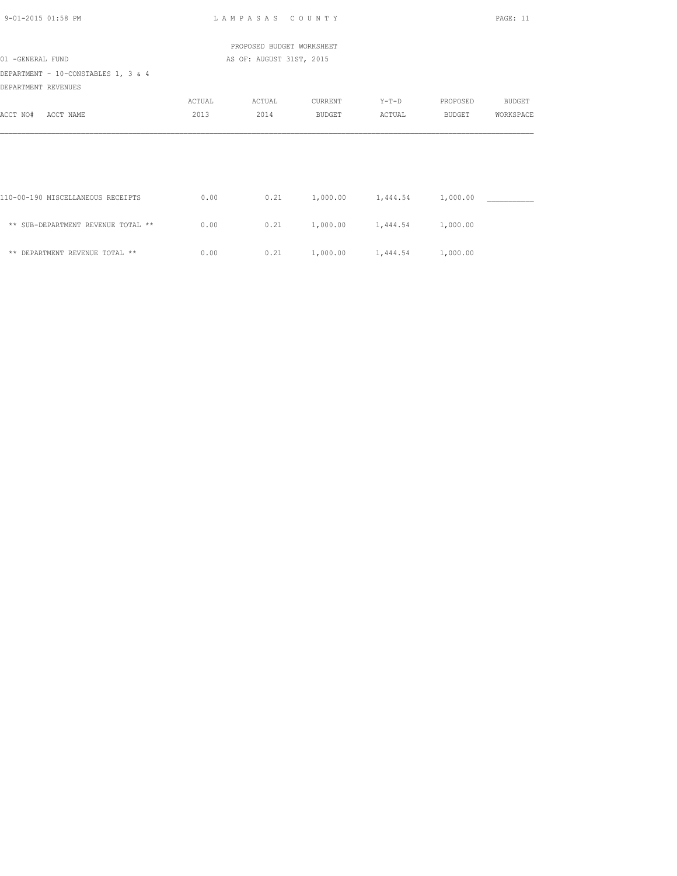| 9-01-2015 01:58 PM                                         |        | LAMPASAS COUNTY           |                            |                   |          | PAGE: 11      |
|------------------------------------------------------------|--------|---------------------------|----------------------------|-------------------|----------|---------------|
|                                                            |        | PROPOSED BUDGET WORKSHEET |                            |                   |          |               |
| 01 -GENERAL FUND                                           |        | AS OF: AUGUST 31ST, 2015  |                            |                   |          |               |
| DEPARTMENT - 10-CONSTABLES 1, 3 & 4<br>DEPARTMENT REVENUES |        |                           |                            |                   |          |               |
|                                                            | ACTUAL | ACTUAL                    | CURRENT                    | $Y-T-D$           | PROPOSED | <b>BUDGET</b> |
| ACCT NO#<br>ACCT NAME                                      | 2013   | 2014                      | <b>BUDGET</b>              | ACTUAL            | BUDGET   | WORKSPACE     |
|                                                            |        |                           |                            |                   |          |               |
| 110-00-190 MISCELLANEOUS RECEIPTS                          | 0.00   | 0.21                      | 1,000.00 1,444.54          |                   | 1,000.00 |               |
| ** SUB-DEPARTMENT REVENUE TOTAL **                         | 0.00   | 0.21                      |                            | 1,000.00 1,444.54 | 1,000.00 |               |
| ** DEPARTMENT REVENUE TOTAL **                             | 0.00   | 0.21                      | 1,000.00 1,444.54 1,000.00 |                   |          |               |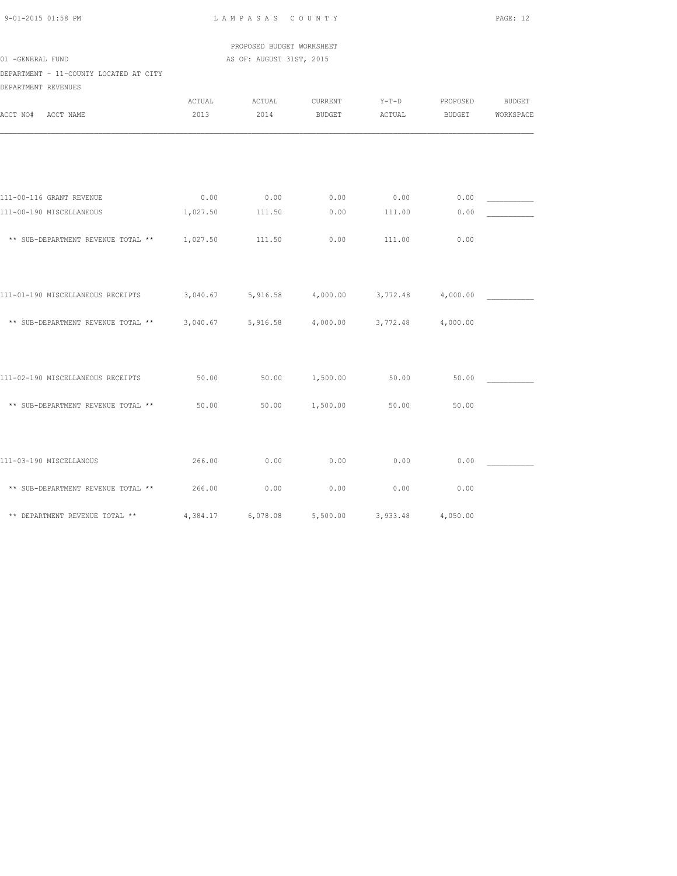| 9-01-2015 01:58 PM |  |
|--------------------|--|

L A M P A S A S C O U N T Y PAGE: 12

 PROPOSED BUDGET WORKSHEET 01 -GENERAL FUND AS OF: AUGUST 31ST, 2015

DEPARTMENT - 11-COUNTY LOCATED AT CITY DEPARTMENT REVENUES

| DEPARTMENT REVENUES                         |                |                |                   |                            |                           |                            |
|---------------------------------------------|----------------|----------------|-------------------|----------------------------|---------------------------|----------------------------|
| ACCT NO#<br>ACCT NAME                       | ACTUAL<br>2013 | ACTUAL<br>2014 | CURRENT<br>BUDGET | $Y-T-D$<br>ACTUAL          | PROPOSED<br><b>BUDGET</b> | <b>BUDGET</b><br>WORKSPACE |
|                                             |                |                |                   |                            |                           |                            |
|                                             |                |                |                   |                            |                           |                            |
| 111-00-116 GRANT REVENUE                    | 0.00           | 0.00           | 0.00              | 0.00                       | 0.00                      |                            |
| 111-00-190 MISCELLANEOUS                    | 1,027.50       | 111.50         | 0.00              | 111.00                     | 0.00                      |                            |
| ** SUB-DEPARTMENT REVENUE TOTAL ** 1,027.50 |                | 111.50         | 0.00              | 111.00                     | 0.00                      |                            |
|                                             |                |                |                   |                            |                           |                            |
| 111-01-190 MISCELLANEOUS RECEIPTS           | 3,040.67       | 5,916.58       | 4,000.00          | 3,772.48                   | 4,000.00                  |                            |
| ** SUB-DEPARTMENT REVENUE TOTAL ** 3,040.67 |                | 5,916.58       | 4,000.00          | 3,772.48                   | 4,000.00                  |                            |
|                                             |                |                |                   |                            |                           |                            |
| 111-02-190 MISCELLANEOUS RECEIPTS           | 50.00          | 50.00          | 1,500.00          | 50.00                      | 50.00                     |                            |
| ** SUB-DEPARTMENT REVENUE TOTAL **          | 50.00          | 50.00          | 1,500.00          | 50.00                      | 50.00                     |                            |
|                                             |                |                |                   |                            |                           |                            |
| 111-03-190 MISCELLANOUS                     | 266.00         | 0.00           | 0.00              | 0.00                       | 0.00                      |                            |
| ** SUB-DEPARTMENT REVENUE TOTAL **          | 266.00         | 0.00           | 0.00              | 0.00                       | 0.00                      |                            |
| ** DEPARTMENT REVENUE TOTAL ** 4,384.17     |                | 6,078.08       |                   | 5,500.00 3,933.48 4,050.00 |                           |                            |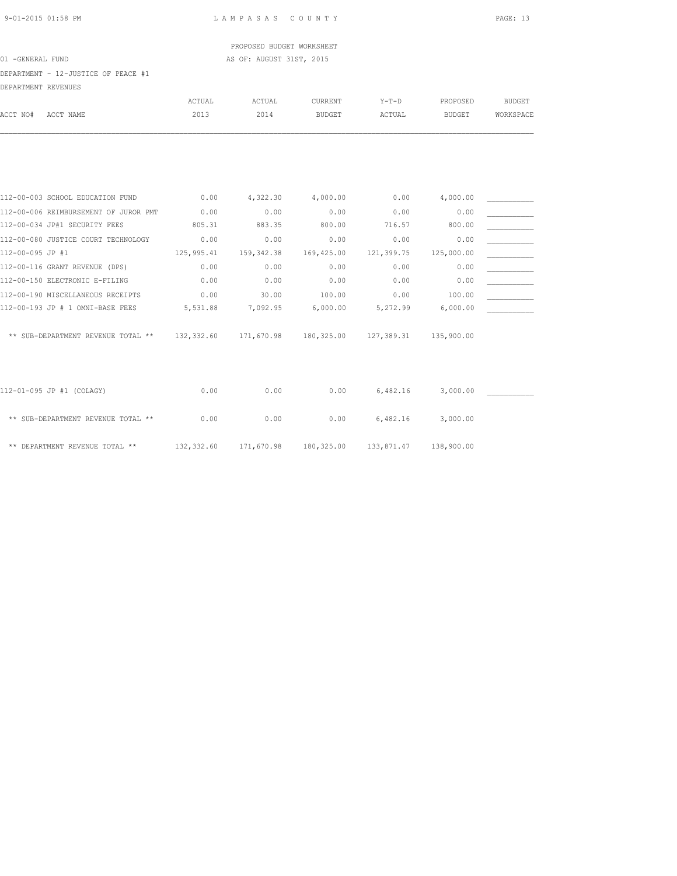PROPOSED BUDGET WORKSHEET 01 -GENERAL FUND AS OF: AUGUST 31ST, 2015

| DEPARTMENT - 12-JUSTICE OF PEACE #1           |            |            |               |                         |               |               |
|-----------------------------------------------|------------|------------|---------------|-------------------------|---------------|---------------|
| DEPARTMENT REVENUES                           | ACTUAL     | ACTUAL     | CURRENT       | $Y-T-D$                 | PROPOSED      | <b>BUDGET</b> |
| ACCT NO#<br>ACCT NAME                         | 2013       | 2014       | <b>BUDGET</b> | ACTUAL                  | <b>BUDGET</b> | WORKSPACE     |
|                                               |            |            |               |                         |               |               |
| 112-00-003 SCHOOL EDUCATION FUND              | 0.00       | 4,322.30   | 4,000.00      | 0.00                    | 4,000.00      |               |
| 112-00-006 REIMBURSEMENT OF JUROR PMT         | 0.00       | 0.00       | 0.00          | 0.00                    | 0.00          |               |
| 112-00-034 JP#1 SECURITY FEES                 | 805.31     | 883.35     | 800.00        | 716.57                  | 800.00        |               |
| 112-00-080 JUSTICE COURT TECHNOLOGY           | 0.00       | 0.00       | 0.00          | 0.00                    | 0.00          |               |
| 112-00-095 JP #1                              | 125,995.41 | 159,342.38 | 169,425.00    | 121,399.75              | 125,000.00    |               |
| 112-00-116 GRANT REVENUE (DPS)                | 0.00       | 0.00       | 0.00          | 0.00                    | 0.00          |               |
| 112-00-150 ELECTRONIC E-FILING                | 0.00       | 0.00       | 0.00          | 0.00                    | 0.00          |               |
| 112-00-190 MISCELLANEOUS RECEIPTS             | 0.00       | 30.00      | 100.00        | 0.00                    | 100.00        |               |
| 112-00-193 JP # 1 OMNI-BASE FEES              | 5,531.88   | 7,092.95   | 6,000.00      | 5,272.99                | 6,000.00      |               |
| ** SUB-DEPARTMENT REVENUE TOTAL ** 132,332.60 |            | 171,670.98 |               | 180, 325.00 127, 389.31 | 135,900.00    |               |
| 112-01-095 JP #1 (COLAGY)                     | 0.00       | 0.00       | 0.00          | 6,482.16                | 3,000.00      |               |
| ** SUB-DEPARTMENT REVENUE TOTAL **            | 0.00       | 0.00       | 0.00          | 6,482.16                | 3,000.00      |               |
| ** DEPARTMENT REVENUE TOTAL **                | 132,332.60 | 171,670.98 | 180,325.00    | 133,871.47              | 138,900.00    |               |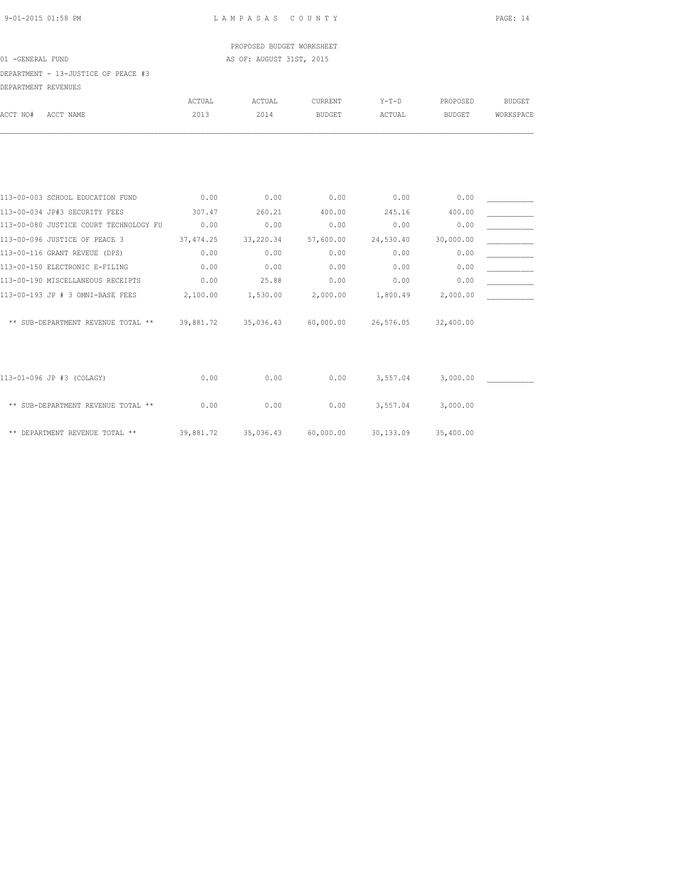PROPOSED BUDGET WORKSHEET 01 -GENERAL FUND AS OF: AUGUST 31ST, 2015

DEPARTMENT - 13-JUSTICE OF PEACE #3

| DEPARTMENT REVENUES                          |            |                     |               |           |               |               |
|----------------------------------------------|------------|---------------------|---------------|-----------|---------------|---------------|
|                                              | ACTUAL     | ACTUAL              | CURRENT       | $Y-T-D$   | PROPOSED      | <b>BUDGET</b> |
| ACCT NO#<br>ACCT NAME                        | 2013       | 2014                | <b>BUDGET</b> | ACTUAL    | <b>BUDGET</b> | WORKSPACE     |
|                                              |            |                     |               |           |               |               |
|                                              |            |                     |               |           |               |               |
| 113-00-003 SCHOOL EDUCATION FUND             | 0.00       | 0.00                | 0.00          | 0.00      | 0.00          |               |
| 113-00-034 JP#3 SECURITY FEES                | 307.47     | 260.21              | 400.00        | 245.16    | 400.00        |               |
| 113-00-080 JUSTICE COURT TECHNOLOGY FU       | 0.00       | 0.00                | 0.00          | 0.00      | 0.00          |               |
| 113-00-096 JUSTICE OF PEACE 3                | 37, 474.25 | 33,220.34           | 57,600.00     | 24,530.40 | 30,000.00     |               |
| 113-00-116 GRANT REVEUE (DPS)                | 0.00       | 0.00                | 0.00          | 0.00      | 0.00          |               |
| 113-00-150 ELECTRONIC E-FILING               | 0.00       | 0.00                | 0.00          | 0.00      | 0.00          |               |
| 113-00-190 MISCELLANEOUS RECEIPTS            | 0.00       | 25.88               | 0.00          | 0.00      | 0.00          |               |
| 113-00-193 JP # 3 OMNI-BASE FEES             | 2,100.00   | 1,530.00            | 2,000.00      | 1,800.49  | 2,000.00      |               |
| ** SUB-DEPARTMENT REVENUE TOTAL ** 39,881.72 |            | 35,036.43 60,000.00 |               | 26,576.05 | 32,400.00     |               |
|                                              |            |                     |               |           |               |               |
| 113-01-096 JP #3 (COLAGY)                    | 0.00       | 0.00                | 0.00          | 3,557.04  | 3,000.00      |               |
| ** SUB-DEPARTMENT REVENUE TOTAL **           | 0.00       | 0.00                | 0.00          | 3,557.04  | 3,000.00      |               |
| ** DEPARTMENT REVENUE TOTAL **               | 39,881.72  | 35,036.43           | 60,000.00     | 30,133.09 | 35,400.00     |               |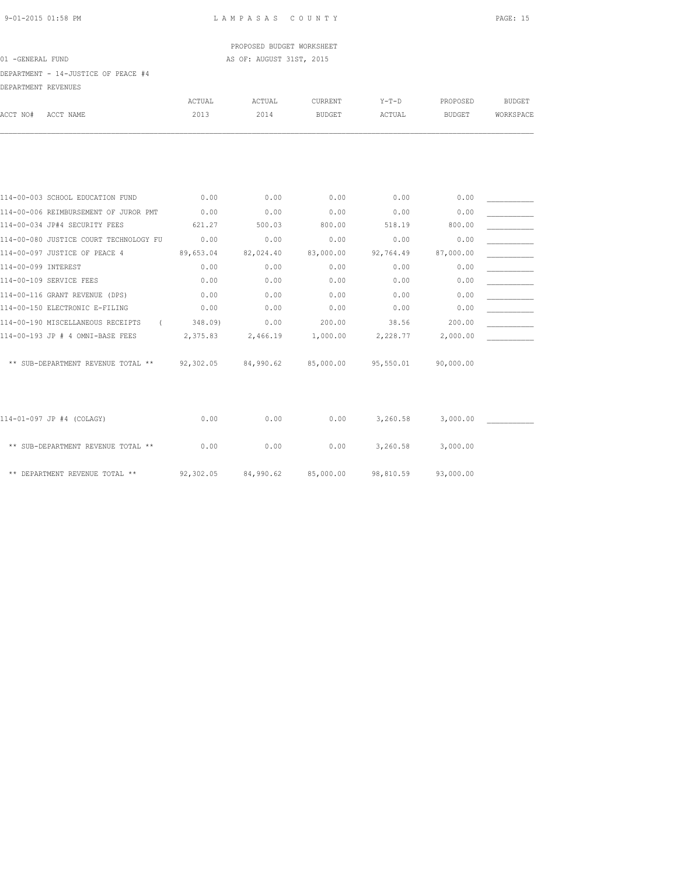PROPOSED BUDGET WORKSHEET 01 -GENERAL FUND AS OF: AUGUST 31ST, 2015

DEPARTMENT - 14-JUSTICE OF PEACE #4 DEPARTMENT REVENUES

| DEFARIMENI KEVENUES |                                               |               |               |                |           |               |               |
|---------------------|-----------------------------------------------|---------------|---------------|----------------|-----------|---------------|---------------|
|                     |                                               | <b>ACTUAL</b> | <b>ACTUAL</b> | <b>CURRENT</b> | $Y-T-D$   | PROPOSED      | <b>BUDGET</b> |
| ACCT NO#            | ACCT NAME                                     | 2013          | 2014          | <b>BUDGET</b>  | ACTUAL    | <b>BUDGET</b> | WORKSPACE     |
|                     |                                               |               |               |                |           |               |               |
|                     |                                               |               |               |                |           |               |               |
|                     |                                               |               |               |                |           |               |               |
|                     | 114-00-003 SCHOOL EDUCATION FUND              | 0.00          | 0.00          | 0.00           | 0.00      | 0.00          |               |
|                     | 114-00-006 REIMBURSEMENT OF JUROR PMT         | 0.00          | 0.00          | 0.00           | 0.00      | 0.00          |               |
|                     | 114-00-034 JP#4 SECURITY FEES                 | 621.27        | 500.03        | 800.00         | 518.19    | 800.00        |               |
|                     | 114-00-080 JUSTICE COURT TECHNOLOGY FU        | 0.00          | 0.00          | 0.00           | 0.00      | 0.00          |               |
|                     | 114-00-097 JUSTICE OF PEACE 4                 | 89,653.04     | 82,024.40     | 83,000.00      | 92,764.49 | 87,000.00     |               |
| 114-00-099 INTEREST |                                               | 0.00          | 0.00          | 0.00           | 0.00      | 0.00          |               |
|                     | 114-00-109 SERVICE FEES                       | 0.00          | 0.00          | 0.00           | 0.00      | 0.00          |               |
|                     | 114-00-116 GRANT REVENUE (DPS)                | 0.00          | 0.00          | 0.00           | 0.00      | 0.00          |               |
|                     | 114-00-150 ELECTRONIC E-FILING                | 0.00          | 0.00          | 0.00           | 0.00      | 0.00          |               |
|                     | 114-00-190 MISCELLANEOUS RECEIPTS<br>$\left($ | 348.09)       | 0.00          | 200.00         | 38.56     | 200.00        |               |
|                     | 114-00-193 JP # 4 OMNI-BASE FEES              | 2,375.83      | 2,466.19      | 1,000.00       | 2,228.77  | 2,000.00      |               |
|                     | ** SUB-DEPARTMENT REVENUE TOTAL ** 92,302.05  |               | 84,990.62     | 85,000.00      | 95,550.01 | 90,000.00     |               |
|                     |                                               |               |               |                |           |               |               |
|                     | 114-01-097 JP #4 (COLAGY)                     | 0.00          | 0.00          | 0.00           | 3,260.58  | 3,000.00      |               |
|                     | ** SUB-DEPARTMENT REVENUE TOTAL **            | 0.00          | 0.00          | 0.00           | 3,260.58  | 3,000.00      |               |
|                     | ** DEPARTMENT REVENUE TOTAL **                | 92,302.05     | 84,990.62     | 85,000.00      | 98,810.59 | 93,000.00     |               |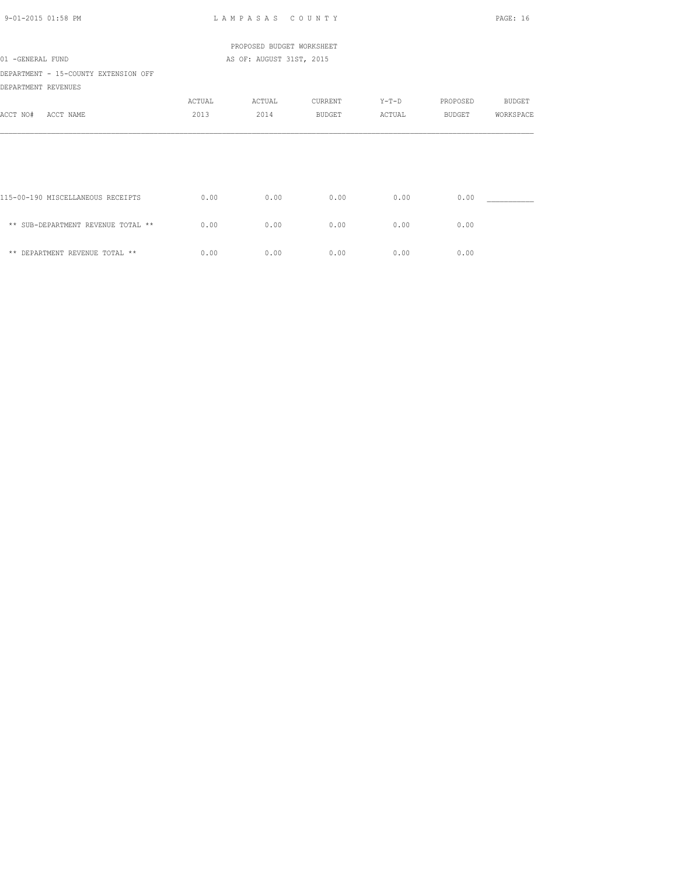| $9 - 01 - 2015$ 01:58 PM                                    |        | LAMPASAS COUNTY           |         |        |               | PAGE: 16      |
|-------------------------------------------------------------|--------|---------------------------|---------|--------|---------------|---------------|
|                                                             |        | PROPOSED BUDGET WORKSHEET |         |        |               |               |
| 01 -GENERAL FUND                                            |        | AS OF: AUGUST 31ST, 2015  |         |        |               |               |
| DEPARTMENT - 15-COUNTY EXTENSION OFF<br>DEPARTMENT REVENUES |        |                           |         |        |               |               |
|                                                             | ACTUAL | ACTUAL                    | CURRENT | Y-T-D  | PROPOSED      | <b>BUDGET</b> |
| ACCT NO#<br>ACCT NAME                                       | 2013   | 2014                      | BUDGET  | ACTUAL | <b>BUDGET</b> | WORKSPACE     |
|                                                             |        |                           |         |        |               |               |
|                                                             |        |                           |         |        |               |               |
|                                                             |        |                           |         |        |               |               |
| 115-00-190 MISCELLANEOUS RECEIPTS                           | 0.00   | 0.00                      | 0.00    | 0.00   | 0.00          |               |
| ** SUB-DEPARTMENT REVENUE TOTAL **                          | 0.00   | 0.00                      | 0.00    | 0.00   | 0.00          |               |
| ** DEPARTMENT REVENUE TOTAL **                              | 0.00   | 0.00                      | 0.00    | 0.00   | 0.00          |               |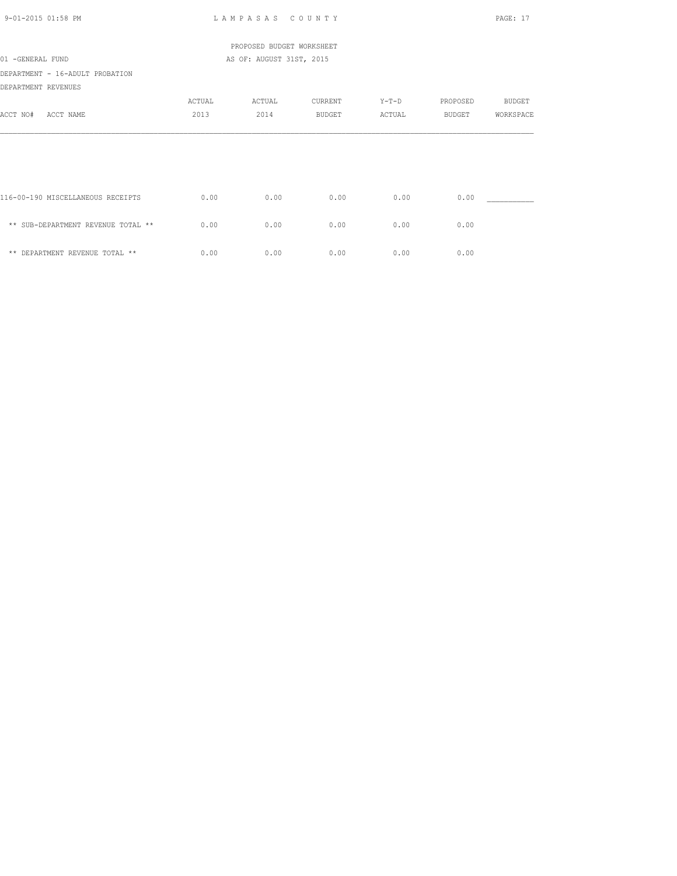| $9 - 01 - 2015$ 01:58 PM           |        | LAMPASAS COUNTY           |         |        |               | PAGE: 17      |
|------------------------------------|--------|---------------------------|---------|--------|---------------|---------------|
|                                    |        | PROPOSED BUDGET WORKSHEET |         |        |               |               |
| 01 -GENERAL FUND                   |        | AS OF: AUGUST 31ST, 2015  |         |        |               |               |
| DEPARTMENT - 16-ADULT PROBATION    |        |                           |         |        |               |               |
| DEPARTMENT REVENUES                |        |                           |         |        |               |               |
|                                    | ACTUAL | ACTUAL                    | CURRENT | Y-T-D  | PROPOSED      | <b>BUDGET</b> |
| ACCT NO#<br>ACCT NAME              | 2013   | 2014                      | BUDGET  | ACTUAL | <b>BUDGET</b> | WORKSPACE     |
|                                    |        |                           |         |        |               |               |
| 116-00-190 MISCELLANEOUS RECEIPTS  | 0.00   | 0.00                      | 0.00    | 0.00   | 0.00          |               |
| ** SUB-DEPARTMENT REVENUE TOTAL ** | 0.00   | 0.00                      | 0.00    | 0.00   | 0.00          |               |
| ** DEPARTMENT REVENUE TOTAL **     | 0.00   | 0.00                      | 0.00    | 0.00   | 0.00          |               |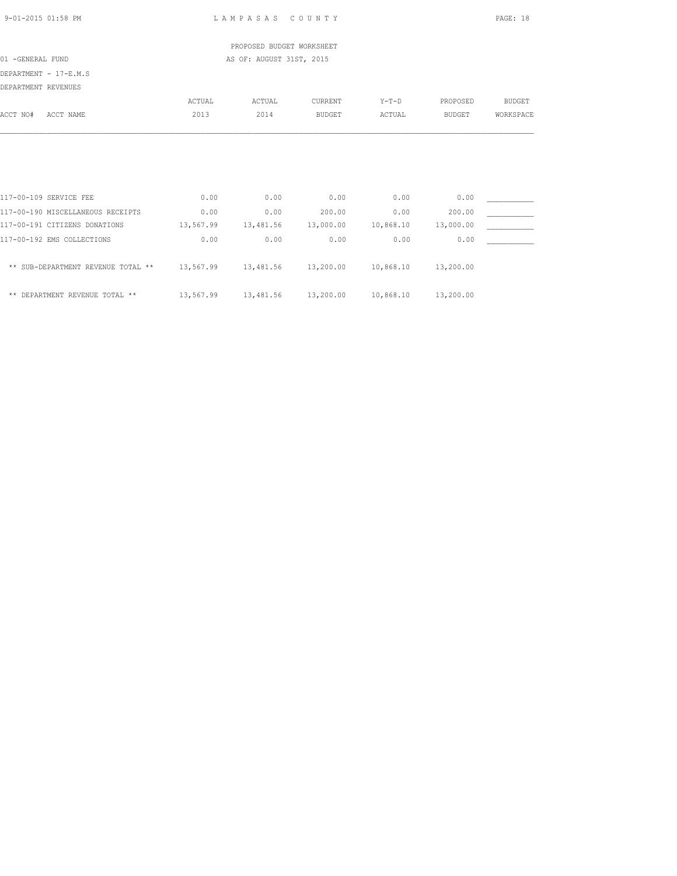| 9-01-2015 01:58 PM |  |
|--------------------|--|
|                    |  |

L A M P A S A S C O U N T Y PAGE: 18

 PROPOSED BUDGET WORKSHEET 01 -GENERAL FUND AS OF: AUGUST 31ST, 2015

DEPARTMENT - 17-E.M.S

|                     | ULFARIMENI - I/-L.M.J |        |        |               |         |               |           |
|---------------------|-----------------------|--------|--------|---------------|---------|---------------|-----------|
| DEPARTMENT REVENUES |                       |        |        |               |         |               |           |
|                     |                       | ACTUAL | ACTUAL | CURRENT       | $Y-T-D$ | PROPOSED      | BUDGET    |
| ACCT NO#            | ACCT NAME             | 2013   | 2014   | <b>BUDGET</b> | ACTUAL  | <b>BUDGET</b> | WORKSPACE |
|                     |                       |        |        |               |         |               |           |
|                     |                       |        |        |               |         |               |           |
|                     |                       |        |        |               |         |               |           |
|                     |                       |        |        |               |         |               |           |
|                     |                       |        |        |               |         |               |           |

| 117-00-109 SERVICE FEE             | 0.00      | 0.00      | 0.00      | 0.00      | 0.00      |  |
|------------------------------------|-----------|-----------|-----------|-----------|-----------|--|
| 117-00-190 MISCELLANEOUS RECEIPTS  | 0.00      | 0.00      | 200.00    | 0.00      | 200.00    |  |
| 117-00-191 CITIZENS DONATIONS      | 13,567.99 | 13,481.56 | 13,000.00 | 10,868.10 | 13,000.00 |  |
| 117-00-192 EMS COLLECTIONS         | 0.00      | 0.00      | 0.00      | 0.00      | 0.00      |  |
| ** SUB-DEPARTMENT REVENUE TOTAL ** | 13,567.99 | 13,481.56 | 13,200.00 | 10,868.10 | 13,200.00 |  |
| ** DEPARTMENT REVENUE TOTAL **     | 13,567.99 | 13,481.56 | 13,200.00 | 10,868.10 | 13,200.00 |  |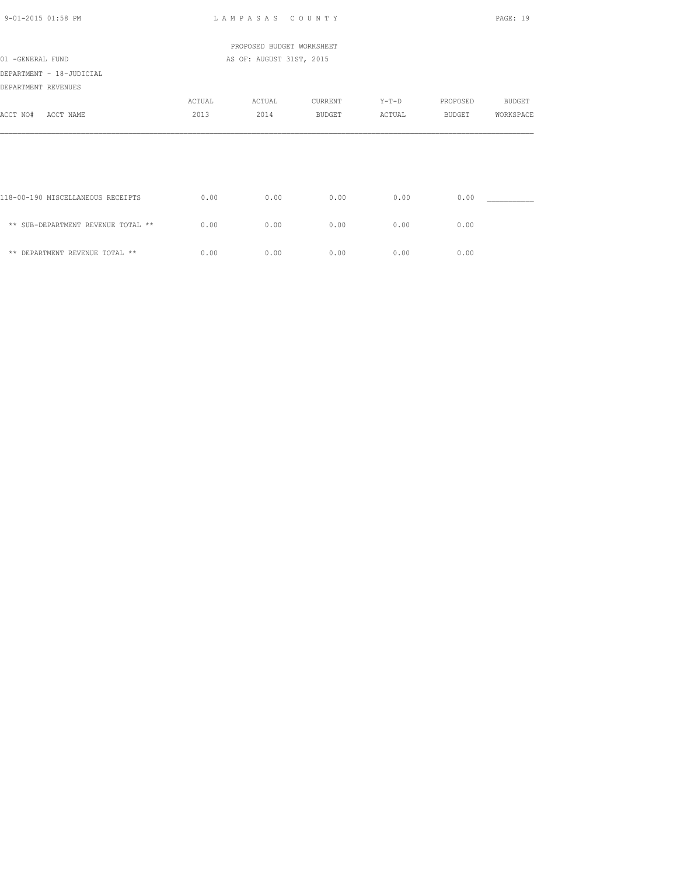| $9 - 01 - 2015$ 01:58 PM           |        | LAMPASAS COUNTY           |               |         |          | PAGE: 19      |
|------------------------------------|--------|---------------------------|---------------|---------|----------|---------------|
|                                    |        | PROPOSED BUDGET WORKSHEET |               |         |          |               |
| 01 -GENERAL FUND                   |        | AS OF: AUGUST 31ST, 2015  |               |         |          |               |
| DEPARTMENT - 18-JUDICIAL           |        |                           |               |         |          |               |
| DEPARTMENT REVENUES                |        |                           |               |         |          |               |
|                                    | ACTUAL | ACTUAL                    | CURRENT       | $Y-T-D$ | PROPOSED | <b>BUDGET</b> |
| ACCT NO#<br>ACCT NAME              | 2013   | 2014                      | <b>BUDGET</b> | ACTUAL  | BUDGET   | WORKSPACE     |
|                                    |        |                           |               |         |          |               |
|                                    |        |                           |               |         |          |               |
| 118-00-190 MISCELLANEOUS RECEIPTS  | 0.00   | 0.00                      | 0.00          | 0.00    | 0.00     |               |
| ** SUB-DEPARTMENT REVENUE TOTAL ** | 0.00   | 0.00                      | 0.00          | 0.00    | 0.00     |               |
| ** DEPARTMENT REVENUE TOTAL **     | 0.00   | 0.00                      | 0.00          | 0.00    | 0.00     |               |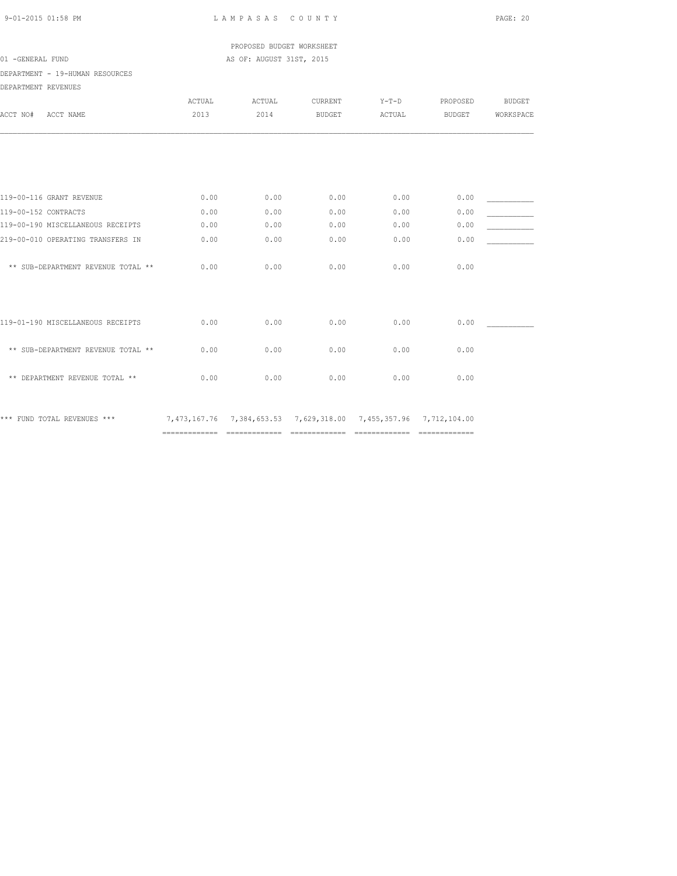PROPOSED BUDGET WORKSHEET 01 -GENERAL FUND AS OF: AUGUST 31ST, 2015

DEPARTMENT - 19-HUMAN RESOURCES

| DEPARTMENT REVENUES                |        |        |               |                                                                            |               |               |
|------------------------------------|--------|--------|---------------|----------------------------------------------------------------------------|---------------|---------------|
|                                    | ACTUAL | ACTUAL | CURRENT       | $Y-T-D$                                                                    | PROPOSED      | <b>BUDGET</b> |
| ACCT NO#<br>ACCT NAME              | 2013   | 2014   | <b>BUDGET</b> | ACTUAL                                                                     | <b>BUDGET</b> | WORKSPACE     |
|                                    |        |        |               |                                                                            |               |               |
|                                    |        |        |               |                                                                            |               |               |
| 119-00-116 GRANT REVENUE           | 0.00   | 0.00   | 0.00          | 0.00                                                                       | 0.00          |               |
| 119-00-152 CONTRACTS               | 0.00   | 0.00   | 0.00          | 0.00                                                                       | 0.00          |               |
| 119-00-190 MISCELLANEOUS RECEIPTS  | 0.00   | 0.00   | 0.00          | 0.00                                                                       | 0.00          |               |
| 219-00-010 OPERATING TRANSFERS IN  | 0.00   | 0.00   | 0.00          | 0.00                                                                       | 0.00          |               |
| ** SUB-DEPARTMENT REVENUE TOTAL ** | 0.00   | 0.00   | 0.00          | 0.00                                                                       | 0.00          |               |
|                                    |        |        |               |                                                                            |               |               |
| 119-01-190 MISCELLANEOUS RECEIPTS  | 0.00   | 0.00   | 0.00          | 0.00                                                                       | 0.00          |               |
| ** SUB-DEPARTMENT REVENUE TOTAL ** | 0.00   | 0.00   | 0.00          | 0.00                                                                       | 0.00          |               |
| ** DEPARTMENT REVENUE TOTAL **     | 0.00   | 0.00   | 0.00          | 0.00                                                                       | 0.00          |               |
|                                    |        |        |               |                                                                            |               |               |
| *** FUND TOTAL REVENUES ***        |        |        |               | 7, 473, 167.76 7, 384, 653.53 7, 629, 318.00 7, 455, 357.96 7, 712, 104.00 |               |               |

============= ============= ============= ============= =============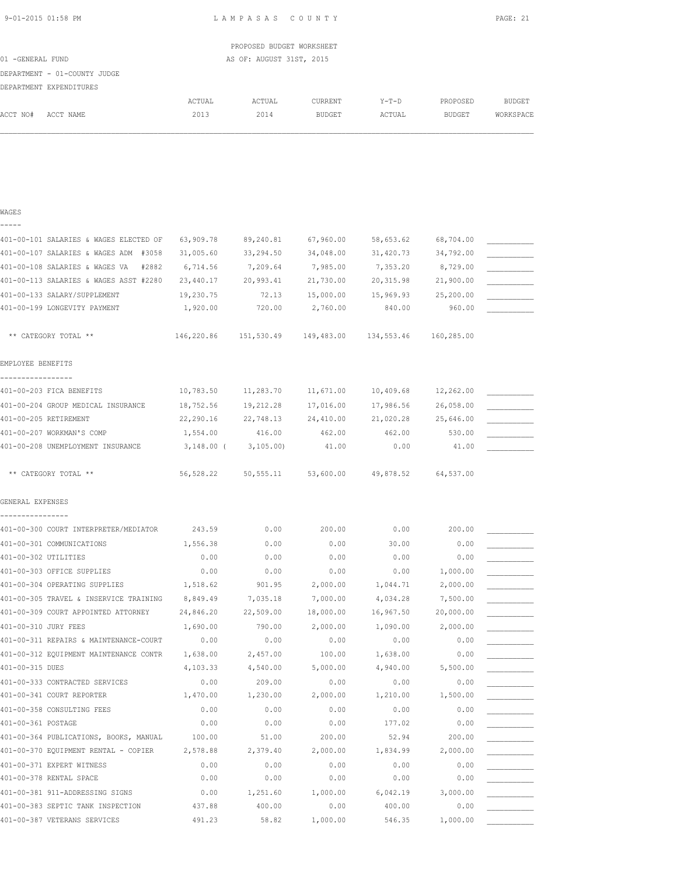|  | 9-01-2015 01:58 PM |  |
|--|--------------------|--|
|  |                    |  |

L A M P A S A S C O U N T Y PAGE: 21

|                  |                              |        | PROPOSED BUDGET WORKSHEET |                |        |               |           |
|------------------|------------------------------|--------|---------------------------|----------------|--------|---------------|-----------|
| 01 -GENERAL FUND |                              |        | AS OF: AUGUST 31ST, 2015  |                |        |               |           |
|                  | DEPARTMENT - 01-COUNTY JUDGE |        |                           |                |        |               |           |
|                  | DEPARTMENT EXPENDITURES      |        |                           |                |        |               |           |
|                  |                              | ACTUAL | ACTUAL                    | <b>CURRENT</b> | Y-T-D  | PROPOSED      | BUDGET    |
| ACCT NO#         | ACCT NAME                    | 2013   | 2014                      | BUDGET         | ACTUAL | <b>BUDGET</b> | WORKSPACE |
|                  |                              |        |                           |                |        |               |           |

### WAGES -----

| 401-00-101 SALARIES & WAGES ELECTED OF  | 63,909.78  | 89,240.81              | 67,960.00  | 58,653.62  | 68,704.00  |  |
|-----------------------------------------|------------|------------------------|------------|------------|------------|--|
| 401-00-107 SALARIES & WAGES ADM #3058   | 31,005.60  | 33,294.50              | 34,048.00  | 31,420.73  | 34,792.00  |  |
| 401-00-108 SALARIES & WAGES VA<br>#2882 | 6,714.56   | 7,209.64               | 7,985.00   | 7,353.20   | 8,729.00   |  |
| 401-00-113 SALARIES & WAGES ASST #2280  | 23,440.17  | 20,993.41              | 21,730.00  | 20,315.98  | 21,900.00  |  |
| 401-00-133 SALARY/SUPPLEMENT            | 19,230.75  | 72.13                  | 15,000.00  | 15,969.93  | 25,200.00  |  |
| 401-00-199 LONGEVITY PAYMENT            | 1,920.00   | 720.00                 | 2,760.00   | 840.00     | 960.00     |  |
|                                         |            |                        |            |            |            |  |
| ** CATEGORY TOTAL **                    | 146,220.86 | 151,530.49             | 149,483.00 | 134,553.46 | 160,285.00 |  |
|                                         |            |                        |            |            |            |  |
| EMPLOYEE BENEFITS                       |            |                        |            |            |            |  |
| -----------------                       |            |                        |            |            |            |  |
| 401-00-203 FICA BENEFITS                | 10,783.50  | 11,283.70              | 11,671.00  | 10,409.68  | 12,262.00  |  |
| 401-00-204 GROUP MEDICAL INSURANCE      | 18,752.56  | 19,212.28              | 17,016.00  | 17,986.56  | 26,058.00  |  |
| 401-00-205 RETIREMENT                   | 22,290.16  | 22,748.13              | 24,410.00  | 21,020.28  | 25,646.00  |  |
| 401-00-207 WORKMAN'S COMP               | 1,554.00   | 416.00                 | 462.00     | 462.00     | 530.00     |  |
| 401-00-208 UNEMPLOYMENT INSURANCE       |            | 3, 148.00 ( 3, 105.00) | 41.00      | 0.00       | 41.00      |  |
|                                         |            |                        |            |            |            |  |
| ** CATEGORY TOTAL **                    | 56,528.22  | 50,555.11              | 53,600.00  | 49,878.52  | 64,537.00  |  |
|                                         |            |                        |            |            |            |  |
| GENERAL EXPENSES                        |            |                        |            |            |            |  |
|                                         |            |                        |            |            |            |  |
| 401-00-300 COURT INTERPRETER/MEDIATOR   | 243.59     | 0.00                   | 200.00     | 0.00       | 200.00     |  |
| 401-00-301 COMMUNICATIONS               | 1,556.38   | 0.00                   | 0.00       | 30.00      | 0.00       |  |
| 401-00-302 UTILITIES                    | 0.00       | 0.00                   | 0.00       | 0.00       | 0.00       |  |
| 401-00-303 OFFICE SUPPLIES              | 0.00       | 0.00                   | 0.00       | 0.00       | 1,000.00   |  |
| 401-00-304 OPERATING SUPPLIES           | 1,518.62   | 901.95                 | 2,000.00   | 1,044.71   | 2,000.00   |  |
| 401-00-305 TRAVEL & INSERVICE TRAINING  | 8,849.49   | 7,035.18               | 7,000.00   | 4,034.28   | 7,500.00   |  |
| 401-00-309 COURT APPOINTED ATTORNEY     | 24,846.20  | 22,509.00              | 18,000.00  | 16,967.50  | 20,000.00  |  |
| 401-00-310 JURY FEES                    | 1,690.00   | 790.00                 | 2,000.00   | 1,090.00   | 2,000.00   |  |
| 401-00-311 REPAIRS & MAINTENANCE-COURT  | 0.00       | 0.00                   | 0.00       | 0.00       | 0.00       |  |
| 401-00-312 EQUIPMENT MAINTENANCE CONTR  | 1,638.00   | 2,457.00               | 100.00     | 1,638.00   | 0.00       |  |
| 401-00-315 DUES                         | 4,103.33   | 4,540.00               | 5,000.00   | 4,940.00   | 5,500.00   |  |
| 401-00-333 CONTRACTED SERVICES          | 0.00       | 209.00                 | 0.00       | 0.00       | 0.00       |  |
| 401-00-341 COURT REPORTER               | 1,470.00   | 1,230.00               | 2,000.00   | 1,210.00   | 1,500.00   |  |
| 401-00-358 CONSULTING FEES              | 0.00       | 0.00                   | 0.00       | 0.00       | 0.00       |  |
| 401-00-361 POSTAGE                      | 0.00       | 0.00                   | 0.00       | 177.02     | 0.00       |  |
| 401-00-364 PUBLICATIONS, BOOKS, MANUAL  | 100.00     | 51.00                  | 200.00     | 52.94      | 200.00     |  |
| 401-00-370 EQUIPMENT RENTAL - COPIER    | 2,578.88   | 2,379.40               | 2,000.00   | 1,834.99   | 2,000.00   |  |
| 401-00-371 EXPERT WITNESS               | 0.00       | 0.00                   | 0.00       | 0.00       | 0.00       |  |
| 401-00-378 RENTAL SPACE                 | 0.00       | 0.00                   | 0.00       | 0.00       | 0.00       |  |
| 401-00-381 911-ADDRESSING SIGNS         | 0.00       | 1,251.60               | 1,000.00   | 6,042.19   | 3,000.00   |  |
| 401-00-383 SEPTIC TANK INSPECTION       | 437.88     | 400.00                 | 0.00       | 400.00     | 0.00       |  |
| 401-00-387 VETERANS SERVICES            | 491.23     | 58.82                  | 1,000.00   | 546.35     | 1,000.00   |  |
|                                         |            |                        |            |            |            |  |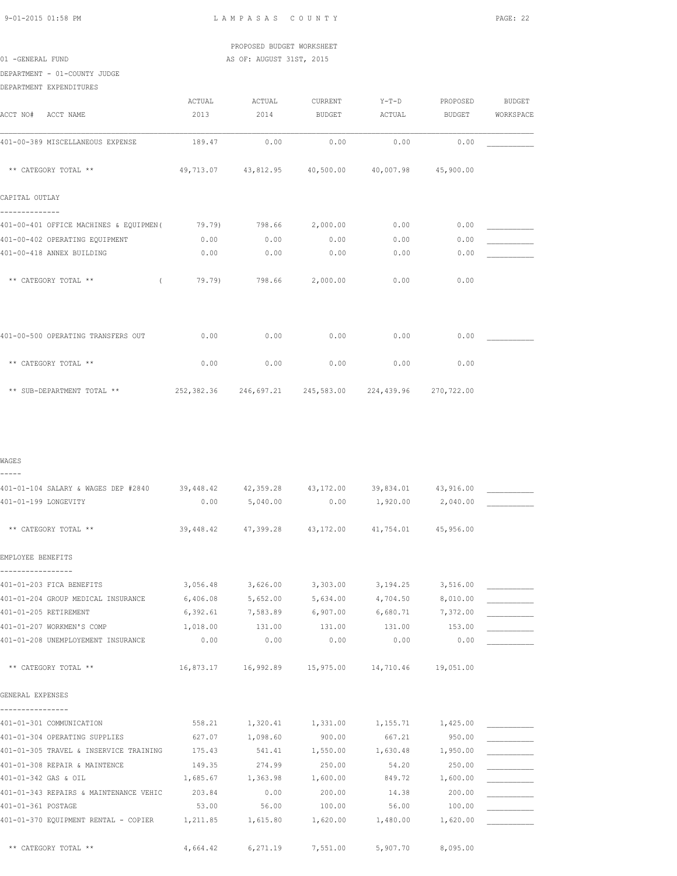PROPOSED BUDGET WORKSHEET 01 -GENERAL FUND AS OF: AUGUST 31ST, 2015

DEPARTMENT - 01-COUNTY JUDGE

|                                         | ACTUAL | ACTUAL | CURRENT                                     | $Y-T-D$ | PROPOSED      | <b>BUDGET</b> |
|-----------------------------------------|--------|--------|---------------------------------------------|---------|---------------|---------------|
| ACCT NO#<br>ACCT NAME                   | 2013   | 2014   | <b>BUDGET</b>                               | ACTUAL  | <b>BUDGET</b> | WORKSPACE     |
| 401-00-389 MISCELLANEOUS EXPENSE        | 189.47 | 0.00   | 0.00                                        | 0.00    | 0.00          |               |
| ** CATEGORY TOTAL **                    |        |        | 49,713.07 43,812.95 40,500.00 40,007.98     |         | 45,900.00     |               |
| CAPITAL OUTLAY                          |        |        |                                             |         |               |               |
| 401-00-401 OFFICE MACHINES & EQUIPMEN ( | 79.79) | 798.66 | 2,000.00                                    | 0.00    | 0.00          |               |
| 401-00-402 OPERATING EQUIPMENT          | 0.00   | 0.00   | 0.00                                        | 0.00    | 0.00          |               |
| 401-00-418 ANNEX BUILDING               | 0.00   | 0.00   | 0.00                                        | 0.00    | 0.00          |               |
| ** CATEGORY TOTAL **<br>$\left($        | 79.79) | 798.66 | 2,000.00                                    | 0.00    | 0.00          |               |
| 401-00-500 OPERATING TRANSFERS OUT      | 0.00   | 0.00   | 0.00                                        | 0.00    | 0.00          |               |
| ** CATEGORY TOTAL **                    | 0.00   | 0.00   | 0.00                                        | 0.00    | 0.00          |               |
| ** SUB-DEPARTMENT TOTAL **              |        |        | 252,382.36 246,697.21 245,583.00 224,439.96 |         | 270,722.00    |               |

WAGES -----

| 401-01-104 SALARY & WAGES DEP #2840 39,448.42 42,359.28 43,172.00 |          |                                                        |                                   |                   | 39,834.01 43,916.00 |  |
|-------------------------------------------------------------------|----------|--------------------------------------------------------|-----------------------------------|-------------------|---------------------|--|
| 401-01-199 LONGEVITY                                              | 0.00     | 5,040.00                                               | 0.00                              | 1,920.00 2,040.00 |                     |  |
| ** CATEGORY TOTAL **                                              |          | 39,448.42 47,399.28 43,172.00 41,754.01 45,956.00      |                                   |                   |                     |  |
| EMPLOYEE BENEFITS                                                 |          |                                                        |                                   |                   |                     |  |
| 401-01-203 FICA BENEFITS                                          |          | 3,056.48 3,626.00 3,303.00 3,194.25                    |                                   |                   | 3,516.00            |  |
| 401-01-204 GROUP MEDICAL INSURANCE                                | 6,406.08 | 5,652.00                                               | 5,634.00                          | 4,704.50          | 8,010.00            |  |
| 401-01-205 RETIREMENT                                             |          | $6,392.61$ $7,583.89$ $6,907.00$ $6,680.71$ $7,372.00$ |                                   |                   |                     |  |
| 401-01-207 WORKMEN'S COMP                                         | 1,018.00 | 131.00                                                 | 131.00                            | 131.00            | 153.00              |  |
| 401-01-208 UNEMPLOYEMENT INSURANCE                                | 0.00     | 0.00                                                   | 0.00                              | 0.00              | 0.00                |  |
| ** CATEGORY TOTAL **<br>GENERAL EXPENSES                          |          | 16,873.17  16,992.89  15,975.00  14,710.46  19,051.00  |                                   |                   |                     |  |
| 401-01-301 COMMUNICATION                                          |          | 558.21   1,320.41   1,331.00   1,155.71   1,425.00     |                                   |                   |                     |  |
| 401-01-304 OPERATING SUPPLIES                                     | 627.07   | 1,098.60                                               | 900.00                            | 667.21            | 950.00              |  |
| 401-01-305 TRAVEL & INSERVICE TRAINING                            | 175.43   |                                                        | 541.41 1,550.00 1,630.48 1,950.00 |                   |                     |  |
| 401-01-308 REPAIR & MAINTENCE                                     | 149.35   | 274.99                                                 | 250.00                            | 54.20             | 250.00              |  |
| 401-01-342 GAS & OIL                                              | 1,685.67 | 1,363.98 1,600.00                                      |                                   | 849.72 1,600.00   |                     |  |
| 401-01-343 REPAIRS & MAINTENANCE VEHIC                            | 203.84   | 0.00                                                   | 200.00                            | 14.38             | 200.00              |  |
| 401-01-361 POSTAGE                                                | 53.00    | 56.00                                                  | 100.00                            | 56.00             | 100.00              |  |
| 401-01-370 EQUIPMENT RENTAL - COPIER 1,211.85 1,615.80 1,620.00   |          |                                                        |                                   | 1,480.00 1,620.00 |                     |  |
| ** CATEGORY TOTAL **                                              | 4,664.42 | 6,271.19 7,551.00                                      |                                   | 5,907.70          | 8,095.00            |  |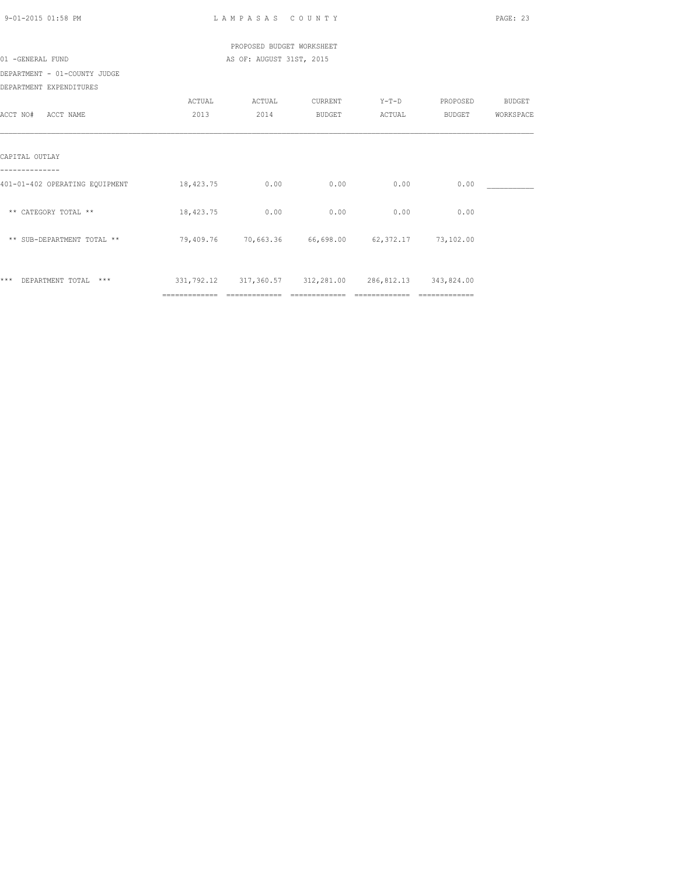| 9-01-2015 01:58 PM             |                       | LAMPASAS COUNTY                                                               |                |         |          | PAGE: 23  |
|--------------------------------|-----------------------|-------------------------------------------------------------------------------|----------------|---------|----------|-----------|
|                                |                       | PROPOSED BUDGET WORKSHEET                                                     |                |         |          |           |
| 01 -GENERAL FUND               |                       | AS OF: AUGUST 31ST, 2015                                                      |                |         |          |           |
| DEPARTMENT - 01-COUNTY JUDGE   |                       |                                                                               |                |         |          |           |
| DEPARTMENT EXPENDITURES        |                       |                                                                               |                |         |          |           |
|                                | ACTUAL                | ACTUAL                                                                        | <b>CURRENT</b> | $Y-T-D$ | PROPOSED | BUDGET    |
| ACCT NO# ACCT NAME             | 2013                  | 2014                                                                          | <b>BUDGET</b>  | ACTUAL  | BUDGET   | WORKSPACE |
| CAPITAL OUTLAY                 |                       |                                                                               |                |         |          |           |
| 401-01-402 OPERATING EQUIPMENT | $18,423,75$ 0.00 0.00 |                                                                               |                | 0.00    | 0.00     |           |
| ** CATEGORY TOTAL **           |                       | 18,423.75 0.00                                                                | 0.00           | 0.00    | 0.00     |           |
| ** SUB-DEPARTMENT TOTAL **     |                       | 79,409.76 70,663.36 66,698.00 62,372.17 73,102.00                             |                |         |          |           |
| *** DEPARTMENT TOTAL ***       | ==============        | 331, 792.12 317, 360.57 312, 281.00 286, 812.13 343, 824.00<br>============== |                |         |          |           |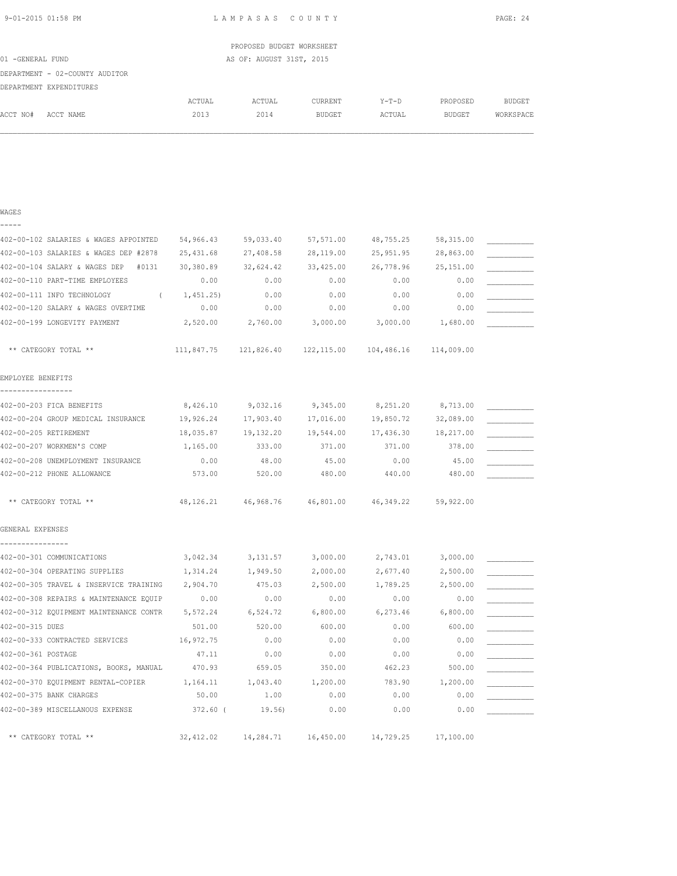| 9-01-2015 01:58 PM |  |
|--------------------|--|
|                    |  |

L A M P A S A S C O U N T Y PAGE: 24

|                  |                                |        | PROPOSED BUDGET WORKSHEET |         |         |          |           |
|------------------|--------------------------------|--------|---------------------------|---------|---------|----------|-----------|
| 01 -GENERAL FUND |                                |        | AS OF: AUGUST 31ST, 2015  |         |         |          |           |
|                  | DEPARTMENT - 02-COUNTY AUDITOR |        |                           |         |         |          |           |
|                  | DEPARTMENT EXPENDITURES        |        |                           |         |         |          |           |
|                  |                                | ACTUAL | ACTUAL                    | CURRENT | $Y-T-D$ | PROPOSED | BUDGET    |
| ACCT NO#         | ACCT NAME                      | 2013   | 2014                      | BUDGET  | ACTUAL  | BUDGET   | WORKSPACE |
|                  |                                |        |                           |         |         |          |           |
|                  |                                |        |                           |         |         |          |           |
|                  |                                |        |                           |         |         |          |           |

| WAGES                                       |            |                         |           |                                                        |            |  |
|---------------------------------------------|------------|-------------------------|-----------|--------------------------------------------------------|------------|--|
| 402-00-102 SALARIES & WAGES APPOINTED       | 54,966.43  | 59,033.40               | 57,571.00 | 48,755.25                                              | 58, 315.00 |  |
| 402-00-103 SALARIES & WAGES DEP #2878       | 25,431.68  | 27,408.58               | 28,119.00 | 25,951.95                                              | 28,863.00  |  |
| 402-00-104 SALARY & WAGES DEP<br>#0131      | 30,380.89  | 32,624.42               | 33,425.00 | 26,778.96                                              | 25, 151.00 |  |
| 402-00-110 PART-TIME EMPLOYEES              | 0.00       | 0.00                    | 0.00      | 0.00                                                   | 0.00       |  |
| 402-00-111 INFO TECHNOLOGY                  | 1,451.25)  | 0.00                    | 0.00      | 0.00                                                   | 0.00       |  |
| 402-00-120 SALARY & WAGES OVERTIME          | 0.00       | 0.00                    | 0.00      | 0.00                                                   | 0.00       |  |
| 402-00-199 LONGEVITY PAYMENT                | 2,520.00   | 2,760.00                | 3,000.00  | 3,000.00                                               | 1,680.00   |  |
| ** CATEGORY TOTAL **                        |            |                         |           | 111,847.75 121,826.40 122,115.00 104,486.16 114,009.00 |            |  |
| EMPLOYEE BENEFITS                           |            |                         |           |                                                        |            |  |
| 402-00-203 FICA BENEFITS                    | 8,426.10   | 9,032.16                | 9,345.00  | 8,251.20                                               | 8,713.00   |  |
| 402-00-204 GROUP MEDICAL INSURANCE          | 19,926.24  | 17,903.40               | 17,016.00 | 19,850.72                                              | 32,089.00  |  |
| 402-00-205 RETIREMENT                       | 18,035.87  | 19,132.20               | 19,544.00 | 17,436.30                                              | 18,217.00  |  |
| 402-00-207 WORKMEN'S COMP                   | 1,165.00   | 333.00                  | 371.00    | 371.00                                                 | 378.00     |  |
| 402-00-208 UNEMPLOYMENT INSURANCE           | 0.00       | 48.00                   | 45.00     | 0.00                                                   | 45.00      |  |
| 402-00-212 PHONE ALLOWANCE                  | 573.00     | 520.00                  | 480.00    | 440.00                                                 | 480.00     |  |
| ** CATEGORY TOTAL **                        |            | 48, 126, 21 46, 968, 76 |           | 46,801.00 46,349.22                                    | 59,922.00  |  |
| GENERAL EXPENSES                            |            |                         |           |                                                        |            |  |
| 402-00-301 COMMUNICATIONS                   | 3,042.34   | 3,131.57                | 3,000.00  | 2,743.01                                               | 3,000.00   |  |
| 402-00-304 OPERATING SUPPLIES               | 1,314.24   | 1,949.50                | 2,000.00  | 2,677.40                                               | 2,500.00   |  |
| 402-00-305 TRAVEL & INSERVICE TRAINING      | 2,904.70   | 475.03                  | 2,500.00  | 1,789.25                                               | 2,500.00   |  |
| 402-00-308 REPAIRS & MAINTENANCE EQUIP      | 0.00       | 0.00                    | 0.00      | 0.00                                                   | 0.00       |  |
| 402-00-312 EQUIPMENT MAINTENANCE CONTR      | 5,572.24   | 6,524.72                | 6,800.00  | 6, 273.46                                              | 6,800.00   |  |
| 402-00-315 DUES                             | 501.00     | 520.00                  | 600.00    | 0.00                                                   | 600.00     |  |
| 402-00-333 CONTRACTED SERVICES              | 16,972.75  | 0.00                    | 0.00      | 0.00                                                   | 0.00       |  |
| 402-00-361 POSTAGE                          | 47.11      | 0.00                    | 0.00      | 0.00                                                   | 0.00       |  |
| 402-00-364 PUBLICATIONS, BOOKS, MANUAL      | 470.93     | 659.05                  | 350.00    | 462.23                                                 | 500.00     |  |
| 402-00-370 EQUIPMENT RENTAL-COPIER 1,164.11 |            | 1,043.40                | 1,200.00  | 783.90                                                 | 1,200.00   |  |
| 402-00-375 BANK CHARGES                     | 50.00      | 1.00                    | 0.00      | 0.00                                                   | 0.00       |  |
| 402-00-389 MISCELLANOUS EXPENSE             | 372.60 (   | 19.56)                  | 0.00      | 0.00                                                   | 0.00       |  |
| ** CATEGORY TOTAL **                        | 32, 412.02 | 14,284.71               | 16,450.00 | 14,729.25                                              | 17,100.00  |  |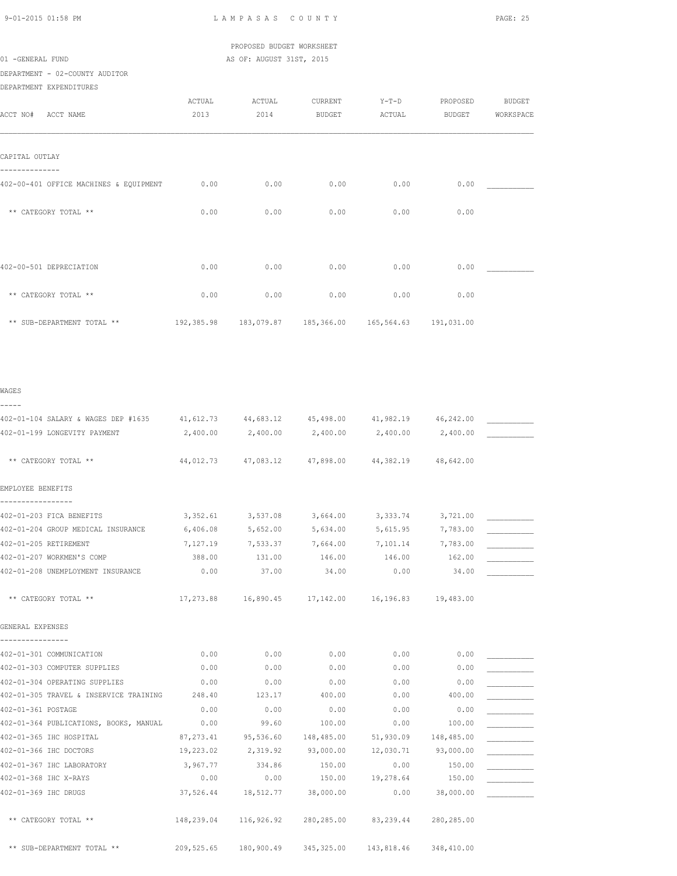# PROPOSED BUDGET WORKSHEET 01 -GENERAL FUND **AS OF: AUGUST 31ST, 2015**

# DEPARTMENT - 02-COUNTY AUDITOR

DEPARTMENT EXPENDITURES

| ACCT NO#<br>ACCT NAME                  | ACTUAL<br>2013 | ACTUAL<br>2014 | CURRENT<br>BUDGET | $Y-T-D$<br>ACTUAL                | PROPOSED<br><b>BUDGET</b> | <b>BUDGET</b><br>WORKSPACE |
|----------------------------------------|----------------|----------------|-------------------|----------------------------------|---------------------------|----------------------------|
| CAPITAL OUTLAY                         |                |                |                   |                                  |                           |                            |
| 402-00-401 OFFICE MACHINES & EQUIPMENT | 0.00           | 0.00           | 0.00              | 0.00                             | 0.00                      |                            |
| ** CATEGORY TOTAL **                   | 0.00           | 0.00           | 0.00              | 0.00                             | 0.00                      |                            |
|                                        |                |                |                   |                                  |                           |                            |
| 402-00-501 DEPRECIATION                | 0.00           | 0.00           | 0.00              | 0.00                             | 0.00                      |                            |
| ** CATEGORY TOTAL **                   | 0.00           | 0.00           | 0.00              | 0.00                             | 0.00                      |                            |
| ** SUB-DEPARTMENT TOTAL **             | 192,385.98     | 183,079.87     |                   | 185,366.00 165,564.63 191,031.00 |                           |                            |

### WAGES

| -----                                                                                 |           |                                                                   |               |                   |                  |  |
|---------------------------------------------------------------------------------------|-----------|-------------------------------------------------------------------|---------------|-------------------|------------------|--|
| 402-01-104 SALARY & WAGES DEP #1635 41,612.73 44,683.12 45,498.00 41,982.19 46,242.00 |           |                                                                   |               |                   |                  |  |
| 402-01-199 LONGEVITY PAYMENT                                                          |           | $2,400.00$ $2,400.00$ $2,400.00$ $2,400.00$ $2,400.00$ $2,400.00$ |               |                   |                  |  |
| ** CATEGORY TOTAL **                                                                  |           | 44,012.73 47,083.12 47,898.00 44,382.19                           |               |                   | 48,642.00        |  |
| EMPLOYEE BENEFITS<br>-----------------                                                |           |                                                                   |               |                   |                  |  |
| 402-01-203 FICA BENEFITS                                                              |           | 3,352.61 3,537.08                                                 |               | 3,664.00 3,333.74 | 3,721.00         |  |
| 402-01-204 GROUP MEDICAL INSURANCE                                                    | 6,406.08  | 5,652.00 5,634.00                                                 |               | 5,615.95 7,783.00 |                  |  |
| 402-01-205 RETIREMENT                                                                 | 7,127.19  | 7,533.37 7,664.00 7,101.14 7,783.00                               |               |                   |                  |  |
| 402-01-207 WORKMEN'S COMP                                                             | 388.00    | 131.00                                                            | 146.00        | 146.00            | 162.00           |  |
| 402-01-208 UNEMPLOYMENT INSURANCE                                                     | 0.00      | 37.00                                                             | 34.00         | 0.00              | 34.00            |  |
| ** CATEGORY TOTAL **                                                                  |           | 17,273.88  16,890.45  17,142.00  16,196.83  19,483.00             |               |                   |                  |  |
| GENERAL EXPENSES                                                                      |           |                                                                   |               |                   |                  |  |
| ----------------                                                                      |           |                                                                   |               |                   |                  |  |
| 402-01-301 COMMUNICATION                                                              | 0.00      | 0.00                                                              | 0.00          | 0.00              | 0.00             |  |
| 402-01-303 COMPUTER SUPPLIES                                                          | 0.00      | 0.00                                                              | 0.00          | 0.00              | 0.00             |  |
| 402-01-304 OPERATING SUPPLIES                                                         | 0.00      | 0.00                                                              | 0.00          | 0.00              | 0.00             |  |
| 402-01-305 TRAVEL & INSERVICE TRAINING 248.40                                         |           | 123.17                                                            | 400.00        | 0.00              | 400.00           |  |
| 402-01-361 POSTAGE                                                                    | 0.00      | 0.00                                                              | 0.00          | 0.00              | 0.00             |  |
| 402-01-364 PUBLICATIONS, BOOKS, MANUAL 0.00                                           |           | 99.60                                                             | 100.00        | 0.00              | 100.00           |  |
| 402-01-365 IHC HOSPITAL                                                               |           | 87,273.41 95,536.60 148,485.00                                    |               | 51,930.09         | 148,485.00       |  |
| 402-01-366 IHC DOCTORS                                                                | 19,223.02 | 2,319.92 93,000.00                                                |               | 12,030.71         | 93,000.00        |  |
| 402-01-367 IHC LABORATORY                                                             | 3,967.77  | 334.86                                                            | 150.00        | 0.00              | 150.00           |  |
| 402-01-368 IHC X-RAYS                                                                 | 0.00      |                                                                   | $0.00$ 150.00 |                   | 19,278.64 150.00 |  |
| 402-01-369 IHC DRUGS                                                                  |           | 37,526.44 18,512.77 38,000.00                                     |               | 0.00              | 38,000.00        |  |
| ** CATEGORY TOTAL **                                                                  |           | 148,239.04 116,926.92 280,285.00 83,239.44 280,285.00             |               |                   |                  |  |
| ** SUB-DEPARTMENT TOTAL **                                                            |           | 209,525.65 180,900.49 345,325.00 143,818.46                       |               |                   | 348,410.00       |  |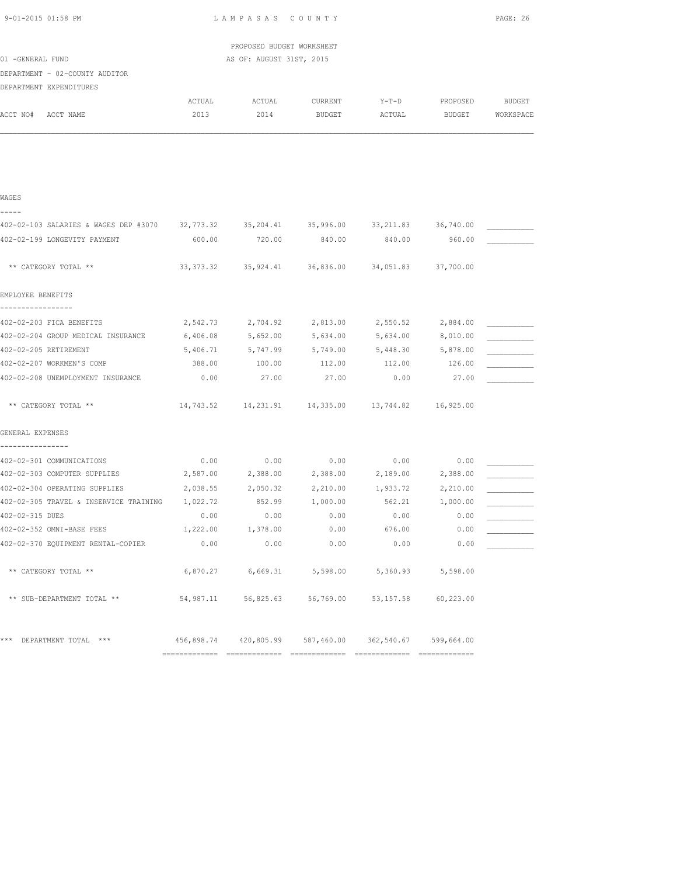| 9-01-2015 01:58 PM                                                                               |            | LAMPASAS COUNTY           |            |                                                       |            | PAGE: 26  |
|--------------------------------------------------------------------------------------------------|------------|---------------------------|------------|-------------------------------------------------------|------------|-----------|
|                                                                                                  |            | PROPOSED BUDGET WORKSHEET |            |                                                       |            |           |
| 01 -GENERAL FUND                                                                                 |            | AS OF: AUGUST 31ST, 2015  |            |                                                       |            |           |
| DEPARTMENT - 02-COUNTY AUDITOR                                                                   |            |                           |            |                                                       |            |           |
| DEPARTMENT EXPENDITURES                                                                          |            |                           |            |                                                       |            |           |
|                                                                                                  | ACTUAL     | ACTUAL                    | CURRENT    | $Y-T-D$                                               | PROPOSED   | BUDGET    |
| ACCT NO# ACCT NAME                                                                               | 2013       | 2014                      | BUDGET     | ACTUAL                                                | BUDGET     | WORKSPACE |
|                                                                                                  |            |                           |            |                                                       |            |           |
|                                                                                                  |            |                           |            |                                                       |            |           |
| WAGES                                                                                            |            |                           |            |                                                       |            |           |
| -----<br>402-02-103 SALARIES & WAGES DEP #3070 32,773.32 35,204.41 35,996.00 33,211.83 36,740.00 |            |                           |            |                                                       |            |           |
| 402-02-199 LONGEVITY PAYMENT                                                                     |            | 600.00 720.00             | 840.00     | 840.00                                                | 960.00     |           |
|                                                                                                  |            |                           |            |                                                       |            |           |
| ** CATEGORY TOTAL **                                                                             |            |                           |            | 33, 373.32 35, 924.41 36, 836.00 34, 051.83           | 37,700.00  |           |
| EMPLOYEE BENEFITS                                                                                |            |                           |            |                                                       |            |           |
| 402-02-203 FICA BENEFITS                                                                         | 2,542.73   | 2,704.92                  | 2,813.00   | 2,550.52                                              | 2,884.00   |           |
| 402-02-204 GROUP MEDICAL INSURANCE                                                               | 6,406.08   | 5,652.00                  | 5,634.00   | 5,634.00                                              | 8,010.00   |           |
| 402-02-205 RETIREMENT                                                                            | 5,406.71   | 5,747.99                  | 5,749.00   | 5,448.30                                              | 5,878.00   |           |
| 402-02-207 WORKMEN'S COMP                                                                        | 388.00     | 100.00                    | 112.00     | 112.00                                                | 126.00     |           |
| 402-02-208 UNEMPLOYMENT INSURANCE                                                                | 0.00       | 27.00                     | 27.00      | 0.00                                                  | 27.00      |           |
| ** CATEGORY TOTAL **                                                                             |            |                           |            | 14,743.52  14,231.91  14,335.00  13,744.82  16,925.00 |            |           |
| GENERAL EXPENSES                                                                                 |            |                           |            |                                                       |            |           |
| 402-02-301 COMMUNICATIONS                                                                        | 0.00       | 0.00                      | 0.00       | 0.00                                                  | 0.00       |           |
| 402-02-303 COMPUTER SUPPLIES                                                                     | 2,587.00   | 2,388.00                  | 2,388.00   | 2,189.00                                              | 2,388.00   |           |
| 402-02-304 OPERATING SUPPLIES                                                                    |            | 2,038.55 2,050.32         |            | 2,210.00 1,933.72                                     | 2,210.00   |           |
| 402-02-305 TRAVEL & INSERVICE TRAINING                                                           | 1,022.72   | 852.99                    | 1,000.00   | 562.21                                                | 1,000.00   |           |
| 402-02-315 DUES                                                                                  | 0.00       | 0.00                      | 0.00       | 0.00                                                  | 0.00       |           |
| 402-02-352 OMNI-BASE FEES                                                                        | 1,222.00   | 1,378.00                  | 0.00       | 676.00                                                | 0.00       |           |
| 402-02-370 EQUIPMENT RENTAL-COPIER                                                               | 0.00       | 0.00                      | 0.00       | 0.00                                                  | 0.00       |           |
| ** CATEGORY TOTAL **                                                                             | 6,870.27   | 6,669.31                  | 5,598.00   | 5,360.93                                              | 5,598.00   |           |
| ** SUB-DEPARTMENT TOTAL **                                                                       | 54,987.11  | 56,825.63                 | 56,769.00  | 53, 157.58                                            | 60,223.00  |           |
| *** DEPARTMENT TOTAL ***                                                                         | 456,898.74 | 420,805.99                | 587,460.00 | 362,540.67                                            | 599,664.00 |           |
|                                                                                                  |            |                           |            |                                                       |            |           |

============= ============= ============= ============= =============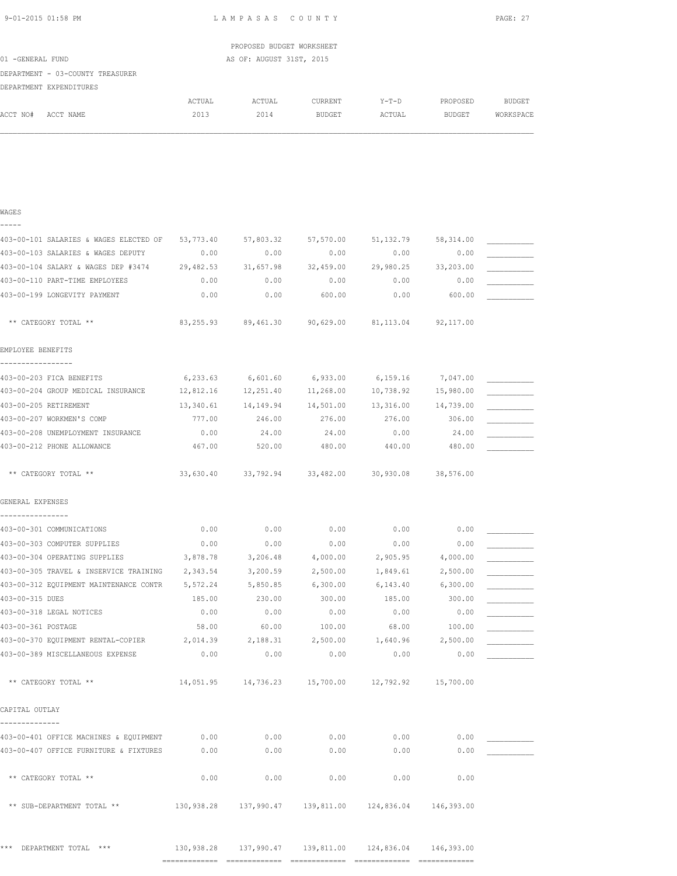| 9-01-2015 01:58 PM | LAMPASAS COUNTY           | PAGE: 27 |
|--------------------|---------------------------|----------|
|                    | PROPOSED BUDGET WORKSHEET |          |
| 01 -GENERAL FUND   | AS OF: AUGUST 31ST, 2015  |          |

| 01 -GENERAL FUND |                                  |        | AS OF: AUGUST 31ST, 2015 |         |        |          |           |
|------------------|----------------------------------|--------|--------------------------|---------|--------|----------|-----------|
|                  | DEPARTMENT - 03-COUNTY TREASURER |        |                          |         |        |          |           |
|                  | DEPARTMENT EXPENDITURES          |        |                          |         |        |          |           |
|                  |                                  | ACTUAL | ACTUAL                   | CURRENT | Y-T-D  | PROPOSED | BUDGET    |
| ACCT NO#         | ACCT NAME                        | 2013   | 2014                     | BUDGET  | ACTUAL | BUDGET   | WORKSPACE |

| WAGES                                                                                                |           |                                                             |                     |                     |            |  |
|------------------------------------------------------------------------------------------------------|-----------|-------------------------------------------------------------|---------------------|---------------------|------------|--|
| 403-00-101 SALARIES & WAGES ELECTED OF 53,773.40                                                     |           |                                                             | 57,803.32 57,570.00 | 51,132.79 58,314.00 |            |  |
| 403-00-103 SALARIES & WAGES DEPUTY                                                                   | 0.00      | 0.00                                                        | 0.00                | 0.00                | 0.00       |  |
| 403-00-104 SALARY & WAGES DEP #3474 29,482.53                                                        |           | 31,657.98                                                   | 32,459.00           | 29,980.25           | 33,203.00  |  |
| 403-00-110 PART-TIME EMPLOYEES                                                                       | 0.00      | 0.00                                                        | 0.00                | 0.00                | 0.00       |  |
| 403-00-199 LONGEVITY PAYMENT                                                                         | 0.00      | 0.00                                                        | 600.00              | 0.00                | 600.00     |  |
| ** CATEGORY TOTAL **                                                                                 |           | $83,255.93$ $89,461.30$ $90,629.00$ $81,113.04$ $92,117.00$ |                     |                     |            |  |
| EMPLOYEE BENEFITS<br>-----------------                                                               |           |                                                             |                     |                     |            |  |
| 403-00-203 FICA BENEFITS                                                                             |           | $6,233.63$ $6,601.60$ $6,933.00$ $6,159.16$ $7,047.00$      |                     |                     |            |  |
| 403-00-204 GROUP MEDICAL INSURANCE     12,812.16    12,251.40    11,268.00    10,738.92    15,980.00 |           |                                                             |                     |                     |            |  |
| 403-00-205 RETIREMENT                                                                                |           | $13,340.61$ $14,149.94$ $14,501.00$ $13,316.00$ $14,739.00$ |                     |                     |            |  |
| 403-00-207 WORKMEN'S COMP                                                                            | 777.00    | 246.00                                                      | 276.00              | 276.00              | 306.00     |  |
| 403-00-208 UNEMPLOYMENT INSURANCE                                                                    | 0.00      | 24.00                                                       | 24.00               | 0.00                | 24.00      |  |
| 403-00-212 PHONE ALLOWANCE                                                                           | 467.00    | 520.00                                                      | 480.00              | 440.00              | 480.00     |  |
| ** CATEGORY TOTAL **                                                                                 | 33,630.40 |                                                             | 33,792.94 33,482.00 | 30,930.08 38,576.00 |            |  |
| GENERAL EXPENSES                                                                                     |           |                                                             |                     |                     |            |  |
| 403-00-301 COMMUNICATIONS                                                                            | 0.00      | 0.00                                                        | 0.00                | 0.00                | 0.00       |  |
| 403-00-303 COMPUTER SUPPLIES                                                                         | 0.00      | 0.00                                                        | 0.00                | 0.00                | 0.00       |  |
| 403-00-304 OPERATING SUPPLIES                                                                        | 3,878.78  | 3,206.48 4,000.00                                           |                     | 2,905.95 4,000.00   |            |  |
| 403-00-305 TRAVEL & INSERVICE TRAINING 2,343.54 3,200.59 2,500.00 1,849.61 2,500.00                  |           |                                                             |                     |                     |            |  |
| 403-00-312 EQUIPMENT MAINTENANCE CONTR 5,572.24                                                      |           | 5,850.85 6,300.00                                           |                     | 6,143.40 6,300.00   |            |  |
| 403-00-315 DUES                                                                                      | 185.00    | 230.00                                                      | 300.00              | 185.00              | 300.00     |  |
| 403-00-318 LEGAL NOTICES                                                                             | 0.00      | 0.00                                                        | 0.00                | 0.00                | 0.00       |  |
| 403-00-361 POSTAGE                                                                                   | 58.00     | 60.00                                                       | 100.00              | 68.00               | 100.00     |  |
| 403-00-370 EQUIPMENT RENTAL-COPIER                                                                   | 2,014.39  | 2,188.31                                                    | 2,500.00            | 1,640.96            | 2,500.00   |  |
| 403-00-389 MISCELLANEOUS EXPENSE                                                                     | 0.00      | 0.00                                                        | 0.00                | 0.00                | 0.00       |  |
| ** CATEGORY TOTAL **                                                                                 |           | $14,051.95$ $14,736.23$ $15,700.00$ $12,792.92$ $15,700.00$ |                     |                     |            |  |
| CAPITAL OUTLAY                                                                                       |           |                                                             |                     |                     |            |  |
| 403-00-401 OFFICE MACHINES & EQUIPMENT                                                               | 0.00      | 0.00                                                        | 0.00                | 0.00                | 0.00       |  |
| 403-00-407 OFFICE FURNITURE & FIXTURES                                                               | 0.00      | 0.00                                                        | 0.00                | 0.00                | 0.00       |  |
| ** CATEGORY TOTAL **                                                                                 | 0.00      | 0.00                                                        | 0.00                | 0.00                | 0.00       |  |
| ** SUB-DEPARTMENT TOTAL **                                                                           |           | 130,938.28  137,990.47  139,811.00  124,836.04              |                     |                     | 146,393.00 |  |
|                                                                                                      |           |                                                             |                     |                     |            |  |

\*\*\* DEPARTMENT TOTAL \*\*\* 130,938.28 137,990.47 139,811.00 124,836.04 146,393.00

============= ============= ============= ============= =============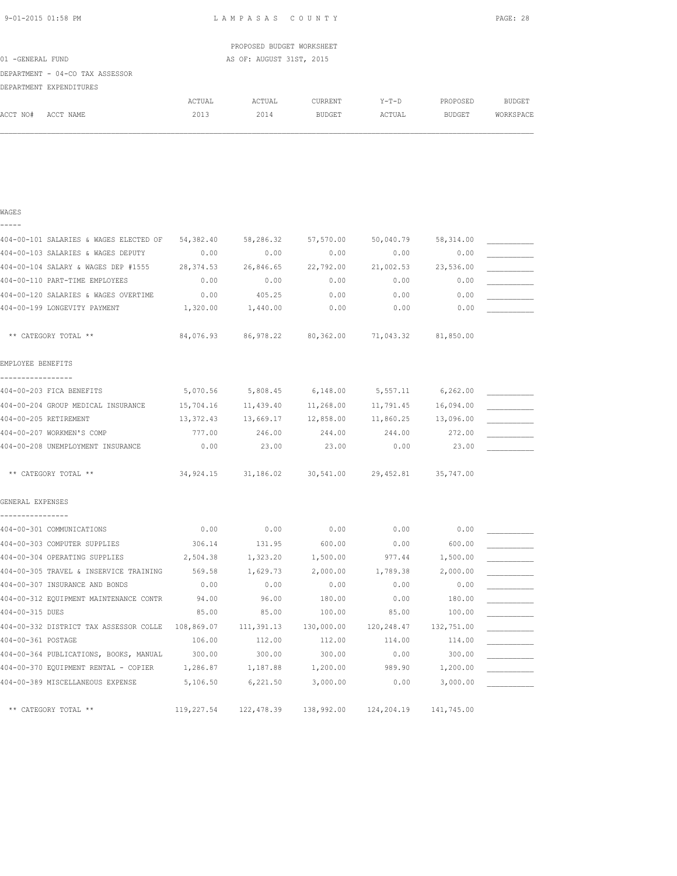| 9-01-2015 01:58 PM |  |
|--------------------|--|
|                    |  |

WAGES

LAMPASAS COUNTY PAGE: 28

|                                 |        | PROPOSED BUDGET WORKSHEET |               |         |          |           |
|---------------------------------|--------|---------------------------|---------------|---------|----------|-----------|
| 01 -GENERAL FUND                |        | AS OF: AUGUST 31ST, 2015  |               |         |          |           |
| DEPARTMENT - 04-CO TAX ASSESSOR |        |                           |               |         |          |           |
| DEPARTMENT EXPENDITURES         |        |                           |               |         |          |           |
|                                 | ACTUAL | ACTUAL                    | CURRENT       | $Y-T-D$ | PROPOSED | BUDGET    |
| ACCT NO#<br>ACCT NAME           | 2013   | 2014                      | <b>BUDGET</b> | ACTUAL  | BUDGET   | WORKSPACE |
|                                 |        |                           |               |         |          |           |
|                                 |        |                           |               |         |          |           |

| 404-00-101 SALARIES & WAGES ELECTED OF        | 54,382.40  | 58,286.32                                         | 57,570.00  | 50,040.79           | 58,314.00  |  |
|-----------------------------------------------|------------|---------------------------------------------------|------------|---------------------|------------|--|
| 404-00-103 SALARIES & WAGES DEPUTY            | 0.00       | 0.00                                              | 0.00       | 0.00                | 0.00       |  |
| 404-00-104 SALARY & WAGES DEP #1555           | 28,374.53  | 26,846.65                                         | 22,792.00  | 21,002.53           | 23,536.00  |  |
| 404-00-110 PART-TIME EMPLOYEES                | 0.00       | 0.00                                              | 0.00       | 0.00                | 0.00       |  |
| 404-00-120 SALARIES & WAGES OVERTIME          | 0.00       | 405.25                                            | 0.00       | 0.00                | 0.00       |  |
| 404-00-199 LONGEVITY PAYMENT                  | 1,320.00   | 1,440.00                                          | 0.00       | 0.00                | 0.00       |  |
| ** CATEGORY TOTAL **                          | 84,076.93  | 86,978.22                                         |            | 80,362.00 71,043.32 | 81,850.00  |  |
| EMPLOYEE BENEFITS                             |            |                                                   |            |                     |            |  |
| -----------------<br>404-00-203 FICA BENEFITS | 5,070.56   | 5,808.45                                          | 6,148.00   | 5,557.11            | 6, 262.00  |  |
| 404-00-204 GROUP MEDICAL INSURANCE            | 15,704.16  | 11,439.40                                         | 11,268.00  | 11,791.45           | 16,094.00  |  |
| 404-00-205 RETIREMENT                         | 13,372.43  | 13,669.17                                         | 12,858.00  | 11,860.25           | 13,096.00  |  |
| 404-00-207 WORKMEN'S COMP                     | 777.00     | 246.00                                            | 244.00     | 244.00              | 272.00     |  |
| 404-00-208 UNEMPLOYMENT INSURANCE             | 0.00       | 23.00                                             | 23.00      | 0.00                | 23.00      |  |
| ** CATEGORY TOTAL **                          |            | 34,924.15 31,186.02 30,541.00 29,452.81 35,747.00 |            |                     |            |  |
| GENERAL EXPENSES                              |            |                                                   |            |                     |            |  |
| 404-00-301 COMMUNICATIONS                     | 0.00       | 0.00                                              | 0.00       | 0.00                | 0.00       |  |
| 404-00-303 COMPUTER SUPPLIES                  | 306.14     | 131.95                                            | 600.00     | 0.00                | 600.00     |  |
| 404-00-304 OPERATING SUPPLIES                 | 2,504.38   | 1,323.20                                          | 1,500.00   | 977.44              | 1,500.00   |  |
| 404-00-305 TRAVEL & INSERVICE TRAINING        | 569.58     | 1,629.73                                          | 2,000.00   | 1,789.38            | 2,000.00   |  |
| 404-00-307 INSURANCE AND BONDS                | 0.00       | 0.00                                              | 0.00       | 0.00                | 0.00       |  |
| 404-00-312 EQUIPMENT MAINTENANCE CONTR        | 94.00      | 96.00                                             | 180.00     | 0.00                | 180.00     |  |
| 404-00-315 DUES                               | 85.00      | 85.00                                             | 100.00     | 85.00               | 100.00     |  |
| 404-00-332 DISTRICT TAX ASSESSOR COLLE        | 108,869.07 | 111,391.13                                        | 130,000.00 | 120,248.47          | 132,751.00 |  |
| 404-00-361 POSTAGE                            | 106.00     | 112.00                                            | 112.00     | 114.00              | 114.00     |  |
| 404-00-364 PUBLICATIONS, BOOKS, MANUAL        | 300.00     | 300.00                                            | 300.00     | 0.00                | 300.00     |  |
| 404-00-370 EQUIPMENT RENTAL - COPIER          | 1,286.87   | 1,187.88                                          | 1,200.00   | 989.90              | 1,200.00   |  |
| 404-00-389 MISCELLANEOUS EXPENSE              | 5,106.50   | 6,221.50                                          | 3,000.00   | 0.00                | 3,000.00   |  |
| ** CATEGORY TOTAL **                          | 119,227.54 | 122,478.39                                        | 138,992.00 | 124,204.19          | 141,745.00 |  |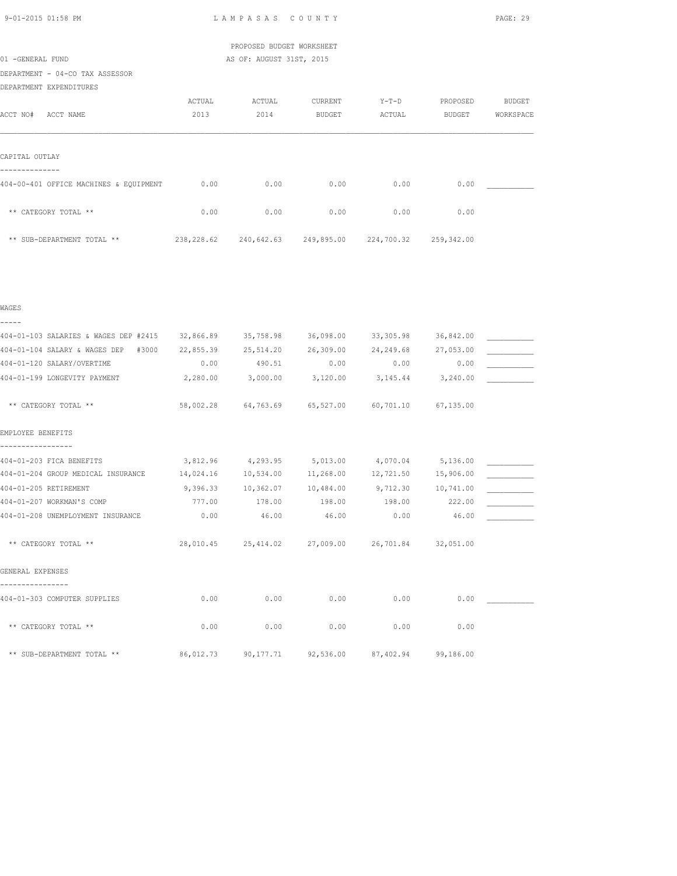| 9-01-2015 01:58 PM |  |
|--------------------|--|

LAMPASAS COUNTY PAGE: 29

 PROPOSED BUDGET WORKSHEET 01 -GENERAL FUND AS OF: AUGUST 31ST, 2015

DEPARTMENT - 04-CO TAX ASSESSOR DEPARTMENT EXPENDITURES

| DEFARTMENT EXFENDITUKES                |            |            |               |            |               |               |
|----------------------------------------|------------|------------|---------------|------------|---------------|---------------|
|                                        | ACTUAL     | ACTUAL     | CURRENT       | $Y-T-D$    | PROPOSED      | <b>BUDGET</b> |
| ACCT NO#<br>ACCT NAME                  | 2013       | 2014       | <b>BUDGET</b> | ACTUAL     | <b>BUDGET</b> | WORKSPACE     |
|                                        |            |            |               |            |               |               |
|                                        |            |            |               |            |               |               |
| CAPITAL OUTLAY                         |            |            |               |            |               |               |
|                                        |            |            |               |            |               |               |
| 404-00-401 OFFICE MACHINES & EQUIPMENT | 0.00       | 0.00       | 0.00          | 0.00       | 0.00          |               |
|                                        |            |            |               |            |               |               |
| ** CATEGORY TOTAL **                   | 0.00       | 0.00       | 0.00          | 0.00       | 0.00          |               |
|                                        |            |            |               |            |               |               |
| ** SUB-DEPARTMENT TOTAL **             | 238,228.62 | 240,642.63 | 249,895.00    | 224,700.32 | 259,342.00    |               |
|                                        |            |            |               |            |               |               |

| ۰,<br>. .<br>٠ |
|----------------|

| -----                                 |           |                                                   |                                         |                     |           |  |
|---------------------------------------|-----------|---------------------------------------------------|-----------------------------------------|---------------------|-----------|--|
| 404-01-103 SALARIES & WAGES DEP #2415 | 32,866.89 | 35,758.98                                         | 36,098.00                               | 33,305.98           | 36,842.00 |  |
| 404-01-104 SALARY & WAGES DEP #3000   | 22,855.39 | 25,514.20                                         | 26,309.00                               | 24, 249.68          | 27,053.00 |  |
| 404-01-120 SALARY/OVERTIME            | 0.00      | 490.51                                            | 0.00                                    | 0.00                | 0.00      |  |
| 404-01-199 LONGEVITY PAYMENT          | 2,280.00  | $3,000.00$ $3,120.00$ $3,145.44$                  |                                         |                     | 3,240.00  |  |
| ** CATEGORY TOTAL **                  |           | 58,002.28 64,763.69 65,527.00 60,701.10 67,135.00 |                                         |                     |           |  |
| EMPLOYEE BENEFITS                     |           |                                                   |                                         |                     |           |  |
| 404-01-203 FICA BENEFITS              |           | 3,812.96 4,293.95 5,013.00 4,070.04 5,136.00      |                                         |                     |           |  |
| 404-01-204 GROUP MEDICAL INSURANCE    | 14,024.16 | 10,534.00 11,268.00                               |                                         | 12,721.50 15,906.00 |           |  |
| 404-01-205 RETIREMENT                 | 9,396.33  | 10,362.07    10,484.00                            |                                         | 9,712.30 10,741.00  |           |  |
| 404-01-207 WORKMAN'S COMP             | 777.00    | 178.00                                            | 198.00                                  | 198.00              | 222.00    |  |
| 404-01-208 UNEMPLOYMENT INSURANCE     | 0.00      | 46.00                                             | 46.00                                   | 0.00                | 46.00     |  |
| ** CATEGORY TOTAL **                  |           | 28,010.45 25,414.02 27,009.00 26,701.84 32,051.00 |                                         |                     |           |  |
| GENERAL EXPENSES                      |           |                                                   |                                         |                     |           |  |
| 404-01-303 COMPUTER SUPPLIES          | 0.00      | 0.00                                              | 0.00                                    | 0.00                | 0.00      |  |
| ** CATEGORY TOTAL **                  | 0.00      | 0.00                                              | 0.00                                    | 0.00                | 0.00      |  |
| ** SUB-DEPARTMENT TOTAL **            | 86,012.73 |                                                   | 90,177.71 92,536.00 87,402.94 99,186.00 |                     |           |  |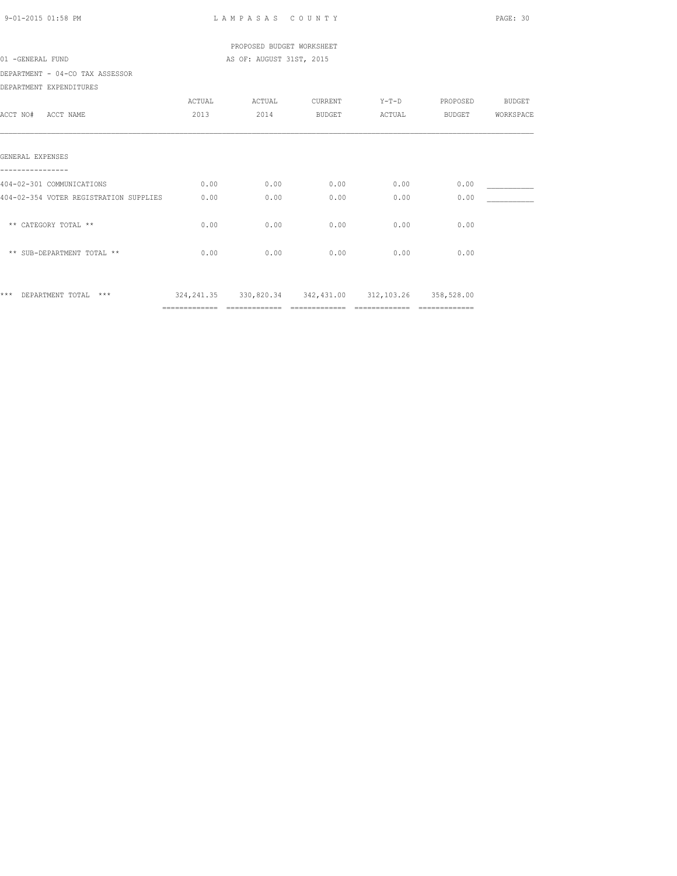| 9-01-2015 01:58 PM                     |        | LAMPASAS COUNTY                                             |               |                             |                | PAGE: 30      |
|----------------------------------------|--------|-------------------------------------------------------------|---------------|-----------------------------|----------------|---------------|
|                                        |        | PROPOSED BUDGET WORKSHEET                                   |               |                             |                |               |
| 01 -GENERAL FUND                       |        | AS OF: AUGUST 31ST, 2015                                    |               |                             |                |               |
| DEPARTMENT - 04-CO TAX ASSESSOR        |        |                                                             |               |                             |                |               |
| DEPARTMENT EXPENDITURES                |        |                                                             |               |                             |                |               |
|                                        | ACTUAL | ACTUAL                                                      | CURRENT       | $Y-T-D$                     | PROPOSED       | <b>BUDGET</b> |
| ACCT NO# ACCT NAME                     | 2013   | 2014                                                        | <b>BUDGET</b> | ACTUAL                      | BUDGET         | WORKSPACE     |
|                                        |        |                                                             |               |                             |                |               |
| GENERAL EXPENSES                       |        |                                                             |               |                             |                |               |
|                                        |        |                                                             |               |                             |                |               |
| 404-02-301 COMMUNICATIONS              | 0.00   | 0.00                                                        | 0.00          | 0.00                        | 0.00           |               |
| 404-02-354 VOTER REGISTRATION SUPPLIES | 0.00   | 0.00                                                        | 0.00          | 0.00                        | 0.00           |               |
|                                        |        |                                                             |               |                             |                |               |
| ** CATEGORY TOTAL **                   | 0.00   | 0.00                                                        | 0.00          | 0.00                        | 0.00           |               |
|                                        |        |                                                             |               |                             |                |               |
| ** SUB-DEPARTMENT TOTAL **             | 0.00   | 0.00                                                        | 0.00          | 0.00                        | 0.00           |               |
|                                        |        |                                                             |               |                             |                |               |
|                                        |        |                                                             |               |                             |                |               |
| *** DEPARTMENT TOTAL ***               |        | 324, 241.35 330, 820.34 342, 431.00 312, 103.26 358, 528.00 |               |                             |                |               |
|                                        |        | ============= =============                                 |               | ============= ============= | ============== |               |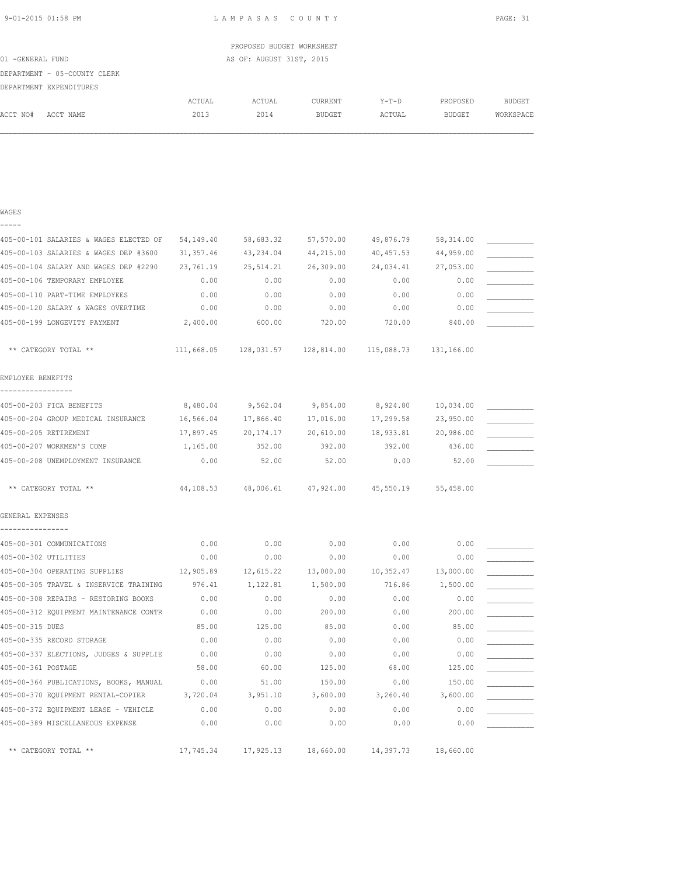L A M P A S A S C O U N T Y PAGE: 31

|                  |                              |        | PROPOSED BUDGET WORKSHEET |         |         |          |           |
|------------------|------------------------------|--------|---------------------------|---------|---------|----------|-----------|
| 01 -GENERAL FUND |                              |        | AS OF: AUGUST 31ST, 2015  |         |         |          |           |
|                  | DEPARTMENT - 05-COUNTY CLERK |        |                           |         |         |          |           |
|                  | DEPARTMENT EXPENDITURES      |        |                           |         |         |          |           |
|                  |                              | ACTUAL | ACTUAL                    | CURRENT | $Y-T-D$ | PROPOSED | BUDGET    |
| ACCT NO#         | ACCT NAME                    | 2013   | 2014                      | BUDGET  | ACTUAL  | BUDGET   | WORKSPACE |
|                  |                              |        |                           |         |         |          |           |

| WAGES                                  |           |                                                                  |           |           |           |  |
|----------------------------------------|-----------|------------------------------------------------------------------|-----------|-----------|-----------|--|
|                                        |           |                                                                  |           |           |           |  |
| 405-00-101 SALARIES & WAGES ELECTED OF | 54,149.40 | 58,683.32                                                        | 57,570.00 | 49,876.79 | 58,314.00 |  |
| 405-00-103 SALARIES & WAGES DEP #3600  | 31,357.46 | 43,234.04                                                        | 44,215.00 | 40,457.53 | 44,959.00 |  |
| 405-00-104 SALARY AND WAGES DEP #2290  | 23,761.19 | 25,514.21                                                        | 26,309.00 | 24,034.41 | 27,053.00 |  |
| 405-00-106 TEMPORARY EMPLOYEE          | 0.00      | 0.00                                                             | 0.00      | 0.00      | 0.00      |  |
| 405-00-110 PART-TIME EMPLOYEES         | 0.00      | 0.00                                                             | 0.00      | 0.00      | 0.00      |  |
| 405-00-120 SALARY & WAGES OVERTIME     | 0.00      | 0.00                                                             | 0.00      | 0.00      | 0.00      |  |
| 405-00-199 LONGEVITY PAYMENT           | 2,400.00  | 600.00                                                           | 720.00    | 720.00    | 840.00    |  |
| ** CATEGORY TOTAL **                   |           | $111,668.05$ $128,031.57$ $128,814.00$ $115,088.73$ $131,166.00$ |           |           |           |  |
| EMPLOYEE BENEFITS                      |           |                                                                  |           |           |           |  |
| -----------------                      |           |                                                                  |           |           |           |  |
| 405-00-203 FICA BENEFITS               | 8,480.04  | 9,562.04                                                         | 9,854.00  | 8,924.80  | 10,034.00 |  |
| 405-00-204 GROUP MEDICAL INSURANCE     | 16,566.04 | 17,866.40                                                        | 17,016.00 | 17,299.58 | 23,950.00 |  |
| 405-00-205 RETIREMENT                  | 17,897.45 | 20,174.17                                                        | 20,610.00 | 18,933.81 | 20,986.00 |  |
| 405-00-207 WORKMEN'S COMP              | 1,165.00  | 352.00                                                           | 392.00    | 392.00    | 436.00    |  |
| 405-00-208 UNEMPLOYMENT INSURANCE      | 0.00      | 52.00                                                            | 52.00     | 0.00      | 52.00     |  |
| ** CATEGORY TOTAL **                   | 44,108.53 | 48,006.61                                                        | 47,924.00 | 45,550.19 | 55,458.00 |  |
| GENERAL EXPENSES                       |           |                                                                  |           |           |           |  |
| 405-00-301 COMMUNICATIONS              | 0.00      | 0.00                                                             | 0.00      | 0.00      | 0.00      |  |
| 405-00-302 UTILITIES                   | 0.00      | 0.00                                                             | 0.00      | 0.00      | 0.00      |  |
| 405-00-304 OPERATING SUPPLIES          | 12,905.89 | 12,615.22                                                        | 13,000.00 | 10,352.47 | 13,000.00 |  |
| 405-00-305 TRAVEL & INSERVICE TRAINING | 976.41    | 1,122.81                                                         | 1,500.00  | 716.86    | 1,500.00  |  |
| 405-00-308 REPAIRS - RESTORING BOOKS   | 0.00      | 0.00                                                             | 0.00      | 0.00      | 0.00      |  |
| 405-00-312 EQUIPMENT MAINTENANCE CONTR | 0.00      | 0.00                                                             | 200.00    | 0.00      | 200.00    |  |
| 405-00-315 DUES                        | 85.00     | 125.00                                                           | 85.00     | 0.00      | 85.00     |  |
| 405-00-335 RECORD STORAGE              | 0.00      | 0.00                                                             | 0.00      | 0.00      | 0.00      |  |
| 405-00-337 ELECTIONS, JUDGES & SUPPLIE | 0.00      | 0.00                                                             | 0.00      | 0.00      | 0.00      |  |
| 405-00-361 POSTAGE                     | 58.00     | 60.00                                                            | 125.00    | 68.00     | 125.00    |  |
| 405-00-364 PUBLICATIONS, BOOKS, MANUAL | 0.00      | 51.00                                                            | 150.00    | 0.00      | 150.00    |  |
| 405-00-370 EQUIPMENT RENTAL-COPIER     | 3,720.04  | 3,951.10                                                         | 3,600.00  | 3,260.40  | 3,600.00  |  |
| 405-00-372 EQUIPMENT LEASE - VEHICLE   | 0.00      | 0.00                                                             | 0.00      | 0.00      | 0.00      |  |
| 405-00-389 MISCELLANEOUS EXPENSE       | 0.00      | 0.00                                                             | 0.00      | 0.00      | 0.00      |  |
| ** CATEGORY TOTAL **                   | 17,745.34 | 17,925.13                                                        | 18,660.00 | 14,397.73 | 18,660.00 |  |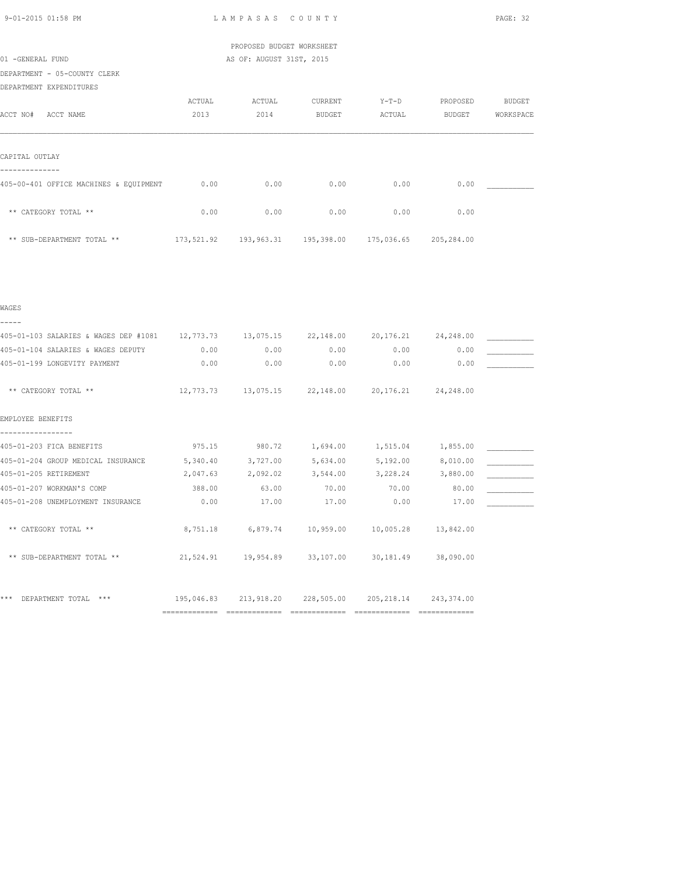| 9-01-2015 01:58 PM |  |  |
|--------------------|--|--|
|                    |  |  |

LAMPASAS COUNTY PAGE: 32

# PROPOSED BUDGET WORKSHEET 01 -GENERAL FUND AS OF: AUGUST 31ST, 2015

DEPARTMENT - 05-COUNTY CLERK

DEPARTMENT EXPENDITURES

|                                        | ACTUAL     | ACTUAL     | CURRENT    | $Y-T-D$    | PROPOSED   | BUDGET    |
|----------------------------------------|------------|------------|------------|------------|------------|-----------|
| ACCT NO#<br>ACCT NAME                  | 2013       | 2014       | BUDGET     | ACTUAL     | BUDGET     | WORKSPACE |
|                                        |            |            |            |            |            |           |
|                                        |            |            |            |            |            |           |
| CAPITAL OUTLAY                         |            |            |            |            |            |           |
|                                        |            |            |            |            |            |           |
| 405-00-401 OFFICE MACHINES & EQUIPMENT | 0.00       | 0.00       | 0.00       | 0.00       | 0.00       |           |
|                                        |            |            |            |            |            |           |
| ** CATEGORY TOTAL **                   | 0.00       | 0.00       | 0.00       | 0.00       | 0.00       |           |
|                                        |            |            |            |            |            |           |
| ** SUB-DEPARTMENT TOTAL **             | 173,521.92 | 193,963.31 | 195,398.00 | 175,036.65 | 205,284.00 |           |

| 405-01-103 SALARIES & WAGES DEP #1081 12,773.73 13,075.15 22,148.00 20,176.21 24,248.00 |          |                                                             |          |          |            |  |
|-----------------------------------------------------------------------------------------|----------|-------------------------------------------------------------|----------|----------|------------|--|
| 405-01-104 SALARIES & WAGES DEPUTY                                                      | 0.00     | 0.00                                                        | 0.00     | 0.00     | 0.00       |  |
| 405-01-199 LONGEVITY PAYMENT                                                            | 0.00     | 0.00                                                        | 0.00     | 0.00     | 0.00       |  |
|                                                                                         |          |                                                             |          |          |            |  |
| ** CATEGORY TOTAL **                                                                    |          | $12,773.73$ $13,075.15$ $22,148.00$ $20,176.21$ $24,248.00$ |          |          |            |  |
|                                                                                         |          |                                                             |          |          |            |  |
| EMPLOYEE BENEFITS                                                                       |          |                                                             |          |          |            |  |
|                                                                                         |          |                                                             |          |          |            |  |
| 405-01-203 FICA BENEFITS                                                                | 975.15   | 980.72                                                      | 1,694.00 | 1,515.04 | 1,855.00   |  |
| 405-01-204 GROUP MEDICAL INSURANCE                                                      | 5,340.40 | 3,727.00                                                    | 5,634.00 | 5,192.00 | 8,010.00   |  |
| 405-01-205 RETIREMENT                                                                   | 2,047.63 | 2,092.02                                                    | 3,544.00 | 3,228.24 | 3,880.00   |  |
| 405-01-207 WORKMAN'S COMP                                                               | 388.00   | 63.00                                                       | 70.00    | 70.00    | 80.00      |  |
| 405-01-208 UNEMPLOYMENT INSURANCE                                                       | 0.00     | 17.00                                                       | 17.00    | 0.00     | 17.00      |  |
|                                                                                         |          |                                                             |          |          |            |  |
| ** CATEGORY TOTAL **                                                                    |          | 8,751.18 6,879.74 10,959.00 10,005.28 13,842.00             |          |          |            |  |
|                                                                                         |          |                                                             |          |          |            |  |
| ** SUB-DEPARTMENT TOTAL **                                                              |          | 21,524.91  19,954.89  33,107.00  30,181.49  38,090.00       |          |          |            |  |
|                                                                                         |          |                                                             |          |          |            |  |
|                                                                                         |          |                                                             |          |          |            |  |
| ***<br>DEPARTMENT TOTAL<br>$***$                                                        |          | 195,046.83 213,918.20 228,505.00 205,218.14                 |          |          | 243,374.00 |  |
|                                                                                         |          |                                                             |          |          |            |  |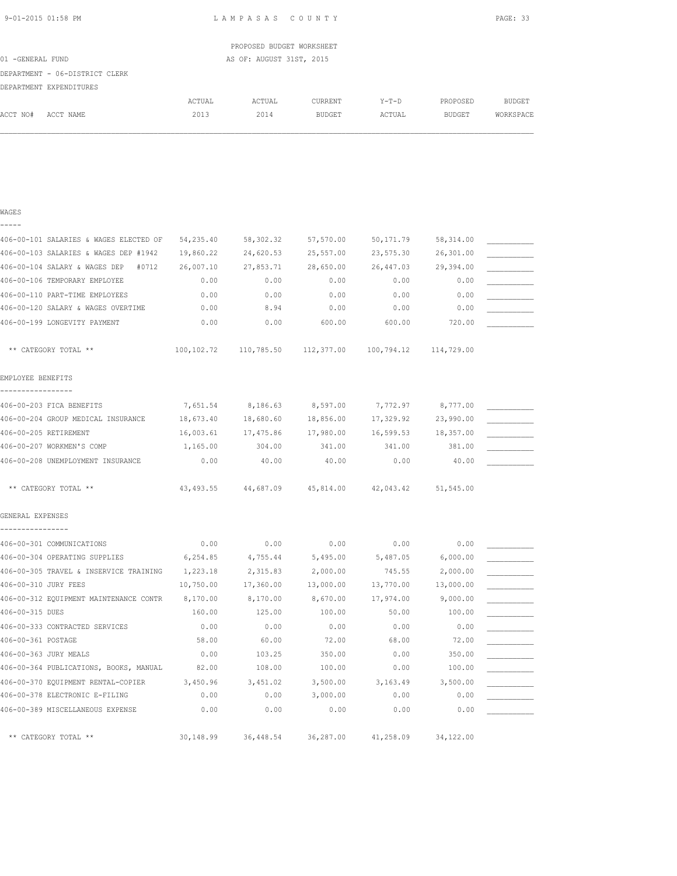| 9-01-2015 01:58 PM |  |
|--------------------|--|
|                    |  |

WAGES

L A M P A S A S C O U N T Y PAGE: 33

|                  |                                |        | PROPOSED BUDGET WORKSHEET |               |        |          |           |
|------------------|--------------------------------|--------|---------------------------|---------------|--------|----------|-----------|
| 01 -GENERAL FUND |                                |        | AS OF: AUGUST 31ST, 2015  |               |        |          |           |
|                  | DEPARTMENT - 06-DISTRICT CLERK |        |                           |               |        |          |           |
|                  | DEPARTMENT EXPENDITURES        |        |                           |               |        |          |           |
|                  |                                | ACTUAL | ACTUAL                    | CURRENT       | Y-T-D  | PROPOSED | BUDGET    |
| ACCT NO#         | ACCT NAME                      | 2013   | 2014                      | <b>BUDGET</b> | ACTUAL | BUDGET   | WORKSPACE |
|                  |                                |        |                           |               |        |          |           |
|                  |                                |        |                           |               |        |          |           |

| -----                                           |           |                                                                            |           |                   |            |  |
|-------------------------------------------------|-----------|----------------------------------------------------------------------------|-----------|-------------------|------------|--|
| 406-00-101 SALARIES & WAGES ELECTED OF          | 54,235.40 | 58,302.32                                                                  | 57,570.00 | 50,171.79         | 58, 314.00 |  |
| 406-00-103 SALARIES & WAGES DEP #1942           | 19,860.22 | 24,620.53                                                                  | 25,557.00 | 23,575.30         | 26,301.00  |  |
| 406-00-104 SALARY & WAGES DEP #0712 26,007.10   |           | 27,853.71                                                                  | 28,650.00 | 26,447.03         | 29,394.00  |  |
| 406-00-106 TEMPORARY EMPLOYEE                   | 0.00      | 0.00                                                                       | 0.00      | 0.00              | 0.00       |  |
| 406-00-110 PART-TIME EMPLOYEES                  | 0.00      | 0.00                                                                       | 0.00      | 0.00              | 0.00       |  |
| 406-00-120 SALARY & WAGES OVERTIME              | 0.00      | 8.94                                                                       | 0.00      | 0.00              | 0.00       |  |
| 406-00-199 LONGEVITY PAYMENT                    | 0.00      | 0.00                                                                       | 600.00    | 600.00            | 720.00     |  |
| ** CATEGORY TOTAL **                            |           | $100, 102, 72$ $110, 785, 50$ $112, 377, 00$ $100, 794, 12$ $114, 729, 00$ |           |                   |            |  |
| EMPLOYEE BENEFITS                               |           |                                                                            |           |                   |            |  |
| 406-00-203 FICA BENEFITS                        | 7,651.54  | 8,186.63 8,597.00                                                          |           | 7,772.97 8,777.00 |            |  |
| 406-00-204 GROUP MEDICAL INSURANCE              | 18,673.40 | 18,680.60                                                                  | 18,856.00 | 17,329.92         | 23,990.00  |  |
| 406-00-205 RETIREMENT                           | 16,003.61 | 17,475.86                                                                  | 17,980.00 | 16,599.53         | 18,357.00  |  |
| 406-00-207 WORKMEN'S COMP                       | 1,165.00  | 304.00                                                                     | 341.00    | 341.00            | 381.00     |  |
| 406-00-208 UNEMPLOYMENT INSURANCE               | 0.00      | 40.00                                                                      | 40.00     | 0.00              | 40.00      |  |
| ** CATEGORY TOTAL **                            |           | 43,493.55 44,687.09 45,814.00 42,043.42 51,545.00                          |           |                   |            |  |
| GENERAL EXPENSES                                |           |                                                                            |           |                   |            |  |
|                                                 |           |                                                                            |           |                   |            |  |
| 406-00-301 COMMUNICATIONS                       | 0.00      | 0.00                                                                       | 0.00      | 0.00              | 0.00       |  |
| 406-00-304 OPERATING SUPPLIES                   | 6, 254.85 | 4,755.44                                                                   | 5,495.00  | 5,487.05          | 6,000.00   |  |
| 406-00-305 TRAVEL & INSERVICE TRAINING          | 1,223.18  | 2,315.83                                                                   | 2,000.00  | 745.55            | 2,000.00   |  |
| 406-00-310 JURY FEES                            | 10,750.00 | 17,360.00                                                                  | 13,000.00 | 13,770.00         | 13,000.00  |  |
| 406-00-312 EQUIPMENT MAINTENANCE CONTR 8,170.00 |           | 8,170.00                                                                   | 8,670.00  | 17,974.00         | 9,000.00   |  |
| 406-00-315 DUES                                 | 160.00    | 125.00                                                                     | 100.00    | 50.00             | 100.00     |  |
| 406-00-333 CONTRACTED SERVICES                  | 0.00      | 0.00                                                                       | 0.00      | 0.00              | 0.00       |  |
| 406-00-361 POSTAGE                              | 58.00     | 60.00                                                                      | 72.00     | 68.00             | 72.00      |  |
| 406-00-363 JURY MEALS                           | 0.00      | 103.25                                                                     | 350.00    | 0.00              | 350.00     |  |
| 406-00-364 PUBLICATIONS, BOOKS, MANUAL          | 82.00     | 108.00                                                                     | 100.00    | 0.00              | 100.00     |  |
| 406-00-370 EQUIPMENT RENTAL-COPIER              | 3,450.96  | 3,451.02                                                                   | 3,500.00  | 3,163.49          | 3,500.00   |  |
| 406-00-378 ELECTRONIC E-FILING                  | 0.00      | 0.00                                                                       | 3,000.00  | 0.00              | 0.00       |  |
| 406-00-389 MISCELLANEOUS EXPENSE                | 0.00      | 0.00                                                                       | 0.00      | 0.00              | 0.00       |  |
| ** CATEGORY TOTAL **                            | 30,148.99 | 36,448.54                                                                  | 36,287.00 | 41,258.09         | 34,122.00  |  |
|                                                 |           |                                                                            |           |                   |            |  |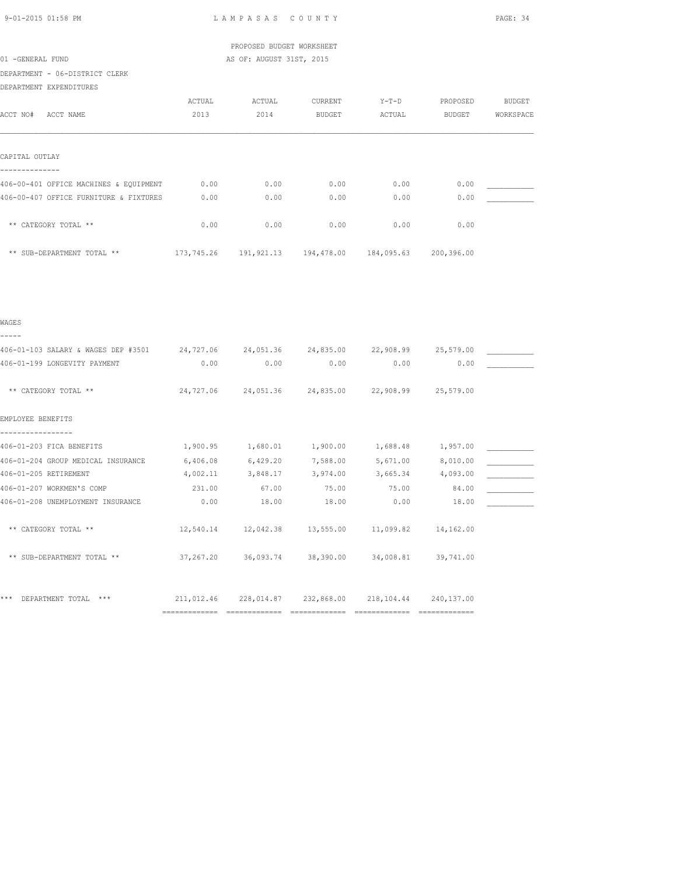|                                                                                       |        | PROPOSED BUDGET WORKSHEET |                                                            |         |               |               |
|---------------------------------------------------------------------------------------|--------|---------------------------|------------------------------------------------------------|---------|---------------|---------------|
| 01 -GENERAL FUND                                                                      |        | AS OF: AUGUST 31ST, 2015  |                                                            |         |               |               |
| DEPARTMENT - 06-DISTRICT CLERK                                                        |        |                           |                                                            |         |               |               |
| DEPARTMENT EXPENDITURES                                                               |        |                           |                                                            |         |               |               |
|                                                                                       | ACTUAL | ACTUAL                    | CURRENT                                                    | $Y-T-D$ | PROPOSED      | <b>BUDGET</b> |
| ACCT NO# ACCT NAME                                                                    | 2013   | 2014 BUDGET               |                                                            | ACTUAL  | <b>BUDGET</b> | WORKSPACE     |
|                                                                                       |        |                           |                                                            |         |               |               |
| CAPITAL OUTLAY                                                                        |        |                           |                                                            |         |               |               |
| 406-00-401 OFFICE MACHINES & EQUIPMENT                                                | 0.00   | 0.00                      | 0.00                                                       | 0.00    | 0.00          |               |
| 406-00-407 OFFICE FURNITURE & FIXTURES                                                | 0.00   | 0.00                      | 0.00                                                       | 0.00    | 0.00          |               |
| ** CATEGORY TOTAL **                                                                  | 0.00   | 0.00                      | 0.00                                                       | 0.00    | 0.00          |               |
| ** SUB-DEPARTMENT TOTAL **                                                            |        |                           | 173,745.26  191,921.13  194,478.00  184,095.63  200,396.00 |         |               |               |
|                                                                                       |        |                           |                                                            |         |               |               |
|                                                                                       |        |                           |                                                            |         |               |               |
| WAGES                                                                                 |        |                           |                                                            |         |               |               |
| -----                                                                                 |        |                           |                                                            |         |               |               |
| 406-01-103 SALARY & WAGES DEP #3501 24,727.06 24,051.36 24,835.00 22,908.99 25,579.00 |        |                           |                                                            |         |               |               |
| 406-01-199 LONGEVITY PAYMENT                                                          | 0.00   | 0.00                      | 0.00                                                       | 0.00    | 0.00          |               |
| ** CATEGORY TOTAL **                                                                  |        |                           | 24,727.06 24,051.36 24,835.00 22,908.99                    |         | 25,579.00     |               |

406-01-203 FICA BENEFITS  $1,900.95$   $1,680.01$   $1,900.00$   $1,688.48$   $1,957.00$   $\qquad \qquad$ 406-01-204 GROUP MEDICAL INSURANCE 6,406.08 6,429.20 7,588.00 5,671.00 8,010.00 \_\_\_\_\_\_\_\_\_\_\_ 406-01-205 RETIREMENT 4,002.11 3,848.17 3,974.00 3,665.34 4,093.00 \_\_\_\_\_\_\_\_\_\_\_ 406-01-207 WORKMEN'S COMP 231.00 67.00 75.00 75.00 84.00 \_\_\_\_\_\_\_\_\_\_\_ 406-01-208 UNEMPLOYMENT INSURANCE  $0.00$  18.00 18.00 0.00 18.00 18.00

\*\* CATEGORY TOTAL \*\*  $12,540.14$   $12,042.38$   $13,555.00$   $11,099.82$   $14,162.00$ 

\*\* SUB-DEPARTMENT TOTAL \*\* 37,267.20 36,093.74 38,390.00 34,008.81 39,741.00

\*\*\* DEPARTMENT TOTAL \*\*\* 211,012.46 228,014.87 232,868.00 218,104.44 240,137.00

============= ============= ============= ============= =============

EMPLOYEE BENEFITS -----------------

9-01-2015 01:58 PM L A M P A S A S C O U N T Y PAGE: 34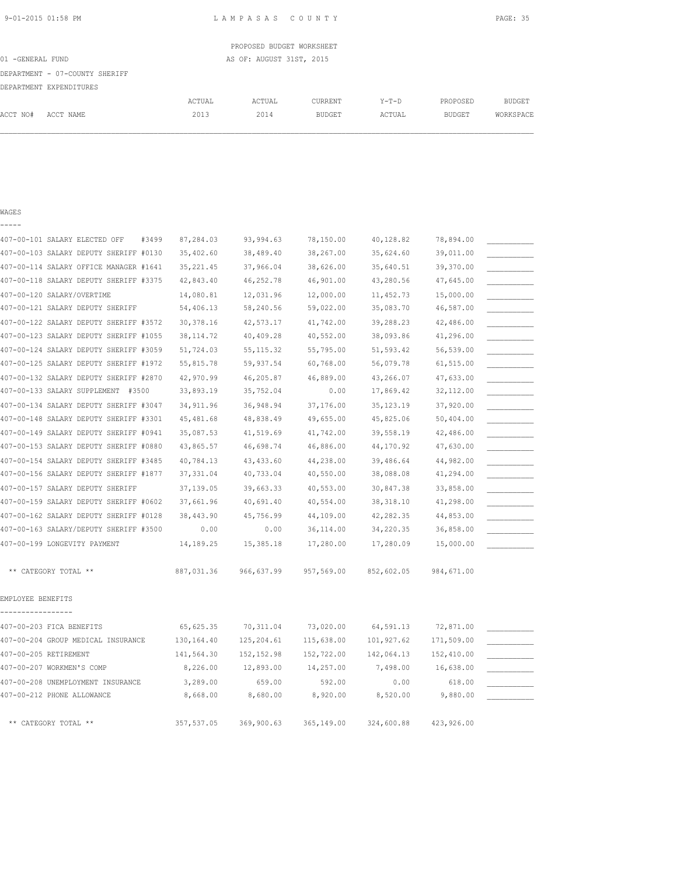|                  |                                |        | PROPOSED BUDGET WORKSHEET |         |         |          |           |
|------------------|--------------------------------|--------|---------------------------|---------|---------|----------|-----------|
| 01 -GENERAL FUND |                                |        | AS OF: AUGUST 31ST, 2015  |         |         |          |           |
|                  | DEPARTMENT - 07-COUNTY SHERIFF |        |                           |         |         |          |           |
|                  | DEPARTMENT EXPENDITURES        |        |                           |         |         |          |           |
|                  |                                | ACTUAL | ACTUAL                    | CURRENT | $Y-T-D$ | PROPOSED | BUDGET    |
| ACCT NO#         | ACCT NAME                      | 2013   | 2014                      | BUDGET  | ACTUAL  | BUDGET   | WORKSPACE |
|                  |                                |        |                           |         |         |          |           |
|                  |                                |        |                           |         |         |          |           |

### WAGES

-----

| 407-00-101 SALARY ELECTED OFF<br>#3499 | 87,284.03   | 93,994.63   | 78,150.00  | 40,128.82   | 78,894.00  |  |
|----------------------------------------|-------------|-------------|------------|-------------|------------|--|
| 407-00-103 SALARY DEPUTY SHERIFF #0130 | 35,402.60   | 38,489.40   | 38,267.00  | 35,624.60   | 39,011.00  |  |
| 407-00-114 SALARY OFFICE MANAGER #1641 | 35, 221.45  | 37,966.04   | 38,626.00  | 35,640.51   | 39,370.00  |  |
| 407-00-118 SALARY DEPUTY SHERIFF #3375 | 42,843.40   | 46,252.78   | 46,901.00  | 43,280.56   | 47,645.00  |  |
| 407-00-120 SALARY/OVERTIME             | 14,080.81   | 12,031.96   | 12,000.00  | 11, 452.73  | 15,000.00  |  |
| 407-00-121 SALARY DEPUTY SHERIFF       | 54,406.13   | 58,240.56   | 59,022.00  | 35,083.70   | 46,587.00  |  |
| 407-00-122 SALARY DEPUTY SHERIFF #3572 | 30, 378.16  | 42,573.17   | 41,742.00  | 39,288.23   | 42,486.00  |  |
| 407-00-123 SALARY DEPUTY SHERIFF #1055 | 38, 114.72  | 40,409.28   | 40,552.00  | 38,093.86   | 41,296.00  |  |
| 407-00-124 SALARY DEPUTY SHERIFF #3059 | 51,724.03   | 55, 115.32  | 55,795.00  | 51,593.42   | 56,539.00  |  |
| 407-00-125 SALARY DEPUTY SHERIFF #1972 | 55,815.78   | 59,937.54   | 60,768.00  | 56,079.78   | 61,515.00  |  |
| 407-00-132 SALARY DEPUTY SHERIFF #2870 | 42,970.99   | 46,205.87   | 46,889.00  | 43,266.07   | 47,633.00  |  |
| 407-00-133 SALARY SUPPLEMENT #3500     | 33,893.19   | 35,752.04   | 0.00       | 17,869.42   | 32,112.00  |  |
| 407-00-134 SALARY DEPUTY SHERIFF #3047 | 34, 911.96  | 36,948.94   | 37,176.00  | 35, 123. 19 | 37,920.00  |  |
| 407-00-148 SALARY DEPUTY SHERIFF #3301 | 45, 481.68  | 48,838.49   | 49,655.00  | 45,825.06   | 50,404.00  |  |
| 407-00-149 SALARY DEPUTY SHERIFF #0941 | 35,087.53   | 41,519.69   | 41,742.00  | 39,558.19   | 42,486.00  |  |
| 407-00-153 SALARY DEPUTY SHERIFF #0880 | 43,865.57   | 46,698.74   | 46,886.00  | 44,170.92   | 47,630.00  |  |
| 407-00-154 SALARY DEPUTY SHERIFF #3485 | 40,784.13   | 43, 433.60  | 44,238.00  | 39,486.64   | 44,982.00  |  |
| 407-00-156 SALARY DEPUTY SHERIFF #1877 | 37, 331.04  | 40,733.04   | 40,550.00  | 38,088.08   | 41,294.00  |  |
| 407-00-157 SALARY DEPUTY SHERIFF       | 37,139.05   | 39,663.33   | 40,553.00  | 30,847.38   | 33,858.00  |  |
| 407-00-159 SALARY DEPUTY SHERIFF #0602 | 37,661.96   | 40,691.40   | 40,554.00  | 38, 318.10  | 41,298.00  |  |
| 407-00-162 SALARY DEPUTY SHERIFF #0128 | 38,443.90   | 45,756.99   | 44,109.00  | 42,282.35   | 44,853.00  |  |
| 407-00-163 SALARY/DEPUTY SHERIFF #3500 | 0.00        | 0.00        | 36,114.00  | 34,220.35   | 36,858.00  |  |
| 407-00-199 LONGEVITY PAYMENT           | 14,189.25   | 15,385.18   | 17,280.00  | 17,280.09   | 15,000.00  |  |
| ** CATEGORY TOTAL **                   | 887,031.36  | 966,637.99  | 957,569.00 | 852,602.05  | 984,671.00 |  |
| EMPLOYEE BENEFITS                      |             |             |            |             |            |  |
| 407-00-203 FICA BENEFITS               | 65, 625.35  | 70, 311.04  | 73,020.00  | 64,591.13   | 72,871.00  |  |
| 407-00-204 GROUP MEDICAL INSURANCE     | 130, 164.40 | 125, 204.61 | 115,638.00 | 101,927.62  | 171,509.00 |  |
| 407-00-205 RETIREMENT                  | 141,564.30  | 152, 152.98 | 152,722.00 | 142,064.13  | 152,410.00 |  |
| 407-00-207 WORKMEN'S COMP              | 8,226.00    | 12,893.00   | 14,257.00  | 7,498.00    | 16,638.00  |  |
| 407-00-208 UNEMPLOYMENT INSURANCE      | 3,289.00    | 659.00      | 592.00     | 0.00        | 618.00     |  |
| 407-00-212 PHONE ALLOWANCE             | 8,668.00    | 8,680.00    | 8,920.00   | 8,520.00    | 9,880.00   |  |
| ** CATEGORY TOTAL **                   | 357,537.05  | 369,900.63  | 365,149.00 | 324,600.88  | 423,926.00 |  |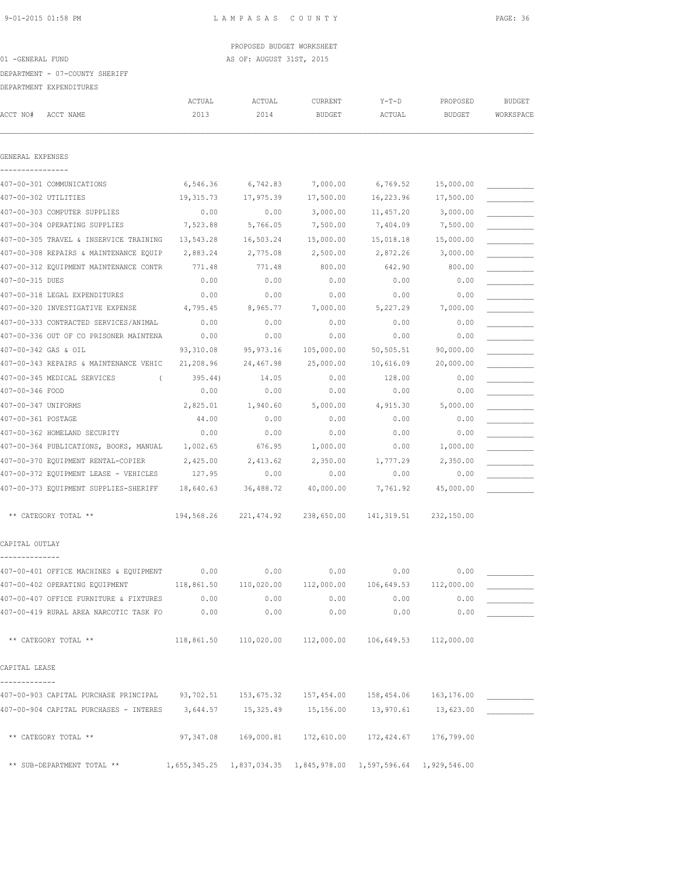# PROPOSED BUDGET WORKSHEET 01 -GENERAL FUND AS OF: AUGUST 31ST, 2015

DEPARTMENT - 07-COUNTY SHERIFF

DEPARTMENT EXPENDITURES

|                      | DELAKIMENI FYLEMDIIOKE2                                                                     |                |                |                          |                                                                  |                           |                            |
|----------------------|---------------------------------------------------------------------------------------------|----------------|----------------|--------------------------|------------------------------------------------------------------|---------------------------|----------------------------|
| ACCT NO#             | ACCT NAME                                                                                   | ACTUAL<br>2013 | ACTUAL<br>2014 | CURRENT<br><b>BUDGET</b> | $Y-T-D$<br>ACTUAL                                                | PROPOSED<br><b>BUDGET</b> | <b>BUDGET</b><br>WORKSPACE |
|                      |                                                                                             |                |                |                          |                                                                  |                           |                            |
| GENERAL EXPENSES     |                                                                                             |                |                |                          |                                                                  |                           |                            |
|                      | 407-00-301 COMMUNICATIONS                                                                   | 6,546.36       | 6,742.83       | 7,000.00                 | 6,769.52                                                         | 15,000.00                 |                            |
| 407-00-302 UTILITIES |                                                                                             | 19,315.73      | 17,975.39      | 17,500.00                | 16,223.96                                                        | 17,500.00                 |                            |
|                      | 407-00-303 COMPUTER SUPPLIES                                                                | 0.00           | 0.00           | 3,000.00                 | 11,457.20                                                        | 3,000.00                  |                            |
|                      | 407-00-304 OPERATING SUPPLIES                                                               | 7,523.88       | 5,766.05       | 7,500.00                 | 7,404.09                                                         | 7,500.00                  |                            |
|                      | 407-00-305 TRAVEL & INSERVICE TRAINING                                                      | 13,543.28      | 16,503.24      | 15,000.00                | 15,018.18                                                        | 15,000.00                 |                            |
|                      | 407-00-308 REPAIRS & MAINTENANCE EQUIP                                                      | 2,883.24       | 2,775.08       | 2,500.00                 | 2,872.26                                                         | 3,000.00                  |                            |
|                      | 407-00-312 EQUIPMENT MAINTENANCE CONTR                                                      | 771.48         | 771.48         | 800.00                   | 642.90                                                           | 800.00                    |                            |
| 407-00-315 DUES      |                                                                                             | 0.00           | 0.00           | 0.00                     | 0.00                                                             | 0.00                      |                            |
|                      | 407-00-318 LEGAL EXPENDITURES                                                               | 0.00           | 0.00           | 0.00                     | 0.00                                                             | 0.00                      |                            |
|                      | 407-00-320 INVESTIGATIVE EXPENSE                                                            | 4,795.45       | 8,965.77       | 7,000.00                 | 5,227.29                                                         | 7,000.00                  |                            |
|                      | 407-00-333 CONTRACTED SERVICES/ANIMAL                                                       | 0.00           | 0.00           | 0.00                     | 0.00                                                             | 0.00                      |                            |
|                      | 407-00-336 OUT OF CO PRISONER MAINTENA                                                      | 0.00           | 0.00           | 0.00                     | 0.00                                                             | 0.00                      |                            |
| 407-00-342 GAS & OIL |                                                                                             | 93,310.08      | 95, 973.16     | 105,000.00               | 50,505.51                                                        | 90,000.00                 |                            |
|                      | 407-00-343 REPAIRS & MAINTENANCE VEHIC                                                      | 21,208.96      | 24,467.98      | 25,000.00                | 10,616.09                                                        | 20,000.00                 |                            |
|                      | 407-00-345 MEDICAL SERVICES<br>$\left($                                                     | 395.44)        | 14.05          | 0.00                     | 128.00                                                           | 0.00                      |                            |
| 407-00-346 FOOD      |                                                                                             | 0.00           | 0.00           | 0.00                     | 0.00                                                             | 0.00                      |                            |
| 407-00-347 UNIFORMS  |                                                                                             | 2,825.01       | 1,940.60       | 5,000.00                 | 4,915.30                                                         | 5,000.00                  |                            |
| 407-00-361 POSTAGE   |                                                                                             | 44.00          | 0.00           | 0.00                     | 0.00                                                             | 0.00                      |                            |
|                      | 407-00-362 HOMELAND SECURITY                                                                | 0.00           | 0.00           | 0.00                     | 0.00                                                             | 0.00                      |                            |
|                      | 407-00-364 PUBLICATIONS, BOOKS, MANUAL                                                      | 1,002.65       | 676.95         | 1,000.00                 | 0.00                                                             | 1,000.00                  |                            |
|                      | 407-00-370 EQUIPMENT RENTAL-COPIER                                                          | 2,425.00       | 2,413.62       | 2,350.00                 | 1,777.29                                                         | 2,350.00                  |                            |
|                      | 407-00-372 EQUIPMENT LEASE - VEHICLES                                                       | 127.95         | 0.00           | 0.00                     | 0.00                                                             | 0.00                      |                            |
|                      | 407-00-373 EQUIPMENT SUPPLIES-SHERIFF                                                       | 18,640.63      | 36,488.72      | 40,000.00                | 7,761.92                                                         | 45,000.00                 |                            |
|                      | ** CATEGORY TOTAL **                                                                        | 194,568.26     | 221,474.92     | 238,650.00               | 141, 319.51                                                      | 232,150.00                |                            |
| CAPITAL OUTLAY       |                                                                                             |                |                |                          |                                                                  |                           |                            |
|                      |                                                                                             |                |                |                          |                                                                  |                           |                            |
|                      | 407-00-401 OFFICE MACHINES & EQUIPMENT                                                      | 0.00           | 0.00           | 0.00                     | 0.00                                                             | 0.00                      |                            |
|                      | 407-00-402 OPERATING EQUIPMENT 118,861.50 110,020.00 112,000.00 106,649.53                  |                |                |                          |                                                                  | 112,000.00                |                            |
|                      | 407-00-407 OFFICE FURNITURE & FIXTURES                                                      | 0.00           | 0.00           | 0.00                     | 0.00                                                             | 0.00                      |                            |
|                      | 407-00-419 RURAL AREA NARCOTIC TASK FO 0.00                                                 |                | 0.00           | 0.00                     | 0.00                                                             | 0.00                      |                            |
|                      | ** CATEGORY TOTAL **                                                                        |                |                |                          | $118,861.50$ $110,020.00$ $112,000.00$ $106,649.53$ $112,000.00$ |                           |                            |
| CAPITAL LEASE        |                                                                                             |                |                |                          |                                                                  |                           |                            |
| -------------        |                                                                                             |                |                |                          |                                                                  |                           |                            |
|                      | 407-00-903 CAPITAL PURCHASE PRINCIPAL 93,702.51 153,675.32 157,454.00 158,454.06 163,176.00 |                |                |                          |                                                                  |                           |                            |
|                      | 407-00-904 CAPITAL PURCHASES - INTERES 3,644.57 15,325.49 15,156.00 13,970.61               |                |                |                          |                                                                  | 13,623.00                 |                            |
|                      | ** CATEGORY TOTAL **                                                                        |                |                |                          | 97,347.08  169,000.81  172,610.00  172,424.67  176,799.00        |                           |                            |
|                      | ** SUB-DEPARTMENT TOTAL ** 1,655,345.25 1,837,034.35 1,845,978.00 1,597,596.64 1,929,546.00 |                |                |                          |                                                                  |                           |                            |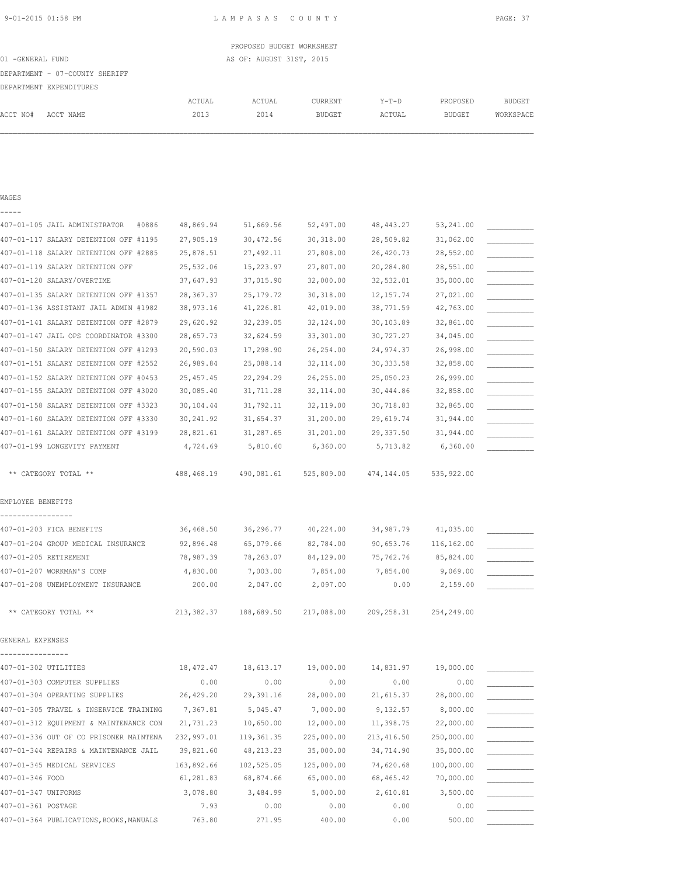|                                |        | PROPOSED BUDGET WORKSHEET |               |         |               |           |
|--------------------------------|--------|---------------------------|---------------|---------|---------------|-----------|
| 01 -GENERAL FUND               |        | AS OF: AUGUST 31ST, 2015  |               |         |               |           |
| DEPARTMENT - 07-COUNTY SHERIFF |        |                           |               |         |               |           |
| DEPARTMENT EXPENDITURES        |        |                           |               |         |               |           |
|                                | ACTUAL | ACTUAL                    | CURRENT       | $Y-T-D$ | PROPOSED      | BUDGET    |
| ACCT NO#<br>ACCT NAME          | 2013   | 2014                      | <b>BUDGET</b> | ACTUAL  | <b>BUDGET</b> | WORKSPACE |
|                                |        |                           |               |         |               |           |
|                                |        |                           |               |         |               |           |

| WAGES                                   |            |             |            |             |             |  |
|-----------------------------------------|------------|-------------|------------|-------------|-------------|--|
|                                         |            |             |            |             |             |  |
| 407-01-105 JAIL ADMINISTRATOR<br>#0886  | 48,869.94  | 51,669.56   | 52,497.00  | 48,443.27   | 53,241.00   |  |
| 407-01-117 SALARY DETENTION OFF #1195   | 27,905.19  | 30,472.56   | 30, 318.00 | 28,509.82   | 31,062.00   |  |
| 407-01-118 SALARY DETENTION OFF #2885   | 25,878.51  | 27,492.11   | 27,808.00  | 26,420.73   | 28,552.00   |  |
| 407-01-119 SALARY DETENTION OFF         | 25,532.06  | 15,223.97   | 27,807.00  | 20,284.80   | 28,551.00   |  |
| 407-01-120 SALARY/OVERTIME              | 37,647.93  | 37,015.90   | 32,000.00  | 32,532.01   | 35,000.00   |  |
| 407-01-135 SALARY DETENTION OFF #1357   | 28, 367.37 | 25, 179. 72 | 30,318.00  | 12, 157.74  | 27,021.00   |  |
| 407-01-136 ASSISTANT JAIL ADMIN #1982   | 38,973.16  | 41,226.81   | 42,019.00  | 38,771.59   | 42,763.00   |  |
| 407-01-141 SALARY DETENTION OFF #2879   | 29,620.92  | 32,239.05   | 32,124.00  | 30,103.89   | 32,861.00   |  |
| 407-01-147 JAIL OPS COORDINATOR #3300   | 28,657.73  | 32,624.59   | 33, 301.00 | 30,727.27   | 34,045.00   |  |
| 407-01-150 SALARY DETENTION OFF #1293   | 20,590.03  | 17,298.90   | 26, 254.00 | 24,974.37   | 26,998.00   |  |
| 407-01-151 SALARY DETENTION OFF #2552   | 26,989.84  | 25,088.14   | 32, 114.00 | 30, 333.58  | 32,858.00   |  |
| 407-01-152 SALARY DETENTION OFF #0453   | 25, 457.45 | 22,294.29   | 26, 255.00 | 25,050.23   | 26,999.00   |  |
| 407-01-155 SALARY DETENTION OFF #3020   | 30,085.40  | 31,711.28   | 32, 114.00 | 30,444.86   | 32,858.00   |  |
| 407-01-158 SALARY DETENTION OFF #3323   | 30,104.44  | 31,792.11   | 32,119.00  | 30,718.83   | 32,865.00   |  |
| 407-01-160 SALARY DETENTION OFF #3330   | 30,241.92  | 31,654.37   | 31,200.00  | 29,619.74   | 31,944.00   |  |
| 407-01-161 SALARY DETENTION OFF #3199   | 28,821.61  | 31,287.65   | 31,201.00  | 29, 337.50  | 31,944.00   |  |
| 407-01-199 LONGEVITY PAYMENT            | 4,724.69   | 5,810.60    | 6,360.00   | 5,713.82    | 6,360.00    |  |
| ** CATEGORY TOTAL **                    | 488,468.19 | 490,081.61  | 525,809.00 | 474,144.05  | 535, 922.00 |  |
| EMPLOYEE BENEFITS                       |            |             |            |             |             |  |
| 407-01-203 FICA BENEFITS                | 36,468.50  | 36,296.77   | 40,224.00  | 34,987.79   | 41,035.00   |  |
| 407-01-204 GROUP MEDICAL INSURANCE      | 92,896.48  | 65,079.66   | 82,784.00  | 90,653.76   | 116,162.00  |  |
| 407-01-205 RETIREMENT                   | 78,987.39  | 78,263.07   | 84,129.00  | 75,762.76   | 85,824.00   |  |
| 407-01-207 WORKMAN'S COMP               | 4,830.00   | 7,003.00    | 7,854.00   | 7,854.00    | 9,069.00    |  |
| 407-01-208 UNEMPLOYMENT INSURANCE       | 200.00     | 2,047.00    | 2,097.00   | 0.00        | 2,159.00    |  |
| ** CATEGORY TOTAL **                    | 213,382.37 | 188,689.50  | 217,088.00 | 209, 258.31 | 254,249.00  |  |
| GENERAL EXPENSES                        |            |             |            |             |             |  |
| 407-01-302 UTILITIES                    | 18,472.47  | 18,613.17   | 19,000.00  | 14,831.97   | 19,000.00   |  |
| 407-01-303 COMPUTER SUPPLIES            | 0.00       | 0.00        | 0.00       | 0.00        | 0.00        |  |
| 407-01-304 OPERATING SUPPLIES           | 26,429.20  | 29,391.16   | 28,000.00  | 21,615.37   | 28,000.00   |  |
| 407-01-305 TRAVEL & INSERVICE TRAINING  | 7,367.81   | 5,045.47    | 7,000.00   | 9,132.57    | 8,000.00    |  |
| 407-01-312 EQUIPMENT & MAINTENANCE CON  | 21,731.23  | 10,650.00   | 12,000.00  | 11,398.75   | 22,000.00   |  |
| 407-01-336 OUT OF CO PRISONER MAINTENA  | 232,997.01 | 119, 361.35 | 225,000.00 | 213, 416.50 | 250,000.00  |  |
| 407-01-344 REPAIRS & MAINTENANCE JAIL   | 39,821.60  | 48, 213. 23 | 35,000.00  | 34,714.90   | 35,000.00   |  |
| 407-01-345 MEDICAL SERVICES             | 163,892.66 | 102,525.05  | 125,000.00 | 74,620.68   | 100,000.00  |  |
| 407-01-346 FOOD                         | 61,281.83  | 68,874.66   | 65,000.00  | 68,465.42   | 70,000.00   |  |
| 407-01-347 UNIFORMS                     | 3,078.80   | 3,484.99    | 5,000.00   | 2,610.81    | 3,500.00    |  |
| 407-01-361 POSTAGE                      | 7.93       | 0.00        | 0.00       | 0.00        | 0.00        |  |
| 407-01-364 PUBLICATIONS, BOOKS, MANUALS | 763.80     | 271.95      | 400.00     | 0.00        | 500.00      |  |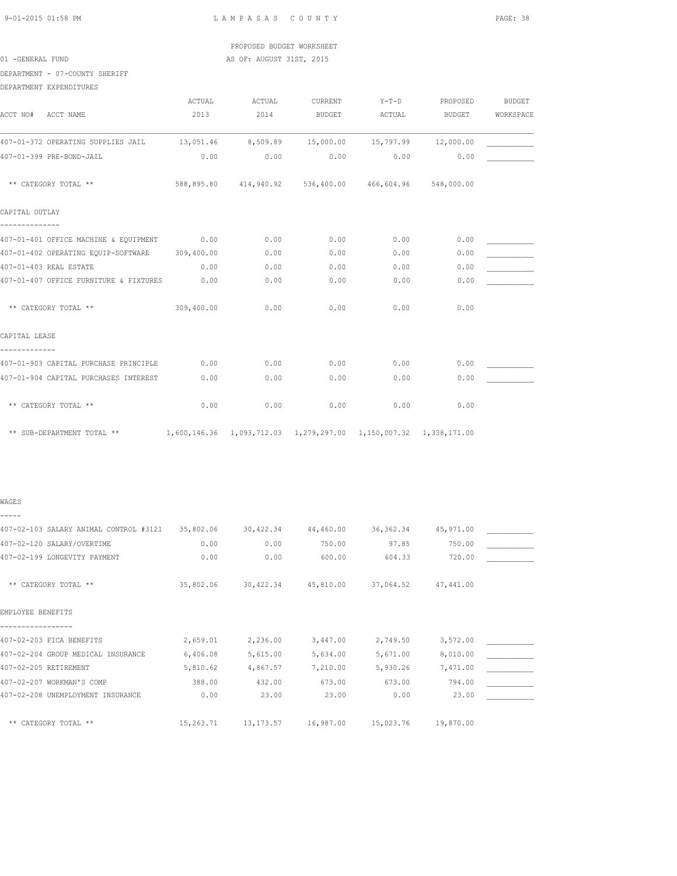## PROPOSED BUDGET WORKSHEET 01 -GENERAL FUND AS OF: AUGUST 31ST, 2015

DEPARTMENT - 07-COUNTY SHERIFF

|                                                | ACTUAL     | ACTUAL                                                               | CURRENT       | $Y-T-D$ | PROPOSED      | <b>BUDGET</b> |
|------------------------------------------------|------------|----------------------------------------------------------------------|---------------|---------|---------------|---------------|
| ACCT NAME<br>ACCT NO#                          | 2013       | 2014                                                                 | <b>BUDGET</b> | ACTUAL  | <b>BUDGET</b> | WORKSPACE     |
| 407-01-372 OPERATING SUPPLIES JAIL             |            | 13,051.46 8,509.89 15,000.00 15,797.99                               |               |         | 12,000.00     |               |
| 407-01-399 PRE-BOND-JAIL                       | 0.00       | 0.00                                                                 | 0.00          | 0.00    | 0.00          |               |
| ** CATEGORY TOTAL **                           |            | 588,895.80  414,940.92  536,400.00  466,604.96  548,000.00           |               |         |               |               |
| CAPITAL OUTLAY                                 |            |                                                                      |               |         |               |               |
| 407-01-401 OFFICE MACHINE & EQUIPMENT          | 0.00       | 0.00                                                                 | 0.00          | 0.00    | 0.00          |               |
| 407-01-402 OPERATING EQUIP-SOFTWARE 309,400.00 |            | 0.00                                                                 | 0.00          | 0.00    | 0.00          |               |
| 407-01-403 REAL ESTATE                         | 0.00       | 0.00                                                                 | 0.00          | 0.00    | 0.00          |               |
| 407-01-407 OFFICE FURNITURE & FIXTURES         | 0.00       | 0.00                                                                 | 0.00          | 0.00    | 0.00          |               |
| ** CATEGORY TOTAL **                           | 309,400.00 | 0.00                                                                 | 0.00          | 0.00    | 0.00          |               |
| CAPITAL LEASE                                  |            |                                                                      |               |         |               |               |
| 407-01-903 CAPITAL PURCHASE PRINCIPLE          | 0.00       | 0.00                                                                 | 0.00          | 0.00    | 0.00          |               |
| 407-01-904 CAPITAL PURCHASES INTEREST          | 0.00       | 0.00                                                                 | 0.00          | 0.00    | 0.00          |               |
| ** CATEGORY TOTAL **                           | 0.00       | 0.00                                                                 | 0.00          | 0.00    | 0.00          |               |
| ** SUB-DEPARTMENT TOTAL **                     |            | 1,600,146.36  1,093,712.03  1,279,297.00  1,150,007.32  1,338,171.00 |               |         |               |               |

### WAGES -----

407-02-103 SALARY ANIMAL CONTROL #3121 35,802.06 30,422.34 44,460.00 36,362.34 45,971.00 \_\_\_\_\_\_\_\_\_\_\_ 407-02-120 SALARY/OVERTIME 0.00 0.00 750.00 97.85 750.00 \_\_\_\_\_\_\_\_\_\_\_ 407-02-199 LONGEVITY PAYMENT  $0.00$   $0.00$   $600.00$   $604.33$   $720.00$  \*\* CATEGORY TOTAL \*\* 35,802.06 30,422.34 45,810.00 37,064.52 47,441.00 EMPLOYEE BENEFITS ----------------- 407-02-203 FICA BENEFITS  $2,659.01$   $2,236.00$   $3,447.00$   $2,749.50$   $3,572.00$   $\_$ 407-02-204 GROUP MEDICAL INSURANCE 6,406.08 5,615.00 5,634.00 5,671.00 8,010.00 \_\_\_\_\_\_\_\_\_\_\_ 407-02-205 RETIREMENT 5,810.62 4,867.57 7,210.00 5,930.26 7,471.00 \_\_\_\_\_\_\_\_\_\_\_ 407-02-207 WORKMAN'S COMP 388.00 432.00 673.00 673.00 794.00 \_\_\_\_\_\_\_\_\_\_\_\_\_\_<br>407-02-208 UNEMPLOYMENT INSURANCE 0.00 23.00 23.00 0.00 23.00 \_\_\_\_\_\_\_\_\_\_\_\_\_\_\_\_\_\_ 407-02-208 UNEMPLOYMENT INSURANCE  $0.00$  23.00 23.00 0.00 0.00 23.00 23.00 \*\* CATEGORY TOTAL \*\* 15,263.71 13,173.57 16,987.00 15,023.76 19,870.00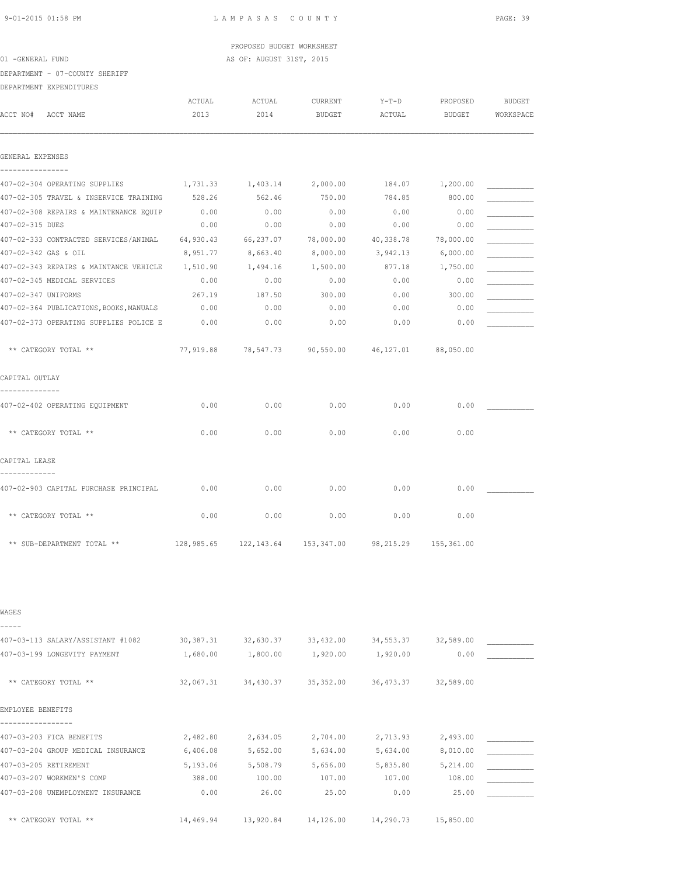# PROPOSED BUDGET WORKSHEET 01 -GENERAL FUND AS OF: AUGUST 31ST, 2015

DEPARTMENT - 07-COUNTY SHERIFF

DEPARTMENT EXPENDITURES

| ACCT NO#                         | ACCT NAME                                       | ACTUAL<br>2013 | ACTUAL<br>2014    | CURRENT<br><b>BUDGET</b>                                  | $Y-T-D$<br>ACTUAL | PROPOSED<br>BUDGET | <b>BUDGET</b><br>WORKSPACE |
|----------------------------------|-------------------------------------------------|----------------|-------------------|-----------------------------------------------------------|-------------------|--------------------|----------------------------|
| GENERAL EXPENSES                 |                                                 |                |                   |                                                           |                   |                    |                            |
|                                  | 407-02-304 OPERATING SUPPLIES                   |                | 1,731.33 1,403.14 | 2,000.00                                                  |                   | 184.07 1,200.00    |                            |
|                                  | 407-02-305 TRAVEL & INSERVICE TRAINING          | 528.26         | 562.46            | 750.00                                                    | 784.85            | 800.00             |                            |
|                                  | 407-02-308 REPAIRS & MAINTENANCE EQUIP          | 0.00           | 0.00              | 0.00                                                      | 0.00              | 0.00               |                            |
| 407-02-315 DUES                  |                                                 | 0.00           | 0.00              | 0.00                                                      | 0.00              | 0.00               |                            |
|                                  | 407-02-333 CONTRACTED SERVICES/ANIMAL           | 64,930.43      | 66,237.07         | 78,000.00                                                 | 40,338.78         | 78,000.00          |                            |
|                                  | 407-02-342 GAS & OIL                            | 8,951.77       | 8,663.40          | 8,000.00                                                  | 3,942.13          | 6,000.00           |                            |
|                                  | 407-02-343 REPAIRS & MAINTANCE VEHICLE 1,510.90 |                | 1,494.16          | 1,500.00                                                  | 877.18            | 1,750.00           |                            |
|                                  | 407-02-345 MEDICAL SERVICES                     | 0.00           | 0.00              | 0.00                                                      | 0.00              | 0.00               |                            |
| 407-02-347 UNIFORMS              |                                                 | 267.19         | 187.50            | 300.00                                                    | 0.00              | 300.00             |                            |
|                                  | 407-02-364 PUBLICATIONS, BOOKS, MANUALS         | 0.00           | 0.00              | 0.00                                                      | 0.00              | 0.00               |                            |
|                                  | 407-02-373 OPERATING SUPPLIES POLICE E          | 0.00           | 0.00              | 0.00                                                      | 0.00              | 0.00               |                            |
|                                  | ** CATEGORY TOTAL **                            | 77,919.88      |                   | 78,547.73 90,550.00 46,127.01 88,050.00                   |                   |                    |                            |
| CAPITAL OUTLAY<br>-------------- |                                                 |                |                   |                                                           |                   |                    |                            |
|                                  | 407-02-402 OPERATING EQUIPMENT                  | 0.00           | 0.00              | 0.00                                                      | 0.00              | 0.00               |                            |
|                                  | ** CATEGORY TOTAL **                            | 0.00           | 0.00              | 0.00                                                      | 0.00              | 0.00               |                            |
| CAPITAL LEASE                    |                                                 |                |                   |                                                           |                   |                    |                            |
|                                  | 407-02-903 CAPITAL PURCHASE PRINCIPAL           | 0.00           | 0.00              | 0.00                                                      | 0.00              | 0.00               |                            |
|                                  | ** CATEGORY TOTAL **                            | 0.00           | 0.00              | 0.00                                                      | 0.00              | 0.00               |                            |
|                                  | ** SUB-DEPARTMENT TOTAL **                      |                |                   | 128,985.65  122,143.64  153,347.00  98,215.29  155,361.00 |                   |                    |                            |

| WAGES                              |            |           |           |           |           |  |
|------------------------------------|------------|-----------|-----------|-----------|-----------|--|
| 407-03-113 SALARY/ASSISTANT #1082  | 30, 387.31 | 32,630.37 | 33,432.00 | 34,553.37 | 32,589.00 |  |
| 407-03-199 LONGEVITY PAYMENT       | 1,680.00   | 1,800.00  | 1,920.00  | 1,920.00  | 0.00      |  |
|                                    |            |           |           |           |           |  |
| ** CATEGORY TOTAL **               | 32,067.31  | 34,430.37 | 35,352.00 | 36,473.37 | 32,589.00 |  |
| EMPLOYEE BENEFITS                  |            |           |           |           |           |  |
|                                    |            |           |           |           |           |  |
| 407-03-203 FICA BENEFITS           | 2,482.80   | 2,634.05  | 2,704.00  | 2,713.93  | 2,493.00  |  |
| 407-03-204 GROUP MEDICAL INSURANCE | 6,406.08   | 5,652.00  | 5,634.00  | 5,634.00  | 8,010.00  |  |
| 407-03-205 RETIREMENT              | 5,193.06   | 5,508.79  | 5,656.00  | 5,835.80  | 5,214.00  |  |
| 407-03-207 WORKMEN'S COMP          | 388.00     | 100.00    | 107.00    | 107.00    | 108.00    |  |
| 407-03-208 UNEMPLOYMENT INSURANCE  | 0.00       | 26.00     | 25.00     | 0.00      | 25.00     |  |
| ** CATEGORY TOTAL **               | 14,469.94  | 13,920.84 | 14,126.00 | 14,290.73 | 15,850.00 |  |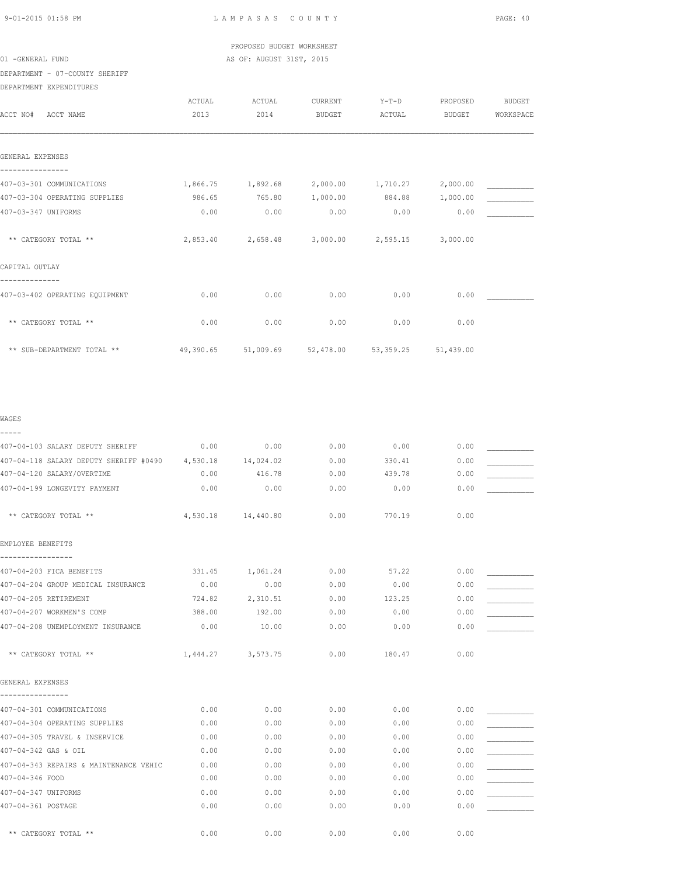PROPOSED BUDGET WORKSHEET 01 -GENERAL FUND AS OF: AUGUST 31ST, 2015

DEPARTMENT - 07-COUNTY SHERIFF

| DEPARTMENT EXPENDITURES |
|-------------------------|

| ACCT NO#<br>ACCT NAME                                                             | <b>ACTUAL</b><br>2013      | ACTUAL<br>2014             | <b>CURRENT</b><br><b>BUDGET</b> | $Y-T-D$<br>ACTUAL          | PROPOSED<br><b>BUDGET</b>    | <b>BUDGET</b><br>WORKSPACE |
|-----------------------------------------------------------------------------------|----------------------------|----------------------------|---------------------------------|----------------------------|------------------------------|----------------------------|
| GENERAL EXPENSES                                                                  |                            |                            |                                 |                            |                              |                            |
| 407-03-301 COMMUNICATIONS<br>407-03-304 OPERATING SUPPLIES<br>407-03-347 UNIFORMS | 1,866.75<br>986.65<br>0.00 | 1,892.68<br>765.80<br>0.00 | 2,000.00<br>1,000.00<br>0.00    | 1,710.27<br>884.88<br>0.00 | 2,000.00<br>1,000.00<br>0.00 |                            |
| ** CATEGORY TOTAL **                                                              | 2,853.40                   | 2,658.48                   | 3,000.00                        | 2,595.15                   | 3,000.00                     |                            |
| CAPITAL OUTLAY                                                                    |                            |                            |                                 |                            |                              |                            |
| 407-03-402 OPERATING EQUIPMENT                                                    | 0.00                       | 0.00                       | 0.00                            | 0.00                       | 0.00                         |                            |
| ** CATEGORY TOTAL **                                                              | 0.00                       | 0.00                       | 0.00                            | 0.00                       | 0.00                         |                            |
| ** SUB-DEPARTMENT TOTAL **                                                        | 49,390.65                  | 51,009.69                  | 52,478.00                       | 53, 359.25                 | 51,439.00                    |                            |

| WAGES                                                      |        |                    |      |        |      |  |
|------------------------------------------------------------|--------|--------------------|------|--------|------|--|
| -----                                                      |        |                    |      |        |      |  |
| 407-04-103 SALARY DEPUTY SHERIFF                           | 0.00   | 0.00               | 0.00 | 0.00   | 0.00 |  |
| 407-04-118 SALARY DEPUTY SHERIFF #0490 4,530.18            |        | 14,024.02          | 0.00 | 330.41 | 0.00 |  |
| 407-04-120 SALARY/OVERTIME                                 | 0.00   | 416.78             | 0.00 | 439.78 | 0.00 |  |
| 407-04-199 LONGEVITY PAYMENT                               | 0.00   | 0.00               | 0.00 | 0.00   | 0.00 |  |
| ** CATEGORY TOTAL **                                       |        | 4,530.18 14,440.80 | 0.00 | 770.19 | 0.00 |  |
| EMPLOYEE BENEFITS                                          |        |                    |      |        |      |  |
| 407-04-203 FICA BENEFITS                                   | 331.45 | 1,061.24           | 0.00 | 57.22  | 0.00 |  |
| 407-04-204 GROUP MEDICAL INSURANCE                         | 0.00   | 0.00               | 0.00 | 0.00   | 0.00 |  |
| 407-04-205 RETIREMENT                                      | 724.82 | 2,310.51           | 0.00 | 123.25 | 0.00 |  |
| 407-04-207 WORKMEN'S COMP                                  | 388.00 | 192.00             | 0.00 | 0.00   | 0.00 |  |
| 407-04-208 UNEMPLOYMENT INSURANCE                          | 0.00   | 10.00              | 0.00 | 0.00   | 0.00 |  |
| ** CATEGORY TOTAL **                                       |        | 1,444.27 3,573.75  | 0.00 | 180.47 | 0.00 |  |
| GENERAL EXPENSES                                           |        |                    |      |        |      |  |
|                                                            | 0.00   | 0.00               | 0.00 | 0.00   | 0.00 |  |
| 407-04-301 COMMUNICATIONS<br>407-04-304 OPERATING SUPPLIES | 0.00   | 0.00               | 0.00 | 0.00   | 0.00 |  |
| 407-04-305 TRAVEL & INSERVICE                              | 0.00   | 0.00               | 0.00 | 0.00   | 0.00 |  |
| 407-04-342 GAS & OIL                                       | 0.00   | 0.00               | 0.00 | 0.00   | 0.00 |  |
| 407-04-343 REPAIRS & MAINTENANCE VEHIC                     | 0.00   | 0.00               | 0.00 | 0.00   | 0.00 |  |
| 407-04-346 FOOD                                            | 0.00   | 0.00               | 0.00 | 0.00   | 0.00 |  |
| 407-04-347 UNIFORMS                                        | 0.00   | 0.00               | 0.00 | 0.00   | 0.00 |  |
| 407-04-361 POSTAGE                                         | 0.00   | 0.00               | 0.00 | 0.00   | 0.00 |  |
|                                                            |        |                    |      |        |      |  |
| ** CATEGORY TOTAL **                                       | 0.00   | 0.00               | 0.00 | 0.00   | 0.00 |  |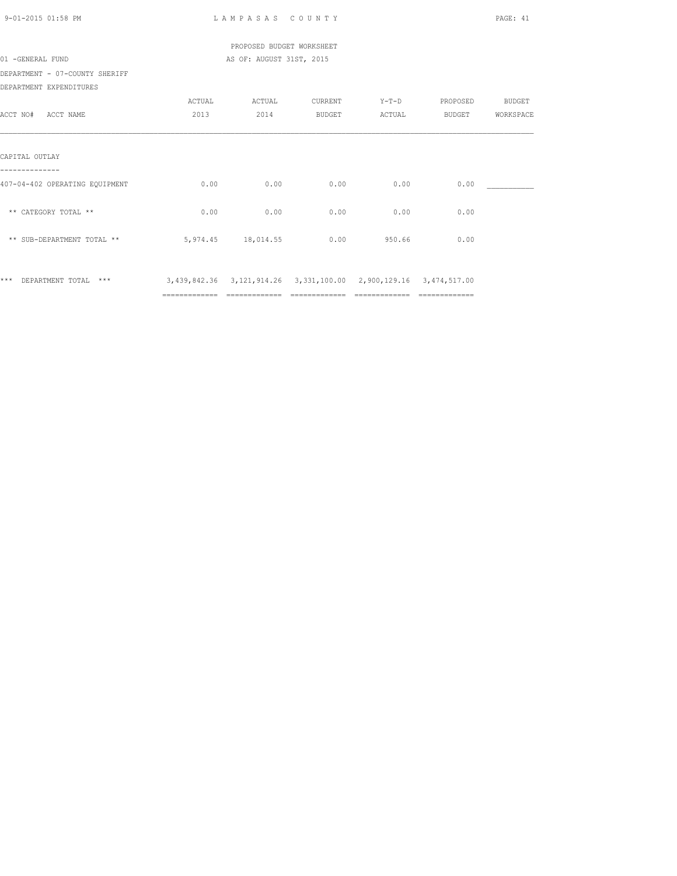| 9-01-2015 01:58 PM             |               | LAMPASAS COUNTY                                                  |        |                |                       | PAGE: 41  |
|--------------------------------|---------------|------------------------------------------------------------------|--------|----------------|-----------------------|-----------|
|                                |               | PROPOSED BUDGET WORKSHEET                                        |        |                |                       |           |
| 01 -GENERAL FUND               |               | AS OF: AUGUST 31ST, 2015                                         |        |                |                       |           |
| DEPARTMENT - 07-COUNTY SHERIFF |               |                                                                  |        |                |                       |           |
| DEPARTMENT EXPENDITURES        |               |                                                                  |        |                |                       |           |
|                                | ACTUAL        | ACTUAL CURRENT                                                   |        |                | Y-T-D PROPOSED BUDGET |           |
| ACCT NO# ACCT NAME             | 2013          | 2014                                                             | BUDGET | ACTUAL         | BUDGET                | WORKSPACE |
|                                |               |                                                                  |        |                |                       |           |
| CAPITAL OUTLAY                 |               |                                                                  |        |                |                       |           |
| 407-04-402 OPERATING EQUIPMENT | 0.00          | 0.00                                                             | 0.00   | 0.00           | 0.00                  |           |
| ** CATEGORY TOTAL **           | 0.00          | 0.00                                                             | 0.00   | 0.00           | 0.00                  |           |
| ** SUB-DEPARTMENT TOTAL **     |               | 5,974.45 18,014.55 0.00 950.66                                   |        |                | 0.00                  |           |
| *** DEPARTMENT TOTAL ***       |               | 3,439,842.36 3,121,914.26 3,331,100.00 2,900,129.16 3,474,517.00 |        |                |                       |           |
|                                | ============= | ============================                                     |        | ============== | ==============        |           |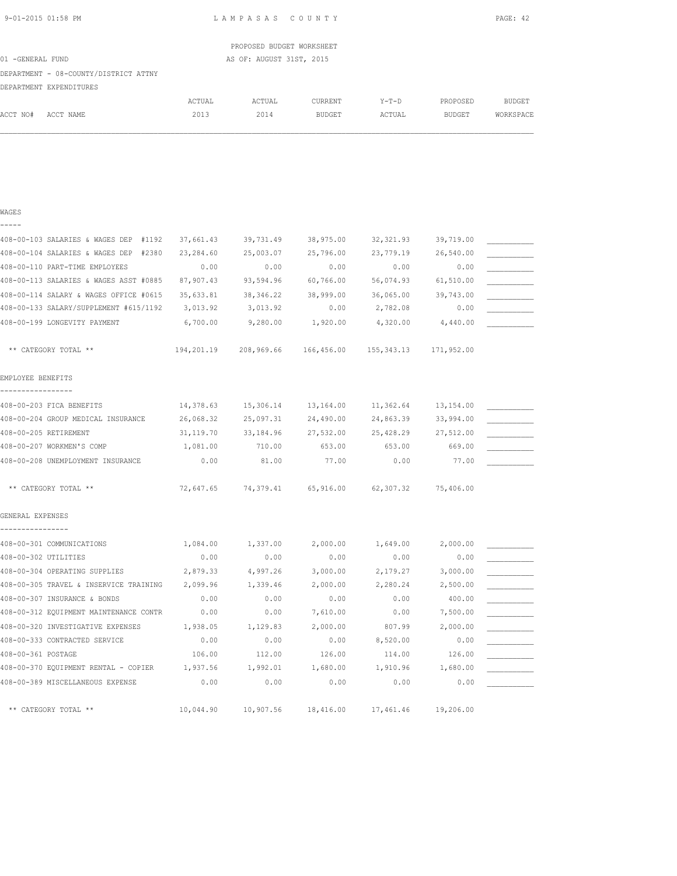LAMPASAS COUNTY PAGE: 42

|                  | PROPOSED BUDGET WORKSHEET |
|------------------|---------------------------|
| 01 -GENERAL FUND | AS OF: AUGUST 31ST, 2015  |

### DEPARTMENT - 08-COUNTY/DISTRICT ATTNY DEPARTMENT EXPENDITURES

|          | DEPARTMENT EXPENDITURES |        |        |               |         |               |               |
|----------|-------------------------|--------|--------|---------------|---------|---------------|---------------|
|          |                         | ACTUAL | ACTUAL | CURRENT       | $Y-T-D$ | PROPOSED      | <b>BUDGET</b> |
| ACCT NO# | ACCT NAME               | 2013   | 2014   | <b>BUDGET</b> | ACTUAL  | <b>BUDGET</b> | WORKSPACE     |

| WAGES                                  |            |            |            |                         |           |  |
|----------------------------------------|------------|------------|------------|-------------------------|-----------|--|
|                                        |            |            |            |                         |           |  |
| 408-00-103 SALARIES & WAGES DEP #1192  | 37,661.43  | 39,731.49  | 38,975.00  | 32, 321.93              | 39,719.00 |  |
| 408-00-104 SALARIES & WAGES DEP #2380  | 23,284.60  | 25,003.07  | 25,796.00  | 23,779.19               | 26,540.00 |  |
| 408-00-110 PART-TIME EMPLOYEES         | 0.00       | 0.00       | 0.00       | 0.00                    | 0.00      |  |
| 408-00-113 SALARIES & WAGES ASST #0885 | 87,907.43  | 93,594.96  | 60,766.00  | 56,074.93               | 61,510.00 |  |
| 408-00-114 SALARY & WAGES OFFICE #0615 | 35,633.81  | 38, 346.22 | 38,999.00  | 36,065.00               | 39,743.00 |  |
| 408-00-133 SALARY/SUPPLEMENT #615/1192 | 3,013.92   | 3,013.92   | 0.00       | 2,782.08                | 0.00      |  |
| 408-00-199 LONGEVITY PAYMENT           | 6,700.00   | 9,280.00   | 1,920.00   | 4,320.00                | 4,440.00  |  |
| ** CATEGORY TOTAL **                   | 194,201.19 | 208,969.66 | 166,456.00 | 155, 343.13 171, 952.00 |           |  |
| EMPLOYEE BENEFITS<br>----------------- |            |            |            |                         |           |  |
| 408-00-203 FICA BENEFITS               | 14,378.63  | 15,306.14  | 13,164.00  | 11,362.64               | 13,154.00 |  |
| 408-00-204 GROUP MEDICAL INSURANCE     | 26,068.32  | 25,097.31  | 24,490.00  | 24,863.39               | 33,994.00 |  |
| 408-00-205 RETIREMENT                  | 31, 119.70 | 33,184.96  | 27,532.00  | 25,428.29               | 27,512.00 |  |
| 408-00-207 WORKMEN'S COMP              | 1,081.00   | 710.00     | 653.00     | 653.00                  | 669.00    |  |
| 408-00-208 UNEMPLOYMENT INSURANCE      | 0.00       | 81.00      | 77.00      | 0.00                    | 77.00     |  |
| ** CATEGORY TOTAL **                   | 72,647.65  | 74,379.41  | 65,916.00  | 62,307.32               | 75,406.00 |  |
| GENERAL EXPENSES<br>---------------    |            |            |            |                         |           |  |
| 408-00-301 COMMUNICATIONS              | 1,084.00   | 1,337.00   | 2,000.00   | 1,649.00                | 2,000.00  |  |
| 408-00-302 UTILITIES                   | 0.00       | 0.00       | 0.00       | 0.00                    | 0.00      |  |
| 408-00-304 OPERATING SUPPLIES          | 2,879.33   | 4,997.26   | 3,000.00   | 2,179.27                | 3,000.00  |  |
| 408-00-305 TRAVEL & INSERVICE TRAINING | 2,099.96   | 1,339.46   | 2,000.00   | 2,280.24                | 2,500.00  |  |
| 408-00-307 INSURANCE & BONDS           | 0.00       | 0.00       | 0.00       | 0.00                    | 400.00    |  |
| 408-00-312 EQUIPMENT MAINTENANCE CONTR | 0.00       | 0.00       | 7,610.00   | 0.00                    | 7,500.00  |  |
| 408-00-320 INVESTIGATIVE EXPENSES      | 1,938.05   | 1,129.83   | 2,000.00   | 807.99                  | 2,000.00  |  |
| 408-00-333 CONTRACTED SERVICE          | 0.00       | 0.00       | 0.00       | 8,520.00                | 0.00      |  |
| 408-00-361 POSTAGE                     | 106.00     | 112.00     | 126.00     | 114.00                  | 126.00    |  |
| 408-00-370 EQUIPMENT RENTAL - COPIER   | 1,937.56   | 1,992.01   | 1,680.00   | 1,910.96                | 1,680.00  |  |
| 408-00-389 MISCELLANEOUS EXPENSE       | 0.00       | 0.00       | 0.00       | 0.00                    | 0.00      |  |
| ** CATEGORY TOTAL **                   | 10,044.90  | 10,907.56  | 18,416.00  | 17,461.46               | 19,206.00 |  |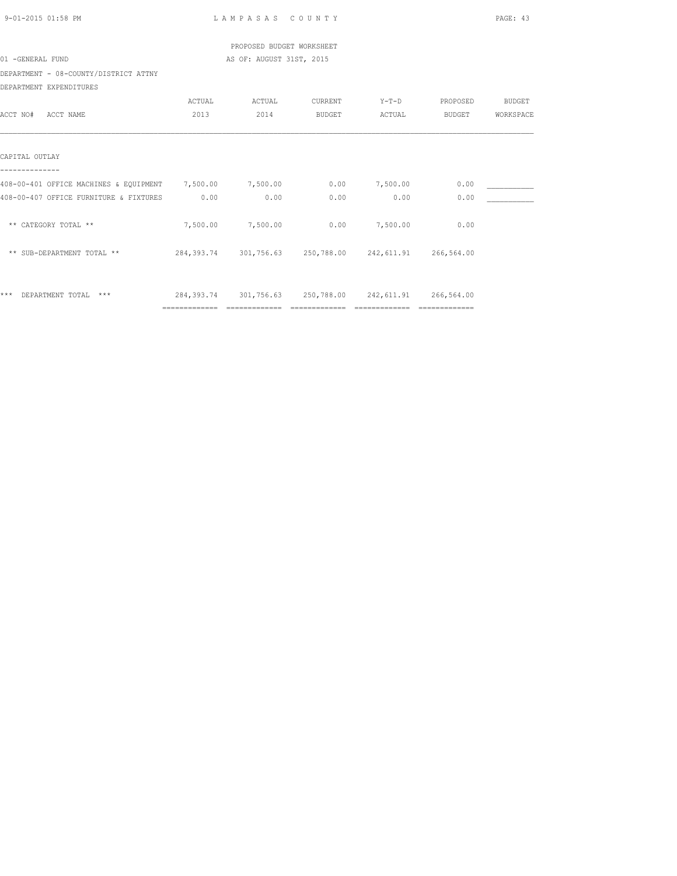| 9-01-2015 01:58 PM                                                     |                | LAMPASAS COUNTY                                             |         |                |                | PAGE: 43  |
|------------------------------------------------------------------------|----------------|-------------------------------------------------------------|---------|----------------|----------------|-----------|
|                                                                        |                | PROPOSED BUDGET WORKSHEET                                   |         |                |                |           |
| 01 -GENERAL FUND                                                       |                | AS OF: AUGUST 31ST, 2015                                    |         |                |                |           |
| DEPARTMENT - 08-COUNTY/DISTRICT ATTNY                                  |                |                                                             |         |                |                |           |
| DEPARTMENT EXPENDITURES                                                |                |                                                             |         |                |                |           |
|                                                                        | ACTUAL         | ACTUAL                                                      | CURRENT |                | Y-T-D PROPOSED | BUDGET    |
| ACCT NO# ACCT NAME                                                     | 2013           | 2014                                                        | BUDGET  | ACTUAL         | <b>BUDGET</b>  | WORKSPACE |
|                                                                        |                |                                                             |         |                |                |           |
| CAPITAL OUTLAY                                                         |                |                                                             |         |                |                |           |
|                                                                        |                |                                                             |         |                |                |           |
| 408-00-401 OFFICE MACHINES & EQUIPMENT 7,500.00 7,500.00 0.00 7,500.00 |                |                                                             |         |                | 0.00           |           |
| 408-00-407 OFFICE FURNITURE & FIXTURES 0.00                            |                | 0.00                                                        | 0.00    | 0.00           | 0.00           |           |
| ** CATEGORY TOTAL **                                                   |                | 7,500.00 7,500.00                                           |         | 0.00 7,500.00  | 0.00           |           |
| ** SUB-DEPARTMENT TOTAL **                                             |                | 284, 393.74 301, 756.63 250, 788.00 242, 611.91 266, 564.00 |         |                |                |           |
|                                                                        |                |                                                             |         |                |                |           |
| *** DEPARTMENT TOTAL ***                                               | ============== | 284, 393.74 301, 756.63 250, 788.00 242, 611.91 266, 564.00 |         | ============== |                |           |
|                                                                        |                |                                                             |         |                |                |           |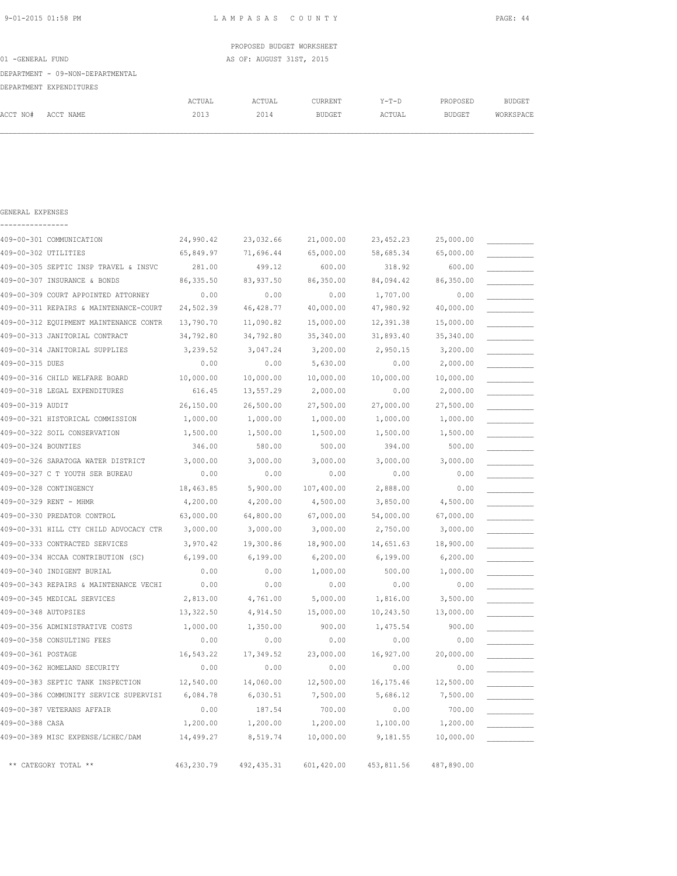|                                  |        |        | PROPOSED BUDGET WORKSHEET |         |               |           |
|----------------------------------|--------|--------|---------------------------|---------|---------------|-----------|
| 01 -GENERAL FUND                 |        |        | AS OF: AUGUST 31ST, 2015  |         |               |           |
| DEPARTMENT - 09-NON-DEPARTMENTAL |        |        |                           |         |               |           |
| DEPARTMENT EXPENDITURES          |        |        |                           |         |               |           |
|                                  | ACTUAL | ACTUAL | <b>CURRENT</b>            | $Y-T-D$ | PROPOSED      | BUDGET    |
| ACCT NO#<br>ACCT NAME            | 2013   | 2014   | BUDGET                    | ACTUAL  | <b>BUDGET</b> | WORKSPACE |
|                                  |        |        |                           |         |               |           |

| GENERAL EXPENSES                       |            |             |            |             |            |  |
|----------------------------------------|------------|-------------|------------|-------------|------------|--|
|                                        |            |             |            |             |            |  |
| 409-00-301 COMMUNICATION               | 24,990.42  | 23,032.66   | 21,000.00  | 23, 452.23  | 25,000.00  |  |
| 409-00-302 UTILITIES                   | 65,849.97  | 71,696.44   | 65,000.00  | 58,685.34   | 65,000.00  |  |
| 409-00-305 SEPTIC INSP TRAVEL & INSVC  | 281.00     | 499.12      | 600.00     | 318.92      | 600.00     |  |
| 409-00-307 INSURANCE & BONDS           | 86, 335.50 | 83, 937.50  | 86,350.00  | 84,094.42   | 86,350.00  |  |
| 409-00-309 COURT APPOINTED ATTORNEY    | 0.00       | 0.00        | 0.00       | 1,707.00    | 0.00       |  |
| 409-00-311 REPAIRS & MAINTENANCE-COURT | 24,502.39  | 46, 428.77  | 40,000.00  | 47,980.92   | 40,000.00  |  |
| 409-00-312 EQUIPMENT MAINTENANCE CONTR | 13,790.70  | 11,090.82   | 15,000.00  | 12,391.38   | 15,000.00  |  |
| 409-00-313 JANITORIAL CONTRACT         | 34,792.80  | 34,792.80   | 35,340.00  | 31,893.40   | 35,340.00  |  |
| 409-00-314 JANITORIAL SUPPLIES         | 3,239.52   | 3,047.24    | 3,200.00   | 2,950.15    | 3,200.00   |  |
| 409-00-315 DUES                        | 0.00       | 0.00        | 5,630.00   | 0.00        | 2,000.00   |  |
| 409-00-316 CHILD WELFARE BOARD         | 10,000.00  | 10,000.00   | 10,000.00  | 10,000.00   | 10,000.00  |  |
| 409-00-318 LEGAL EXPENDITURES          | 616.45     | 13,557.29   | 2,000.00   | 0.00        | 2,000.00   |  |
| 409-00-319 AUDIT                       | 26,150.00  | 26,500.00   | 27,500.00  | 27,000.00   | 27,500.00  |  |
| 409-00-321 HISTORICAL COMMISSION       | 1,000.00   | 1,000.00    | 1,000.00   | 1,000.00    | 1,000.00   |  |
| 409-00-322 SOIL CONSERVATION           | 1,500.00   | 1,500.00    | 1,500.00   | 1,500.00    | 1,500.00   |  |
| 409-00-324 BOUNTIES                    | 346.00     | 580.00      | 500.00     | 394.00      | 500.00     |  |
| 409-00-326 SARATOGA WATER DISTRICT     | 3,000.00   | 3,000.00    | 3,000.00   | 3,000.00    | 3,000.00   |  |
| 409-00-327 C T YOUTH SER BUREAU        | 0.00       | 0.00        | 0.00       | 0.00        | 0.00       |  |
| 409-00-328 CONTINGENCY                 | 18,463.85  | 5,900.00    | 107,400.00 | 2,888.00    | 0.00       |  |
| 409-00-329 RENT - MHMR                 | 4,200.00   | 4,200.00    | 4,500.00   | 3,850.00    | 4,500.00   |  |
| 409-00-330 PREDATOR CONTROL            | 63,000.00  | 64,800.00   | 67,000.00  | 54,000.00   | 67,000.00  |  |
| 409-00-331 HILL CTY CHILD ADVOCACY CTR | 3,000.00   | 3,000.00    | 3,000.00   | 2,750.00    | 3,000.00   |  |
| 409-00-333 CONTRACTED SERVICES         | 3,970.42   | 19,300.86   | 18,900.00  | 14,651.63   | 18,900.00  |  |
| 409-00-334 HCCAA CONTRIBUTION (SC)     | 6,199.00   | 6,199.00    | 6, 200.00  | 6,199.00    | 6, 200.00  |  |
| 409-00-340 INDIGENT BURIAL             | 0.00       | 0.00        | 1,000.00   | 500.00      | 1,000.00   |  |
| 409-00-343 REPAIRS & MAINTENANCE VECHI | 0.00       | 0.00        | 0.00       | 0.00        | 0.00       |  |
| 409-00-345 MEDICAL SERVICES            | 2,813.00   | 4,761.00    | 5,000.00   | 1,816.00    | 3,500.00   |  |
| 409-00-348 AUTOPSIES                   | 13,322.50  | 4,914.50    | 15,000.00  | 10,243.50   | 13,000.00  |  |
| 409-00-356 ADMINISTRATIVE COSTS        | 1,000.00   | 1,350.00    | 900.00     | 1,475.54    | 900.00     |  |
| 409-00-358 CONSULTING FEES             | 0.00       | 0.00        | 0.00       | 0.00        | 0.00       |  |
| 409-00-361 POSTAGE                     | 16,543.22  | 17,349.52   | 23,000.00  | 16,927.00   | 20,000.00  |  |
| 409-00-362 HOMELAND SECURITY           | 0.00       | 0.00        | 0.00       | 0.00        | 0.00       |  |
| 409-00-383 SEPTIC TANK INSPECTION      | 12,540.00  | 14,060.00   | 12,500.00  | 16, 175.46  | 12,500.00  |  |
| 409-00-386 COMMUNITY SERVICE SUPERVISI | 6,084.78   | 6,030.51    | 7,500.00   | 5,686.12    | 7,500.00   |  |
| 409-00-387 VETERANS AFFAIR             | 0.00       | 187.54      | 700.00     | 0.00        | 700.00     |  |
| 409-00-388 CASA                        | 1,200.00   | 1,200.00    | 1,200.00   | 1,100.00    | 1,200.00   |  |
| 409-00-389 MISC EXPENSE/LCHEC/DAM      | 14,499.27  | 8,519.74    | 10,000.00  | 9,181.55    | 10,000.00  |  |
| ** CATEGORY TOTAL **                   | 463,230.79 | 492, 435.31 | 601,420.00 | 453, 811.56 | 487,890.00 |  |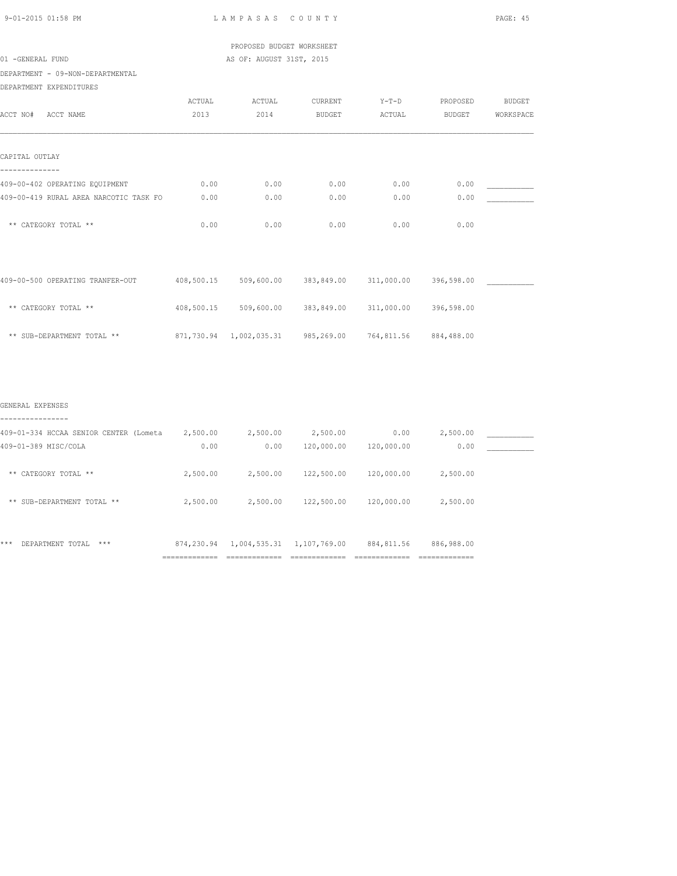| $9 - 01 - 2015$ 01:58 PM |  |
|--------------------------|--|

LAMPASAS COUNTY PAGE: 45

 PROPOSED BUDGET WORKSHEET 01 -GENERAL FUND AS OF: AUGUST 31ST, 2015

DEPARTMENT - 09-NON-DEPARTMENTAL

## DEPARTMENT EXPENDITURES

| ACCT NO#                               | <b>ACTUAL</b> | ACTUAL       | <b>CURRENT</b> | $Y-T-D$    | PROPOSED      | <b>BUDGET</b> |
|----------------------------------------|---------------|--------------|----------------|------------|---------------|---------------|
| ACCT NAME                              | 2013          | 2014         | <b>BUDGET</b>  | ACTUAL     | <b>BUDGET</b> | WORKSPACE     |
| CAPITAL OUTLAY                         |               |              |                |            |               |               |
| 409-00-402 OPERATING EQUIPMENT         | 0.00          | 0.00         | 0.00           | 0.00       | 0.00          |               |
| 409-00-419 RURAL AREA NARCOTIC TASK FO | 0.00          | 0.00         | 0.00           | 0.00       | 0.00          |               |
| ** CATEGORY TOTAL **                   | 0.00          | 0.00         | 0.00           | 0.00       | 0.00          |               |
| 409-00-500 OPERATING TRANFER-OUT       | 408,500.15    | 509,600.00   | 383,849.00     | 311,000.00 | 396,598.00    |               |
| ** CATEGORY TOTAL **                   | 408,500.15    | 509,600.00   | 383,849.00     | 311,000.00 | 396,598.00    |               |
| ** SUB-DEPARTMENT TOTAL **             | 871,730.94    | 1,002,035.31 | 985,269.00     | 764,811.56 | 884,488.00    |               |

### GENERAL EXPENSES

| ----------                              |                                |                                     |              |                                |                                               |  |
|-----------------------------------------|--------------------------------|-------------------------------------|--------------|--------------------------------|-----------------------------------------------|--|
| 409-01-334 HCCAA SENIOR CENTER (Lometa  | 2,500.00                       | 2,500.00                            | 2,500.00     | 0.00                           | 2,500.00                                      |  |
| 409-01-389 MISC/COLA                    | 0.00                           | 0.00                                | 120,000.00   | 120,000.00                     | 0.00                                          |  |
| CATEGORY TOTAL **<br>**                 | 2,500.00                       | 2,500.00                            | 122,500.00   | 120,000.00                     | 2,500.00                                      |  |
| SUB-DEPARTMENT TOTAL **<br>$\star\star$ | 2,500.00                       | 2,500.00                            | 122,500.00   | 120,000.00                     | 2,500.00                                      |  |
| ***<br>DEPARTMENT TOTAL<br>$***$        | 874,230.94<br>---------------- | 1,004,535.31<br>------------------- | 1,107,769.00 | 884, 811.56<br>--------------- | 886,988.00<br>--------------<br>------------- |  |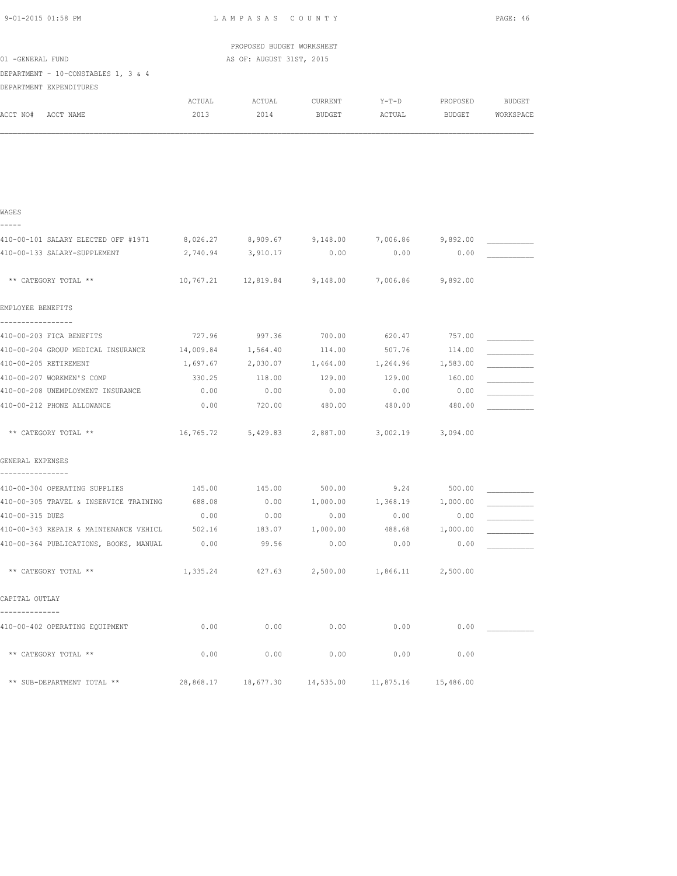| 9-01-2015 01:58 PM                                        |                | LAMPASAS COUNTY           |                                                        |                |           | PAGE: 46  |
|-----------------------------------------------------------|----------------|---------------------------|--------------------------------------------------------|----------------|-----------|-----------|
|                                                           |                | PROPOSED BUDGET WORKSHEET |                                                        |                |           |           |
| 01 -GENERAL FUND                                          |                | AS OF: AUGUST 31ST, 2015  |                                                        |                |           |           |
| DEPARTMENT - 10-CONSTABLES 1, 3 & 4                       |                |                           |                                                        |                |           |           |
| DEPARTMENT EXPENDITURES                                   |                |                           |                                                        |                |           |           |
|                                                           | ACTUAL         | ACTUAL                    | CURRENT                                                | $Y-T-D$        | PROPOSED  | BUDGET    |
| ACCT NO# ACCT NAME                                        | 2013           | 2014                      | BUDGET                                                 | ACTUAL         | BUDGET    | WORKSPACE |
|                                                           |                |                           |                                                        |                |           |           |
|                                                           |                |                           |                                                        |                |           |           |
|                                                           |                |                           |                                                        |                |           |           |
|                                                           |                |                           |                                                        |                |           |           |
|                                                           |                |                           |                                                        |                |           |           |
|                                                           |                |                           |                                                        |                |           |           |
| WAGES                                                     |                |                           |                                                        |                |           |           |
|                                                           |                |                           |                                                        |                |           |           |
| 410-00-101 SALARY ELECTED OFF #1971                       | 8,026.27       | 8,909.67                  | 9,148.00                                               | 7,006.86       | 9,892.00  |           |
| 410-00-133 SALARY-SUPPLEMENT                              | 2,740.94       | 3,910.17                  | 0.00                                                   | 0.00           | 0.00      |           |
| ** CATEGORY TOTAL **                                      |                |                           | 10,767.21  12,819.84  9,148.00                         | 7,006.86       | 9,892.00  |           |
|                                                           |                |                           |                                                        |                |           |           |
| EMPLOYEE BENEFITS                                         |                |                           |                                                        |                |           |           |
| -----------------                                         |                |                           |                                                        |                |           |           |
| 410-00-203 FICA BENEFITS                                  |                |                           | 727.96 997.36 700.00                                   | 620.47 757.00  |           |           |
| 410-00-204 GROUP MEDICAL INSURANCE 14,009.84 1,564.40     |                |                           | 114.00                                                 | 507.76         | 114.00    |           |
| 410-00-205 RETIREMENT                                     |                |                           | $1,697.67$ $2,030.07$ $1,464.00$ $1,264.96$ $1,583.00$ |                |           |           |
| 410-00-207 WORKMEN'S COMP                                 | 330.25         | 118.00                    | 129.00                                                 | 129.00         | 160.00    |           |
| 410-00-208 UNEMPLOYMENT INSURANCE                         | 0.00           | 0.00                      | 0.00                                                   | 0.00           | 0.00      |           |
| 410-00-212 PHONE ALLOWANCE                                | 0.00           | 720.00                    | 480.00                                                 | 480.00         | 480.00    |           |
|                                                           |                |                           |                                                        |                |           |           |
| ** CATEGORY TOTAL **                                      | 16,765.72      |                           | 5,429.83 2,887.00                                      | 3,002.19       | 3,094.00  |           |
|                                                           |                |                           |                                                        |                |           |           |
| GENERAL EXPENSES                                          |                |                           |                                                        |                |           |           |
| ----------------                                          |                |                           |                                                        |                |           |           |
| 410-00-304 OPERATING SUPPLIES                             |                | 145.00 145.00             | 500.00                                                 | 9.24           | 500.00    |           |
| 410-00-305 TRAVEL & INSERVICE TRAINING                    | 688.08         | 0.00                      | 1,000.00                                               | 1,368.19       | 1,000.00  |           |
| 410-00-315 DUES<br>410-00-343 REPAIR & MAINTENANCE VEHICL | 0.00<br>502.16 | 0.00                      | 0.00                                                   | 0.00<br>488.68 | 0.00      |           |
|                                                           |                | 183.07                    | 1,000.00                                               |                | 1,000.00  |           |
| 410-00-364 PUBLICATIONS, BOOKS, MANUAL                    | 0.00           | 99.56                     | 0.00                                                   | 0.00           | 0.00      |           |
| ** CATEGORY TOTAL **                                      | 1,335.24       | 427.63                    | 2,500.00                                               | 1,866.11       | 2,500.00  |           |
|                                                           |                |                           |                                                        |                |           |           |
| CAPITAL OUTLAY                                            |                |                           |                                                        |                |           |           |
|                                                           |                |                           |                                                        |                |           |           |
| 410-00-402 OPERATING EQUIPMENT                            | 0.00           | 0.00                      | 0.00                                                   | 0.00           | 0.00      |           |
|                                                           |                |                           |                                                        |                |           |           |
| ** CATEGORY TOTAL **                                      | 0.00           | 0.00                      | 0.00                                                   | 0.00           | 0.00      |           |
|                                                           |                |                           |                                                        |                |           |           |
| ** SUB-DEPARTMENT TOTAL **                                | 28,868.17      | 18,677.30                 | 14,535.00                                              | 11,875.16      | 15,486.00 |           |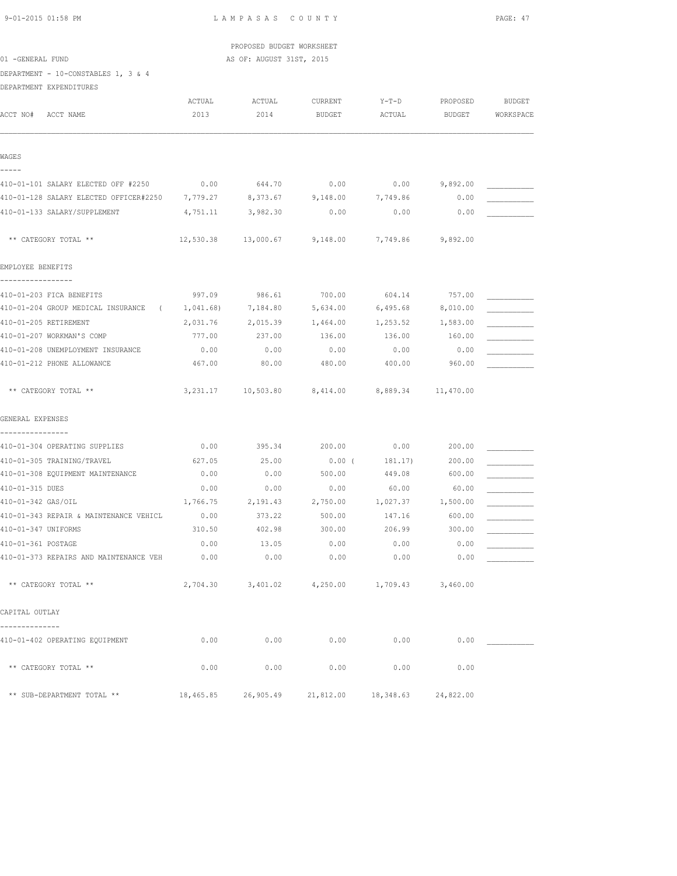PROPOSED BUDGET WORKSHEET 01 -GENERAL FUND AS OF: AUGUST 31ST, 2015

DEPARTMENT - 10-CONSTABLES 1, 3 & 4

DEPARTMENT EXPENDITURES

| ACCT NO#            | ACCT NAME                                                                  | ACTUAL<br>2013 | ACTUAL<br>2014 | CURRENT<br><b>BUDGET</b>                                    | $Y-T-D$<br>ACTUAL     | PROPOSED<br>BUDGET | <b>BUDGET</b><br>WORKSPACE |
|---------------------|----------------------------------------------------------------------------|----------------|----------------|-------------------------------------------------------------|-----------------------|--------------------|----------------------------|
| WAGES               |                                                                            |                |                |                                                             |                       |                    |                            |
|                     | 410-01-101 SALARY ELECTED OFF #2250                                        | 0.00           | 644.70         | 0.00                                                        | 0.00                  | 9,892.00           |                            |
|                     | 410-01-128 SALARY ELECTED OFFICER#2250 7,779.27 8,373.67 9,148.00 7,749.86 |                |                |                                                             |                       | 0.00               |                            |
|                     | 410-01-133 SALARY/SUPPLEMENT                                               | 4,751.11       | 3,982.30       | 0.00                                                        | 0.00                  | 0.00               |                            |
|                     | ** CATEGORY TOTAL **                                                       |                |                | $12,530.38$ $13,000.67$ $9,148.00$ $7,749.86$ $9,892.00$    |                       |                    |                            |
| EMPLOYEE BENEFITS   |                                                                            |                |                |                                                             |                       |                    |                            |
|                     | 410-01-203 FICA BENEFITS                                                   | 997.09         | 986.61         | 700.00                                                      | 604.14                | 757.00             |                            |
|                     | 410-01-204 GROUP MEDICAL INSURANCE (                                       | 1,041.68)      | 7,184.80       | 5,634.00                                                    | 6,495.68              | 8,010.00           |                            |
|                     | 410-01-205 RETIREMENT                                                      | 2,031.76       | 2,015.39       | 1,464.00                                                    | 1,253.52              | 1,583.00           |                            |
|                     | 410-01-207 WORKMAN'S COMP                                                  | 777.00         | 237.00         | 136.00                                                      | 136.00                | 160.00             |                            |
|                     | 410-01-208 UNEMPLOYMENT INSURANCE                                          | 0.00           | 0.00           | 0.00                                                        | 0.00                  | 0.00               |                            |
|                     | 410-01-212 PHONE ALLOWANCE                                                 | 467.00         | 80.00          | 480.00                                                      | 400.00                | 960.00             |                            |
|                     | ** CATEGORY TOTAL **                                                       |                |                | 3, 231.17   10, 503.80   8, 414.00   8, 889.34   11, 470.00 |                       |                    |                            |
| GENERAL EXPENSES    |                                                                            |                |                |                                                             |                       |                    |                            |
|                     | -----------<br>410-01-304 OPERATING SUPPLIES                               | 0.00           |                | 395.34 200.00                                               | $0.00$ 200.00         |                    |                            |
|                     | 410-01-305 TRAINING/TRAVEL                                                 | 627.05         | 25.00          | $0.00$ (                                                    | 181.17)               | 200.00             |                            |
|                     | 410-01-308 EQUIPMENT MAINTENANCE                                           | 0.00           | 0.00           | 500.00                                                      | 449.08                | 600.00             |                            |
| 410-01-315 DUES     |                                                                            | 0.00           | 0.00           | 0.00                                                        | 60.00                 | 60.00              |                            |
| 410-01-342 GAS/OIL  |                                                                            | 1,766.75       | 2,191.43       | 2,750.00                                                    | 1,027.37              | 1,500.00           |                            |
|                     | 410-01-343 REPAIR & MAINTENANCE VEHICL                                     | 0.00           | 373.22         | 500.00                                                      | 147.16                | 600.00             |                            |
| 410-01-347 UNIFORMS |                                                                            | 310.50         | 402.98         | 300.00                                                      | 206.99                | 300.00             |                            |
| 410-01-361 POSTAGE  |                                                                            | 0.00           | 13.05          | 0.00                                                        | 0.00                  | 0.00               |                            |
|                     | 410-01-373 REPAIRS AND MAINTENANCE VEH                                     | 0.00           | 0.00           | 0.00                                                        | 0.00                  | 0.00               |                            |
|                     | ** CATEGORY TOTAL **                                                       | 2,704.30       | 3,401.02       | 4,250.00                                                    | $1,709.43$ $3,460.00$ |                    |                            |
| CAPITAL OUTLAY      |                                                                            |                |                |                                                             |                       |                    |                            |
|                     | 410-01-402 OPERATING EQUIPMENT                                             | 0.00           | 0.00           | 0.00                                                        | 0.00                  | 0.00               |                            |
|                     | ** CATEGORY TOTAL **                                                       | 0.00           | 0.00           | 0.00                                                        | 0.00                  | 0.00               |                            |
|                     | ** SUB-DEPARTMENT TOTAL **                                                 | 18,465.85      | 26,905.49      |                                                             | 21,812.00 18,348.63   | 24,822.00          |                            |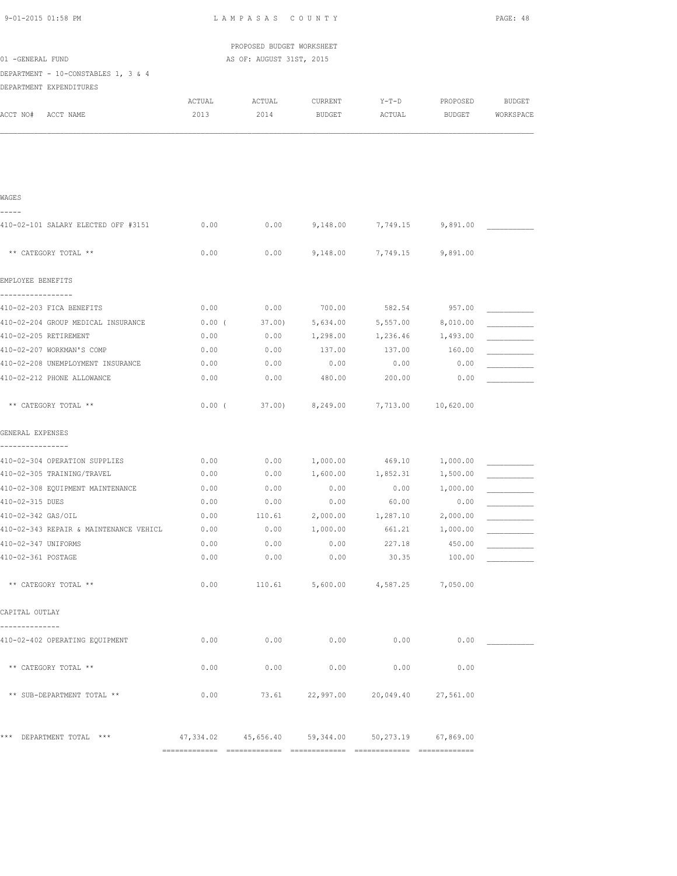| 9-01-2015 01:58 PM                                |          | LAMPASAS COUNTY           |                                 |                                   |           |               |
|---------------------------------------------------|----------|---------------------------|---------------------------------|-----------------------------------|-----------|---------------|
|                                                   |          | PROPOSED BUDGET WORKSHEET |                                 |                                   |           |               |
| 01 -GENERAL FUND                                  |          | AS OF: AUGUST 31ST, 2015  |                                 |                                   |           |               |
| DEPARTMENT - 10-CONSTABLES 1, 3 & 4               |          |                           |                                 |                                   |           |               |
| DEPARTMENT EXPENDITURES                           |          |                           |                                 |                                   |           |               |
|                                                   | ACTUAL   | ACTUAL                    | CURRENT                         | Y-T-D                             | PROPOSED  | <b>BUDGET</b> |
| ACCT NO# ACCT NAME                                | 2013     | 2014                      | BUDGET                          | ACTUAL                            | BUDGET    | WORKSPACE     |
|                                                   |          |                           |                                 |                                   |           |               |
|                                                   |          |                           |                                 |                                   |           |               |
| WAGES                                             |          |                           |                                 |                                   |           |               |
| -----<br>410-02-101 SALARY ELECTED OFF #3151      | 0.00     |                           |                                 | $0.00$ 9,148.00 7,749.15 9,891.00 |           |               |
| ** CATEGORY TOTAL **                              | 0.00     | 0.00                      | 9,148.00                        | 7,749.15                          | 9,891.00  |               |
| EMPLOYEE BENEFITS                                 |          |                           |                                 |                                   |           |               |
| -----------------<br>410-02-203 FICA BENEFITS     | 0.00     | 0.00                      | 700.00                          | 582.54                            | 957.00    |               |
| 410-02-204 GROUP MEDICAL INSURANCE                | $0.00$ ( | 37.00)                    | 5,634.00                        | 5,557.00                          | 8,010.00  |               |
| 410-02-205 RETIREMENT                             | 0.00     | 0.00                      | 1,298.00                        | 1,236.46 1,493.00                 |           |               |
| 410-02-207 WORKMAN'S COMP                         | 0.00     | 0.00                      | 137.00                          | 137.00                            | 160.00    |               |
| 410-02-208 UNEMPLOYMENT INSURANCE                 | 0.00     | 0.00                      | 0.00                            | 0.00                              | 0.00      |               |
| 410-02-212 PHONE ALLOWANCE                        | 0.00     | 0.00                      | 480.00                          | 200.00                            | 0.00      |               |
| ** CATEGORY TOTAL **                              | $0.00$ ( |                           | 37.00) 8,249.00                 | 7,713.00 10,620.00                |           |               |
| GENERAL EXPENSES                                  |          |                           |                                 |                                   |           |               |
| ----------------<br>410-02-304 OPERATION SUPPLIES | 0.00     | 0.00                      | 1,000.00                        | 469.10                            | 1,000.00  |               |
| 410-02-305 TRAINING/TRAVEL                        | 0.00     | 0.00                      | 1,600.00                        | 1,852.31                          | 1,500.00  |               |
| 410-02-308 EQUIPMENT MAINTENANCE                  | 0.00     | 0.00                      | 0.00                            | 0.00                              | 1,000.00  |               |
| 410-02-315 DUES                                   | 0.00     | 0.00                      | 0.00                            | 60.00                             | 0.00      |               |
| 410-02-342 GAS/OIL                                | 0.00     | 110.61                    | 2,000.00                        | 1,287.10                          | 2,000.00  |               |
| 410-02-343 REPAIR & MAINTENANCE VEHICL            | 0.00     | 0.00                      | 1,000.00                        | 661.21                            | 1,000.00  |               |
| 410-02-347 UNIFORMS                               | 0.00     | 0.00                      | 0.00                            | 227.18                            | 450.00    |               |
| 410-02-361 POSTAGE                                | 0.00     | 0.00                      | 0.00                            | 30.35                             | 100.00    |               |
| ** CATEGORY TOTAL **                              | 0.00     | 110.61                    | 5,600.00                        | 4,587.25                          | 7,050.00  |               |
| CAPITAL OUTLAY                                    |          |                           |                                 |                                   |           |               |
| --------------<br>410-02-402 OPERATING EQUIPMENT  | 0.00     | 0.00                      | 0.00                            | 0.00                              | 0.00      |               |
| ** CATEGORY TOTAL **                              | 0.00     | 0.00                      | 0.00                            | 0.00                              | 0.00      |               |
| ** SUB-DEPARTMENT TOTAL **                        | 0.00     |                           |                                 | 73.61 22,997.00 20,049.40         | 27,561.00 |               |
| *** DEPARTMENT TOTAL ***                          |          |                           | 47,334.02  45,656.40  59,344.00 | 50,273.19                         | 67,869.00 |               |
|                                                   |          |                           |                                 |                                   |           |               |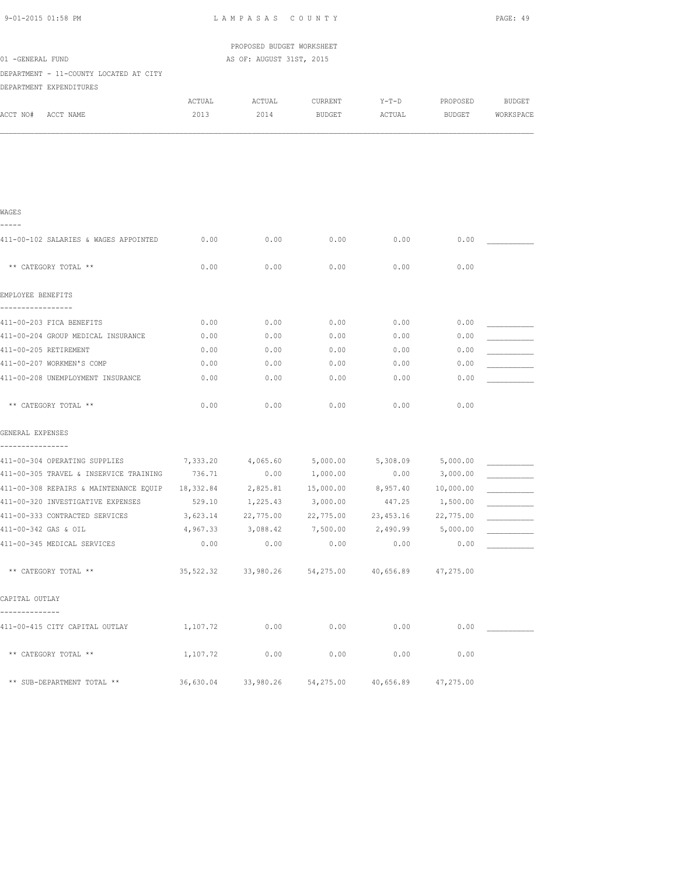| 9-01-2015 01:58 PM                                 |          | LAMPASAS COUNTY              |                               |                     |              | PAGE: 49  |
|----------------------------------------------------|----------|------------------------------|-------------------------------|---------------------|--------------|-----------|
|                                                    |          | PROPOSED BUDGET WORKSHEET    |                               |                     |              |           |
| 01 -GENERAL FUND                                   |          | AS OF: AUGUST 31ST, 2015     |                               |                     |              |           |
| DEPARTMENT - 11-COUNTY LOCATED AT CITY             |          |                              |                               |                     |              |           |
| DEPARTMENT EXPENDITURES                            |          |                              |                               |                     |              |           |
|                                                    | ACTUAL   | ACTUAL                       | CURRENT                       | Y-T-D               | PROPOSED     | BUDGET    |
| ACCT NO#<br>ACCT NAME                              | 2013     | 2014                         | <b>BUDGET</b>                 | ACTUAL              | BUDGET       | WORKSPACE |
|                                                    |          |                              |                               |                     |              |           |
|                                                    |          |                              |                               |                     |              |           |
|                                                    |          |                              |                               |                     |              |           |
|                                                    |          |                              |                               |                     |              |           |
|                                                    |          |                              |                               |                     |              |           |
|                                                    |          |                              |                               |                     |              |           |
| WAGES                                              |          |                              |                               |                     |              |           |
| -----                                              |          |                              |                               |                     |              |           |
| 411-00-102 SALARIES & WAGES APPOINTED              | 0.00     | 0.00                         | 0.00                          | 0.00                | 0.00         |           |
|                                                    |          |                              |                               |                     |              |           |
| ** CATEGORY TOTAL **                               | 0.00     | 0.00                         | 0.00                          | 0.00                | 0.00         |           |
|                                                    |          |                              |                               |                     |              |           |
| EMPLOYEE BENEFITS                                  |          |                              |                               |                     |              |           |
| -----------------                                  |          |                              |                               |                     |              |           |
| 411-00-203 FICA BENEFITS                           | 0.00     | 0.00                         | 0.00                          | 0.00                | 0.00         |           |
| 411-00-204 GROUP MEDICAL INSURANCE                 | 0.00     | 0.00                         | 0.00                          | 0.00                | 0.00         |           |
| 411-00-205 RETIREMENT<br>411-00-207 WORKMEN'S COMP | 0.00     | 0.00                         | 0.00                          | 0.00<br>0.00        | 0.00<br>0.00 |           |
|                                                    | 0.00     | 0.00                         | 0.00                          |                     |              |           |
| 411-00-208 UNEMPLOYMENT INSURANCE                  | 0.00     | 0.00                         | 0.00                          | 0.00                | 0.00         |           |
|                                                    | 0.00     | 0.00                         | 0.00                          | 0.00                | 0.00         |           |
| ** CATEGORY TOTAL **                               |          |                              |                               |                     |              |           |
| GENERAL EXPENSES                                   |          |                              |                               |                     |              |           |
|                                                    |          |                              |                               |                     |              |           |
| 411-00-304 OPERATING SUPPLIES                      | 7,333.20 | 4,065.60                     | 5,000.00                      | 5,308.09            | 5,000.00     |           |
| 411-00-305 TRAVEL & INSERVICE TRAINING             | 736.71   | 0.00                         | 1,000.00                      | 0.00                | 3,000.00     |           |
| 411-00-308 REPAIRS & MAINTENANCE EQUIP             |          | 18,332.84 2,825.81 15,000.00 |                               | 8,957.40            | 10,000.00    |           |
| 411-00-320 INVESTIGATIVE EXPENSES                  |          | 529.10 1,225.43 3,000.00     |                               | 447.25 1,500.00     |              |           |
| 411-00-333 CONTRACTED SERVICES                     | 3,623.14 | 22,775.00                    | 22,775.00                     | 23,453.16           | 22,775.00    |           |
| 411-00-342 GAS & OIL                               |          | 4,967.33 3,088.42 7,500.00   |                               | 2,490.99 5,000.00   |              |           |
| 411-00-345 MEDICAL SERVICES                        | 0.00     | 0.00                         | 0.00                          | 0.00                | 0.00         |           |
|                                                    |          |                              |                               |                     |              |           |
| ** CATEGORY TOTAL **                               |          |                              | 35,522.32 33,980.26 54,275.00 | 40,656.89 47,275.00 |              |           |
|                                                    |          |                              |                               |                     |              |           |
| CAPITAL OUTLAY                                     |          |                              |                               |                     |              |           |
| -------------                                      |          |                              |                               |                     |              |           |
| 411-00-415 CITY CAPITAL OUTLAY                     | 1,107.72 | 0.00                         | 0.00                          | 0.00                |              | 0.00      |
|                                                    |          |                              |                               |                     |              |           |
| ** CATEGORY TOTAL **                               | 1,107.72 | 0.00                         | 0.00                          | 0.00                | 0.00         |           |
|                                                    |          |                              |                               |                     |              |           |
| ** SUB-DEPARTMENT TOTAL **                         |          | 36,630.04 33,980.26          | 54,275.00                     | 40,656.89           | 47,275.00    |           |
|                                                    |          |                              |                               |                     |              |           |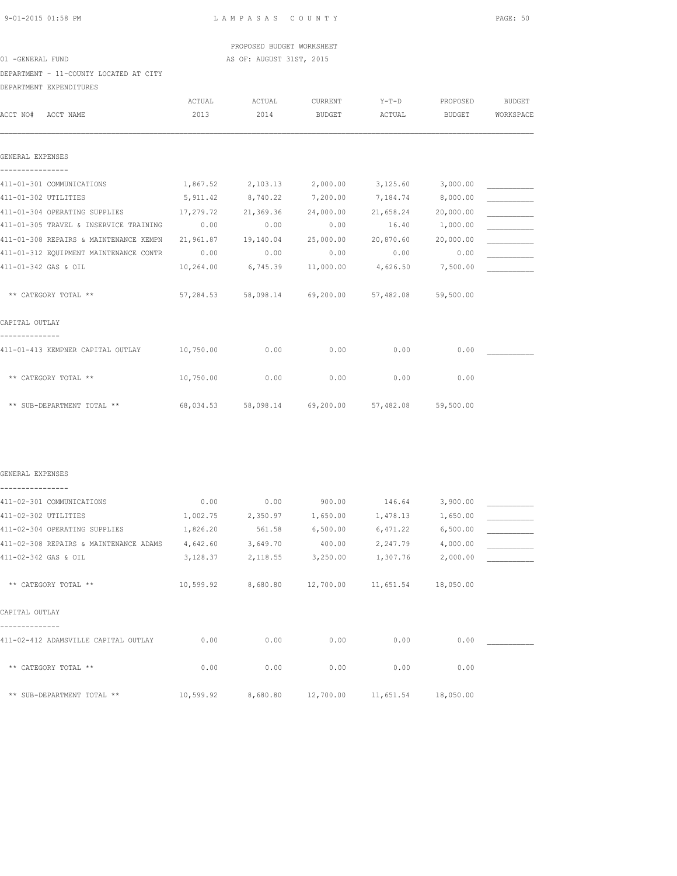# PROPOSED BUDGET WORKSHEET 01 -GENERAL FUND AS OF: AUGUST 31ST, 2015

DEPARTMENT - 11-COUNTY LOCATED AT CITY

DEPARTMENT EXPENDITURES

|                                                                | ACTUAL               | ACTUAL    | CURRENT   | $Y-T-D$                         | PROPOSED            | <b>BUDGET</b> |
|----------------------------------------------------------------|----------------------|-----------|-----------|---------------------------------|---------------------|---------------|
| ACCT NO#<br>ACCT NAME                                          | 2013                 | 2014      | BUDGET    | ACTUAL                          | BUDGET              | WORKSPACE     |
| GENERAL EXPENSES                                               |                      |           |           |                                 |                     |               |
|                                                                |                      |           |           |                                 |                     |               |
| 411-01-301 COMMUNICATIONS                                      | 1,867.52             | 2,103.13  | 2,000.00  | 3,125.60                        | 3,000.00            |               |
| 411-01-302 UTILITIES                                           | 5,911.42             | 8,740.22  | 7,200.00  | 7,184.74                        | 8,000.00            |               |
| 411-01-304 OPERATING SUPPLIES                                  | 17,279.72            | 21,369.36 | 24,000.00 | 21,658.24                       | 20,000.00           |               |
| 411-01-305 TRAVEL & INSERVICE TRAINING                         | 0.00                 | 0.00      | 0.00      | 16.40                           | 1,000.00            |               |
| 411-01-308 REPAIRS & MAINTENANCE KEMPN                         | 21,961.87            | 19,140.04 | 25,000.00 | 20,870.60                       | 20,000.00           |               |
| 411-01-312 EQUIPMENT MAINTENANCE CONTR                         | 0.00                 | 0.00      | 0.00      | 0.00                            | 0.00                |               |
| 411-01-342 GAS & OIL                                           | 10,264.00            | 6,745.39  | 11,000.00 | 4,626.50                        | 7,500.00            |               |
| ** CATEGORY TOTAL **                                           | 57,284.53            | 58,098.14 | 69,200.00 |                                 | 57,482.08 59,500.00 |               |
| CAPITAL OUTLAY                                                 |                      |           |           |                                 |                     |               |
|                                                                |                      |           |           |                                 |                     |               |
| 411-01-413 KEMPNER CAPITAL OUTLAY                              | 10,750.00            | 0.00      | 0.00      | 0.00                            | 0.00                |               |
| ** CATEGORY TOTAL **                                           | 10,750.00            | 0.00      | 0.00      | 0.00                            | 0.00                |               |
| ** SUB-DEPARTMENT TOTAL **                                     | 68,034.53            | 58,098.14 | 69,200.00 | 57,482.08                       | 59,500.00           |               |
| GENERAL EXPENSES                                               |                      |           |           |                                 |                     |               |
|                                                                |                      |           |           |                                 |                     |               |
| 411-02-301 COMMUNICATIONS                                      | 0.00                 | 0.00      | 900.00    | 146.64                          | 3,900.00            |               |
| 411-02-302 UTILITIES                                           | 1,002.75             | 2,350.97  | 1,650.00  | 1,478.13                        | 1,650.00            |               |
| 411-02-304 OPERATING SUPPLIES                                  | 1,826.20             | 561.58    | 6,500.00  | 6,471.22                        | 6,500.00            |               |
| 411-02-308 REPAIRS & MAINTENANCE ADAMS<br>411-02-342 GAS & OIL | 4,642.60<br>3,128.37 | 3,649.70  | 400.00    | 2,247.79                        | 4,000.00            |               |
|                                                                |                      | 2,118.55  | 3,250.00  | 1,307.76                        | 2,000.00            |               |
| ** CATEGORY TOTAL **                                           | 10,599.92            | 8,680.80  | 12,700.00 | 11,651.54                       | 18,050.00           |               |
| CAPITAL OUTLAY                                                 |                      |           |           |                                 |                     |               |
| 411-02-412 ADAMSVILLE CAPITAL OUTLAY                           | 0.00                 | 0.00      | 0.00      | 0.00                            | 0.00                |               |
| ** CATEGORY TOTAL **                                           | 0.00                 | 0.00      | 0.00      | 0.00                            | 0.00                |               |
| ** SUB-DEPARTMENT TOTAL **                                     | 10,599.92            | 8,680.80  |           | 12,700.00  11,651.54  18,050.00 |                     |               |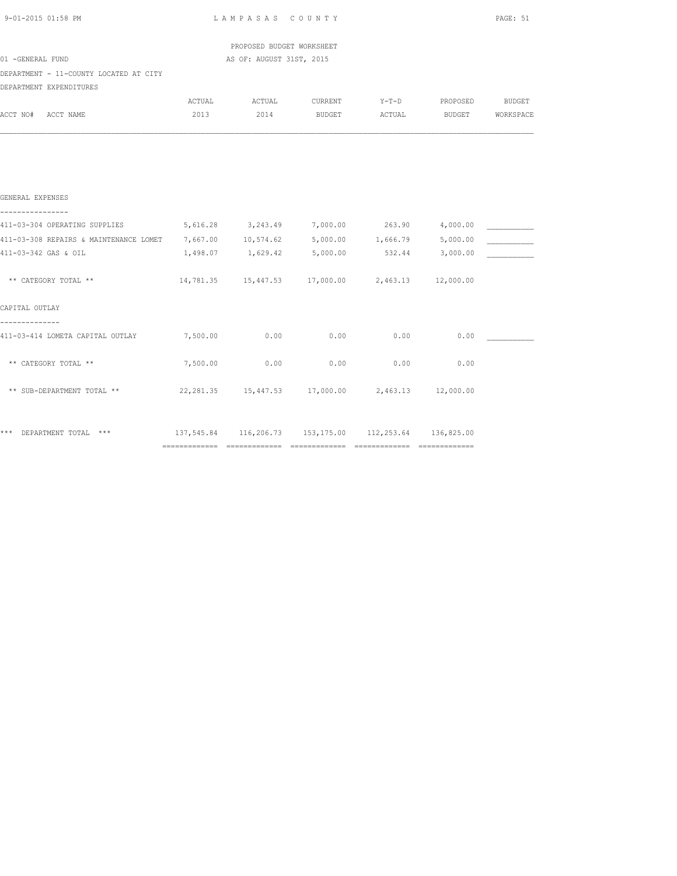| 9-01-2015 01:58 PM                                                          | LAMPASAS COUNTY | PAGE: 51                                              |               |         |                         |        |  |
|-----------------------------------------------------------------------------|-----------------|-------------------------------------------------------|---------------|---------|-------------------------|--------|--|
|                                                                             |                 | PROPOSED BUDGET WORKSHEET                             |               |         |                         |        |  |
| 01 -GENERAL FUND                                                            |                 | AS OF: AUGUST 31ST, 2015                              |               |         |                         |        |  |
| DEPARTMENT - 11-COUNTY LOCATED AT CITY                                      |                 |                                                       |               |         |                         |        |  |
| DEPARTMENT EXPENDITURES                                                     |                 |                                                       |               |         |                         |        |  |
|                                                                             | ACTUAL          | ACTUAL                                                | CURRENT       | $Y-T-D$ | PROPOSED                | BUDGET |  |
| ACCT NO# ACCT NAME                                                          | 2013            | 2014                                                  | <b>BUDGET</b> |         | ACTUAL BUDGET WORKSPACE |        |  |
|                                                                             |                 |                                                       |               |         |                         |        |  |
| GENERAL EXPENSES                                                            |                 |                                                       |               |         |                         |        |  |
| 411-03-304 OPERATING SUPPLIES 616.28 3,243.49 7,000.00 263.90 4,000.00      |                 |                                                       |               |         |                         |        |  |
| 411-03-308 REPAIRS & MAINTENANCE LOMET 7,667.00 10,574.62 5,000.00 1,666.79 |                 |                                                       |               |         | 5,000.00                |        |  |
| 411-03-342 GAS & OIL                                                        |                 |                                                       |               | 532.44  | 3,000.00                |        |  |
| ** CATEGORY TOTAL **                                                        |                 | 14,781.35  15,447.53  17,000.00  2,463.13  12,000.00  |               |         |                         |        |  |
| CAPITAL OUTLAY                                                              |                 |                                                       |               |         |                         |        |  |
| 411-03-414 LOMETA CAPITAL OUTLAY                                            | 7,500.00 0.00   |                                                       | 0.00          | 0.00    | 0.00                    |        |  |
| ** CATEGORY TOTAL **                                                        | 7,500.00        | 0.00                                                  | 0.00          | 0.00    | 0.00                    |        |  |
| ** SUB-DEPARTMENT TOTAL **                                                  |                 | 22, 281.35 15, 447.53 17, 000.00 2, 463.13 12, 000.00 |               |         |                         |        |  |
|                                                                             |                 |                                                       |               |         |                         |        |  |
|                                                                             |                 |                                                       |               |         |                         |        |  |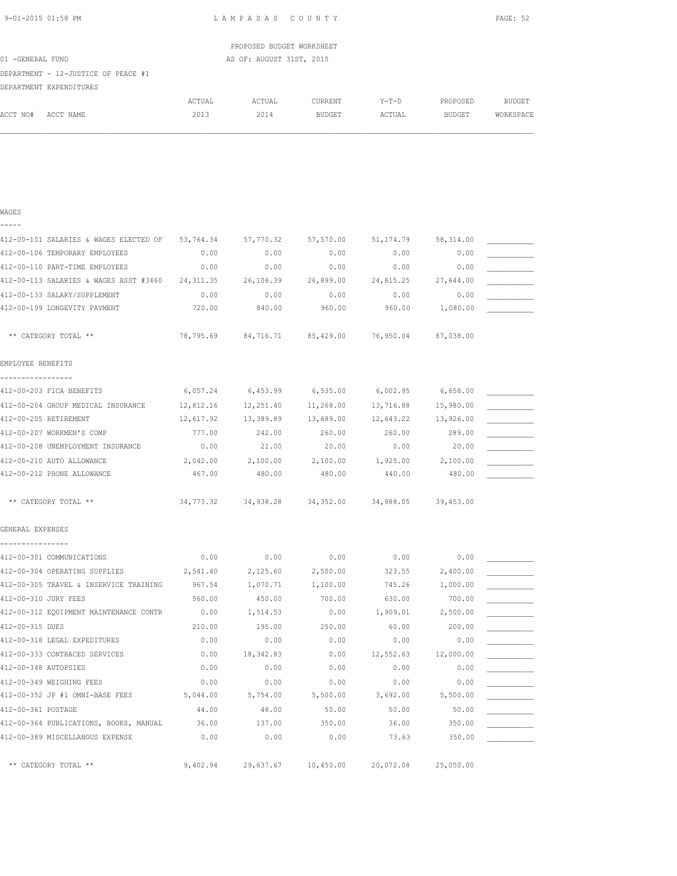| 9-01-2015 01:58 PM |  |
|--------------------|--|
|                    |  |

WAGES

LAMPASAS COUNTY PAGE: 52

|                                     |        | PROPOSED BUDGET WORKSHEET |                |         |          |           |
|-------------------------------------|--------|---------------------------|----------------|---------|----------|-----------|
| 01 -GENERAL FUND                    |        | AS OF: AUGUST 31ST, 2015  |                |         |          |           |
| DEPARTMENT - 12-JUSTICE OF PEACE #1 |        |                           |                |         |          |           |
| DEPARTMENT EXPENDITURES             |        |                           |                |         |          |           |
|                                     | ACTUAL | ACTUAL                    | <b>CURRENT</b> | $Y-T-D$ | PROPOSED | BUDGET    |
| ACCT NO#<br>ACCT NAME               | 2013   | 2014                      | <b>BUDGET</b>  | ACTUAL  | BUDGET   | WORKSPACE |
|                                     |        |                           |                |         |          |           |

| -----                                    |            |                                                   |           |                   |            |  |
|------------------------------------------|------------|---------------------------------------------------|-----------|-------------------|------------|--|
| 412-00-101 SALARIES & WAGES ELECTED OF   | 53,764.34  | 57,770.32                                         | 57,570.00 | 51, 174.79        | 58, 314.00 |  |
| 412-00-106 TEMPORARY EMPLOYEES           | 0.00       | 0.00                                              | 0.00      | 0.00              | 0.00       |  |
| 412-00-110 PART-TIME EMPLOYEES           | 0.00       | 0.00                                              | 0.00      | 0.00              | 0.00       |  |
| 412-00-113 SALARIES & WAGES ASST #3460   | 24, 311.35 | 26,106.39                                         | 26,899.00 | 24,815.25         | 27,644.00  |  |
| 412-00-133 SALARY/SUPPLEMENT             | 0.00       | 0.00                                              | 0.00      | 0.00              | 0.00       |  |
| 412-00-199 LONGEVITY PAYMENT             | 720.00     | 840.00                                            | 960.00    | 960.00            | 1,080.00   |  |
| ** CATEGORY TOTAL **                     |            | 78,795.69 84,716.71 85,429.00 76,950.04           |           |                   | 87,038.00  |  |
| EMPLOYEE BENEFITS                        |            |                                                   |           |                   |            |  |
| 412-00-203 FICA BENEFITS                 | 6,057.24   | 6,453.99                                          | 6,535.00  | 6,002.95          | 6,658.00   |  |
| 412-00-204 GROUP MEDICAL INSURANCE       | 12,812.16  | 12,251.40                                         | 11,268.00 | 13,716.88         | 15,980.00  |  |
| 412-00-205 RETIREMENT                    | 12,617.92  | 13,389.89                                         | 13,689.00 | 12,643.22         | 13,926.00  |  |
| 412-00-207 WORKMEN'S COMP                | 777.00     | 242.00                                            | 260.00    | 260.00            | 289.00     |  |
| 412-00-208 UNEMPLOYMENT INSURANCE        | 0.00       | 21.00                                             | 20.00     | 0.00              | 20.00      |  |
| 412-00-210 AUTO ALLOWANCE                | 2,042.00   | 2,100.00                                          | 2,100.00  | 1,925.00 2,100.00 |            |  |
| 412-00-212 PHONE ALLOWANCE               | 467.00     | 480.00                                            | 480.00    | 440.00            | 480.00     |  |
| ** CATEGORY TOTAL **                     |            | 34,773.32 34,938.28 34,352.00 34,988.05 39,453.00 |           |                   |            |  |
| GENERAL EXPENSES                         |            |                                                   |           |                   |            |  |
| ----------------                         |            |                                                   |           |                   |            |  |
| 412-00-301 COMMUNICATIONS                | 0.00       | 0.00                                              | 0.00      | 0.00              | 0.00       |  |
| 412-00-304 OPERATING SUPPLIES            | 2,541.40   | 2,125.60                                          | 2,500.00  | 323.55            | 2,400.00   |  |
| 412-00-305 TRAVEL & INSERVICE TRAINING   | 967.54     | 1,070.71                                          | 1,100.00  | 745.26            | 1,000.00   |  |
| 412-00-310 JURY FEES                     | 560.00     | 450.00                                            | 700.00    | 630.00            | 700.00     |  |
| 412-00-312 EQUIPMENT MAINTENANCE CONTR   | 0.00       | 1,514.53                                          | 0.00      | 1,909.01          | 2,500.00   |  |
| 412-00-315 DUES                          | 210.00     | 195.00                                            | 250.00    | 60.00             | 200.00     |  |
| 412-00-318 LEGAL EXPEDITURES             | 0.00       | 0.00                                              | 0.00      | 0.00              | 0.00       |  |
| 412-00-333 CONTRACED SERVICES            | 0.00       | 18,342.83                                         | 0.00      | 12,552.63         | 12,000.00  |  |
| 412-00-348 AUTOPSIES                     | 0.00       | 0.00                                              | 0.00      | 0.00              | 0.00       |  |
| 412-00-349 WEIGHING FEES                 | 0.00       | 0.00                                              | 0.00      | 0.00              | 0.00       |  |
| 412-00-352 JP #1 OMNI-BASE FEES 5,044.00 |            | 5,754.00                                          | 5,500.00  | 3,692.00          | 5,500.00   |  |
| 412-00-361 POSTAGE                       | 44.00      | 48.00                                             | 50.00     | 50.00             | 50.00      |  |
| 412-00-364 PUBLICATIONS, BOOKS, MANUAL   | 36.00      | 137.00                                            | 350.00    | 36.00             | 350.00     |  |
| 412-00-389 MISCELLANOUS EXPENSE          | 0.00       | 0.00                                              | 0.00      | 73.63             | 350.00     |  |
| ** CATEGORY TOTAL **                     | 9,402.94   | 29,637.67                                         | 10,450.00 | 20,072.08         | 25,050.00  |  |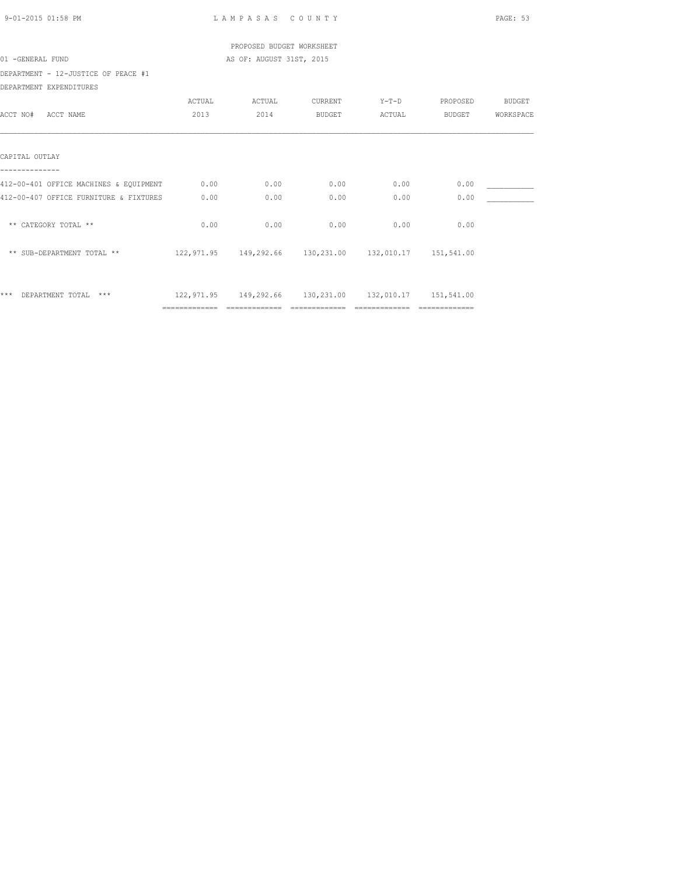| 9-01-2015 01:58 PM                     |                                  | LAMPASAS COUNTY           |                |                                                                 |                       | PAGE: 53  |
|----------------------------------------|----------------------------------|---------------------------|----------------|-----------------------------------------------------------------|-----------------------|-----------|
|                                        |                                  | PROPOSED BUDGET WORKSHEET |                |                                                                 |                       |           |
| 01 -GENERAL FUND                       |                                  | AS OF: AUGUST 31ST, 2015  |                |                                                                 |                       |           |
| DEPARTMENT - 12-JUSTICE OF PEACE #1    |                                  |                           |                |                                                                 |                       |           |
| DEPARTMENT EXPENDITURES                |                                  |                           |                |                                                                 |                       |           |
|                                        | ACTUAL                           | ACTUAL                    | CURRENT        |                                                                 | Y-T-D PROPOSED BUDGET |           |
| ACCT NO# ACCT NAME                     | 2013                             | 2014                      | <b>BUDGET</b>  |                                                                 | ACTUAL BUDGET         | WORKSPACE |
|                                        |                                  |                           |                |                                                                 |                       |           |
| CAPITAL OUTLAY                         |                                  |                           |                |                                                                 |                       |           |
|                                        |                                  |                           |                |                                                                 |                       |           |
| 412-00-401 OFFICE MACHINES & EQUIPMENT | 0.00                             | 0.00                      | 0.00           | 0.00                                                            | 0.00                  |           |
| 412-00-407 OFFICE FURNITURE & FIXTURES | 0.00                             | 0.00                      | 0.00           | 0.00                                                            | 0.00                  |           |
| ** CATEGORY TOTAL **                   | 0.00                             | 0.00                      | 0.00           | 0.00                                                            | 0.00                  |           |
| ** SUB-DEPARTMENT TOTAL **             |                                  |                           |                | 122,971.95  149,292.66  130,231.00  132,010.17  151,541.00      |                       |           |
| *** DEPARTMENT TOTAL ***               |                                  |                           |                | 122, 971.95  149, 292.66  130, 231.00  132, 010.17  151, 541.00 |                       |           |
|                                        | ================================ |                           | ============== | =================================                               |                       |           |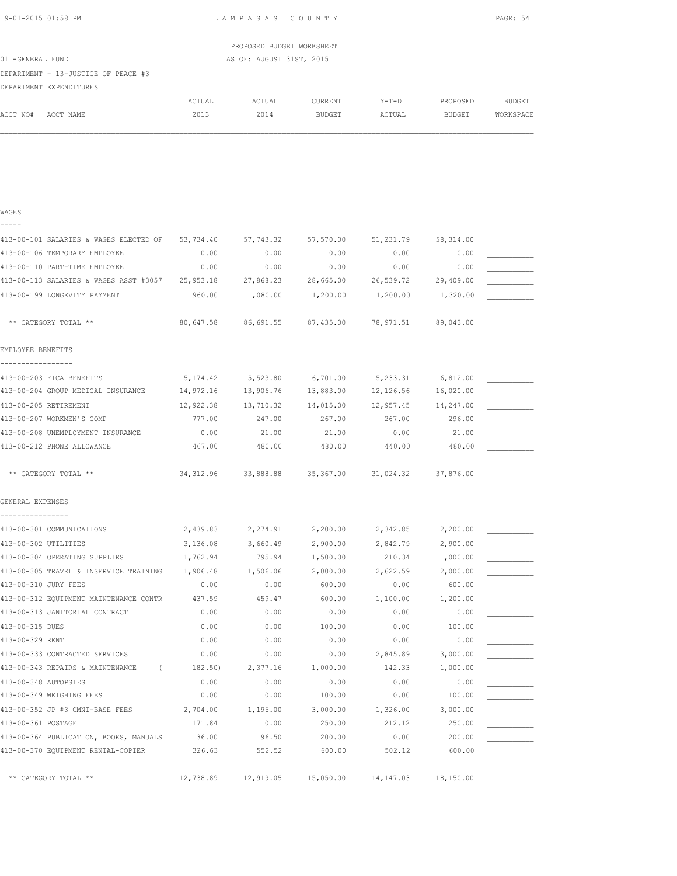| 9-01-2015 01:58 PM |  |
|--------------------|--|
|                    |  |

WAGES

LAMPASAS COUNTY PAGE: 54

| ACTUAL                                                                                          | ACTUAL | CURRENT | Y-T-D                                                 | PROPOSED      | <b>BUDGET</b> |
|-------------------------------------------------------------------------------------------------|--------|---------|-------------------------------------------------------|---------------|---------------|
| 2013                                                                                            | 2014   | BUDGET  | ACTUAL                                                | <b>BUDGET</b> | WORKSPACE     |
|                                                                                                 |        |         |                                                       |               |               |
| 01 -GENERAL FUND<br>DEPARTMENT - 13-JUSTICE OF PEACE #3<br>DEPARTMENT EXPENDITURES<br>ACCT NAME |        |         | PROPOSED BUDGET WORKSHEET<br>AS OF: AUGUST 31ST, 2015 |               |               |

| 413-00-101 SALARIES & WAGES ELECTED OF         | 53,734.40  | 57,743.32 | 57,570.00 | 51,231.79  | 58, 314.00 |  |
|------------------------------------------------|------------|-----------|-----------|------------|------------|--|
| 413-00-106 TEMPORARY EMPLOYEE                  | 0.00       | 0.00      | 0.00      | 0.00       | 0.00       |  |
| 413-00-110 PART-TIME EMPLOYEE                  | 0.00       | 0.00      | 0.00      | 0.00       | 0.00       |  |
| 413-00-113 SALARIES & WAGES ASST #3057         | 25,953.18  | 27,868.23 | 28,665.00 | 26,539.72  | 29,409.00  |  |
| 413-00-199 LONGEVITY PAYMENT                   | 960.00     | 1,080.00  | 1,200.00  | 1,200.00   | 1,320.00   |  |
| ** CATEGORY TOTAL **                           | 80,647.58  | 86,691.55 | 87,435.00 | 78,971.51  | 89,043.00  |  |
| EMPLOYEE BENEFITS                              |            |           |           |            |            |  |
| 413-00-203 FICA BENEFITS                       | 5, 174.42  | 5,523.80  | 6,701.00  | 5,233.31   | 6,812.00   |  |
| 413-00-204 GROUP MEDICAL INSURANCE             | 14,972.16  | 13,906.76 | 13,883.00 | 12,126.56  | 16,020.00  |  |
| 413-00-205 RETIREMENT                          | 12,922.38  | 13,710.32 | 14,015.00 | 12,957.45  | 14,247.00  |  |
| 413-00-207 WORKMEN'S COMP                      | 777.00     | 247.00    | 267.00    | 267.00     | 296.00     |  |
| 413-00-208 UNEMPLOYMENT INSURANCE              | 0.00       | 21.00     | 21.00     | 0.00       | 21.00      |  |
| 413-00-212 PHONE ALLOWANCE                     | 467.00     | 480.00    | 480.00    | 440.00     | 480.00     |  |
| ** CATEGORY TOTAL **                           | 34, 312.96 | 33,888.88 | 35,367.00 | 31,024.32  | 37,876.00  |  |
| GENERAL EXPENSES                               |            |           |           |            |            |  |
| ---------------                                |            |           |           |            |            |  |
| 413-00-301 COMMUNICATIONS                      | 2,439.83   | 2,274.91  | 2,200.00  | 2,342.85   | 2,200.00   |  |
| 413-00-302 UTILITIES                           | 3,136.08   | 3,660.49  | 2,900.00  | 2,842.79   | 2,900.00   |  |
| 413-00-304 OPERATING SUPPLIES                  | 1,762.94   | 795.94    | 1,500.00  | 210.34     | 1,000.00   |  |
| 413-00-305 TRAVEL & INSERVICE TRAINING         | 1,906.48   | 1,506.06  | 2,000.00  | 2,622.59   | 2,000.00   |  |
| 413-00-310 JURY FEES                           | 0.00       | 0.00      | 600.00    | 0.00       | 600.00     |  |
| 413-00-312 EQUIPMENT MAINTENANCE CONTR         | 437.59     | 459.47    | 600.00    | 1,100.00   | 1,200.00   |  |
| 413-00-313 JANITORIAL CONTRACT                 | 0.00       | 0.00      | 0.00      | 0.00       | 0.00       |  |
| 413-00-315 DUES                                | 0.00       | 0.00      | 100.00    | 0.00       | 100.00     |  |
| 413-00-329 RENT                                | 0.00       | 0.00      | 0.00      | 0.00       | 0.00       |  |
| 413-00-333 CONTRACTED SERVICES                 | 0.00       | 0.00      | 0.00      | 2,845.89   | 3,000.00   |  |
| 413-00-343 REPAIRS & MAINTENANCE<br>$\sqrt{2}$ | 182.50)    | 2,377.16  | 1,000.00  | 142.33     | 1,000.00   |  |
| 413-00-348 AUTOPSIES                           | 0.00       | 0.00      | 0.00      | 0.00       | 0.00       |  |
| 413-00-349 WEIGHING FEES                       | 0.00       | 0.00      | 100.00    | 0.00       | 100.00     |  |
| 413-00-352 JP #3 OMNI-BASE FEES                | 2,704.00   | 1,196.00  | 3,000.00  | 1,326.00   | 3,000.00   |  |
| 413-00-361 POSTAGE                             | 171.84     | 0.00      | 250.00    | 212.12     | 250.00     |  |
| 413-00-364 PUBLICATION, BOOKS, MANUALS         | 36.00      | 96.50     | 200.00    | 0.00       | 200.00     |  |
| 413-00-370 EQUIPMENT RENTAL-COPIER             | 326.63     | 552.52    | 600.00    | 502.12     | 600.00     |  |
| ** CATEGORY TOTAL **                           | 12,738.89  | 12,919.05 | 15,050.00 | 14, 147.03 | 18,150.00  |  |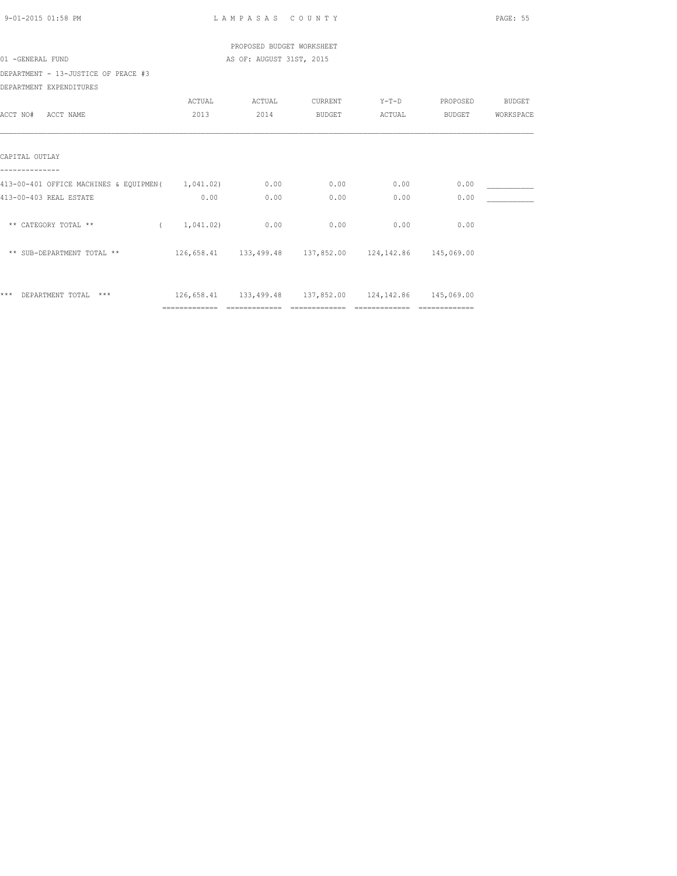| 9-01-2015 01:58 PM                               |                | LAMPASAS COUNTY           |                |                                                            |                       | PAGE: 55  |
|--------------------------------------------------|----------------|---------------------------|----------------|------------------------------------------------------------|-----------------------|-----------|
|                                                  |                | PROPOSED BUDGET WORKSHEET |                |                                                            |                       |           |
| 01 -GENERAL FUND                                 |                | AS OF: AUGUST 31ST, 2015  |                |                                                            |                       |           |
| DEPARTMENT - 13-JUSTICE OF PEACE #3              |                |                           |                |                                                            |                       |           |
| DEPARTMENT EXPENDITURES                          |                |                           |                |                                                            |                       |           |
|                                                  | ACTUAL         | ACTUAL                    | CURRENT        |                                                            | Y-T-D PROPOSED BUDGET |           |
| ACCT NO# ACCT NAME                               | 2013           | 2014                      | <b>BUDGET</b>  |                                                            | ACTUAL BUDGET         | WORKSPACE |
|                                                  |                |                           |                |                                                            |                       |           |
| CAPITAL OUTLAY                                   |                |                           |                |                                                            |                       |           |
| 413-00-401 OFFICE MACHINES & EQUIPMEN (1,041.02) |                | 0.00                      | 0.00           | 0.00                                                       | 0.00                  |           |
| 413-00-403 REAL ESTATE                           | 0.00           | 0.00                      | 0.00           | 0.00                                                       | 0.00                  |           |
|                                                  |                |                           |                |                                                            |                       |           |
| ** CATEGORY TOTAL **                             | (1, 041, 02)   | 0.00                      | 0.00           | 0.00                                                       | 0.00                  |           |
| ** SUB-DEPARTMENT TOTAL **                       |                |                           |                | 126,658.41  133,499.48  137,852.00  124,142.86  145,069.00 |                       |           |
| *** DEPARTMENT TOTAL ***                         |                |                           |                | 126,658.41  133,499.48  137,852.00  124,142.86  145,069.00 |                       |           |
|                                                  | ============== |                           | ============== | =================================                          |                       |           |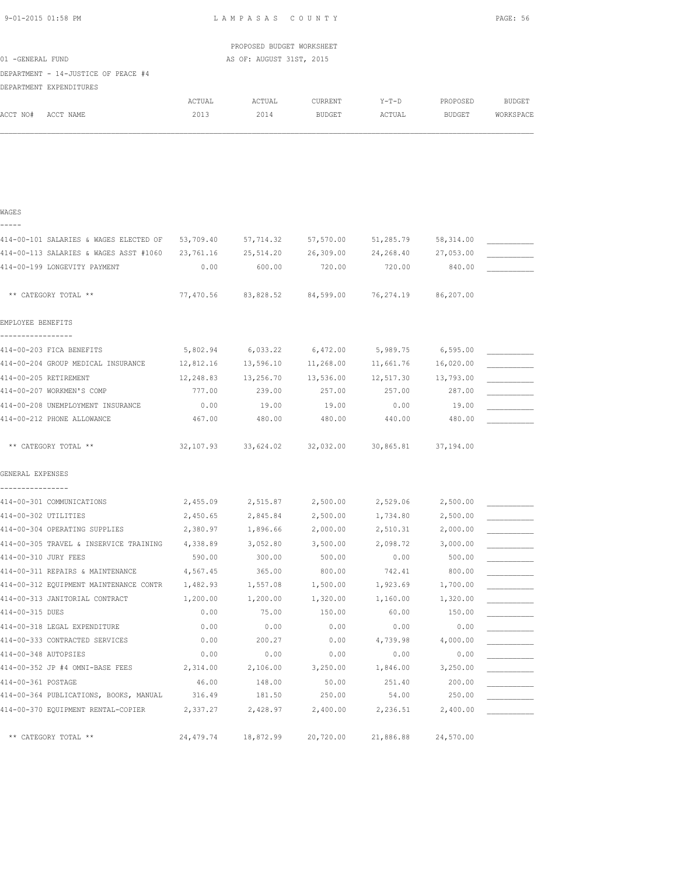| 01 -GENERAL FUND                                               |                | PROPOSED BUDGET WORKSHEET<br>AS OF: AUGUST 31ST, 2015 |                   |                                                        |                    |                            |
|----------------------------------------------------------------|----------------|-------------------------------------------------------|-------------------|--------------------------------------------------------|--------------------|----------------------------|
| DEPARTMENT - 14-JUSTICE OF PEACE #4<br>DEPARTMENT EXPENDITURES |                |                                                       |                   |                                                        |                    |                            |
| ACCT NO# ACCT NAME                                             | ACTUAL<br>2013 | ACTUAL<br>2014                                        | CURRENT<br>BUDGET | $Y-T-D$<br>ACTUAL                                      | PROPOSED<br>BUDGET | <b>BUDGET</b><br>WORKSPACE |
|                                                                |                |                                                       |                   |                                                        |                    |                            |
|                                                                |                |                                                       |                   |                                                        |                    |                            |
| WAGES                                                          |                |                                                       |                   |                                                        |                    |                            |
| -----                                                          |                |                                                       |                   |                                                        |                    |                            |
| 414-00-101 SALARIES & WAGES ELECTED OF                         |                |                                                       |                   | 53,709.40 57,714.32 57,570.00 51,285.79                | 58,314.00          |                            |
| 414-00-113 SALARIES & WAGES ASST #1060                         |                |                                                       |                   | 23,761.16 25,514.20 26,309.00 24,268.40                | 27,053.00          |                            |
| 414-00-199 LONGEVITY PAYMENT                                   | 0.00           | 600.00                                                | 720.00            | 720.00                                                 | 840.00             |                            |
| ** CATEGORY TOTAL **                                           | 77,470.56      | 83,828.52                                             | 84,599.00         | 76,274.19                                              | 86,207.00          |                            |
| EMPLOYEE BENEFITS                                              |                |                                                       |                   |                                                        |                    |                            |
| 414-00-203 FICA BENEFITS                                       |                | 5,802.94 6,033.22                                     | 6,472.00          | 5,989.75                                               | 6,595.00           |                            |
| 414-00-204 GROUP MEDICAL INSURANCE                             |                | 12,812.16 13,596.10                                   | 11,268.00         | 11,661.76                                              | 16,020.00          |                            |
| 414-00-205 RETIREMENT                                          |                | 12,248.83 13,256.70                                   | 13,536.00         | 12,517.30                                              | 13,793.00          |                            |
| 414-00-207 WORKMEN'S COMP                                      | 777.00         | 239.00                                                | 257.00            | 257.00                                                 | 287.00             |                            |
| 414-00-208 UNEMPLOYMENT INSURANCE                              | 0.00           | 19.00                                                 | 19.00             | 0.00                                                   | 19.00              |                            |
| 414-00-212 PHONE ALLOWANCE                                     | 467.00         | 480.00                                                | 480.00            | 440.00                                                 | 480.00             |                            |
| ** CATEGORY TOTAL **                                           |                |                                                       |                   | 32,107.93 33,624.02 32,032.00 30,865.81                | 37,194.00          |                            |
| GENERAL EXPENSES                                               |                |                                                       |                   |                                                        |                    |                            |
| 414-00-301 COMMUNICATIONS                                      |                |                                                       |                   | $2,455.09$ $2,515.87$ $2,500.00$ $2,529.06$ $2,500.00$ |                    |                            |
| 414-00-302 UTILITIES                                           | 2,450.65       | 2,845.84                                              | 2,500.00          | 1,734.80                                               | 2,500.00           |                            |
| 414-00-304 OPERATING SUPPLIES                                  | 2,380.97       | 1,896.66                                              | 2,000.00          | 2,510.31                                               | 2,000.00           |                            |
| 414-00-305 TRAVEL & INSERVICE TRAINING                         | 4,338.89       | 3,052.80                                              | 3,500.00          | 2,098.72                                               | 3,000.00           |                            |
| 414-00-310 JURY FEES                                           | 590.00         | 300.00                                                | 500.00            | 0.00                                                   | 500.00             |                            |
| 414-00-311 REPAIRS & MAINTENANCE                               | 4,567.45       | 365.00                                                | 800.00            | 742.41                                                 | 800.00             |                            |
| 414-00-312 EQUIPMENT MAINTENANCE CONTR                         | 1,482.93       | 1,557.08                                              | 1,500.00          | 1,923.69                                               | 1,700.00           |                            |
| 414-00-313 JANITORIAL CONTRACT                                 | 1,200.00       | 1,200.00                                              | 1,320.00          | 1,160.00                                               | 1,320.00           |                            |
| 414-00-315 DUES                                                | 0.00           | 75.00                                                 | 150.00            | 60.00                                                  | 150.00             |                            |
| 414-00-318 LEGAL EXPENDITURE                                   | 0.00           | 0.00                                                  | 0.00              | 0.00                                                   | 0.00               |                            |
| 414-00-333 CONTRACTED SERVICES                                 | 0.00           | 200.27                                                | 0.00              | 4,739.98                                               | 4,000.00           |                            |
| 414-00-348 AUTOPSIES                                           | 0.00           | 0.00                                                  | 0.00              | 0.00                                                   | 0.00               |                            |
| 414-00-352 JP #4 OMNI-BASE FEES                                | 2,314.00       | 2,106.00                                              | 3,250.00          | 1,846.00                                               | 3,250.00           |                            |
| 414-00-361 POSTAGE                                             | 46.00          | 148.00                                                | 50.00             | 251.40                                                 | 200.00             |                            |
| 414-00-364 PUBLICATIONS, BOOKS, MANUAL                         | 316.49         | 181.50                                                | 250.00            | 54.00                                                  | 250.00             |                            |

414-00-370 EQUIPMENT RENTAL-COPIER 2,337.27 2,428.97 2,400.00 2,236.51 2,400.00 \_\_\_\_\_\_\_\_\_\_\_

\*\* CATEGORY TOTAL \*\* 24,479.74 18,872.99 20,720.00 21,886.88 24,570.00

9-01-2015 01:58 PM L A M P A S A S C O U N T Y PAGE: 56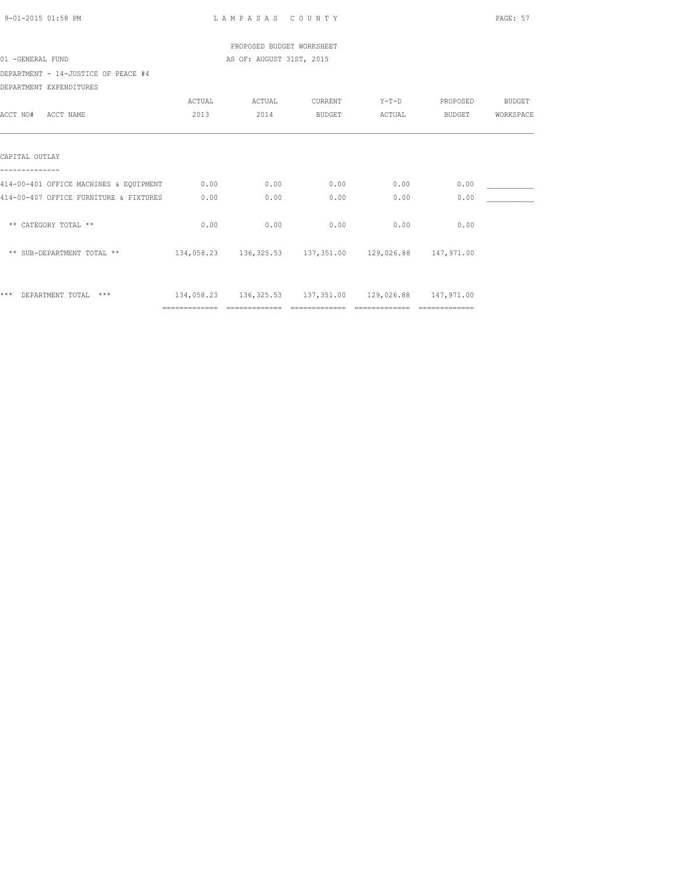| 9-01-2015 01:58 PM                     |                | LAMPASAS COUNTY           |                |                                                        |                | PAGE: 57  |
|----------------------------------------|----------------|---------------------------|----------------|--------------------------------------------------------|----------------|-----------|
|                                        |                | PROPOSED BUDGET WORKSHEET |                |                                                        |                |           |
| 01 -GENERAL FUND                       |                | AS OF: AUGUST 31ST, 2015  |                |                                                        |                |           |
| DEPARTMENT - 14-JUSTICE OF PEACE #4    |                |                           |                |                                                        |                |           |
| DEPARTMENT EXPENDITURES                |                |                           |                |                                                        |                |           |
|                                        | ACTUAL         | ACTUAL                    | CURRENT        |                                                        | Y-T-D PROPOSED | BUDGET    |
| ACCT NO# ACCT NAME                     | 2013           | 2014                      | BUDGET         |                                                        | ACTUAL BUDGET  | WORKSPACE |
|                                        |                |                           |                |                                                        |                |           |
| CAPITAL OUTLAY                         |                |                           |                |                                                        |                |           |
|                                        |                |                           |                |                                                        |                |           |
| 414-00-401 OFFICE MACHINES & EQUIPMENT | 0.00           | 0.00                      | 0.00           | 0.00                                                   | 0.00           |           |
| 414-00-407 OFFICE FURNITURE & FIXTURES | 0.00           | 0.00                      | 0.00           | 0.00                                                   | 0.00           |           |
| ** CATEGORY TOTAL **                   | 0.00           | 0.00                      | 0.00           | 0.00                                                   | 0.00           |           |
| ** SUB-DEPARTMENT TOTAL **             |                |                           |                | 134,058.23 136,325.53 137,351.00 129,026.88 147,971.00 |                |           |
| *** DEPARTMENT TOTAL ***               |                |                           |                | 134,058.23 136,325.53 137,351.00 129,026.88 147,971.00 |                |           |
|                                        | ============== |                           | ============== | ==============                                         |                |           |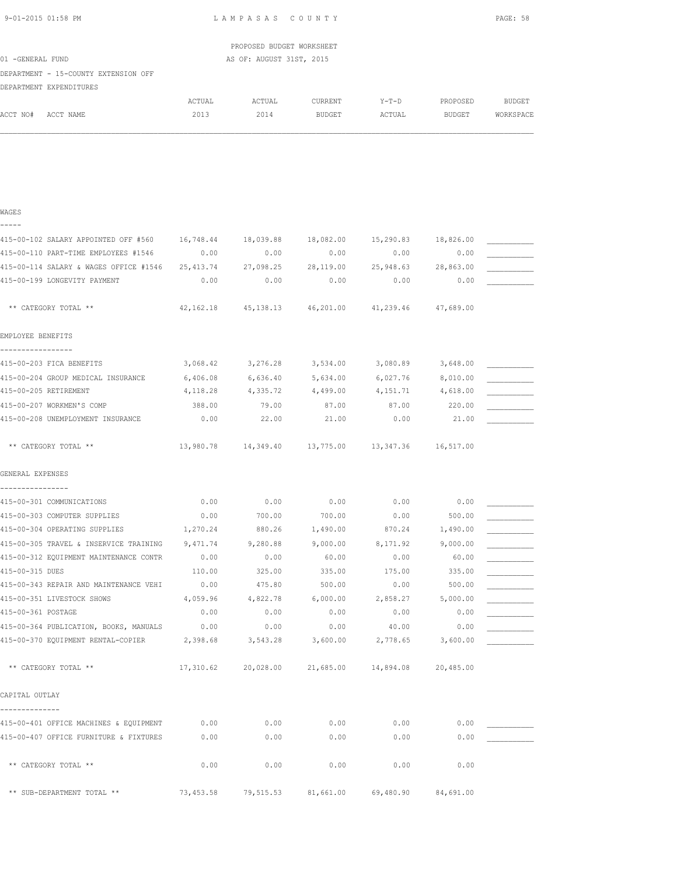| 9-01-2015 01:58 PM |                                                                                                                |        | LAMPASAS COUNTY           |               |         |          | PAGE: 58  |
|--------------------|----------------------------------------------------------------------------------------------------------------|--------|---------------------------|---------------|---------|----------|-----------|
|                    |                                                                                                                |        |                           |               |         |          |           |
|                    |                                                                                                                |        | PROPOSED BUDGET WORKSHEET |               |         |          |           |
| 01 -GENERAL FUND   |                                                                                                                |        | AS OF: AUGUST 31ST, 2015  |               |         |          |           |
|                    | DEPARTMENT - 15-COUNTY EXTENSION OFF                                                                           |        |                           |               |         |          |           |
|                    | DEPARTMENT EXPENDITURES                                                                                        |        |                           |               |         |          |           |
|                    |                                                                                                                | ACTUAL | ACTUAL                    | CURRENT       | $Y-T-D$ | PROPOSED | BUDGET    |
| ACCT NO#           | ACCT NAME                                                                                                      | 2013   | 2014                      | <b>BUDGET</b> | ACTUAL  | BUDGET   | WORKSPACE |
|                    |                                                                                                                |        |                           |               |         |          |           |
|                    |                                                                                                                |        |                           |               |         |          |           |
|                    |                                                                                                                |        |                           |               |         |          |           |
|                    |                                                                                                                |        |                           |               |         |          |           |
|                    |                                                                                                                |        |                           |               |         |          |           |
| WAGES              |                                                                                                                |        |                           |               |         |          |           |
| -----              |                                                                                                                |        |                           |               |         |          |           |
|                    | 415-00-102 SALARY APPOINTED OFF #560 16,748.44 18,039.88 18,082.00 15,290.83 18,826.00                         |        |                           |               |         |          |           |
|                    | ה האודיים המונחים המונחים המונחים המונחים המונחים המונחים המונחים המונחים המונחים המונחים המונחים המונחים המונ |        |                           |               |         | 0.00     |           |

| 415-00-110 PART-TIME EMPLOYEES #1546                                                     | 0.00      | 0.00                                                  | 0.00                                        | 0.00                | 0.00      |  |
|------------------------------------------------------------------------------------------|-----------|-------------------------------------------------------|---------------------------------------------|---------------------|-----------|--|
| 415-00-114 SALARY & WAGES OFFICE #1546 25,413.74 27,098.25 28,119.00 25,948.63 28,863.00 |           |                                                       |                                             |                     |           |  |
| 415-00-199 LONGEVITY PAYMENT                                                             | 0.00      | 0.00                                                  | 0.00                                        | 0.00                | 0.00      |  |
| ** CATEGORY TOTAL **                                                                     | 42,162.18 |                                                       | 45,138.13 46,201.00 41,239.46 47,689.00     |                     |           |  |
| EMPLOYEE BENEFITS                                                                        |           |                                                       |                                             |                     |           |  |
| -------------                                                                            |           |                                                       |                                             |                     |           |  |
| 415-00-203 FICA BENEFITS                                                                 |           | 3,068.42 3,276.28 3,534.00 3,080.89 3,648.00          |                                             |                     |           |  |
| 415-00-204 GROUP MEDICAL INSURANCE 6,406.08                                              |           | $6,636.40$ $5,634.00$ $6,027.76$ $8,010.00$           |                                             |                     |           |  |
| 415-00-205 RETIREMENT                                                                    | 4,118.28  | 4,335.72                                              | 4,499.00                                    | 4, 151.71 4, 618.00 |           |  |
| 415-00-207 WORKMEN'S COMP                                                                | 388.00    | 79.00                                                 | 87.00                                       | 87.00               | 220.00    |  |
| 415-00-208 UNEMPLOYMENT INSURANCE                                                        | 0.00      | 22.00                                                 | 21.00                                       | 0.00                | 21.00     |  |
| ** CATEGORY TOTAL **                                                                     | 13,980.78 |                                                       | 14, 349.40 13, 775.00 13, 347.36 16, 517.00 |                     |           |  |
| GENERAL EXPENSES                                                                         |           |                                                       |                                             |                     |           |  |
| 415-00-301 COMMUNICATIONS                                                                | 0.00      | 0.00                                                  | 0.00                                        | 0.00                | 0.00      |  |
| 415-00-303 COMPUTER SUPPLIES                                                             | 0.00      | 700.00                                                | 700.00                                      | 0.00                | 500.00    |  |
| 415-00-304 OPERATING SUPPLIES                                                            | 1,270.24  | 880.26                                                | 1,490.00                                    | 870.24              | 1,490.00  |  |
| 415-00-305 TRAVEL & INSERVICE TRAINING 9,471.74                                          |           | 9,280.88                                              | 9,000.00                                    | 8,171.92            | 9,000.00  |  |
| 415-00-312 EQUIPMENT MAINTENANCE CONTR                                                   | 0.00      | 0.00                                                  | 60.00                                       | 0.00                | 60.00     |  |
| 415-00-315 DUES                                                                          | 110.00    | 325.00                                                | 335.00                                      | 175.00              | 335.00    |  |
| 415-00-343 REPAIR AND MAINTENANCE VEHI                                                   | 0.00      | 475.80                                                | 500.00                                      | 0.00                | 500.00    |  |
| 415-00-351 LIVESTOCK SHOWS                                                               | 4,059.96  | 4,822.78                                              | 6,000.00                                    | 2,858.27            | 5,000.00  |  |
| 415-00-361 POSTAGE                                                                       | 0.00      | 0.00                                                  | 0.00                                        | 0.00                | 0.00      |  |
| 415-00-364 PUBLICATION, BOOKS, MANUALS 0.00                                              |           | 0.00                                                  | 0.00                                        | 40.00               | 0.00      |  |
| 415-00-370 EQUIPMENT RENTAL-COPIER 2,398.68                                              |           | 3,543.28                                              | 3,600.00                                    | 2,778.65            | 3,600.00  |  |
| ** CATEGORY TOTAL **                                                                     |           | 17,310.62  20,028.00  21,685.00  14,894.08  20,485.00 |                                             |                     |           |  |
| CAPITAL OUTLAY                                                                           |           |                                                       |                                             |                     |           |  |
|                                                                                          |           |                                                       |                                             |                     |           |  |
| 415-00-401 OFFICE MACHINES & EQUIPMENT 0.00                                              |           | 0.00                                                  | 0.00                                        | 0.00                | 0.00      |  |
| 415-00-407 OFFICE FURNITURE & FIXTURES                                                   | 0.00      | 0.00                                                  | 0.00                                        | 0.00                | 0.00      |  |
| ** CATEGORY TOTAL **                                                                     | 0.00      | 0.00                                                  | 0.00                                        | 0.00                | 0.00      |  |
| ** SUB-DEPARTMENT TOTAL **                                                               | 73,453.58 | 79,515.53                                             | 81,661.00                                   | 69,480.90           | 84,691.00 |  |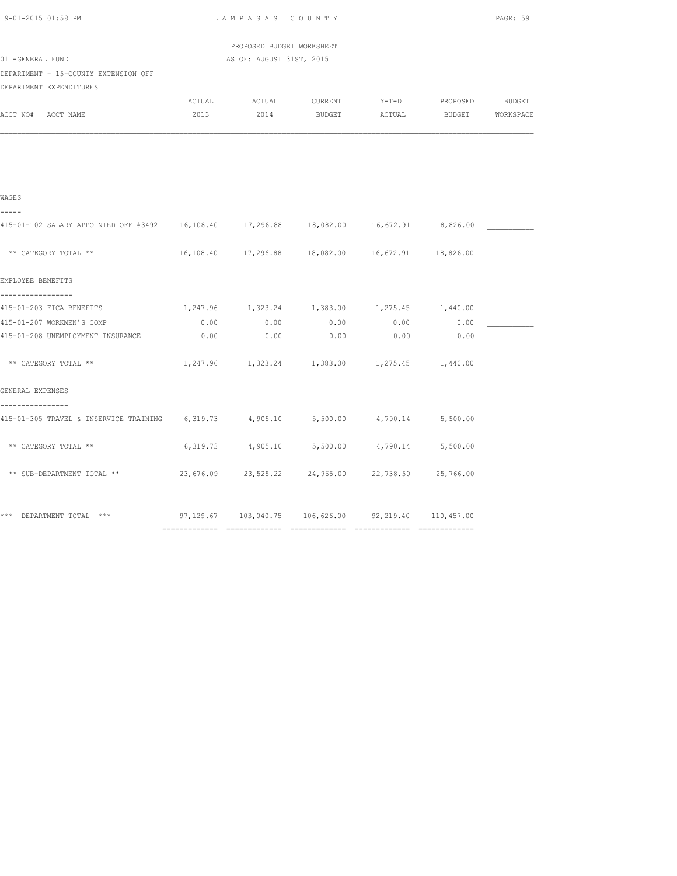| 9-01-2015 01:58 PM                                                                                      |        | LAMPASAS COUNTY           |                                                                |      |      | PAGE: 59 |
|---------------------------------------------------------------------------------------------------------|--------|---------------------------|----------------------------------------------------------------|------|------|----------|
|                                                                                                         |        | PROPOSED BUDGET WORKSHEET |                                                                |      |      |          |
| 01 -GENERAL FUND                                                                                        |        | AS OF: AUGUST 31ST, 2015  |                                                                |      |      |          |
| DEPARTMENT - 15-COUNTY EXTENSION OFF<br>DEPARTMENT EXPENDITURES                                         |        |                           |                                                                |      |      |          |
|                                                                                                         | ACTUAL | ACTUAL                    | CURRENT Y-T-D PROPOSED BUDGET                                  |      |      |          |
| ACCT NO# ACCT NAME                                                                                      | 2013   |                           | 2014 BUDGET ACTUAL BUDGET WORKSPACE                            |      |      |          |
|                                                                                                         |        |                           |                                                                |      |      |          |
| WAGES                                                                                                   |        |                           |                                                                |      |      |          |
| -----                                                                                                   |        |                           |                                                                |      |      |          |
| 415-01-102 SALARY APPOINTED OFF #3492 16,108.40 17,296.88 18,082.00 16,672.91 18,826.00                 |        |                           |                                                                |      |      |          |
| ** CATEGORY TOTAL **                                                                                    |        |                           | 16, 108.40  17, 296.88  18, 082.00  16, 672.91  18, 826.00     |      |      |          |
| EMPLOYEE BENEFITS                                                                                       |        |                           |                                                                |      |      |          |
| -----------------                                                                                       |        |                           |                                                                |      |      |          |
| 415-01-203 FICA BENEFITS                                                                                |        |                           | 1,247.96 1,323.24 1,383.00 1,275.45 1,440.00                   |      |      |          |
| 415-01-207 WORKMEN'S COMP                                                                               | 0.00   | 0.00                      | 0.00                                                           | 0.00 | 0.00 |          |
| 415-01-208 UNEMPLOYMENT INSURANCE                                                                       | 0.00   | 0.00                      | 0.00                                                           | 0.00 | 0.00 |          |
| ** CATEGORY TOTAL **                                                                                    |        |                           | $1,247.96$ $1,323.24$ $1,383.00$ $1,275.45$ $1,440.00$         |      |      |          |
| GENERAL EXPENSES                                                                                        |        |                           |                                                                |      |      |          |
| ----------------<br>415-01-305 TRAVEL & INSERVICE TRAINING 6,319.73 4,905.10 5,500.00 4,790.14 5,500.00 |        |                           |                                                                |      |      |          |
|                                                                                                         |        |                           |                                                                |      |      |          |
| ** CATEGORY TOTAL **                                                                                    |        |                           | 6,319.73 4,905.10 5,500.00 4,790.14 5,500.00                   |      |      |          |
| ** SUB-DEPARTMENT TOTAL **                                                                              |        |                           | 23,676.09 23,525.22 24,965.00 22,738.50 25,766.00              |      |      |          |
| *** DEPARTMENT TOTAL ***                                                                                |        |                           | $97,129.67$ $103,040.75$ $106,626.00$ $92,219.40$ $110,457.00$ |      |      |          |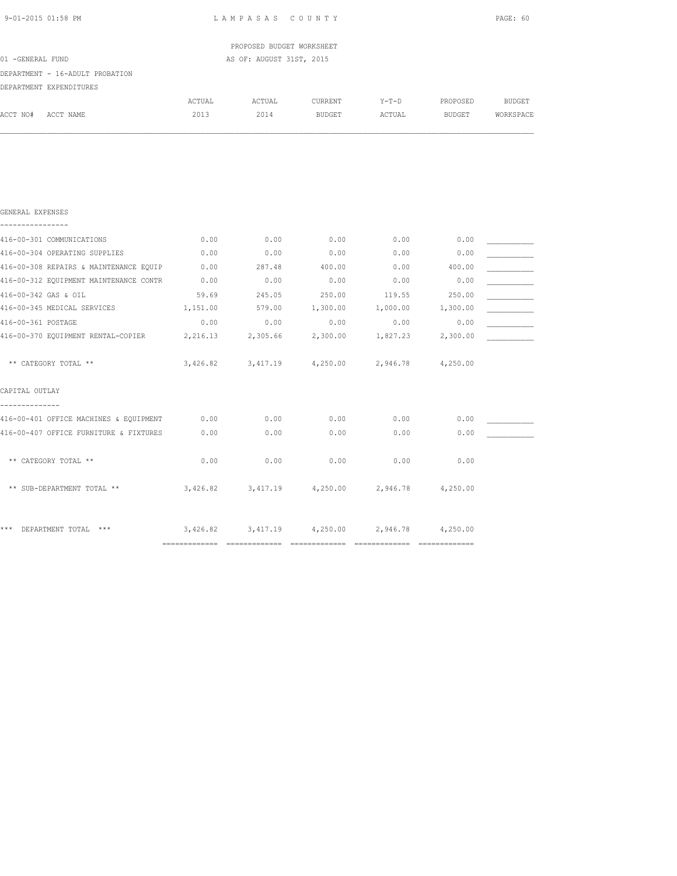| 01 -GENERAL FUND                     |                                        |          | PROPOSED BUDGET WORKSHEET<br>AS OF: AUGUST 31ST, 2015 |                   |          |               |               |
|--------------------------------------|----------------------------------------|----------|-------------------------------------------------------|-------------------|----------|---------------|---------------|
|                                      | DEPARTMENT - 16-ADULT PROBATION        |          |                                                       |                   |          |               |               |
|                                      | DEPARTMENT EXPENDITURES                |          |                                                       |                   |          |               |               |
|                                      |                                        | ACTUAL   | ACTUAL                                                | CURRENT           | $Y-T-D$  | PROPOSED      | <b>BUDGET</b> |
| ACCT NO#                             | ACCT NAME                              | 2013     | 2014                                                  | <b>BUDGET</b>     | ACTUAL   | <b>BUDGET</b> | WORKSPACE     |
|                                      |                                        |          |                                                       |                   |          |               |               |
| GENERAL EXPENSES<br>---------------- |                                        |          |                                                       |                   |          |               |               |
|                                      | 416-00-301 COMMUNICATIONS              | 0.00     | 0.00                                                  | 0.00              | 0.00     | 0.00          |               |
|                                      | 416-00-304 OPERATING SUPPLIES          | 0.00     | 0.00                                                  | 0.00              | 0.00     | 0.00          |               |
|                                      | 416-00-308 REPAIRS & MAINTENANCE EQUIP | 0.00     | 287.48                                                | 400.00            | 0.00     | 400.00        |               |
|                                      | 416-00-312 EQUIPMENT MAINTENANCE CONTR | 0.00     | 0.00                                                  | 0.00              | 0.00     | 0.00          |               |
|                                      | 416-00-342 GAS & OIL                   | 59.69    | 245.05                                                | 250.00            | 119.55   | 250.00        |               |
|                                      | 416-00-345 MEDICAL SERVICES            | 1,151.00 | 579.00                                                | 1,300.00          | 1,000.00 | 1,300.00      |               |
| 416-00-361 POSTAGE                   |                                        | 0.00     | 0.00                                                  | 0.00              | 0.00     | 0.00          |               |
|                                      | 416-00-370 EQUIPMENT RENTAL-COPIER     | 2,216.13 | 2,305.66                                              | 2,300.00          | 1,827.23 | 2,300.00      |               |
|                                      | ** CATEGORY TOTAL **                   | 3,426.82 |                                                       | 3,417.19 4,250.00 | 2,946.78 | 4,250.00      |               |
| CAPITAL OUTLAY                       |                                        |          |                                                       |                   |          |               |               |
|                                      | 416-00-401 OFFICE MACHINES & EQUIPMENT | 0.00     | 0.00                                                  | 0.00              | 0.00     | 0.00          |               |
|                                      | 416-00-407 OFFICE FURNITURE & FIXTURES | 0.00     | 0.00                                                  | 0.00              | 0.00     | 0.00          |               |
|                                      | ** CATEGORY TOTAL **                   | 0.00     | 0.00                                                  | 0.00              | 0.00     | 0.00          |               |

\*\*\* DEPARTMENT TOTAL \*\*\* 3,426.82 3,417.19 4,250.00 2,946.78 4,250.00 ============= ============= ============= ============= =============

\*\* SUB-DEPARTMENT TOTAL \*\* 3,426.82 3,417.19 4,250.00 2,946.78 4,250.00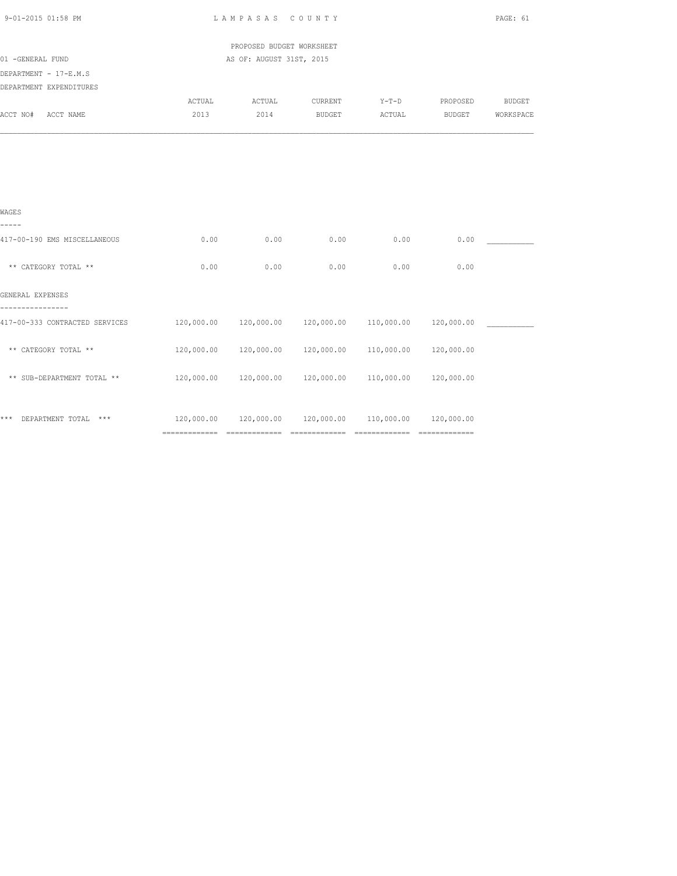| 9-01-2015 01:58 PM             |                                                                  | LAMPASAS COUNTY                                                  |                |        |                       | PAGE: 61  |
|--------------------------------|------------------------------------------------------------------|------------------------------------------------------------------|----------------|--------|-----------------------|-----------|
|                                |                                                                  | PROPOSED BUDGET WORKSHEET                                        |                |        |                       |           |
| 01 -GENERAL FUND               |                                                                  | AS OF: AUGUST 31ST, 2015                                         |                |        |                       |           |
| DEPARTMENT - 17-E.M.S          |                                                                  |                                                                  |                |        |                       |           |
| DEPARTMENT EXPENDITURES        |                                                                  |                                                                  |                |        |                       |           |
|                                | ACTUAL                                                           | ACTUAL                                                           | <b>CURRENT</b> |        | Y-T-D PROPOSED BUDGET |           |
| ACCT NO#<br>ACCT NAME          | 2013                                                             | 2014                                                             | <b>BUDGET</b>  | ACTUAL | <b>BUDGET</b>         | WORKSPACE |
|                                |                                                                  |                                                                  |                |        |                       |           |
|                                |                                                                  |                                                                  |                |        |                       |           |
| WAGES<br>-----                 |                                                                  |                                                                  |                |        |                       |           |
| 417-00-190 EMS MISCELLANEOUS   | 0.00                                                             | 0.00                                                             | 0.00           | 0.00   | 0.00                  |           |
| ** CATEGORY TOTAL **           | 0.00                                                             | 0.00                                                             | 0.00           | 0.00   | 0.00                  |           |
| GENERAL EXPENSES               |                                                                  |                                                                  |                |        |                       |           |
| 417-00-333 CONTRACTED SERVICES |                                                                  | $120,000.00$ $120,000.00$ $120,000.00$ $110,000.00$ $120,000.00$ |                |        |                       |           |
| ** CATEGORY TOTAL **           |                                                                  | 120,000.00  120,000.00  120,000.00  110,000.00  120,000.00       |                |        |                       |           |
| ** SUB-DEPARTMENT TOTAL **     |                                                                  | $120,000.00$ $120,000.00$ $120,000.00$ $110,000.00$ $120,000.00$ |                |        |                       |           |
| *** DEPARTMENT TOTAL ***       | $120,000.00$ $120,000.00$ $120,000.00$ $110,000.00$ $120,000.00$ |                                                                  |                |        |                       |           |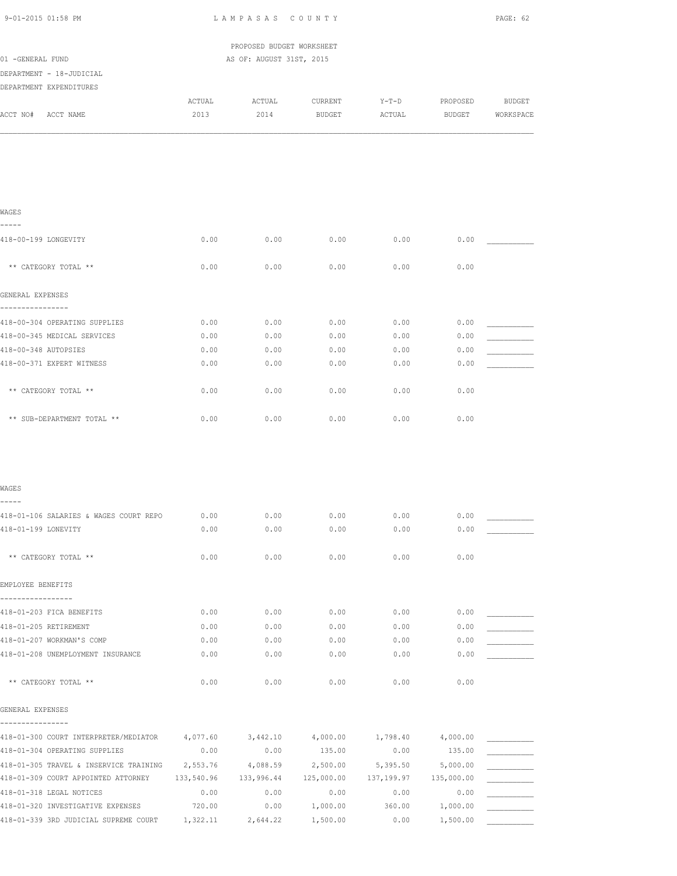| 9-01-2015 01:58 PM                                                                                                 | LAMPASAS COUNTY |                           |          |            |            | PAGE: 62  |  |
|--------------------------------------------------------------------------------------------------------------------|-----------------|---------------------------|----------|------------|------------|-----------|--|
|                                                                                                                    |                 | PROPOSED BUDGET WORKSHEET |          |            |            |           |  |
| 01 -GENERAL FUND                                                                                                   |                 | AS OF: AUGUST 31ST, 2015  |          |            |            |           |  |
| DEPARTMENT - 18-JUDICIAL                                                                                           |                 |                           |          |            |            |           |  |
| DEPARTMENT EXPENDITURES                                                                                            |                 |                           |          |            |            |           |  |
|                                                                                                                    | ACTUAL          | ACTUAL                    | CURRENT  | $Y-T-D$    | PROPOSED   | BUDGET    |  |
| ACCT NO# ACCT NAME                                                                                                 | 2013            | 2014                      | BUDGET   | ACTUAL     | BUDGET     | WORKSPACE |  |
|                                                                                                                    |                 |                           |          |            |            |           |  |
|                                                                                                                    |                 |                           |          |            |            |           |  |
|                                                                                                                    |                 |                           |          |            |            |           |  |
| WAGES                                                                                                              |                 |                           |          |            |            |           |  |
| -----                                                                                                              |                 |                           |          |            |            |           |  |
| 418-00-199 LONGEVITY                                                                                               | 0.00            | 0.00                      | 0.00     | 0.00       | 0.00       |           |  |
| ** CATEGORY TOTAL **                                                                                               | 0.00            | 0.00                      | 0.00     | 0.00       | 0.00       |           |  |
|                                                                                                                    |                 |                           |          |            |            |           |  |
| GENERAL EXPENSES<br>----------------                                                                               |                 |                           |          |            |            |           |  |
| 418-00-304 OPERATING SUPPLIES                                                                                      | 0.00            | 0.00                      | 0.00     | 0.00       | 0.00       |           |  |
| 418-00-345 MEDICAL SERVICES                                                                                        | 0.00            | 0.00                      | 0.00     | 0.00       | 0.00       |           |  |
| 418-00-348 AUTOPSIES                                                                                               | 0.00            | 0.00                      | 0.00     | 0.00       | 0.00       |           |  |
| 418-00-371 EXPERT WITNESS                                                                                          | 0.00            | 0.00                      | 0.00     | 0.00       | 0.00       |           |  |
|                                                                                                                    |                 |                           |          |            |            |           |  |
| ** CATEGORY TOTAL **                                                                                               | 0.00            | 0.00                      | 0.00     | 0.00       | 0.00       |           |  |
| ** SUB-DEPARTMENT TOTAL **                                                                                         | 0.00            | 0.00                      | 0.00     | 0.00       | 0.00       |           |  |
|                                                                                                                    |                 |                           |          |            |            |           |  |
|                                                                                                                    |                 |                           |          |            |            |           |  |
| WAGES                                                                                                              |                 |                           |          |            |            |           |  |
| 418-01-106 SALARIES & WAGES COURT REPO                                                                             | 0.00            | 0.00                      | 0.00     | 0.00       | 0.00       |           |  |
| 418-01-199 LONEVITY                                                                                                | 0.00            | 0.00                      | 0.00     | 0.00       | 0.00       |           |  |
| ** CATEGORY TOTAL **                                                                                               | 0.00            | 0.00                      | 0.00     | 0.00       | 0.00       |           |  |
| EMPLOYEE BENEFITS                                                                                                  |                 |                           |          |            |            |           |  |
| -----------------                                                                                                  |                 |                           |          |            |            |           |  |
| 418-01-203 FICA BENEFITS                                                                                           | 0.00            | 0.00                      | 0.00     | 0.00       | 0.00       |           |  |
| 418-01-205 RETIREMENT                                                                                              | 0.00            | 0.00                      | 0.00     | 0.00       | 0.00       |           |  |
| 418-01-207 WORKMAN'S COMP                                                                                          | 0.00            | 0.00                      | 0.00     | 0.00       | 0.00       |           |  |
| 418-01-208 UNEMPLOYMENT INSURANCE                                                                                  | 0.00            | 0.00                      | 0.00     | 0.00       | 0.00       |           |  |
| ** CATEGORY TOTAL **                                                                                               | 0.00            | 0.00                      | 0.00     | 0.00       | 0.00       |           |  |
| GENERAL EXPENSES                                                                                                   |                 |                           |          |            |            |           |  |
| ----------------<br>$418-01-300$ COURT INTERPRETER/MEDIATOR $4,077.60$ $3,442.10$ $4,000.00$ $1,798.40$ $4,000.00$ |                 |                           |          |            |            |           |  |
| 418-01-304 OPERATING SUPPLIES                                                                                      | 0.00            | 0.00                      | 135.00   | 0.00       | 135.00     |           |  |
| 418-01-305 TRAVEL & INSERVICE TRAINING 2,553.76                                                                    |                 | 4,088.59 2,500.00         |          | 5,395.50   | 5,000.00   |           |  |
| 418-01-309 COURT APPOINTED ATTORNEY                                                                                | 133,540.96      | 133,996.44 125,000.00     |          | 137,199.97 | 135,000.00 |           |  |
| 418-01-318 LEGAL NOTICES                                                                                           | 0.00            | 0.00                      | 0.00     | 0.00       | 0.00       |           |  |
| 418-01-320 INVESTIGATIVE EXPENSES                                                                                  | 720.00          | 0.00                      | 1,000.00 | 360.00     | 1,000.00   |           |  |
| 418-01-339 3RD JUDICIAL SUPREME COURT                                                                              | 1,322.11        | 2,644.22                  | 1,500.00 | 0.00       | 1,500.00   |           |  |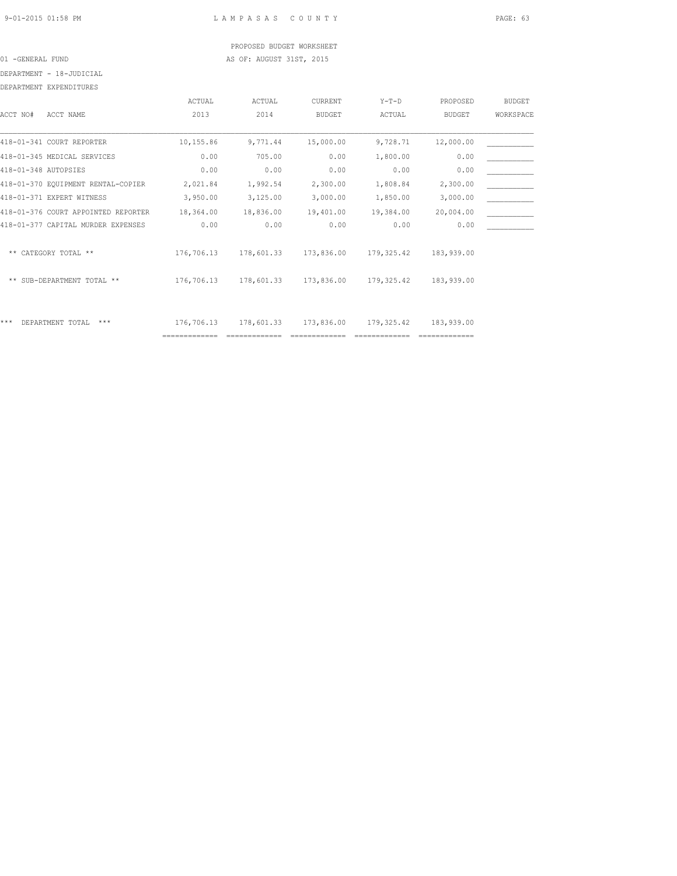## PROPOSED BUDGET WORKSHEET 01 -GENERAL FUND **AS OF: AUGUST 31ST, 2015**

DEPARTMENT - 18-JUDICIAL

|                      | DEPARTMENT EXPENDITURES             |           |           |                |           |               |               |
|----------------------|-------------------------------------|-----------|-----------|----------------|-----------|---------------|---------------|
|                      |                                     | ACTUAL    | ACTUAL    | <b>CURRENT</b> | $Y-T-D$   | PROPOSED      | <b>BUDGET</b> |
| ACCT NO#             | ACCT NAME                           | 2013      | 2014      | <b>BUDGET</b>  | ACTUAL    | <b>BUDGET</b> | WORKSPACE     |
|                      |                                     |           |           |                |           |               |               |
|                      | 418-01-341 COURT REPORTER           | 10,155.86 | 9.771.44  | 15,000.00      | 9,728.71  | 12,000.00     |               |
|                      | 418-01-345 MEDICAL SERVICES         | 0.00      | 705.00    | 0.00           | 1,800.00  | 0.00          |               |
| 418-01-348 AUTOPSIES |                                     | 0.00      | 0.00      | 0.00           | 0.00      | 0.00          |               |
|                      | 418-01-370 EOUIPMENT RENTAL-COPIER  | 2,021.84  | 1,992.54  | 2,300.00       | 1,808.84  | 2,300.00      |               |
|                      | 418-01-371 EXPERT WITNESS           | 3,950.00  | 3,125.00  | 3,000.00       | 1,850.00  | 3,000.00      |               |
|                      | 418-01-376 COURT APPOINTED REPORTER | 18,364.00 | 18,836.00 | 19,401.00      | 19,384.00 | 20,004.00     |               |

| 418-01-341 COURT REPORTER           | 10,155.86  | 9,771.44   | 15,000.00  | 9,728.71   | 12,000.00  |  |
|-------------------------------------|------------|------------|------------|------------|------------|--|
| 418-01-345 MEDICAL SERVICES         | 0.00       | 705.00     | 0.00       | 1,800.00   | 0.00       |  |
| 418-01-348 AUTOPSIES                | 0.00       | 0.00       | 0.00       | 0.00       | 0.00       |  |
| 418-01-370 EQUIPMENT RENTAL-COPIER  | 2,021.84   | 1,992.54   | 2,300.00   | 1,808.84   | 2,300.00   |  |
| 418-01-371 EXPERT WITNESS           | 3,950.00   | 3,125.00   | 3,000.00   | 1,850.00   | 3,000.00   |  |
| 418-01-376 COURT APPOINTED REPORTER | 18,364.00  | 18,836.00  | 19,401.00  | 19,384.00  | 20,004.00  |  |
| 418-01-377 CAPITAL MURDER EXPENSES  | 0.00       | 0.00       | 0.00       | 0.00       | 0.00       |  |
|                                     |            |            |            |            |            |  |
| ** CATEGORY TOTAL **                | 176,706.13 | 178,601.33 | 173,836.00 | 179,325.42 | 183,939.00 |  |
|                                     |            |            |            |            |            |  |
| ** SUB-DEPARTMENT TOTAL **          | 176,706.13 | 178,601.33 | 173,836.00 | 179,325.42 | 183,939.00 |  |
|                                     |            |            |            |            |            |  |
|                                     |            |            |            |            |            |  |
| ***<br>DEPARTMENT TOTAL<br>$***$    | 176,706.13 | 178,601.33 | 173,836.00 | 179,325.42 | 183,939.00 |  |

============= ============= ============= ============= =============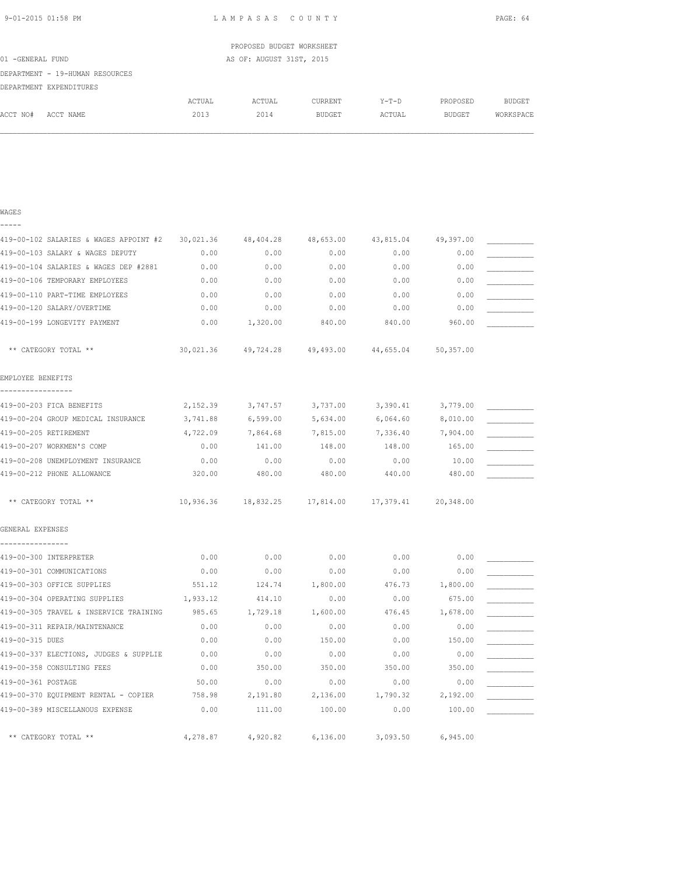| 9-01-2015 01:58 PM |  |
|--------------------|--|
|                    |  |

WAGES

LAMPASAS COUNTY PAGE: 64

|                  |                                 |        | PROPOSED BUDGET WORKSHEET |         |        |          |           |
|------------------|---------------------------------|--------|---------------------------|---------|--------|----------|-----------|
| 01 -GENERAL FUND |                                 |        | AS OF: AUGUST 31ST, 2015  |         |        |          |           |
|                  | DEPARTMENT - 19-HUMAN RESOURCES |        |                           |         |        |          |           |
|                  | DEPARTMENT EXPENDITURES         |        |                           |         |        |          |           |
|                  |                                 | ACTUAL | ACTUAL                    | CURRENT | Y-T-D  | PROPOSED | BUDGET    |
| ACCT NO#         | ACCT NAME                       | 2013   | 2014                      | BUDGET  | ACTUAL | BUDGET   | WORKSPACE |
|                  |                                 |        |                           |         |        |          |           |

| 419-00-102 SALARIES & WAGES APPOINT #2        | 30,021.36 | 48,404.28                     | 48,653.00 | 43,815.04 | 49,397.00 |  |
|-----------------------------------------------|-----------|-------------------------------|-----------|-----------|-----------|--|
| 419-00-103 SALARY & WAGES DEPUTY              | 0.00      | 0.00                          | 0.00      | 0.00      | 0.00      |  |
| 419-00-104 SALARIES & WAGES DEP #2881         | 0.00      | 0.00                          | 0.00      | 0.00      | 0.00      |  |
| 419-00-106 TEMPORARY EMPLOYEES                | 0.00      | 0.00                          | 0.00      | 0.00      | 0.00      |  |
| 419-00-110 PART-TIME EMPLOYEES                | 0.00      | 0.00                          | 0.00      | 0.00      | 0.00      |  |
| 419-00-120 SALARY/OVERTIME                    | 0.00      | 0.00                          | 0.00      | 0.00      | 0.00      |  |
| 419-00-199 LONGEVITY PAYMENT                  | 0.00      | 1,320.00                      | 840.00    | 840.00    | 960.00    |  |
| ** CATEGORY TOTAL **                          | 30,021.36 | 49,724.28                     | 49,493.00 | 44,655.04 | 50,357.00 |  |
| EMPLOYEE BENEFITS                             |           |                               |           |           |           |  |
| 419-00-203 FICA BENEFITS                      | 2,152.39  | 3,747.57                      | 3,737.00  | 3,390.41  | 3,779.00  |  |
| 419-00-204 GROUP MEDICAL INSURANCE            | 3,741.88  | 6,599.00                      | 5,634.00  | 6,064.60  | 8,010.00  |  |
| 419-00-205 RETIREMENT                         | 4,722.09  | 7,864.68                      | 7,815.00  | 7,336.40  | 7,904.00  |  |
| 419-00-207 WORKMEN'S COMP                     | 0.00      | 141.00                        | 148.00    | 148.00    | 165.00    |  |
| 419-00-208 UNEMPLOYMENT INSURANCE             | 0.00      | 0.00                          | 0.00      | 0.00      | 10.00     |  |
| 419-00-212 PHONE ALLOWANCE                    | 320.00    | 480.00                        | 480.00    | 440.00    | 480.00    |  |
| ** CATEGORY TOTAL **                          |           | 10,936.36 18,832.25 17,814.00 |           | 17,379.41 | 20,348.00 |  |
| GENERAL EXPENSES                              |           |                               |           |           |           |  |
| ----------------<br>419-00-300 INTERPRETER    | 0.00      | 0.00                          | 0.00      | 0.00      | 0.00      |  |
| 419-00-301 COMMUNICATIONS                     | 0.00      | 0.00                          | 0.00      | 0.00      | 0.00      |  |
| 419-00-303 OFFICE SUPPLIES                    | 551.12    | 124.74                        | 1,800.00  | 476.73    | 1,800.00  |  |
| 419-00-304 OPERATING SUPPLIES                 | 1,933.12  | 414.10                        | 0.00      | 0.00      | 675.00    |  |
| 419-00-305 TRAVEL & INSERVICE TRAINING 985.65 |           | 1,729.18                      | 1,600.00  | 476.45    | 1,678.00  |  |
| 419-00-311 REPAIR/MAINTENANCE                 | 0.00      | 0.00                          | 0.00      | 0.00      | 0.00      |  |
| 419-00-315 DUES                               | 0.00      | 0.00                          | 150.00    | 0.00      | 150.00    |  |
| 419-00-337 ELECTIONS, JUDGES & SUPPLIE        | 0.00      | 0.00                          | 0.00      | 0.00      | 0.00      |  |
| 419-00-358 CONSULTING FEES                    | 0.00      | 350.00                        | 350.00    | 350.00    | 350.00    |  |
| 419-00-361 POSTAGE                            | 50.00     | 0.00                          | 0.00      | 0.00      | 0.00      |  |
| 419-00-370 EQUIPMENT RENTAL - COPIER 758.98   |           | 2,191.80                      | 2,136.00  | 1,790.32  | 2,192.00  |  |
| 419-00-389 MISCELLANOUS EXPENSE               | 0.00      | 111.00                        | 100.00    | 0.00      | 100.00    |  |
| ** CATEGORY TOTAL **                          | 4,278.87  | 4,920.82                      | 6.136.00  | 3,093.50  | 6,945.00  |  |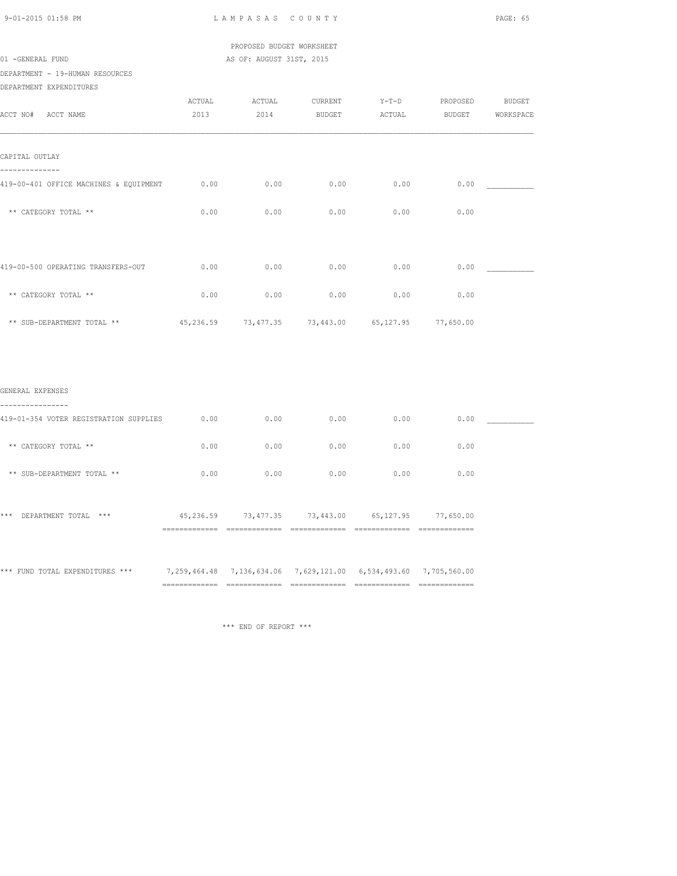PROPOSED BUDGET WORKSHEET 01 -GENERAL FUND AS OF: AUGUST 31ST, 2015

DEPARTMENT - 19-HUMAN RESOURCES

| DEPARTMENT EXPENDITURES |
|-------------------------|
|                         |

| ACCT NO#<br>ACCT NAME                  | ACTUAL<br>2013 | ACTUAL<br>2014                                         | CURRENT<br>BUDGET | $Y-T-D$<br>ACTUAL | PROPOSED<br>BUDGET | <b>BUDGET</b><br>WORKSPACE |
|----------------------------------------|----------------|--------------------------------------------------------|-------------------|-------------------|--------------------|----------------------------|
| CAPITAL OUTLAY                         |                |                                                        |                   |                   |                    |                            |
| 419-00-401 OFFICE MACHINES & EQUIPMENT | 0.00           | 0.00                                                   | 0.00              | 0.00              | 0.00               |                            |
| ** CATEGORY TOTAL **                   | 0.00           | 0.00                                                   | 0.00              | 0.00              | 0.00               |                            |
| 419-00-500 OPERATING TRANSFERS-OUT     | 0.00           | 0.00                                                   | 0.00              | 0.00              | 0.00               |                            |
| ** CATEGORY TOTAL **                   | 0.00           | 0.00                                                   | 0.00              | 0.00              | 0.00               |                            |
| ** SUB-DEPARTMENT TOTAL **             |                | 45, 236.59 73, 477.35 73, 443.00 65, 127.95 77, 650.00 |                   |                   |                    |                            |
|                                        |                |                                                        |                   |                   |                    |                            |
| GENERAL EXPENSES                       |                |                                                        |                   |                   |                    |                            |
| 419-01-354 VOTER REGISTRATION SUPPLIES | 0.00           | 0.00                                                   | 0.00              | 0.00              | 0.00               |                            |

| ** CATEGORY TOTAL **               | 0.00                        | 0.00                                                        | 0.00      | 0.00                             | 0.00                        |
|------------------------------------|-----------------------------|-------------------------------------------------------------|-----------|----------------------------------|-----------------------------|
| ** SUB-DEPARTMENT TOTAL **         | 0.00                        | 0.00                                                        | 0.00      | 0.00                             | 0.00                        |
| ***<br>DEPARTMENT TOTAL<br>$***$   | 45,236.59<br>-------------- | 73,477.35<br>-------------------                            | 73,443.00 | 65, 127.95<br>------------------ | 77,650.00<br>-------------- |
| *** FUND<br>TOTAL EXPENDITURES *** | 7,259,464.48                | 7, 136, 634.06 7, 629, 121.00 6, 534, 493.60 7, 705, 560.00 |           |                                  |                             |

\*\*\* END OF REPORT \*\*\*

============= ============= ============= ============= =============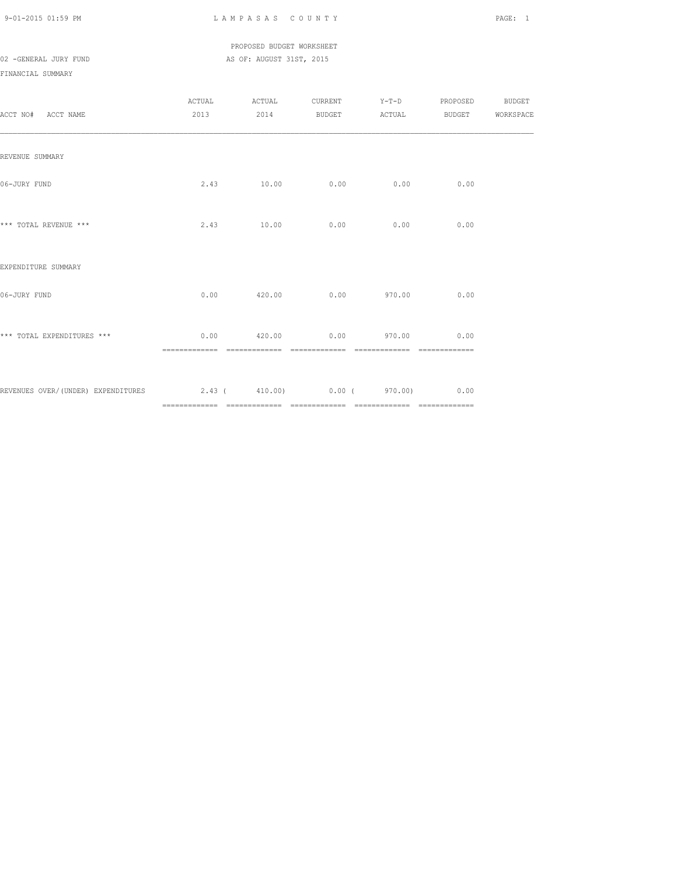# PROPOSED BUDGET WORKSHEET 02 -GENERAL JURY FUND **AS OF: AUGUST 31ST, 2015**

FINANCIAL SUMMARY

| ACCT NO# ACCT NAME                                                  |  |                                        |      | ACTUAL ACTUAL CURRENT Y-T-D PROPOSED BUDGET<br>2013 2014 BUDGET ACTUAL BUDGET WORKSPACE |  |
|---------------------------------------------------------------------|--|----------------------------------------|------|-----------------------------------------------------------------------------------------|--|
| REVENUE SUMMARY                                                     |  |                                        |      |                                                                                         |  |
| 06-JURY FUND                                                        |  | 2.43 10.00 0.00                        | 0.00 | 0.00                                                                                    |  |
| *** TOTAL REVENUE ***                                               |  | 2.43 10.00 0.00                        | 0.00 | 0.00                                                                                    |  |
| EXPENDITURE SUMMARY                                                 |  |                                        |      |                                                                                         |  |
| 06-JURY FUND                                                        |  | $0.00$ $420.00$ $0.00$ $970.00$        |      | 0.00                                                                                    |  |
| *** TOTAL EXPENDITURES ***                                          |  | $0.00$ $420.00$ $0.00$ $970.00$ $0.00$ |      |                                                                                         |  |
| REVENUES OVER/(UNDER) EXPENDITURES 2.43 (410.00) 0.00 (970.00) 0.00 |  |                                        |      |                                                                                         |  |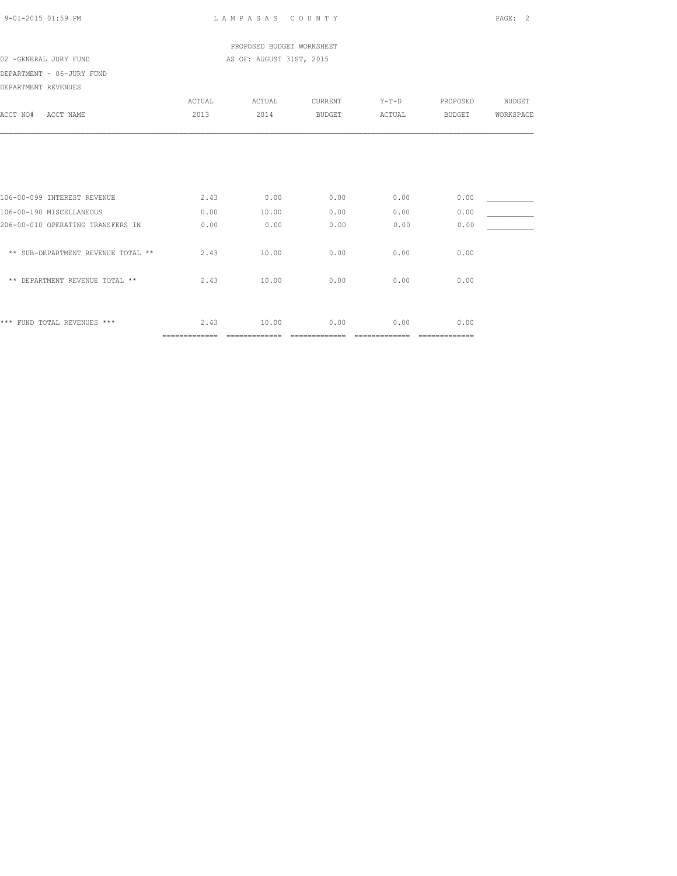| 9-01-2015 01:59 PM |  |  |
|--------------------|--|--|
|                    |  |  |

LAMPASAS COUNTY PAGE: 2

 PROPOSED BUDGET WORKSHEET 02 -GENERAL JURY FUND **AS OF: AUGUST 31ST, 2015** 

DEPARTMENT - 06-JURY FUND

| DEPARTMENT REVENUES |  |
|---------------------|--|

| ACCT NO#<br>ACCT NAME              | <b>ACTUAL</b><br>2013 | ACTUAL<br>2014 | CURRENT<br><b>BUDGET</b> | $Y-T-D$<br>ACTUAL | PROPOSED<br><b>BUDGET</b> | <b>BUDGET</b><br>WORKSPACE |
|------------------------------------|-----------------------|----------------|--------------------------|-------------------|---------------------------|----------------------------|
|                                    |                       |                |                          |                   |                           |                            |
| 106-00-099 INTEREST REVENUE        | 2.43                  | 0.00           | 0.00                     | 0.00              | 0.00                      |                            |
| 106-00-190 MISCELLANEOUS           | 0.00                  | 10.00          | 0.00                     | 0.00              | 0.00                      |                            |
| 206-00-010 OPERATING TRANSFERS IN  | 0.00                  | 0.00           | 0.00                     | 0.00              | 0.00                      |                            |
| ** SUB-DEPARTMENT REVENUE TOTAL ** | 2.43                  | 10.00          | 0.00                     | 0.00              | 0.00                      |                            |
| ** DEPARTMENT REVENUE TOTAL **     | 2.43                  | 10.00          | 0.00                     | 0.00              | 0.00                      |                            |
|                                    |                       |                |                          |                   |                           |                            |
| *** FUND TOTAL REVENUES ***        | 2.43                  | 10.00          | 0.00                     | 0.00              | 0.00                      |                            |
|                                    | ==============        |                |                          | --------------    | =============             |                            |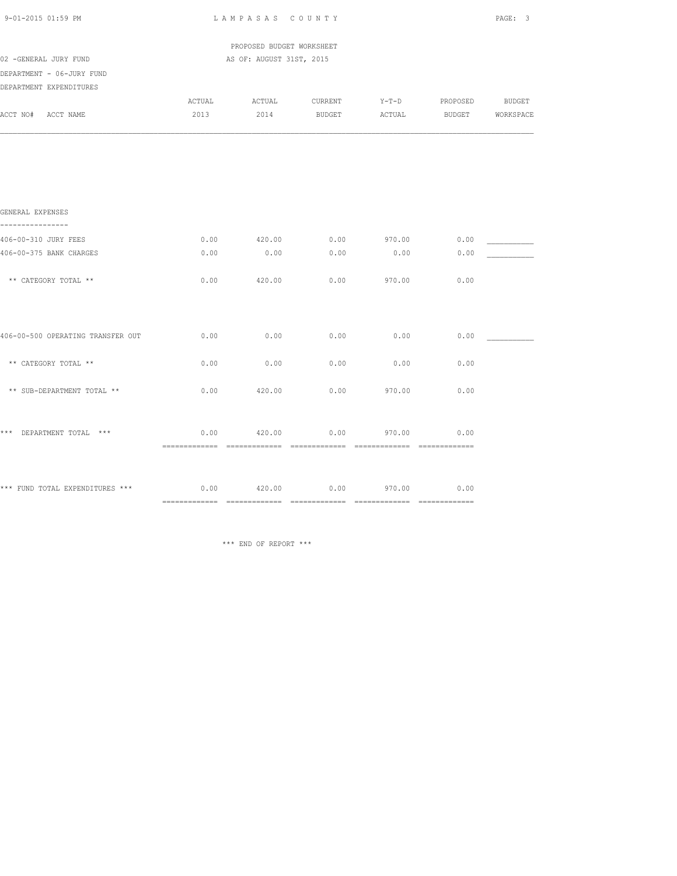| 9-01-2015 01:59 PM                                                            |                | LAMPASAS COUNTY                        |                          |                   |              | PAGE: 3                           |
|-------------------------------------------------------------------------------|----------------|----------------------------------------|--------------------------|-------------------|--------------|-----------------------------------|
|                                                                               |                | PROPOSED BUDGET WORKSHEET              |                          |                   |              |                                   |
| 02 -GENERAL JURY FUND<br>DEPARTMENT - 06-JURY FUND<br>DEPARTMENT EXPENDITURES |                | AS OF: AUGUST 31ST, 2015               |                          |                   |              |                                   |
| ACCT NO# ACCT NAME                                                            | ACTUAL<br>2013 | ACTUAL<br>2014                         | CURRENT<br><b>BUDGET</b> | $Y-T-D$<br>ACTUAL | PROPOSED     | <b>BUDGET</b><br>BUDGET WORKSPACE |
|                                                                               |                |                                        |                          |                   |              |                                   |
|                                                                               |                |                                        |                          |                   |              |                                   |
| GENERAL EXPENSES<br>----------------                                          |                |                                        |                          |                   |              |                                   |
| 406-00-310 JURY FEES<br>406-00-375 BANK CHARGES                               | 0.00<br>0.00   | 420.00<br>0.00                         | 0.00<br>0.00             | 970.00<br>0.00    | 0.00<br>0.00 |                                   |
| ** CATEGORY TOTAL **                                                          | 0.00           | 420.00                                 | 0.00                     | 970.00            | 0.00         |                                   |
|                                                                               |                |                                        |                          |                   |              |                                   |
| 406-00-500 OPERATING TRANSFER OUT                                             | 0.00           | 0.00                                   | 0.00                     | 0.00              | 0.00         |                                   |
| ** CATEGORY TOTAL **                                                          | 0.00           | 0.00                                   | 0.00                     | 0.00              | 0.00         |                                   |
| ** SUB-DEPARTMENT TOTAL **                                                    | 0.00           | 420.00                                 |                          | $0.00$ 970.00     | 0.00         |                                   |
| *** DEPARTMENT TOTAL ***                                                      | 0.00           | 420.00                                 | 0.00                     | 970.00            | 0.00         |                                   |
| *** FUND TOTAL EXPENDITURES ***                                               |                | $0.00$ $420.00$ $0.00$ $970.00$ $0.00$ |                          |                   |              |                                   |

\*\*\* END OF REPORT \*\*\*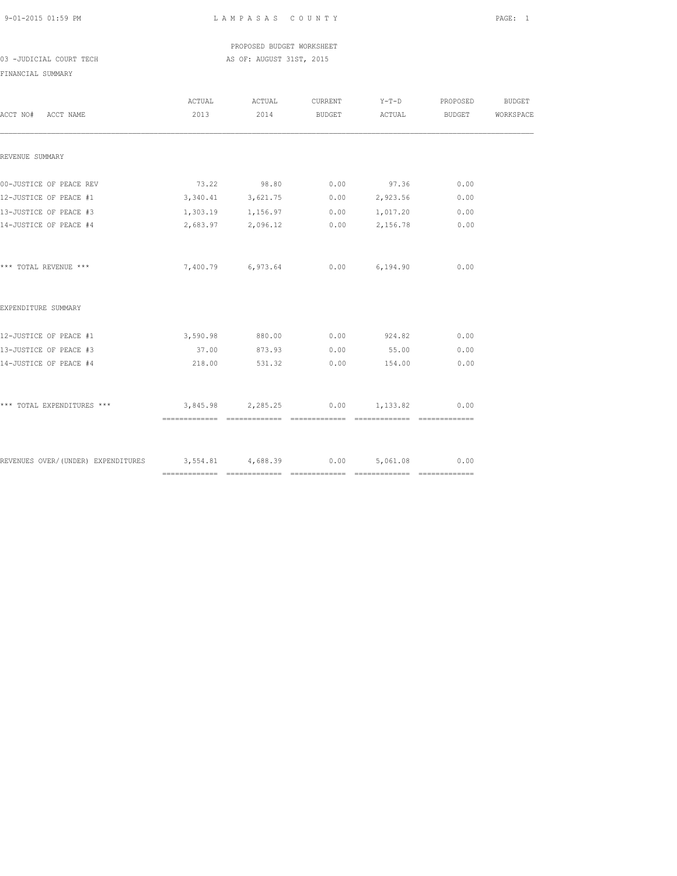PROPOSED BUDGET WORKSHEET 03 -JUDICIAL COURT TECH AS OF: AUGUST 31ST, 2015

FINANCIAL SUMMARY

| ACCT NO# ACCT NAME                                                 | ACTUAL<br>2013 | ACTUAL<br>2014       | CURRENT<br>BUDGET | $Y-T-D$<br><b>ACTUAL</b> | PROPOSED<br>BUDGET | <b>BUDGET</b><br>WORKSPACE |
|--------------------------------------------------------------------|----------------|----------------------|-------------------|--------------------------|--------------------|----------------------------|
| REVENUE SUMMARY                                                    |                |                      |                   |                          |                    |                            |
| 00-JUSTICE OF PEACE REV                                            |                | 73.22 98.80          | 0.00              | 97.36                    | 0.00               |                            |
| 12-JUSTICE OF PEACE #1                                             |                | 3, 340.41 3, 621.75  |                   | 0.00 2,923.56            | 0.00               |                            |
| 13-JUSTICE OF PEACE #3                                             |                | 1,303.19 1,156.97    |                   | $0.00 \t 1.017.20$       | 0.00               |                            |
| 14-JUSTICE OF PEACE #4                                             |                | 2,683.97 2,096.12    |                   | $0.00$ 2,156.78          | 0.00               |                            |
| *** TOTAL REVENUE ***                                              |                | 7,400.79 6,973.64    |                   | $0.00$ 6,194.90          | 0.00               |                            |
| EXPENDITURE SUMMARY                                                |                |                      |                   |                          |                    |                            |
| 12-JUSTICE OF PEACE #1                                             |                | 3,590.98 880.00 0.00 |                   | 924.82                   | 0.00               |                            |
| 13-JUSTICE OF PEACE #3                                             | 37.00          | 873.93               | 0.00              | 55.00                    | 0.00               |                            |
| 14-JUSTICE OF PEACE #4                                             | 218.00         | 531.32               | 0.00              | 154.00                   | 0.00               |                            |
| *** TOTAL EXPENDITURES ***                                         |                | 3,845.98 2,285.25    |                   | $0.00$ 1, 133.82         | 0.00               |                            |
|                                                                    |                |                      |                   |                          |                    |                            |
| REVENUES OVER/(UNDER) EXPENDITURES 3,554.81 4,688.39 0.00 5,061.08 |                |                      |                   |                          | 0.00               |                            |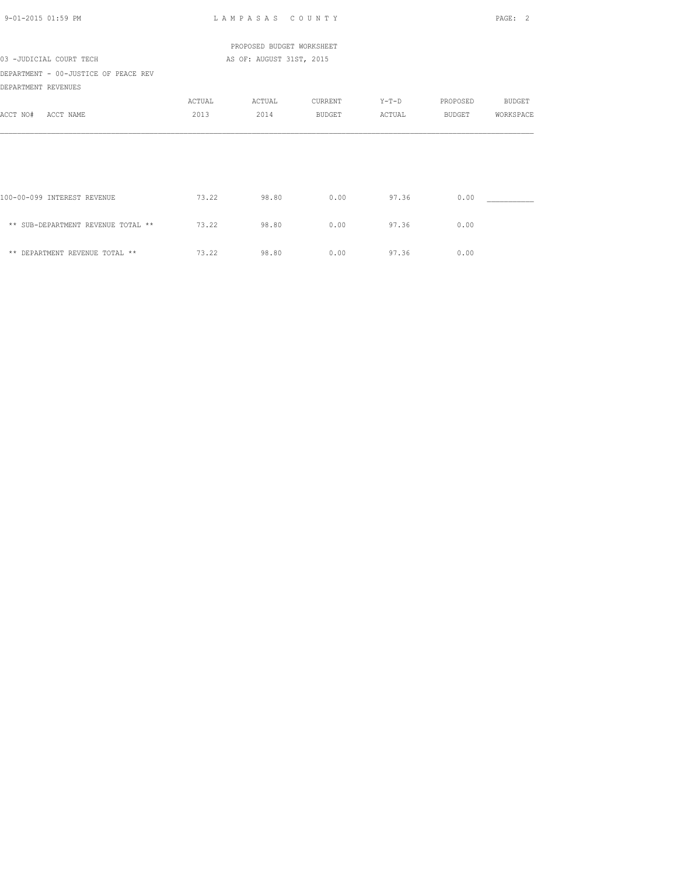| 9-01-2015 01:59 PM                                          |        | LAMPASAS COUNTY           |         |         |          | PAGE: 2       |
|-------------------------------------------------------------|--------|---------------------------|---------|---------|----------|---------------|
|                                                             |        | PROPOSED BUDGET WORKSHEET |         |         |          |               |
| 03 -JUDICIAL COURT TECH                                     |        | AS OF: AUGUST 31ST, 2015  |         |         |          |               |
| DEPARTMENT - 00-JUSTICE OF PEACE REV<br>DEPARTMENT REVENUES |        |                           |         |         |          |               |
|                                                             | ACTUAL | ACTUAL                    | CURRENT | $Y-T-D$ | PROPOSED | <b>BUDGET</b> |
| ACCT NO#<br>ACCT NAME                                       | 2013   | 2014                      | BUDGET  | ACTUAL  | BUDGET   | WORKSPACE     |
|                                                             |        |                           |         |         |          |               |
|                                                             |        |                           |         |         |          |               |
| 100-00-099 INTEREST REVENUE                                 | 73.22  | 98.80                     | 0.00    | 97.36   | 0.00     |               |
| ** SUB-DEPARTMENT REVENUE TOTAL **                          | 73.22  | 98.80                     | 0.00    | 97.36   | 0.00     |               |
| ** DEPARTMENT REVENUE TOTAL **                              | 73.22  | 98.80                     | 0.00    | 97.36   | 0.00     |               |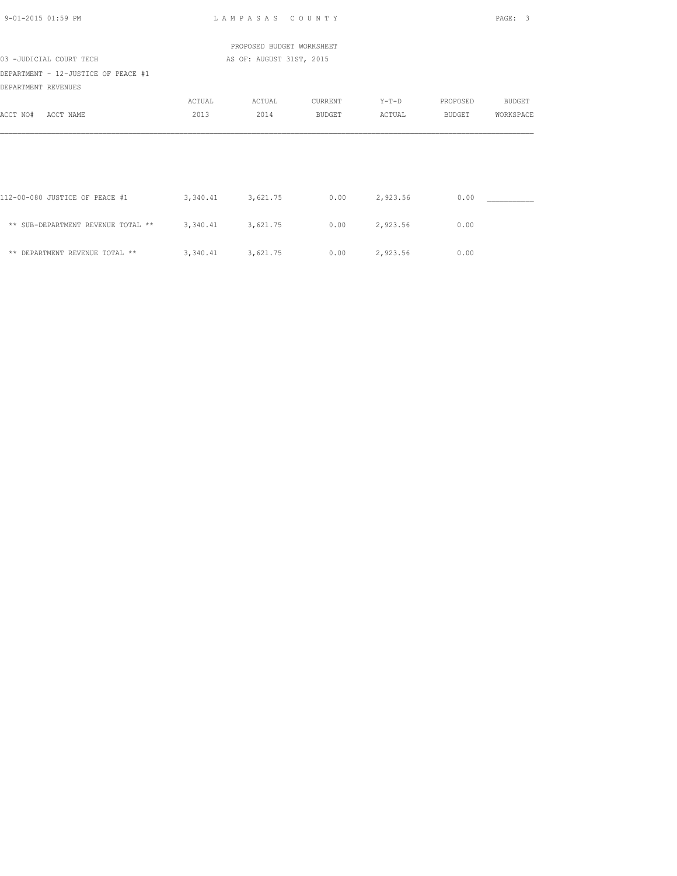| 9-01-2015 01:59 PM                                         |                     | LAMPASAS COUNTY           |               |          |               | PAGE: 3       |
|------------------------------------------------------------|---------------------|---------------------------|---------------|----------|---------------|---------------|
|                                                            |                     | PROPOSED BUDGET WORKSHEET |               |          |               |               |
| 03 -JUDICIAL COURT TECH                                    |                     | AS OF: AUGUST 31ST, 2015  |               |          |               |               |
| DEPARTMENT - 12-JUSTICE OF PEACE #1<br>DEPARTMENT REVENUES |                     |                           |               |          |               |               |
|                                                            | ACTUAL              | ACTUAL                    | CURRENT       | $Y-T-D$  | PROPOSED      | <b>BUDGET</b> |
| ACCT NO#<br>ACCT NAME                                      | 2013                | 2014                      | <b>BUDGET</b> | ACTUAL   | <b>BUDGET</b> | WORKSPACE     |
|                                                            |                     |                           |               |          |               |               |
| 112-00-080 JUSTICE OF PEACE #1                             | 3, 340.41 3, 621.75 |                           | 0.00          | 2,923.56 | 0.00          |               |
| ** SUB-DEPARTMENT REVENUE TOTAL **                         | 3, 340.41 3, 621.75 |                           | 0.00          | 2,923.56 | 0.00          |               |
| ** DEPARTMENT REVENUE TOTAL **                             | 3, 340.41 3, 621.75 |                           | 0.00          | 2,923.56 | 0.00          |               |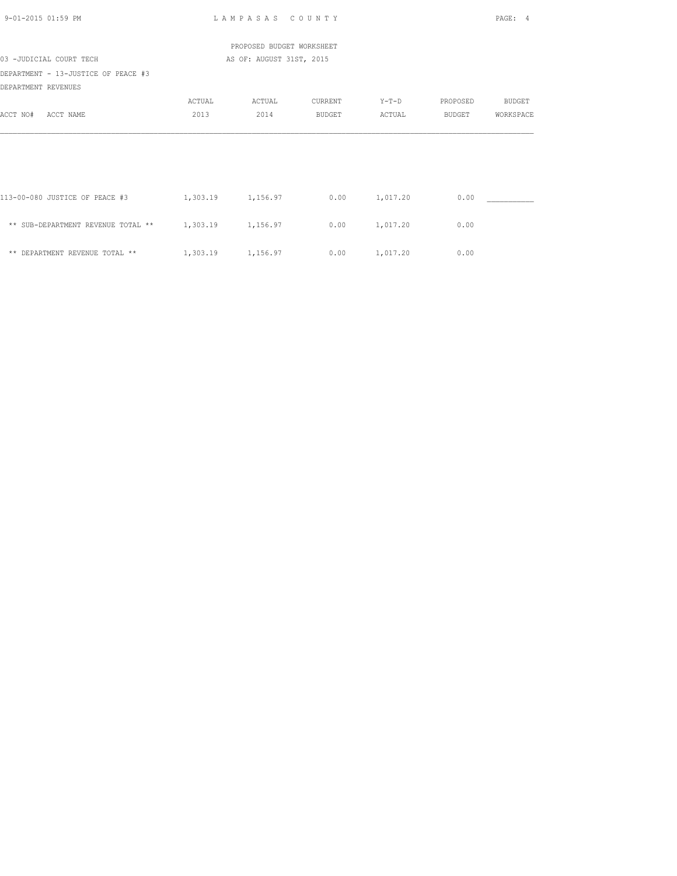| $9 - 01 - 2015$ 01:59 PM            |                   | LAMPASAS COUNTY           |                 |                 |          | PAGE: 4   |
|-------------------------------------|-------------------|---------------------------|-----------------|-----------------|----------|-----------|
|                                     |                   | PROPOSED BUDGET WORKSHEET |                 |                 |          |           |
| 03 -JUDICIAL COURT TECH             |                   | AS OF: AUGUST 31ST, 2015  |                 |                 |          |           |
| DEPARTMENT - 13-JUSTICE OF PEACE #3 |                   |                           |                 |                 |          |           |
| DEPARTMENT REVENUES                 |                   |                           |                 |                 |          |           |
|                                     | ACTUAL            | ACTUAL                    | CURRENT         | $Y-T-D$         | PROPOSED | BUDGET    |
| ACCT NO#<br>ACCT NAME               | 2013              | 2014                      | BUDGET          | ACTUAL          | BUDGET   | WORKSPACE |
|                                     |                   |                           |                 |                 |          |           |
| 113-00-080 JUSTICE OF PEACE #3      | 1,303.19 1,156.97 |                           |                 | $0.00$ 1,017.20 | 0.00     |           |
| ** SUB-DEPARTMENT REVENUE TOTAL **  | 1,303.19 1,156.97 |                           |                 | $0.00$ 1,017.20 | 0.00     |           |
| ** DEPARTMENT REVENUE TOTAL **      | 1,303.19 1,156.97 |                           | $0.00$ 1,017.20 |                 | 0.00     |           |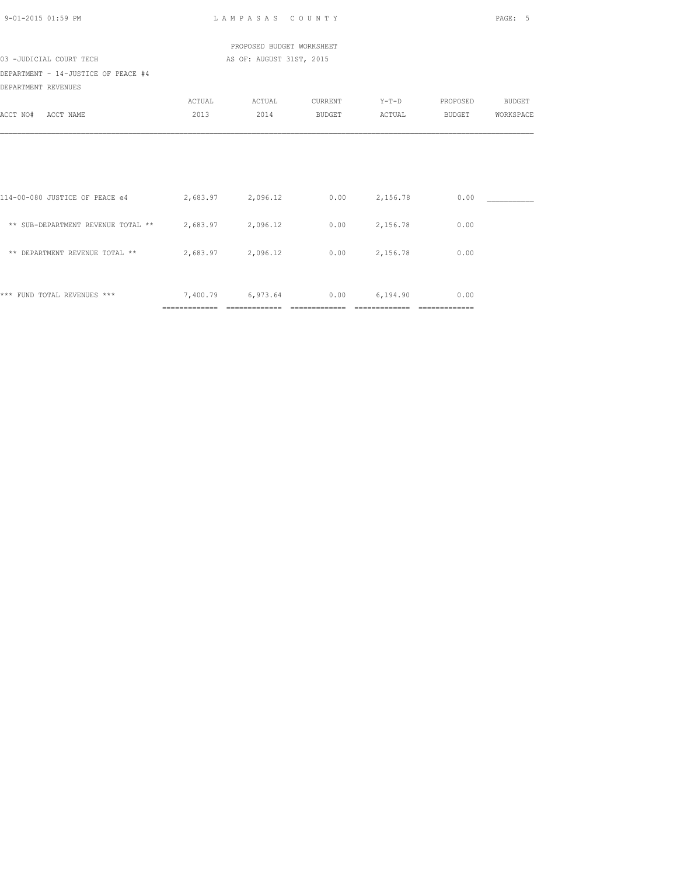| 9-01-2015 01:59 PM                                   | LAMPASAS COUNTY |                           |               |                 |               | PAGE: 5       |  |
|------------------------------------------------------|-----------------|---------------------------|---------------|-----------------|---------------|---------------|--|
|                                                      |                 | PROPOSED BUDGET WORKSHEET |               |                 |               |               |  |
| 03 -JUDICIAL COURT TECH                              |                 | AS OF: AUGUST 31ST, 2015  |               |                 |               |               |  |
| DEPARTMENT - 14-JUSTICE OF PEACE #4                  |                 |                           |               |                 |               |               |  |
| DEPARTMENT REVENUES                                  |                 |                           |               |                 |               |               |  |
|                                                      | ACTUAL          | ACTUAL                    | CURRENT       | $Y-T-D$         | PROPOSED      | <b>BUDGET</b> |  |
| ACCT NO#<br>ACCT NAME                                | 2013            | 2014                      | <b>BUDGET</b> | ACTUAL          | BUDGET        | WORKSPACE     |  |
|                                                      |                 |                           |               |                 |               |               |  |
|                                                      |                 |                           |               |                 |               |               |  |
| 114-00-080 JUSTICE OF PEACE e4 2,683.97              |                 | 2,096.12                  | 0.00          | 2,156.78        | 0.00          |               |  |
| ** SUB-DEPARTMENT REVENUE TOTAL ** 2,683.97 2,096.12 |                 |                           |               | $0.00$ 2,156.78 | 0.00          |               |  |
| ** DEPARTMENT REVENUE TOTAL **                       |                 | 2,683.97 2,096.12         | 0.00          | 2,156.78        | 0.00          |               |  |
| *** FUND TOTAL REVENUES ***                          |                 | 7,400.79 6,973.64 0.00    |               | 6,194.90        | 0.00          |               |  |
|                                                      | =============   | ==============            |               | =============   | ============= |               |  |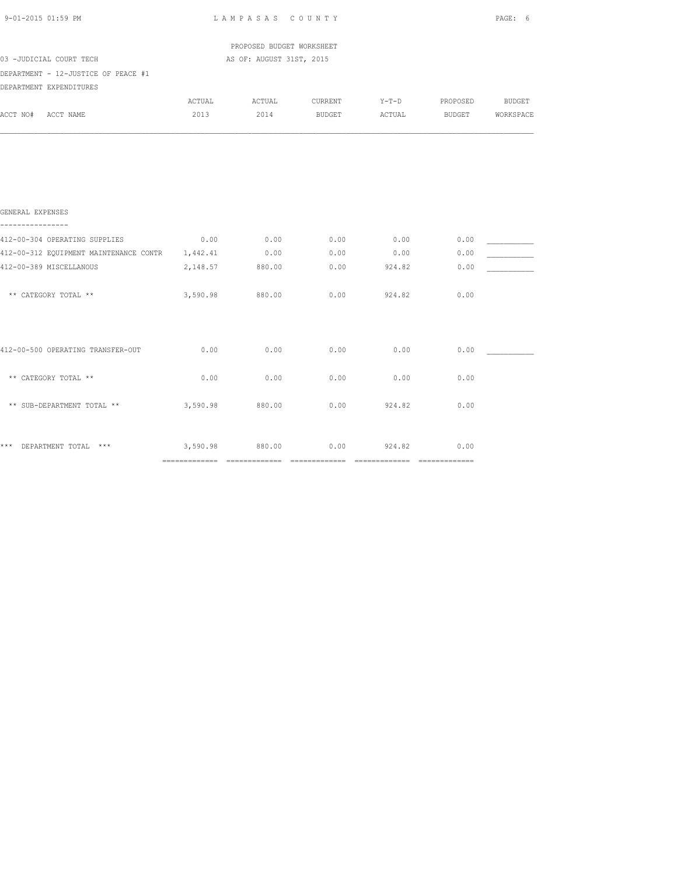| PROPOSED BUDGET WORKSHEET<br>03 -JUDICIAL COURT TECH<br>AS OF: AUGUST 31ST, 2015<br>DEPARTMENT - 12-JUSTICE OF PEACE #1<br>DEPARTMENT EXPENDITURES<br>ACTUAL<br>ACTUAL<br>CURRENT<br>Y-T-D PROPOSED BUDGET<br>2013<br>2014<br><b>BUDGET</b><br>BUDGET<br>ACTUAL<br>GENERAL EXPENSES<br>----------------<br>$0.00$ 0.00<br>$0.00$ 0.00<br>0.00<br>0.00<br>0.00<br>0.00<br>0.00<br>2,148.57 880.00<br>0.00<br>924.82<br>0.00<br>3,590.98<br>0.00<br>0.00<br>** CATEGORY TOTAL **<br>880.00<br>924.82<br>412-00-500 OPERATING TRANSFER-OUT<br>0.00<br>0.00<br>0.00<br>0.00<br>0.00<br>0.00<br>** CATEGORY TOTAL **<br>0.00<br>0.00<br>0.00<br>0.00<br>** SUB-DEPARTMENT TOTAL **<br>3,590.98<br>880.00<br>0.00<br>924.82<br>0.00<br>*** DEPARTMENT TOTAL ***<br>3,590.98 880.00<br>0.00<br>924.82<br>0.00 | 9-01-2015 01:59 PM | LAMPASAS COUNTY | PAGE: 6 |  |           |
|--------------------------------------------------------------------------------------------------------------------------------------------------------------------------------------------------------------------------------------------------------------------------------------------------------------------------------------------------------------------------------------------------------------------------------------------------------------------------------------------------------------------------------------------------------------------------------------------------------------------------------------------------------------------------------------------------------------------------------------------------------------------------------------------------------|--------------------|-----------------|---------|--|-----------|
|                                                                                                                                                                                                                                                                                                                                                                                                                                                                                                                                                                                                                                                                                                                                                                                                        |                    |                 |         |  |           |
|                                                                                                                                                                                                                                                                                                                                                                                                                                                                                                                                                                                                                                                                                                                                                                                                        |                    |                 |         |  |           |
|                                                                                                                                                                                                                                                                                                                                                                                                                                                                                                                                                                                                                                                                                                                                                                                                        |                    |                 |         |  |           |
|                                                                                                                                                                                                                                                                                                                                                                                                                                                                                                                                                                                                                                                                                                                                                                                                        |                    |                 |         |  |           |
|                                                                                                                                                                                                                                                                                                                                                                                                                                                                                                                                                                                                                                                                                                                                                                                                        | ACCT NO# ACCT NAME |                 |         |  | WORKSPACE |
| 412-00-304 OPERATING SUPPLIES<br>412-00-312 EQUIPMENT MAINTENANCE CONTR 1,442.41<br>412-00-389 MISCELLANOUS                                                                                                                                                                                                                                                                                                                                                                                                                                                                                                                                                                                                                                                                                            |                    |                 |         |  |           |
|                                                                                                                                                                                                                                                                                                                                                                                                                                                                                                                                                                                                                                                                                                                                                                                                        |                    |                 |         |  |           |
|                                                                                                                                                                                                                                                                                                                                                                                                                                                                                                                                                                                                                                                                                                                                                                                                        |                    |                 |         |  |           |
|                                                                                                                                                                                                                                                                                                                                                                                                                                                                                                                                                                                                                                                                                                                                                                                                        |                    |                 |         |  |           |
|                                                                                                                                                                                                                                                                                                                                                                                                                                                                                                                                                                                                                                                                                                                                                                                                        |                    |                 |         |  |           |
|                                                                                                                                                                                                                                                                                                                                                                                                                                                                                                                                                                                                                                                                                                                                                                                                        |                    |                 |         |  |           |
|                                                                                                                                                                                                                                                                                                                                                                                                                                                                                                                                                                                                                                                                                                                                                                                                        |                    |                 |         |  |           |
|                                                                                                                                                                                                                                                                                                                                                                                                                                                                                                                                                                                                                                                                                                                                                                                                        |                    |                 |         |  |           |
|                                                                                                                                                                                                                                                                                                                                                                                                                                                                                                                                                                                                                                                                                                                                                                                                        |                    |                 |         |  |           |
|                                                                                                                                                                                                                                                                                                                                                                                                                                                                                                                                                                                                                                                                                                                                                                                                        |                    |                 |         |  |           |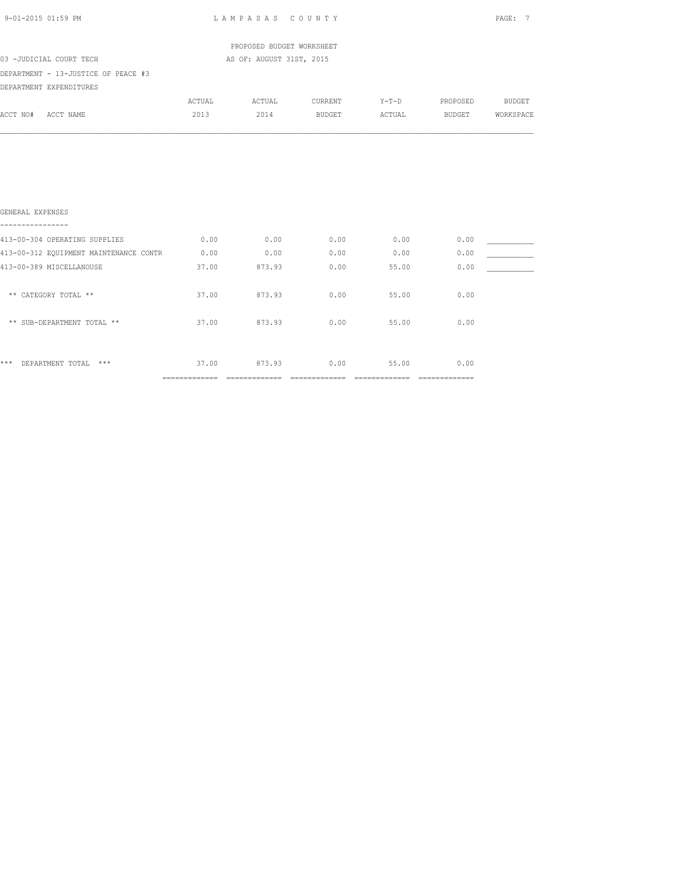| 9-01-2015 01:59 PM                     | LAMPASAS COUNTY |                           |         |         |          | PAGE: 7   |  |
|----------------------------------------|-----------------|---------------------------|---------|---------|----------|-----------|--|
|                                        |                 | PROPOSED BUDGET WORKSHEET |         |         |          |           |  |
| 03 -JUDICIAL COURT TECH                |                 | AS OF: AUGUST 31ST, 2015  |         |         |          |           |  |
| DEPARTMENT - 13-JUSTICE OF PEACE #3    |                 |                           |         |         |          |           |  |
| DEPARTMENT EXPENDITURES                |                 |                           |         |         |          |           |  |
|                                        | ACTUAL          | ACTUAL                    | CURRENT | $Y-T-D$ | PROPOSED | BUDGET    |  |
| ACCT NO#<br>ACCT NAME                  | 2013            | 2014                      | BUDGET  | ACTUAL  | BUDGET   | WORKSPACE |  |
| GENERAL EXPENSES                       |                 |                           |         |         |          |           |  |
| 413-00-304 OPERATING SUPPLIES          | 0.00            | 0.00                      | 0.00    | 0.00    | 0.00     |           |  |
| 413-00-312 EQUIPMENT MAINTENANCE CONTR | 0.00            | 0.00                      | 0.00    | 0.00    | 0.00     |           |  |
| 413-00-389 MISCELLANOUSE               | 37.00           | 873.93                    | 0.00    | 55.00   | 0.00     |           |  |
| ** CATEGORY TOTAL **                   | 37.00           | 873.93                    | 0.00    | 55.00   | 0.00     |           |  |
| ** SUB-DEPARTMENT TOTAL **             | 37.00           | 873.93                    | 0.00    | 55.00   | 0.00     |           |  |
|                                        |                 |                           |         |         |          |           |  |
|                                        |                 |                           |         |         |          |           |  |

\*\*\* DEPARTMENT TOTAL \*\*\* 37.00 873.93 0.00 55.00 0.00 ============= ============= ============= ============= =============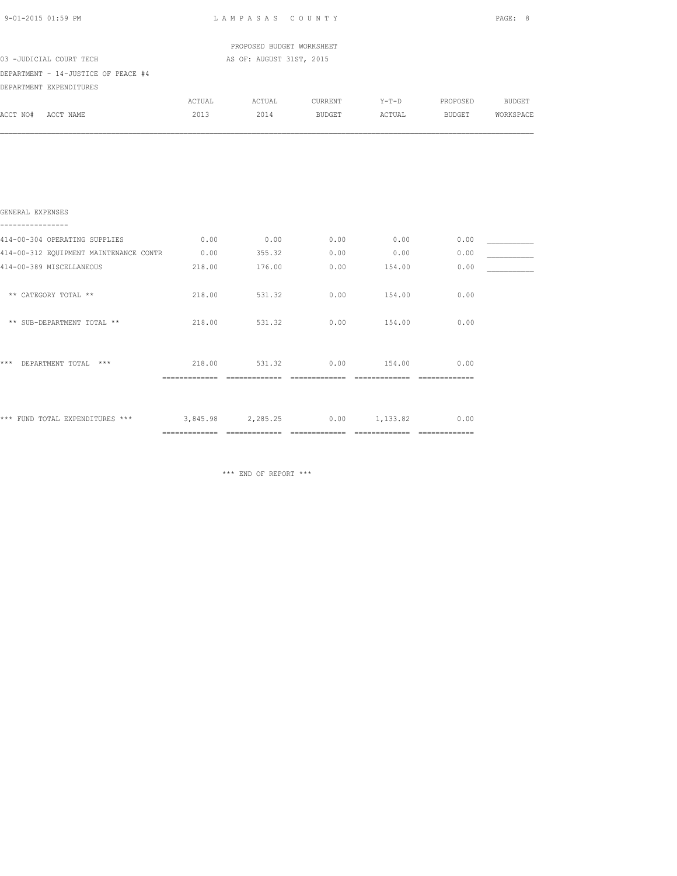| 9-01-2015 01:59 PM                                | LAMPASAS COUNTY |                           |                |                    |                 |           |
|---------------------------------------------------|-----------------|---------------------------|----------------|--------------------|-----------------|-----------|
|                                                   |                 | PROPOSED BUDGET WORKSHEET |                |                    |                 |           |
| 03 -JUDICIAL COURT TECH                           |                 | AS OF: AUGUST 31ST, 2015  |                |                    |                 |           |
| DEPARTMENT - 14-JUSTICE OF PEACE #4               |                 |                           |                |                    |                 |           |
| DEPARTMENT EXPENDITURES                           |                 |                           |                |                    |                 |           |
|                                                   | ACTUAL          |                           | ACTUAL CURRENT | $Y-T-D$            | PROPOSED BUDGET |           |
| ACCT NO# ACCT NAME                                | 2013            | 2014                      | BUDGET         | ACTUAL             | <b>BUDGET</b>   | WORKSPACE |
|                                                   |                 |                           |                |                    |                 |           |
| GENERAL EXPENSES<br>----------------              |                 |                           |                |                    |                 |           |
| 414-00-304 OPERATING SUPPLIES                     | 0.00            | 0.00                      | 0.00           | 0.00               | 0.00            |           |
| 414-00-312 EQUIPMENT MAINTENANCE CONTR            |                 | $0.00$ 355.32             | 0.00           | 0.00               | 0.00            |           |
| 414-00-389 MISCELLANEOUS                          | 218.00          | 176.00                    | 0.00           | 154.00             | 0.00            |           |
| ** CATEGORY TOTAL **                              | 218.00          | 531.32                    | 0.00           | 154.00             | 0.00            |           |
| ** SUB-DEPARTMENT TOTAL **                        | 218.00          | 531.32                    | 0.00           | 154.00             | 0.00            |           |
| *** DEPARTMENT TOTAL ***                          |                 | 218.00 531.32             |                | $0.00$ 154.00      | 0.00            |           |
| *** FUND TOTAL EXPENDITURES *** 3,845.98 2,285.25 |                 |                           |                | $0.00 \t 1,133.82$ | 0.00            |           |

\*\*\* END OF REPORT \*\*\*

============= ============= ============= ============= =============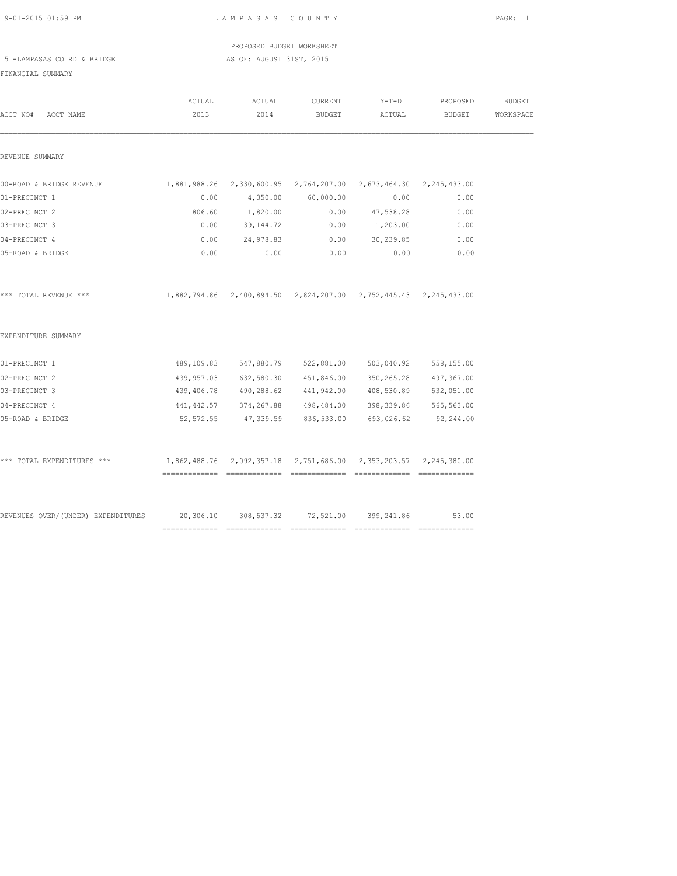| 9-01-2015 01:59 PM          |        | LAMPASAS COUNTY                                                  |               |         |          | PAGE: 1       |
|-----------------------------|--------|------------------------------------------------------------------|---------------|---------|----------|---------------|
|                             |        | PROPOSED BUDGET WORKSHEET                                        |               |         |          |               |
| 15 -LAMPASAS CO RD & BRIDGE |        | AS OF: AUGUST 31ST, 2015                                         |               |         |          |               |
| FINANCIAL SUMMARY           |        |                                                                  |               |         |          |               |
|                             | ACTUAL | ACTUAL                                                           | CURRENT       | $Y-T-D$ | PROPOSED | <b>BUDGET</b> |
| ACCT NO#<br>ACCT NAME       | 2013   | 2014                                                             | <b>BUDGET</b> | ACTUAL  | BUDGET   | WORKSPACE     |
|                             |        |                                                                  |               |         |          |               |
|                             |        |                                                                  |               |         |          |               |
| REVENUE SUMMARY             |        |                                                                  |               |         |          |               |
|                             |        |                                                                  |               |         |          |               |
| 00-ROAD & BRIDGE REVENUE    |        | 1,881,988.26 2,330,600.95 2,764,207.00 2,673,464.30 2,245,433.00 |               |         |          |               |

| 01-PRECINCT 1                                                                | 0.00                                                             |                         | 4,350.00 60,000.00                                               | 0.00       | 0.00       |  |
|------------------------------------------------------------------------------|------------------------------------------------------------------|-------------------------|------------------------------------------------------------------|------------|------------|--|
| 02-PRECINCT 2                                                                | 806.60                                                           | 1,820.00                | 0.00                                                             | 47,538.28  | 0.00       |  |
| 03-PRECINCT 3                                                                | 0.00                                                             | 39, 144. 72             | 0.00                                                             | 1,203.00   | 0.00       |  |
| 04-PRECINCT 4                                                                | 0.00                                                             | 24,978.83               | 0.00                                                             | 30,239.85  | 0.00       |  |
| 05-ROAD & BRIDGE                                                             | 0.00                                                             | 0.00                    | 0.00                                                             | 0.00       | 0.00       |  |
| *** TOTAL REVENUE ***                                                        |                                                                  |                         | 1,882,794.86 2,400,894.50 2,824,207.00 2,752,445.43 2,245,433.00 |            |            |  |
| EXPENDITURE SUMMARY                                                          |                                                                  |                         |                                                                  |            |            |  |
| 01-PRECINCT 1                                                                |                                                                  |                         | 489,109.83 547,880.79 522,881.00                                 | 503,040.92 | 558,155.00 |  |
| 02-PRECINCT 2                                                                |                                                                  |                         | 439,957.03 632,580.30 451,846.00                                 | 350,265.28 | 497,367.00 |  |
| 03-PRECINCT 3                                                                |                                                                  |                         | 439,406.78 490,288.62 441,942.00                                 | 408,530.89 | 532,051.00 |  |
| 04-PRECINCT 4                                                                |                                                                  | 441, 442.57 374, 267.88 | 498,484.00                                                       | 398,339.86 | 565,563.00 |  |
| 05-ROAD & BRIDGE                                                             |                                                                  | 52,572.55 47,339.59     | 836,533.00                                                       | 693,026.62 | 92,244.00  |  |
| *** TOTAL EXPENDITURES ***                                                   | 1,862,488.76 2,092,357.18 2,751,686.00 2,353,203.57 2,245,380.00 |                         |                                                                  |            |            |  |
|                                                                              |                                                                  |                         |                                                                  |            |            |  |
| REVENUES OVER/(UNDER) EXPENDITURES 20,306.10 308,537.32 72,521.00 399,241.86 |                                                                  |                         |                                                                  |            | 53.00      |  |
|                                                                              |                                                                  |                         |                                                                  |            |            |  |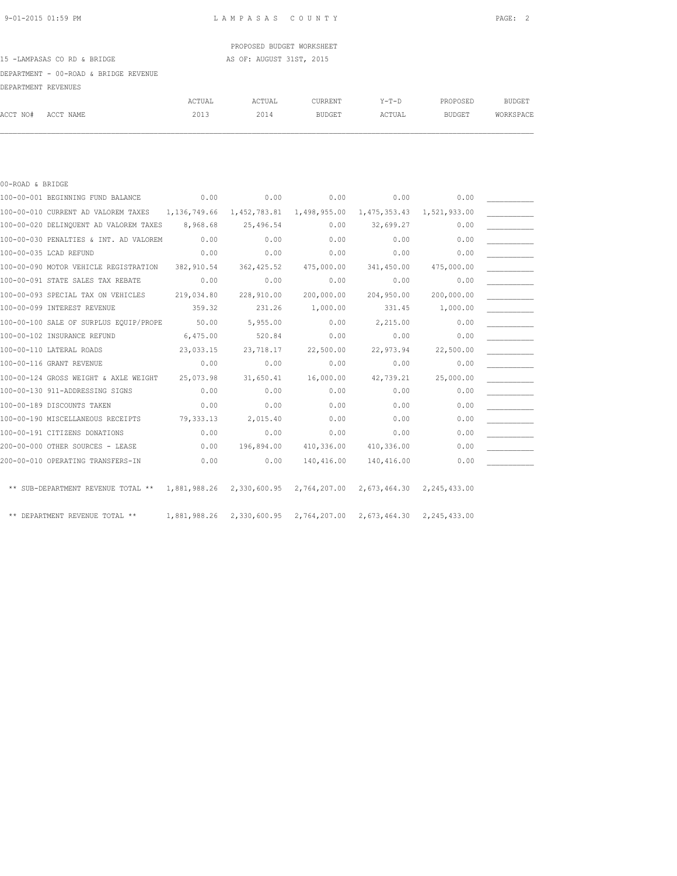## PROPOSED BUDGET WORKSHEET

### 15 -LAMPASAS CO RD & BRIDGE AS OF: AUGUST 31ST, 2015

#### DEPARTMENT - 00-ROAD & BRIDGE REVENUE

| DEPARTMENT REVENUES |           |        |        |               |             |               |               |
|---------------------|-----------|--------|--------|---------------|-------------|---------------|---------------|
|                     |           | ACTUAL | ACTUAL | CURRENT       | $Y - T - D$ | PROPOSED      | <b>BUDGET</b> |
| ACCT NO#            | ACCT NAME | 2013   | 2014   | <b>BUDGET</b> | ACTUAL      | <b>BUDGET</b> | WORKSPACE     |

| 00-ROAD & BRIDGE                                                          |              |                           |            |                           |              |  |
|---------------------------------------------------------------------------|--------------|---------------------------|------------|---------------------------|--------------|--|
| 100-00-001 BEGINNING FUND BALANCE                                         | 0.00         | 0.00                      | 0.00       | 0.00                      | 0.00         |  |
| 100-00-010 CURRENT AD VALOREM TAXES                                       | 1,136,749.66 | 1,452,783.81 1,498,955.00 |            | 1,475,353.43              | 1,521,933.00 |  |
| 100-00-020 DELINQUENT AD VALOREM TAXES                                    | 8,968.68     | 25,496.54                 | 0.00       | 32,699.27                 | 0.00         |  |
| 100-00-030 PENALTIES & INT. AD VALOREM                                    | 0.00         | 0.00                      | 0.00       | 0.00                      | 0.00         |  |
| 100-00-035 LCAD REFUND                                                    | 0.00         | 0.00                      | 0.00       | 0.00                      | 0.00         |  |
| 100-00-090 MOTOR VEHICLE REGISTRATION                                     | 382,910.54   | 362, 425.52               | 475,000.00 | 341,450.00                | 475,000.00   |  |
| 100-00-091 STATE SALES TAX REBATE                                         | 0.00         | 0.00                      | 0.00       | 0.00                      | 0.00         |  |
| 100-00-093 SPECIAL TAX ON VEHICLES                                        | 219,034.80   | 228,910.00                | 200,000.00 | 204,950.00                | 200,000.00   |  |
| 100-00-099 INTEREST REVENUE                                               | 359.32       | 231.26                    | 1,000.00   | 331.45                    | 1,000.00     |  |
| 100-00-100 SALE OF SURPLUS EQUIP/PROPE                                    | 50.00        | 5,955.00                  | 0.00       | 2,215.00                  | 0.00         |  |
| 100-00-102 INSURANCE REFUND                                               | 6,475.00     | 520.84                    | 0.00       | 0.00                      | 0.00         |  |
| 100-00-110 LATERAL ROADS                                                  | 23,033.15    | 23,718.17                 | 22,500.00  | 22,973.94                 | 22,500.00    |  |
| 100-00-116 GRANT REVENUE                                                  | 0.00         | 0.00                      | 0.00       | 0.00                      | 0.00         |  |
| 100-00-124 GROSS WEIGHT & AXLE WEIGHT                                     | 25,073.98    | 31,650.41                 | 16,000.00  | 42,739.21                 | 25,000.00    |  |
| 100-00-130 911-ADDRESSING SIGNS                                           | 0.00         | 0.00                      | 0.00       | 0.00                      | 0.00         |  |
| 100-00-189 DISCOUNTS TAKEN                                                | 0.00         | 0.00                      | 0.00       | 0.00                      | 0.00         |  |
| 100-00-190 MISCELLANEOUS RECEIPTS                                         | 79,333.13    | 2,015.40                  | 0.00       | 0.00                      | 0.00         |  |
| 100-00-191 CITIZENS DONATIONS                                             | 0.00         | 0.00                      | 0.00       | 0.00                      | 0.00         |  |
| 200-00-000 OTHER SOURCES - LEASE                                          | 0.00         | 196,894.00                | 410,336.00 | 410,336.00                | 0.00         |  |
| 200-00-010 OPERATING TRANSFERS-IN                                         | 0.00         | 0.00                      | 140,416.00 | 140,416.00                | 0.00         |  |
|                                                                           |              |                           |            |                           |              |  |
| ** SUB-DEPARTMENT REVENUE TOTAL ** 1,881,988.26 2,330,600.95 2,764,207.00 |              |                           |            | 2,673,464.30 2,245,433.00 |              |  |
|                                                                           |              |                           |            |                           |              |  |
| DEPARTMENT REVENUE TOTAL **                                               | 1,881,988.26 | 2,330,600.95 2,764,207.00 |            | 2,673,464.30 2,245,433.00 |              |  |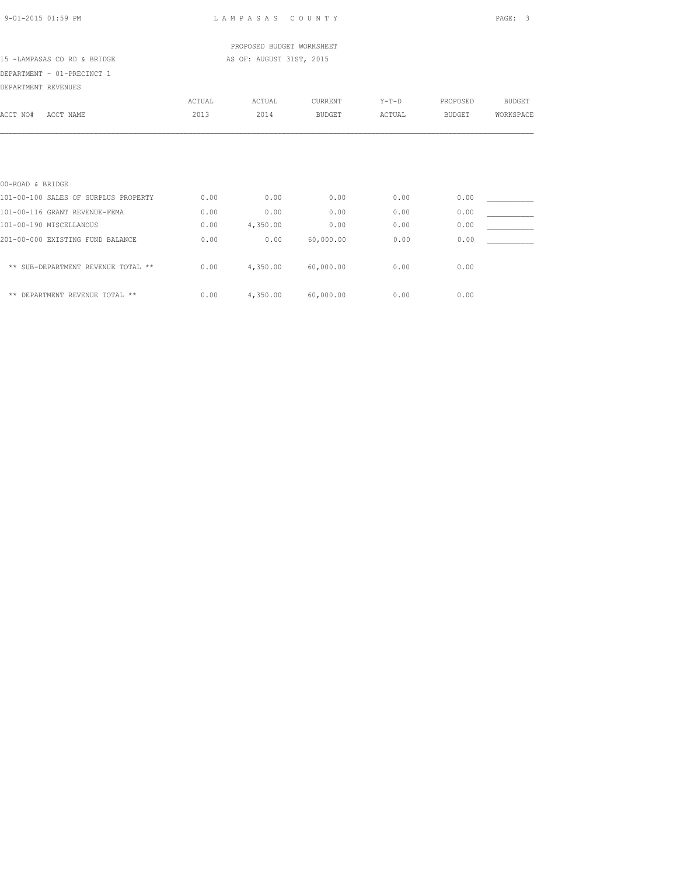| 9-01-2015 01:59 PM |  |
|--------------------|--|
|                    |  |

LAMPASAS COUNTY PAGE: 3

PROPOSED BUDGET WORKSHEET

# 15 -LAMPASAS CO RD & BRIDGE AS OF: AUGUST 31ST, 2015

DEPARTMENT - 01-PRECINCT 1

| DEPARTMENT REVENUES                  |        |          |               |         |               |               |
|--------------------------------------|--------|----------|---------------|---------|---------------|---------------|
|                                      | ACTUAL | ACTUAL   | CURRENT       | $Y-T-D$ | PROPOSED      | <b>BUDGET</b> |
| ACCT NO#<br>ACCT NAME                | 2013   | 2014     | <b>BUDGET</b> | ACTUAL  | <b>BUDGET</b> | WORKSPACE     |
|                                      |        |          |               |         |               |               |
|                                      |        |          |               |         |               |               |
| 00-ROAD & BRIDGE                     |        |          |               |         |               |               |
| 101-00-100 SALES OF SURPLUS PROPERTY | 0.00   | 0.00     | 0.00          | 0.00    | 0.00          |               |
| 101-00-116 GRANT REVENUE-FEMA        | 0.00   | 0.00     | 0.00          | 0.00    | 0.00          |               |
| 101-00-190 MISCELLANOUS              | 0.00   | 4,350.00 | 0.00          | 0.00    | 0.00          |               |
| 201-00-000 EXISTING FUND BALANCE     | 0.00   | 0.00     | 60,000.00     | 0.00    | 0.00          |               |
| ** SUB-DEPARTMENT REVENUE TOTAL **   | 0.00   | 4,350.00 | 60,000.00     | 0.00    | 0.00          |               |
| DEPARTMENT REVENUE TOTAL **<br>$* *$ | 0.00   | 4,350.00 | 60,000.00     | 0.00    | 0.00          |               |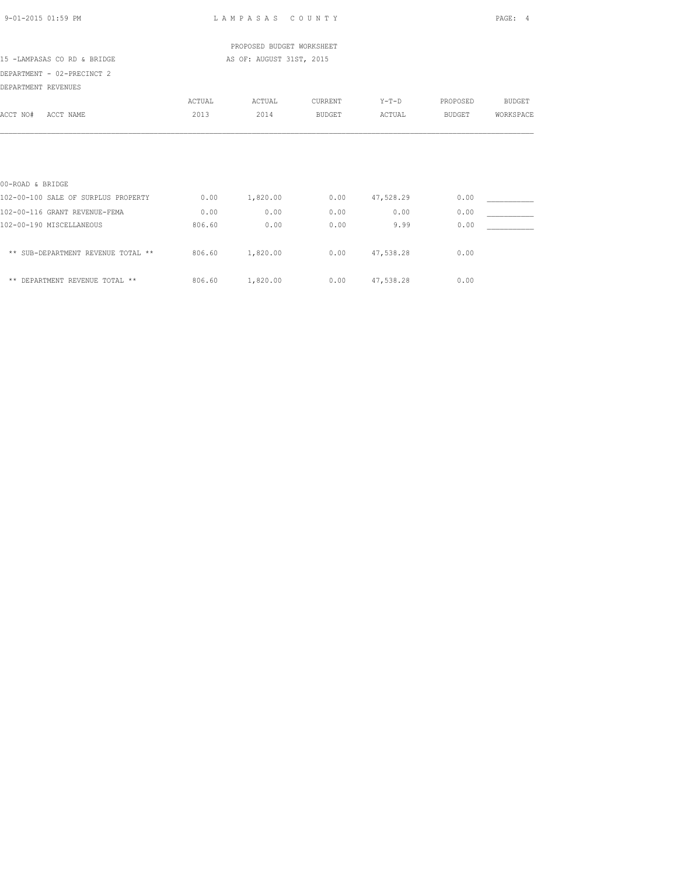|                                     |        | PROPOSED BUDGET WORKSHEET |               |                    |               |               |
|-------------------------------------|--------|---------------------------|---------------|--------------------|---------------|---------------|
| 15 -LAMPASAS CO RD & BRIDGE         |        | AS OF: AUGUST 31ST, 2015  |               |                    |               |               |
| DEPARTMENT - 02-PRECINCT 2          |        |                           |               |                    |               |               |
| DEPARTMENT REVENUES                 |        |                           |               |                    |               |               |
|                                     | ACTUAL | ACTUAL                    | CURRENT       | $Y-T-D$            | PROPOSED      | <b>BUDGET</b> |
| ACCT NO#<br>ACCT NAME               | 2013   | 2014                      | <b>BUDGET</b> | ACTUAL             | <b>BUDGET</b> | WORKSPACE     |
|                                     |        |                           |               |                    |               |               |
|                                     |        |                           |               |                    |               |               |
|                                     |        |                           |               |                    |               |               |
|                                     |        |                           |               |                    |               |               |
| 00-ROAD & BRIDGE                    |        |                           |               |                    |               |               |
| 102-00-100 SALE OF SURPLUS PROPERTY | 0.00   | 1,820.00                  |               | $0.00$ $47,528.29$ | 0.00          |               |
| 102-00-116 GRANT REVENUE-FEMA       | 0.00   | 0.00                      | 0.00          | 0.00               | 0.00          |               |
| 102-00-190 MISCELLANEOUS            | 806.60 | 0.00                      | 0.00          | 9.99               | 0.00          |               |
|                                     |        |                           |               |                    |               |               |
| ** SUB-DEPARTMENT REVENUE TOTAL **  | 806.60 | 1,820.00                  |               | $0.00$ $47,538.28$ | 0.00          |               |
|                                     |        |                           |               |                    |               |               |
| ** DEPARTMENT REVENUE TOTAL **      | 806.60 | 1,820.00                  |               | $0.00$ 47,538.28   | 0.00          |               |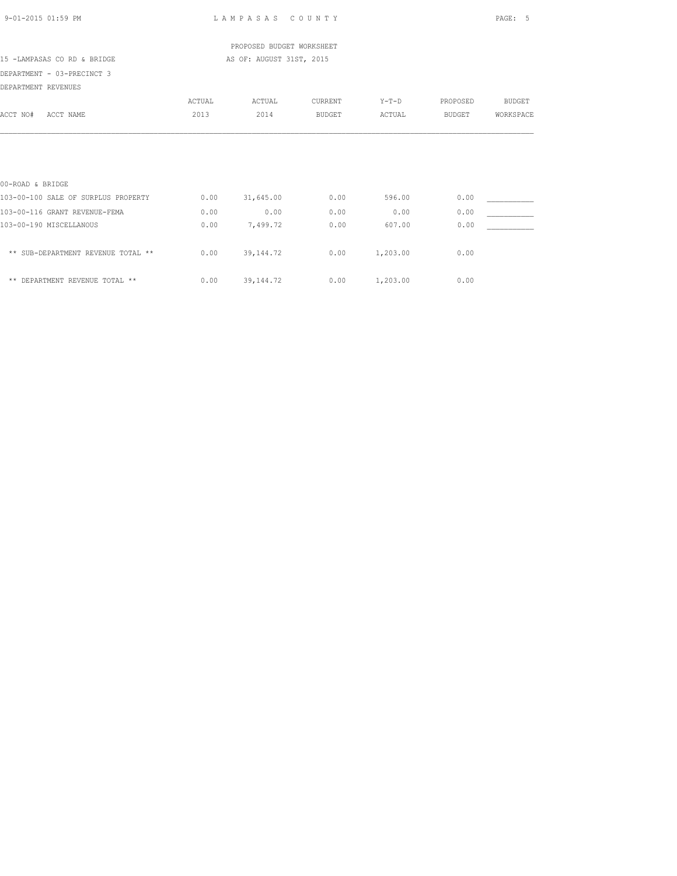|                                     |        | PROPOSED BUDGET WORKSHEET |               |          |               |               |
|-------------------------------------|--------|---------------------------|---------------|----------|---------------|---------------|
| 15 -LAMPASAS CO RD & BRIDGE         |        | AS OF: AUGUST 31ST, 2015  |               |          |               |               |
| DEPARTMENT - 03-PRECINCT 3          |        |                           |               |          |               |               |
| DEPARTMENT REVENUES                 |        |                           |               |          |               |               |
|                                     | ACTUAL | ACTUAL                    | CURRENT       | $Y-T-D$  | PROPOSED      | <b>BUDGET</b> |
| ACCT NO#<br>ACCT NAME               | 2013   | 2014                      | <b>BUDGET</b> | ACTUAL   | <b>BUDGET</b> | WORKSPACE     |
|                                     |        |                           |               |          |               |               |
|                                     |        |                           |               |          |               |               |
|                                     |        |                           |               |          |               |               |
|                                     |        |                           |               |          |               |               |
| 00-ROAD & BRIDGE                    |        |                           |               |          |               |               |
| 103-00-100 SALE OF SURPLUS PROPERTY | 0.00   | 31,645.00                 | 0.00          | 596.00   | 0.00          |               |
| 103-00-116 GRANT REVENUE-FEMA       | 0.00   | 0.00                      | 0.00          | 0.00     | 0.00          |               |
| 103-00-190 MISCELLANOUS             | 0.00   | 7,499.72                  | 0.00          | 607.00   | 0.00          |               |
|                                     |        |                           |               |          |               |               |
| ** SUB-DEPARTMENT REVENUE TOTAL **  | 0.00   | 39, 144.72                | 0.00          | 1,203.00 | 0.00          |               |
|                                     |        |                           |               |          |               |               |
| ** DEPARTMENT REVENUE TOTAL **      | 0.00   | 39, 144. 72               | 0.00          | 1,203.00 | 0.00          |               |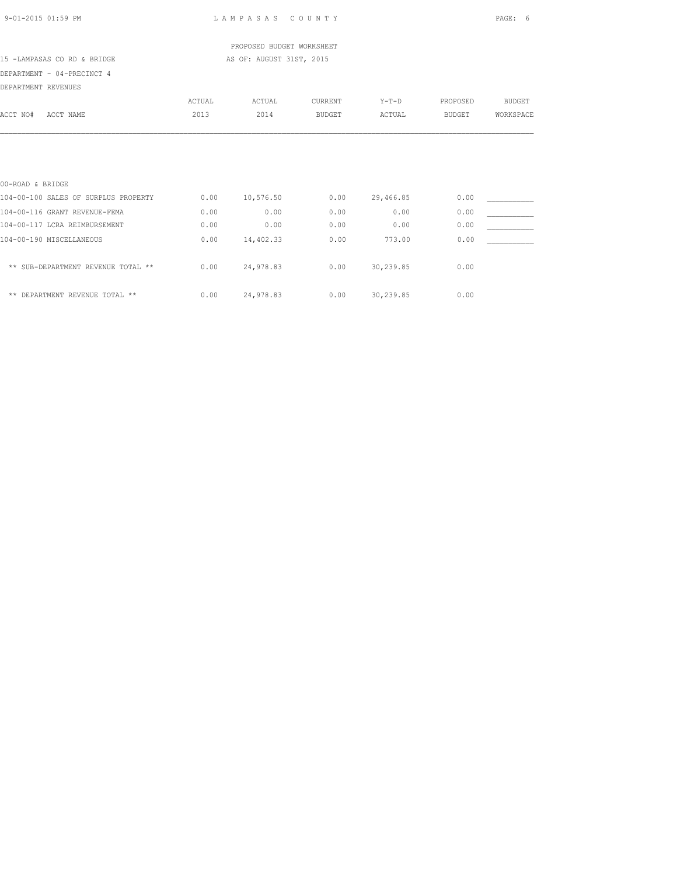|                                      |               | PROPOSED BUDGET WORKSHEET |                |                  |               |               |
|--------------------------------------|---------------|---------------------------|----------------|------------------|---------------|---------------|
| 15 -LAMPASAS CO RD & BRIDGE          |               | AS OF: AUGUST 31ST, 2015  |                |                  |               |               |
| DEPARTMENT - 04-PRECINCT 4           |               |                           |                |                  |               |               |
| DEPARTMENT REVENUES                  |               |                           |                |                  |               |               |
|                                      | <b>ACTUAL</b> | ACTUAL                    | <b>CURRENT</b> | $Y-T-D$          | PROPOSED      | <b>BUDGET</b> |
| ACCT NO#<br>ACCT NAME                | 2013          | 2014                      | <b>BUDGET</b>  | ACTUAL           | <b>BUDGET</b> | WORKSPACE     |
|                                      |               |                           |                |                  |               |               |
|                                      |               |                           |                |                  |               |               |
| 00-ROAD & BRIDGE                     |               |                           |                |                  |               |               |
| 104-00-100 SALES OF SURPLUS PROPERTY | 0.00          | 10,576.50                 | 0.00           | 29,466.85        | 0.00          |               |
| 104-00-116 GRANT REVENUE-FEMA        | 0.00          | 0.00                      | 0.00           | 0.00             | 0.00          |               |
| 104-00-117 LCRA REIMBURSEMENT        | 0.00          | 0.00                      | 0.00           | 0.00             | 0.00          |               |
| 104-00-190 MISCELLANEOUS             | 0.00          | 14,402.33                 | 0.00           | 773.00           | 0.00          |               |
| ** SUB-DEPARTMENT REVENUE TOTAL **   | 0.00          | 24,978.83                 | 0.00           | 30,239.85        | 0.00          |               |
| ** DEPARTMENT REVENUE TOTAL **       | 0.00          | 24,978.83                 |                | $0.00$ 30,239.85 | 0.00          |               |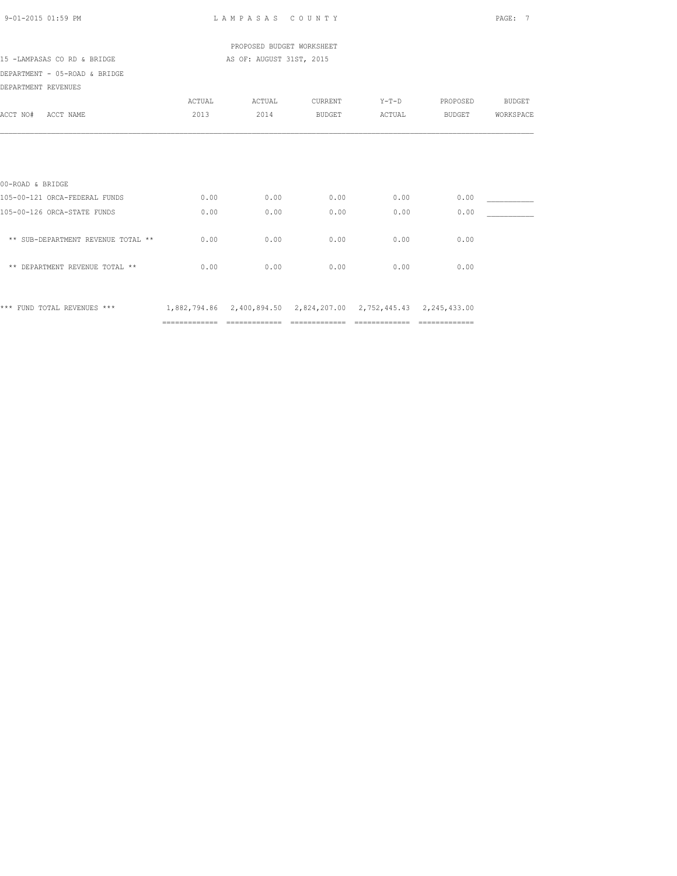| 9-01-2015 01:59 PM                 |               | LAMPASAS COUNTY                                                  |                                    |                |                                                                                                                                                                                                                                                                                                                                                                                                                                                                                        | PAGE: 7   |
|------------------------------------|---------------|------------------------------------------------------------------|------------------------------------|----------------|----------------------------------------------------------------------------------------------------------------------------------------------------------------------------------------------------------------------------------------------------------------------------------------------------------------------------------------------------------------------------------------------------------------------------------------------------------------------------------------|-----------|
|                                    |               | PROPOSED BUDGET WORKSHEET                                        |                                    |                |                                                                                                                                                                                                                                                                                                                                                                                                                                                                                        |           |
| 15 -LAMPASAS CO RD & BRIDGE        |               | AS OF: AUGUST 31ST, 2015                                         |                                    |                |                                                                                                                                                                                                                                                                                                                                                                                                                                                                                        |           |
| DEPARTMENT - 05-ROAD & BRIDGE      |               |                                                                  |                                    |                |                                                                                                                                                                                                                                                                                                                                                                                                                                                                                        |           |
| DEPARTMENT REVENUES                |               |                                                                  |                                    |                |                                                                                                                                                                                                                                                                                                                                                                                                                                                                                        |           |
|                                    | ACTUAL        | ACTUAL                                                           | CURRENT                            | $Y-T-D$        | PROPOSED                                                                                                                                                                                                                                                                                                                                                                                                                                                                               | BUDGET    |
| ACCT NO# ACCT NAME                 | 2013          | 2014                                                             | <b>BUDGET</b>                      | ACTUAL         | BUDGET                                                                                                                                                                                                                                                                                                                                                                                                                                                                                 | WORKSPACE |
|                                    |               |                                                                  |                                    |                |                                                                                                                                                                                                                                                                                                                                                                                                                                                                                        |           |
| 00-ROAD & BRIDGE                   |               |                                                                  |                                    |                |                                                                                                                                                                                                                                                                                                                                                                                                                                                                                        |           |
| 105-00-121 ORCA-FEDERAL FUNDS      | 0.00          | 0.00                                                             | 0.00                               | 0.00           | 0.00                                                                                                                                                                                                                                                                                                                                                                                                                                                                                   |           |
| 105-00-126 ORCA-STATE FUNDS        | 0.00          | 0.00                                                             | 0.00                               | 0.00           | 0.00                                                                                                                                                                                                                                                                                                                                                                                                                                                                                   |           |
| ** SUB-DEPARTMENT REVENUE TOTAL ** | 0.00          | 0.00                                                             | 0.00                               | 0.00           | 0.00                                                                                                                                                                                                                                                                                                                                                                                                                                                                                   |           |
| ** DEPARTMENT REVENUE TOTAL **     | 0.00          | 0.00                                                             | 0.00                               | 0.00           | 0.00                                                                                                                                                                                                                                                                                                                                                                                                                                                                                   |           |
| *** FUND TOTAL REVENUES ***        |               | 1,882,794.86 2,400,894.50 2,824,207.00 2,752,445.43 2,245,433.00 |                                    |                |                                                                                                                                                                                                                                                                                                                                                                                                                                                                                        |           |
|                                    | ============= |                                                                  | ================================== | ============== | $\begin{array}{cccccccccccccc} \multicolumn{2}{c}{} & \multicolumn{2}{c}{} & \multicolumn{2}{c}{} & \multicolumn{2}{c}{} & \multicolumn{2}{c}{} & \multicolumn{2}{c}{} & \multicolumn{2}{c}{} & \multicolumn{2}{c}{} & \multicolumn{2}{c}{} & \multicolumn{2}{c}{} & \multicolumn{2}{c}{} & \multicolumn{2}{c}{} & \multicolumn{2}{c}{} & \multicolumn{2}{c}{} & \multicolumn{2}{c}{} & \multicolumn{2}{c}{} & \multicolumn{2}{c}{} & \multicolumn{2}{c}{} & \multicolumn{2}{c}{} & \$ |           |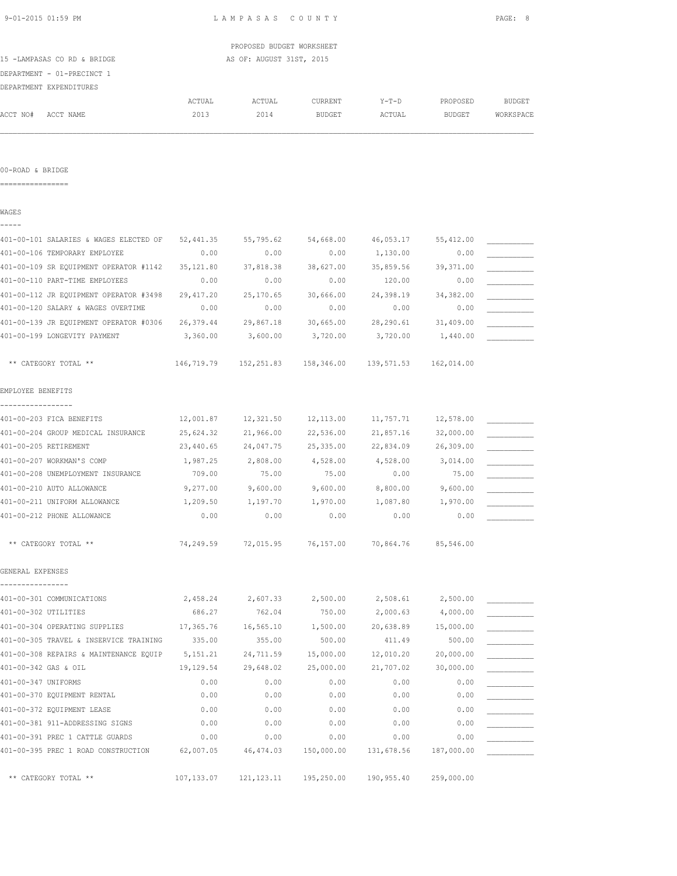|                                        |            | PROPOSED BUDGET WORKSHEET |                                        |                       |            |               |
|----------------------------------------|------------|---------------------------|----------------------------------------|-----------------------|------------|---------------|
| 15 -LAMPASAS CO RD & BRIDGE            |            | AS OF: AUGUST 31ST, 2015  |                                        |                       |            |               |
| DEPARTMENT - 01-PRECINCT 1             |            |                           |                                        |                       |            |               |
| DEPARTMENT EXPENDITURES                |            |                           |                                        |                       |            |               |
|                                        | ACTUAL     | ACTUAL                    | CURRENT                                | Y-T-D                 | PROPOSED   | <b>BUDGET</b> |
| ACCT NO#<br>ACCT NAME                  | 2013       | 2014                      | BUDGET                                 | ACTUAL                | BUDGET     | WORKSPACE     |
|                                        |            |                           |                                        |                       |            |               |
| 00-ROAD & BRIDGE<br>================   |            |                           |                                        |                       |            |               |
|                                        |            |                           |                                        |                       |            |               |
| WAGES                                  |            |                           |                                        |                       |            |               |
| 401-00-101 SALARIES & WAGES ELECTED OF | 52,441.35  | 55,795.62                 | 54,668.00                              | 46,053.17             | 55,412.00  |               |
| 401-00-106 TEMPORARY EMPLOYEE          | 0.00       | 0.00                      | 0.00                                   | 1,130.00              | 0.00       |               |
| 401-00-109 SR EQUIPMENT OPERATOR #1142 | 35, 121.80 | 37,818.38                 | 38,627.00                              | 35,859.56             | 39, 371.00 |               |
| 401-00-110 PART-TIME EMPLOYEES         | 0.00       | 0.00                      | 0.00                                   | 120.00                | 0.00       |               |
| 401-00-112 JR EQUIPMENT OPERATOR #3498 | 29, 417.20 | 25,170.65                 | 30,666.00                              | 24,398.19             | 34,382.00  |               |
| 401-00-120 SALARY & WAGES OVERTIME     | 0.00       | 0.00                      | 0.00                                   | 0.00                  | 0.00       |               |
| 401-00-139 JR EQUIPMENT OPERATOR #0306 | 26,379.44  | 29,867.18                 | 30,665.00                              | 28,290.61             | 31,409.00  |               |
| 401-00-199 LONGEVITY PAYMENT           | 3,360.00   | 3,600.00                  | 3,720.00                               | 3,720.00              | 1,440.00   |               |
| ** CATEGORY TOTAL **                   |            |                           | 146,719.79    152,251.83    158,346.00 | 139,571.53 162,014.00 |            |               |
| EMPLOYEE BENEFITS                      |            |                           |                                        |                       |            |               |
|                                        |            |                           |                                        |                       |            |               |
| 401-00-203 FICA BENEFITS               | 12,001.87  | 12,321.50                 | 12,113.00                              | 11,757.71             | 12,578.00  |               |
| 401-00-204 GROUP MEDICAL INSURANCE     | 25,624.32  | 21,966.00                 | 22,536.00                              | 21,857.16             | 32,000.00  |               |
| 401-00-205 RETIREMENT                  | 23,440.65  | 24,047.75                 | 25,335.00                              | 22,834.09             | 26,309.00  |               |
| 401-00-207 WORKMAN'S COMP              | 1,987.25   | 2,808.00                  | 4,528.00                               | 4,528.00              | 3,014.00   |               |
| 401-00-208 UNEMPLOYMENT INSURANCE      | 709.00     | 75.00                     | 75.00                                  | 0.00                  | 75.00      |               |
| 401-00-210 AUTO ALLOWANCE              | 9,277.00   | 9,600.00                  | 9,600.00                               | 8,800.00              | 9,600.00   |               |
| 401-00-211 UNIFORM ALLOWANCE           | 1,209.50   | 1,197.70                  | 1,970.00                               | 1,087.80              | 1,970.00   |               |
| 401-00-212 PHONE ALLOWANCE             | 0.00       | 0.00                      | 0.00                                   | 0.00                  | 0.00       |               |
| ** CATEGORY TOTAL **                   | 74,249.59  | 72,015.95                 | 76,157.00                              | 70,864.76             | 85,546.00  |               |
| GENERAL EXPENSES                       |            |                           |                                        |                       |            |               |
| 401-00-301 COMMUNICATIONS              | 2,458.24   | 2,607.33                  | 2,500.00                               | 2,508.61              | 2,500.00   |               |
| 401-00-302 UTILITIES                   | 686.27     | 762.04                    | 750.00                                 | 2,000.63              | 4,000.00   |               |
| 401-00-304 OPERATING SUPPLIES          | 17,365.76  | 16,565.10                 | 1,500.00                               | 20,638.89             | 15,000.00  |               |
| 401-00-305 TRAVEL & INSERVICE TRAINING | 335.00     | 355.00                    | 500.00                                 | 411.49                | 500.00     |               |
| 401-00-308 REPAIRS & MAINTENANCE EQUIP | 5, 151.21  | 24,711.59                 | 15,000.00                              | 12,010.20             | 20,000.00  |               |
| 401-00-342 GAS & OIL                   | 19,129.54  | 29,648.02                 | 25,000.00                              | 21,707.02             | 30,000.00  |               |
| 401-00-347 UNIFORMS                    | 0.00       | 0.00                      | 0.00                                   | 0.00                  | 0.00       |               |
| 401-00-370 EQUIPMENT RENTAL            | 0.00       | 0.00                      | 0.00                                   | 0.00                  | 0.00       |               |
| 401-00-372 EQUIPMENT LEASE             | 0.00       | 0.00                      | 0.00                                   | 0.00                  | 0.00       |               |
| 401-00-381 911-ADDRESSING SIGNS        | 0.00       | 0.00                      | 0.00                                   | 0.00                  | 0.00       |               |
| 401-00-391 PREC 1 CATTLE GUARDS        | 0.00       | 0.00                      | 0.00                                   | 0.00                  | 0.00       |               |
| 401-00-395 PREC 1 ROAD CONSTRUCTION    | 62,007.05  | 46, 474.03                | 150,000.00                             | 131,678.56            | 187,000.00 |               |

\*\* CATEGORY TOTAL \*\* 107,133.07 121,123.11 195,250.00 190,955.40 259,000.00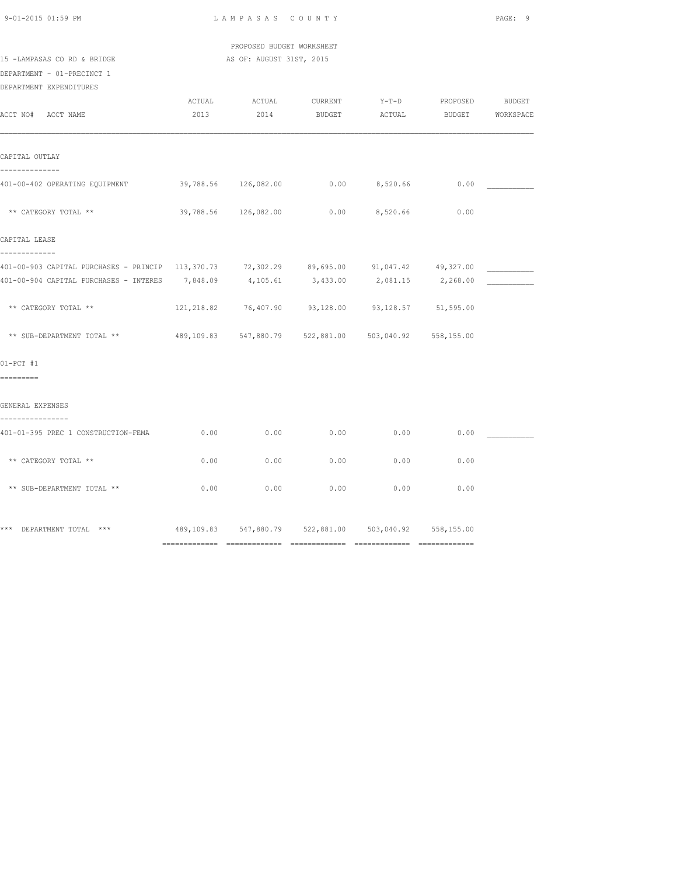| $9 - 01 - 2015$ 01:59 PM |  |
|--------------------------|--|

 PROPOSED BUDGET WORKSHEET 15 -LAMPASAS CO RD & BRIDGE AS OF: AUGUST 31ST, 2015

# DEPARTMENT - 01-PRECINCT 1

DEPARTMENT EXPENDITURES

| 2013 |                                                                       |               |                                                        |                     |                                                                                                                                                                                                                                                                                                                                                                                                                                                                                                                                             |
|------|-----------------------------------------------------------------------|---------------|--------------------------------------------------------|---------------------|---------------------------------------------------------------------------------------------------------------------------------------------------------------------------------------------------------------------------------------------------------------------------------------------------------------------------------------------------------------------------------------------------------------------------------------------------------------------------------------------------------------------------------------------|
|      |                                                                       |               |                                                        |                     |                                                                                                                                                                                                                                                                                                                                                                                                                                                                                                                                             |
|      |                                                                       |               |                                                        | 0.00                |                                                                                                                                                                                                                                                                                                                                                                                                                                                                                                                                             |
|      |                                                                       |               |                                                        | 0.00                |                                                                                                                                                                                                                                                                                                                                                                                                                                                                                                                                             |
|      |                                                                       |               |                                                        |                     |                                                                                                                                                                                                                                                                                                                                                                                                                                                                                                                                             |
|      |                                                                       |               |                                                        |                     |                                                                                                                                                                                                                                                                                                                                                                                                                                                                                                                                             |
|      |                                                                       |               |                                                        |                     |                                                                                                                                                                                                                                                                                                                                                                                                                                                                                                                                             |
|      |                                                                       |               |                                                        |                     |                                                                                                                                                                                                                                                                                                                                                                                                                                                                                                                                             |
|      |                                                                       |               |                                                        |                     |                                                                                                                                                                                                                                                                                                                                                                                                                                                                                                                                             |
|      |                                                                       |               |                                                        |                     |                                                                                                                                                                                                                                                                                                                                                                                                                                                                                                                                             |
|      |                                                                       |               |                                                        |                     |                                                                                                                                                                                                                                                                                                                                                                                                                                                                                                                                             |
|      |                                                                       |               |                                                        |                     |                                                                                                                                                                                                                                                                                                                                                                                                                                                                                                                                             |
| 0.00 |                                                                       |               | 0.00                                                   | 0.00                |                                                                                                                                                                                                                                                                                                                                                                                                                                                                                                                                             |
| 0.00 | 0.00                                                                  | 0.00          | 0.00                                                   | 0.00                |                                                                                                                                                                                                                                                                                                                                                                                                                                                                                                                                             |
| 0.00 | 0.00                                                                  |               |                                                        | 0.00                |                                                                                                                                                                                                                                                                                                                                                                                                                                                                                                                                             |
|      |                                                                       |               |                                                        |                     |                                                                                                                                                                                                                                                                                                                                                                                                                                                                                                                                             |
|      | 401-00-402 OPERATING EQUIPMENT<br>401-01-395 PREC 1 CONSTRUCTION-FEMA | ACTUAL ACTUAL | <b>CURRENT</b><br>2014<br>39,788.56 126,082.00<br>0.00 | 0.00<br>$0.00$ 0.00 | Y-T-D PROPOSED BUDGET<br>BUDGET ACTUAL BUDGET WORKSPACE<br>$0.00$ 8,520.66<br>39,788.56 126,082.00 0.00 8,520.66<br>401-00-903 CAPITAL PURCHASES - PRINCIP 113,370.73 72,302.29 89,695.00 91,047.42 49,327.00<br>401-00-904 CAPITAL PURCHASES - INTERES 7,848.09 4,105.61 3,433.00 2,081.15 2,268.00<br>121, 218.82 76, 407.90 93, 128.00 93, 128.57 51, 595.00<br>** SUB-DEPARTMENT TOTAL ** 489,109.83 547,880.79 522,881.00 503,040.92 558,155.00<br>*** DEPARTMENT TOTAL *** 			 489,109.83 547,880.79 522,881.00 503,040.92 558,155.00 |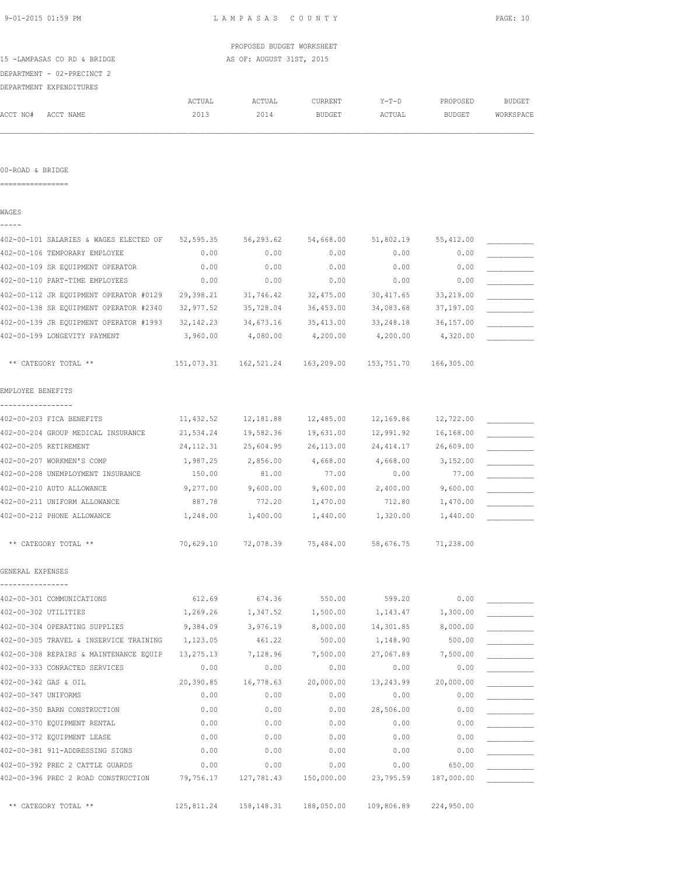| 9-01-2015 01:59 PM                                                                       |        | LAMPASAS COUNTY           |               |         |               | PAGE: 10  |
|------------------------------------------------------------------------------------------|--------|---------------------------|---------------|---------|---------------|-----------|
|                                                                                          |        | PROPOSED BUDGET WORKSHEET |               |         |               |           |
| 15 -LAMPASAS CO RD & BRIDGE                                                              |        | AS OF: AUGUST 31ST, 2015  |               |         |               |           |
| DEPARTMENT - 02-PRECINCT 2                                                               |        |                           |               |         |               |           |
| DEPARTMENT EXPENDITURES                                                                  |        |                           |               |         |               |           |
|                                                                                          | ACTUAL | ACTUAL                    | CURRENT       | $Y-T-D$ | PROPOSED      | BUDGET    |
| ACCT NO#<br>ACCT NAME                                                                    | 2013   | 2014                      | <b>BUDGET</b> | ACTUAL  | BUDGET        | WORKSPACE |
|                                                                                          |        |                           |               |         |               |           |
| 00-ROAD & BRIDGE                                                                         |        |                           |               |         |               |           |
| ===========                                                                              |        |                           |               |         |               |           |
| WAGES                                                                                    |        |                           |               |         |               |           |
| -----                                                                                    |        |                           |               |         |               |           |
| 402-00-101 SALARIES & WAGES ELECTED OF 52,595.35 56,293.62 54,668.00 51,802.19 55,412.00 |        |                           |               |         |               |           |
| MACLANLING TEMPORADY EMPIOVED                                                            |        |                           |               |         | $\cap$ $\cap$ |           |

| 402-00-106 TEMPORARY EMPLOYEE          | 0.00        | 0.00                  | 0.00       | 0.00       | 0.00       |  |
|----------------------------------------|-------------|-----------------------|------------|------------|------------|--|
| 402-00-109 SR EQUIPMENT OPERATOR       | 0.00        | 0.00                  | 0.00       | 0.00       | 0.00       |  |
| 402-00-110 PART-TIME EMPLOYEES         | 0.00        | 0.00                  | 0.00       | 0.00       | 0.00       |  |
| 402-00-112 JR EQUIPMENT OPERATOR #0129 | 29,398.21   | 31,746.42             | 32,475.00  | 30, 417.65 | 33,219.00  |  |
| 402-00-138 SR EQUIPMENT OPERATOR #2340 | 32,977.52   | 35,728.04             | 36,453.00  | 34,083.68  | 37,197.00  |  |
| 402-00-139 JR EQUIPMENT OPERATOR #1993 | 32, 142. 23 | 34,673.16             | 35, 413.00 | 33, 248.18 | 36,157.00  |  |
| 402-00-199 LONGEVITY PAYMENT           | 3,960.00    | 4,080.00              | 4,200.00   | 4,200.00   | 4,320.00   |  |
| ** CATEGORY TOTAL **                   |             | 151,073.31 162,521.24 | 163,209.00 | 153,751.70 | 166,305.00 |  |
| EMPLOYEE BENEFITS                      |             |                       |            |            |            |  |
| 402-00-203 FICA BENEFITS               | 11,432.52   | 12,181.88             | 12,485.00  | 12,169.86  | 12,722.00  |  |
| 402-00-204 GROUP MEDICAL INSURANCE     | 21,534.24   | 19,582.36             | 19,631.00  | 12,991.92  | 16,168.00  |  |
| 402-00-205 RETIREMENT                  | 24, 112.31  | 25,604.95             | 26,113.00  | 24, 414.17 | 26,609.00  |  |
| 402-00-207 WORKMEN'S COMP              | 1,987.25    | 2,856.00              | 4,668.00   | 4,668.00   | 3,152.00   |  |
| 402-00-208 UNEMPLOYMENT INSURANCE      | 150.00      | 81.00                 | 77.00      | 0.00       | 77.00      |  |
| 402-00-210 AUTO ALLOWANCE              | 9,277.00    | 9,600.00              | 9,600.00   | 2,400.00   | 9,600.00   |  |
| 402-00-211 UNIFORM ALLOWANCE           | 887.78      | 772.20                | 1,470.00   | 712.80     | 1,470.00   |  |
| 402-00-212 PHONE ALLOWANCE             | 1,248.00    | 1,400.00              | 1,440.00   | 1,320.00   | 1,440.00   |  |
| ** CATEGORY TOTAL **                   | 70,629.10   | 72,078.39             | 75,484.00  | 58,676.75  | 71,238.00  |  |
| GENERAL EXPENSES                       |             |                       |            |            |            |  |
| 402-00-301 COMMUNICATIONS              | 612.69      | 674.36                | 550.00     | 599.20     | 0.00       |  |
| 402-00-302 UTILITIES                   | 1,269.26    | 1,347.52              | 1,500.00   | 1,143.47   | 1,300.00   |  |
| 402-00-304 OPERATING SUPPLIES          | 9,384.09    | 3,976.19              | 8,000.00   | 14,301.85  | 8,000.00   |  |
| 402-00-305 TRAVEL & INSERVICE TRAINING | 1,123.05    | 461.22                | 500.00     | 1,148.90   | 500.00     |  |
| 402-00-308 REPAIRS & MAINTENANCE EQUIP | 13, 275. 13 | 7,128.96              | 7,500.00   | 27,067.89  | 7,500.00   |  |
| 402-00-333 CONRACTED SERVICES          | 0.00        | 0.00                  | 0.00       | 0.00       | 0.00       |  |
| 402-00-342 GAS & OIL                   | 20,390.85   | 16,778.63             | 20,000.00  | 13,243.99  | 20,000.00  |  |
| 402-00-347 UNIFORMS                    | 0.00        | 0.00                  | 0.00       | 0.00       | 0.00       |  |
| 402-00-350 BARN CONSTRUCTION           | 0.00        | 0.00                  | 0.00       | 28,506.00  | 0.00       |  |

402-00-370 EQUIPMENT RENTAL  $0.00$  0.00  $0.00$  0.00 0.00 0.00 0.00 402-00-372 EQUIPMENT LEASE 0.00 0.00 0.00 0.00 0.00 \_\_\_\_\_\_\_\_\_\_\_ 402-00-381 911-ADDRESSING SIGNS 0.00 0.00 0.00 0.00 0.00 \_\_\_\_\_\_\_\_\_\_\_

\*\* CATEGORY TOTAL \*\* 125,811.24 158,148.31 188,050.00 109,806.89 224,950.00

402-00-392 PREC 2 CATTLE GUARDS 0.00 0.00 0.00 0.00 650.00 \_\_\_\_\_\_\_\_\_\_\_ 402-00-396 PREC 2 ROAD CONSTRUCTION 79,756.17 127,781.43 150,000.00 23,795.59 187,000.00 \_\_\_\_\_\_\_\_\_\_\_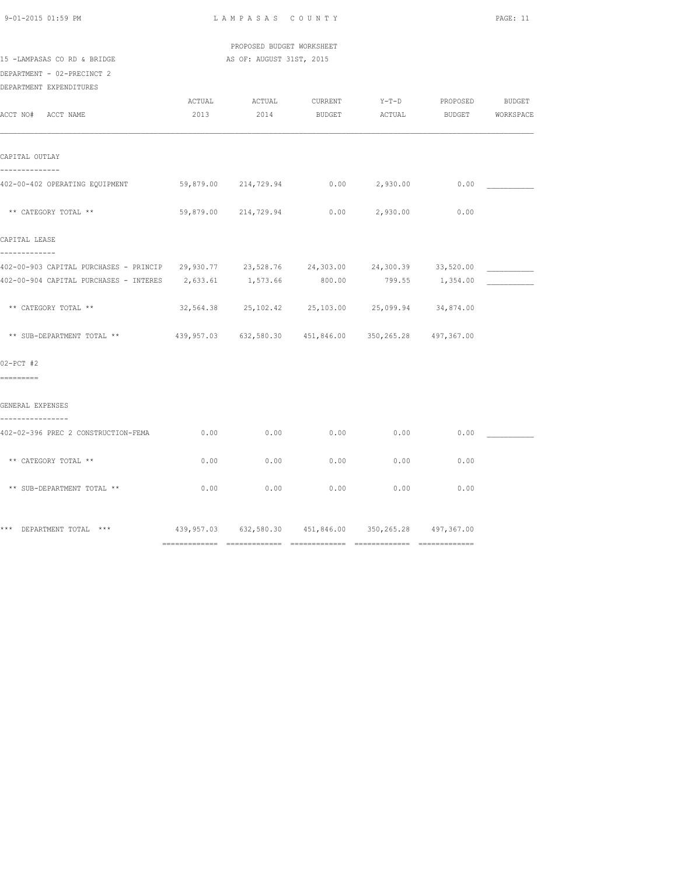| $9 - 01 - 2015$ 01:59 PM |  |
|--------------------------|--|

 PROPOSED BUDGET WORKSHEET 15 -LAMPASAS CO RD & BRIDGE AS OF: AUGUST 31ST, 2015

DEPARTMENT - 02-PRECINCT 2

DEPARTMENT EXPENDITURES

| ACCT NO# ACCT NAME                                                                                                                                                           | ACTUAL<br>2013 | ACTUAL<br>2014                                         | CURRENT<br><b>BUDGET</b> | ACTUAL   | Y-T-D PROPOSED  | BUDGET<br>BUDGET WORKSPACE |
|------------------------------------------------------------------------------------------------------------------------------------------------------------------------------|----------------|--------------------------------------------------------|--------------------------|----------|-----------------|----------------------------|
| CAPITAL OUTLAY                                                                                                                                                               |                |                                                        |                          |          |                 |                            |
| --------------<br>402-00-402 OPERATING EQUIPMENT 69,879.00 214,729.94 0.00 2,930.00 0.00                                                                                     |                |                                                        |                          |          |                 |                            |
| ** CATEGORY TOTAL **                                                                                                                                                         |                | 59,879.00 214,729.94                                   | 0.00                     | 2,930.00 | 0.00            |                            |
| CAPITAL LEASE                                                                                                                                                                |                |                                                        |                          |          |                 |                            |
| -------------<br>402-00-903 CAPITAL PURCHASES - PRINCIP 29,930.77 23,528.76 24,303.00 24,300.39 33,520.00<br>402-00-904 CAPITAL PURCHASES - INTERES 2,633.61 1,573.66 800.00 |                |                                                        |                          |          | 799.55 1,354.00 |                            |
| ** CATEGORY TOTAL **                                                                                                                                                         |                | 32,564.38  25,102.42  25,103.00  25,099.94  34,874.00  |                          |          |                 |                            |
| ** SUB-DEPARTMENT TOTAL ** 439,957.03 632,580.30 451,846.00 350,265.28 497,367.00                                                                                            |                |                                                        |                          |          |                 |                            |
| $02-PCT$ #2<br>=========                                                                                                                                                     |                |                                                        |                          |          |                 |                            |
| GENERAL EXPENSES                                                                                                                                                             |                |                                                        |                          |          |                 |                            |
| ----------------<br>402-02-396 PREC 2 CONSTRUCTION-FEMA                                                                                                                      | 0.00           | 0.00                                                   | 0.00                     | 0.00     | 0.00            |                            |
| ** CATEGORY TOTAL **                                                                                                                                                         | 0.00           | 0.00                                                   | 0.00                     | 0.00     | 0.00            |                            |
| ** SUB-DEPARTMENT TOTAL **                                                                                                                                                   | 0.00           | 0.00                                                   | 0.00                     | 0.00     | 0.00            |                            |
| *** DEPARTMENT TOTAL ***                                                                                                                                                     |                | 439,957.03 632,580.30 451,846.00 350,265.28 497,367.00 |                          |          |                 |                            |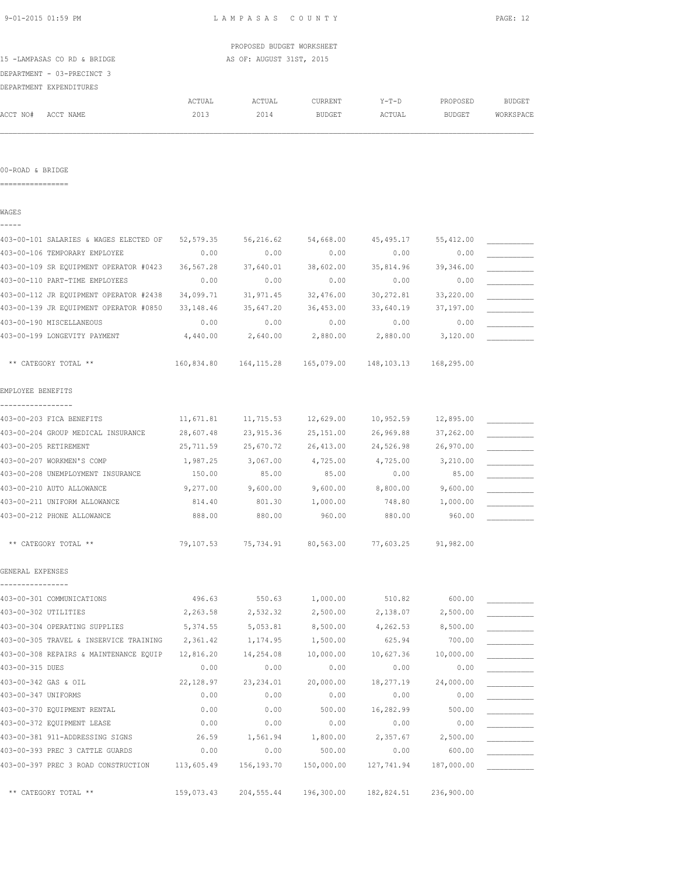|                                        |                | PROPOSED BUDGET WORKSHEET |                             |                           |                    |                     |
|----------------------------------------|----------------|---------------------------|-----------------------------|---------------------------|--------------------|---------------------|
| 15 -LAMPASAS CO RD & BRIDGE            |                | AS OF: AUGUST 31ST, 2015  |                             |                           |                    |                     |
| DEPARTMENT - 03-PRECINCT 3             |                |                           |                             |                           |                    |                     |
| DEPARTMENT EXPENDITURES                |                |                           |                             |                           |                    |                     |
| ACCT NO#<br>ACCT NAME                  | ACTUAL<br>2013 | ACTUAL<br>2014            | CURRENT<br>BUDGET           | $Y-T-D$<br>ACTUAL         | PROPOSED<br>BUDGET | BUDGET<br>WORKSPACE |
|                                        |                |                           |                             |                           |                    |                     |
|                                        |                |                           |                             |                           |                    |                     |
| 00-ROAD & BRIDGE                       |                |                           |                             |                           |                    |                     |
| =================                      |                |                           |                             |                           |                    |                     |
| WAGES<br>-----                         |                |                           |                             |                           |                    |                     |
| 403-00-101 SALARIES & WAGES ELECTED OF | 52,579.35      | 56,216.62                 | 54,668.00                   | 45,495.17                 | 55,412.00          |                     |
| 403-00-106 TEMPORARY EMPLOYEE          | 0.00           | 0.00                      | 0.00                        | 0.00                      | 0.00               |                     |
| 403-00-109 SR EQUIPMENT OPERATOR #0423 | 36,567.28      | 37,640.01                 | 38,602.00                   | 35,814.96                 | 39,346.00          |                     |
| 403-00-110 PART-TIME EMPLOYEES         | 0.00           | 0.00                      | 0.00                        | 0.00                      | 0.00               |                     |
| 403-00-112 JR EQUIPMENT OPERATOR #2438 | 34,099.71      | 31,971.45                 | 32,476.00                   | 30,272.81                 | 33,220.00          |                     |
| 403-00-139 JR EQUIPMENT OPERATOR #0850 | 33,148.46      | 35,647.20                 | 36,453.00                   | 33,640.19                 | 37,197.00          |                     |
| 403-00-190 MISCELLANEOUS               | 0.00           | 0.00                      | 0.00                        | 0.00                      | 0.00               |                     |
| 403-00-199 LONGEVITY PAYMENT           | 4,440.00       | 2,640.00                  | 2,880.00                    | 2,880.00                  | 3,120.00           |                     |
| ** CATEGORY TOTAL **                   | 160,834.80     |                           | 164, 115. 28   165, 079. 00 | 148, 103. 13 168, 295. 00 |                    |                     |
| EMPLOYEE BENEFITS                      |                |                           |                             |                           |                    |                     |
|                                        |                |                           |                             |                           |                    |                     |
| 403-00-203 FICA BENEFITS               | 11,671.81      | 11,715.53                 | 12,629.00                   | 10,952.59                 | 12,895.00          |                     |
| 403-00-204 GROUP MEDICAL INSURANCE     | 28,607.48      | 23,915.36                 | 25, 151.00                  | 26,969.88                 | 37,262.00          |                     |
| 403-00-205 RETIREMENT                  | 25,711.59      | 25,670.72                 | 26,413.00                   | 24,526.98                 | 26,970.00          |                     |
| 403-00-207 WORKMEN'S COMP              | 1,987.25       | 3,067.00                  | 4,725.00                    | 4,725.00                  | 3,210.00           |                     |
| 403-00-208 UNEMPLOYMENT INSURANCE      | 150.00         | 85.00                     | 85.00                       | 0.00                      | 85.00              |                     |
| 403-00-210 AUTO ALLOWANCE              | 9,277.00       | 9,600.00                  | 9,600.00                    | 8,800.00                  | 9,600.00           |                     |
| 403-00-211 UNIFORM ALLOWANCE           | 814.40         | 801.30                    | 1,000.00                    | 748.80                    | 1,000.00           |                     |
| 403-00-212 PHONE ALLOWANCE             | 888.00         | 880.00                    | 960.00                      | 880.00                    | 960.00             |                     |
| ** CATEGORY TOTAL **                   | 79,107.53      | 75,734.91                 | 80,563.00                   | 77,603.25                 | 91,982.00          |                     |
| GENERAL EXPENSES                       |                |                           |                             |                           |                    |                     |
| 403-00-301 COMMUNICATIONS              | 496.63         | 550.63                    | 1,000.00                    | 510.82                    | 600.00             |                     |
| 403-00-302 UTILITIES                   | 2,263.58       | 2,532.32                  | 2,500.00                    | 2,138.07                  | 2,500.00           |                     |
| 403-00-304 OPERATING SUPPLIES          | 5,374.55       | 5,053.81                  | 8,500.00                    | 4,262.53                  | 8,500.00           |                     |
| 403-00-305 TRAVEL & INSERVICE TRAINING | 2,361.42       | 1,174.95                  | 1,500.00                    | 625.94                    | 700.00             |                     |
| 403-00-308 REPAIRS & MAINTENANCE EQUIP | 12,816.20      | 14,254.08                 | 10,000.00                   | 10,627.36                 | 10,000.00          |                     |
| 403-00-315 DUES                        | 0.00           | 0.00                      | 0.00                        | 0.00                      | 0.00               |                     |
| 403-00-342 GAS & OIL                   | 22,128.97      | 23, 234.01                | 20,000.00                   | 18,277.19                 | 24,000.00          |                     |
| 403-00-347 UNIFORMS                    | 0.00           | 0.00                      | 0.00                        | 0.00                      | 0.00               |                     |
| 403-00-370 EQUIPMENT RENTAL            | 0.00           | 0.00                      | 500.00                      | 16,282.99                 | 500.00             |                     |
| 403-00-372 EQUIPMENT LEASE             | 0.00           | 0.00                      | 0.00                        | 0.00                      | 0.00               |                     |
| 102 00 201 011 ADDRECTNC CIONS         | 26.50          | 1 5.61 0.4                | 1 000 00                    | 257C                      | 2.50000            |                     |

403-00-381 911-ADDRESSING SIGNS 26.59 1,561.94 1,800.00 2,357.67 2,500.00 \_\_\_\_\_\_\_\_\_\_\_ 403-00-393 PREC 3 CATTLE GUARDS 0.00 0.00 500.00 0.00 600.00 \_\_\_\_\_\_\_\_\_\_\_ 403-00-397 PREC 3 ROAD CONSTRUCTION 113,605.49 156,193.70 150,000.00 127,741.94 187,000.00 \_\_\_\_\_\_\_\_\_\_\_

\*\* CATEGORY TOTAL \*\* 159,073.43 204,555.44 196,300.00 182,824.51 236,900.00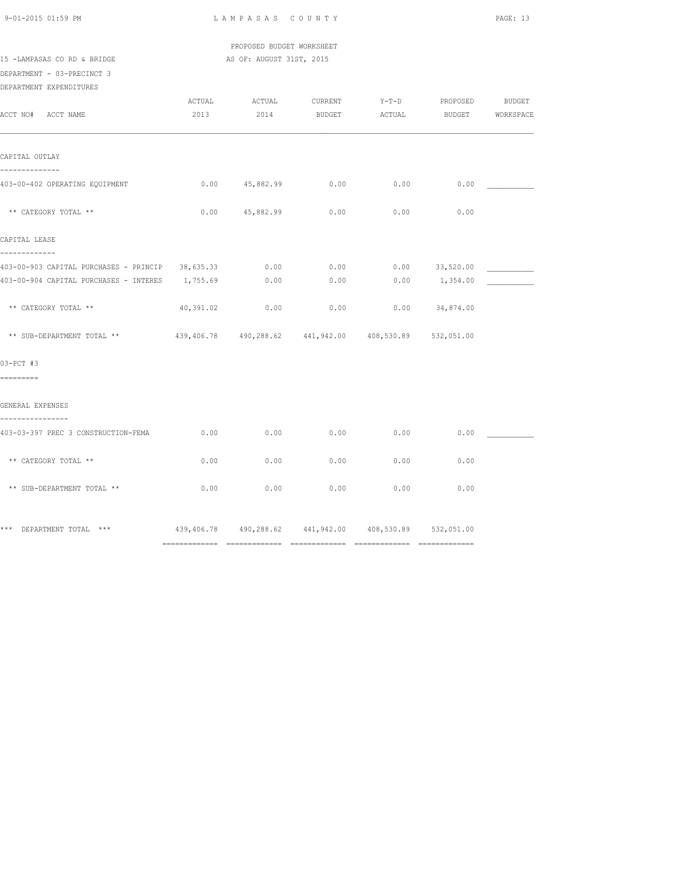| $9 - 01 - 2015$ 01:59 PM |  |
|--------------------------|--|

 PROPOSED BUDGET WORKSHEET 15 -LAMPASAS CO RD & BRIDGE AS OF: AUGUST 31ST, 2015

DEPARTMENT - 03-PRECINCT 3

DEPARTMENT EXPENDITURES

|                                                                                   | ACTUAL    | ACTUAL                                                     | CURRENT | $Y-T-D$       | PROPOSED           | BUDGET           |
|-----------------------------------------------------------------------------------|-----------|------------------------------------------------------------|---------|---------------|--------------------|------------------|
| ACCT NO# ACCT NAME                                                                | 2013      | 2014                                                       | BUDGET  | <b>ACTUAL</b> |                    | BUDGET WORKSPACE |
| CAPITAL OUTLAY<br>--------------                                                  |           |                                                            |         |               |                    |                  |
| 403-00-402 OPERATING EQUIPMENT                                                    |           | 0.00 45,882.99                                             | 0.00    | 0.00          | 0.00               |                  |
| ** CATEGORY TOTAL **                                                              |           | $0.00$ $45,882.99$                                         | 0.00    | 0.00          | 0.00               |                  |
| CAPITAL LEASE                                                                     |           |                                                            |         |               |                    |                  |
| -------------                                                                     |           |                                                            |         |               |                    |                  |
| 403-00-903 CAPITAL PURCHASES - PRINCIP 38,635.33                                  |           | 0.00                                                       | 0.00    |               | $0.00$ 33,520.00   |                  |
| 403-00-904 CAPITAL PURCHASES - INTERES 1,755.69                                   |           | 0.00                                                       | 0.00    |               | $0.00$ 1,354.00    |                  |
| ** CATEGORY TOTAL **                                                              | 40,391.02 | 0.00                                                       | 0.00    |               | $0.00$ $34,874.00$ |                  |
| ** SUB-DEPARTMENT TOTAL ** 439,406.78 490,288.62 441,942.00 408,530.89 532,051.00 |           |                                                            |         |               |                    |                  |
| $03-PCT$ #3                                                                       |           |                                                            |         |               |                    |                  |
| =========                                                                         |           |                                                            |         |               |                    |                  |
| GENERAL EXPENSES<br>----------------                                              |           |                                                            |         |               |                    |                  |
| 403-03-397 PREC 3 CONSTRUCTION-FEMA                                               | 0.00      | 0.00                                                       | 0.00    | 0.00          | 0.00               |                  |
| ** CATEGORY TOTAL **                                                              | 0.00      | 0.00                                                       | 0.00    | 0.00          | 0.00               |                  |
| ** SUB-DEPARTMENT TOTAL **                                                        | 0.00      | 0.00                                                       | 0.00    | 0.00          | 0.00               |                  |
| *** DEPARTMENT TOTAL ***                                                          |           | 439,406.78  490,288.62  441,942.00  408,530.89  532,051.00 |         |               |                    |                  |
|                                                                                   |           |                                                            |         |               |                    |                  |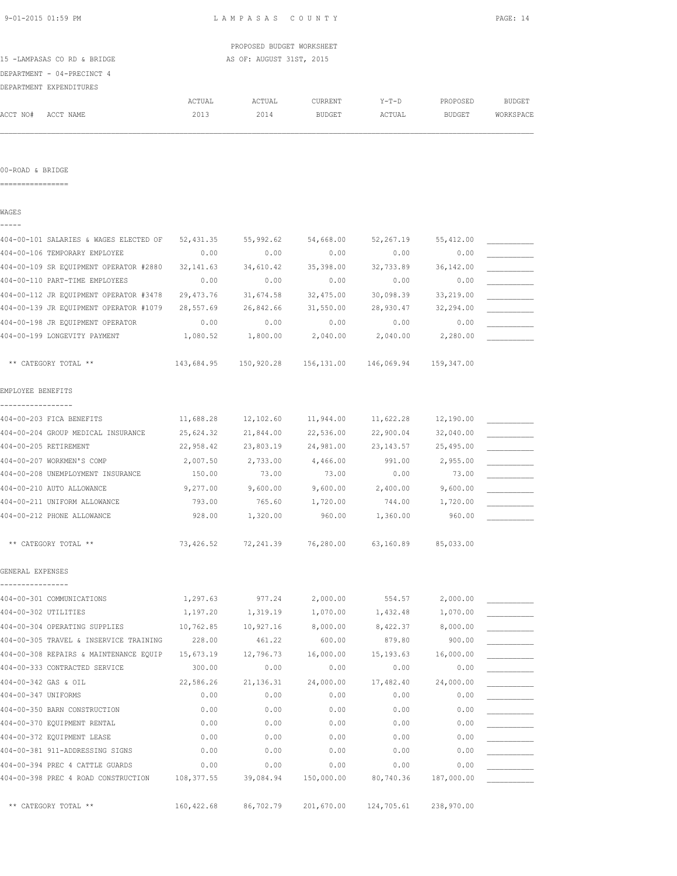|                                        |            | PROPOSED BUDGET WORKSHEET |           |                       |           |           |
|----------------------------------------|------------|---------------------------|-----------|-----------------------|-----------|-----------|
| 15 -LAMPASAS CO RD & BRIDGE            |            | AS OF: AUGUST 31ST, 2015  |           |                       |           |           |
| DEPARTMENT - 04-PRECINCT 4             |            |                           |           |                       |           |           |
| DEPARTMENT EXPENDITURES                |            |                           |           |                       |           |           |
|                                        | ACTUAL     | ACTUAL                    | CURRENT   | Y-T-D                 | PROPOSED  | BUDGET    |
| ACCT NO#<br>ACCT NAME                  | 2013       | 2014                      | BUDGET    | ACTUAL                | BUDGET    | WORKSPACE |
|                                        |            |                           |           |                       |           |           |
| 00-ROAD & BRIDGE                       |            |                           |           |                       |           |           |
| ----------------                       |            |                           |           |                       |           |           |
| WAGES                                  |            |                           |           |                       |           |           |
| 404-00-101 SALARIES & WAGES ELECTED OF | 52,431.35  | 55,992.62                 | 54,668.00 | 52,267.19             | 55,412.00 |           |
| 404-00-106 TEMPORARY EMPLOYEE          | 0.00       | 0.00                      | 0.00      | 0.00                  | 0.00      |           |
| 404-00-109 SR EQUIPMENT OPERATOR #2880 | 32,141.63  | 34,610.42                 | 35,398.00 | 32,733.89             | 36,142.00 |           |
| 404-00-110 PART-TIME EMPLOYEES         | 0.00       | 0.00                      | 0.00      | 0.00                  | 0.00      |           |
| 404-00-112 JR EQUIPMENT OPERATOR #3478 | 29,473.76  | 31,674.58                 | 32,475.00 | 30,098.39             | 33,219.00 |           |
| 404-00-139 JR EQUIPMENT OPERATOR #1079 | 28,557.69  | 26,842.66                 | 31,550.00 | 28,930.47             | 32,294.00 |           |
| 404-00-198 JR EQUIPMENT OPERATOR       | 0.00       | 0.00                      | 0.00      | 0.00                  | 0.00      |           |
| 404-00-199 LONGEVITY PAYMENT           | 1,080.52   | 1,800.00                  | 2,040.00  | 2,040.00              | 2,280.00  |           |
| ** CATEGORY TOTAL **                   | 143,684.95 |                           |           | 146,069.94 159,347.00 |           |           |
| EMPLOYEE BENEFITS                      |            |                           |           |                       |           |           |
| -----------------                      |            |                           |           |                       |           |           |
| 404-00-203 FICA BENEFITS               | 11,688.28  | 12,102.60                 | 11,944.00 | 11,622.28             | 12,190.00 |           |
| 404-00-204 GROUP MEDICAL INSURANCE     | 25,624.32  | 21,844.00                 | 22,536.00 | 22,900.04             | 32,040.00 |           |
| 404-00-205 RETIREMENT                  | 22,958.42  | 23,803.19                 | 24,981.00 | 23,143.57             | 25,495.00 |           |
| 404-00-207 WORKMEN'S COMP              | 2,007.50   | 2,733.00                  | 4,466.00  | 991.00                | 2,955.00  |           |
| 404-00-208 UNEMPLOYMENT INSURANCE      | 150.00     | 73.00                     | 73.00     | 0.00                  | 73.00     |           |
| 404-00-210 AUTO ALLOWANCE              | 9,277.00   | 9,600.00                  | 9,600.00  | 2,400.00              | 9,600.00  |           |
| 404-00-211 UNIFORM ALLOWANCE           | 793.00     | 765.60                    | 1,720.00  | 744.00                | 1,720.00  |           |
| 404-00-212 PHONE ALLOWANCE             | 928.00     | 1,320.00                  | 960.00    | 1,360.00              | 960.00    |           |
| ** CATEGORY TOTAL **                   | 73,426.52  | 72,241.39                 | 76,280.00 | 63,160.89             | 85,033.00 |           |
| GENERAL EXPENSES                       |            |                           |           |                       |           |           |
|                                        |            |                           |           |                       |           |           |
| 404-00-301 COMMUNICATIONS              | 1,297.63   | 977.24                    | 2,000.00  | 554.57                | 2,000.00  |           |
| 404-00-302 UTILITIES                   | 1,197.20   | 1,319.19                  | 1,070.00  | 1,432.48              | 1,070.00  |           |
| 404-00-304 OPERATING SUPPLIES          | 10,762.85  | 10,927.16                 | 8,000.00  | 8,422.37              | 8,000.00  |           |
| 404-00-305 TRAVEL & INSERVICE TRAINING | 228.00     | 461.22                    | 600.00    | 879.80                | 900.00    |           |
| 404-00-308 REPAIRS & MAINTENANCE EQUIP | 15,673.19  | 12,796.73                 | 16,000.00 | 15, 193.63            | 16,000.00 |           |
| 404-00-333 CONTRACTED SERVICE          | 300.00     | 0.00                      | 0.00      | 0.00                  | 0.00      |           |
| 404-00-342 GAS & OIL                   | 22,586.26  | 21, 136.31                | 24,000.00 | 17,482.40             | 24,000.00 |           |
| 404-00-347 UNIFORMS                    | 0.00       | 0.00                      | 0.00      | 0.00                  | 0.00      |           |
| 404-00-350 BARN CONSTRUCTION           | 0.00       | 0.00                      | 0.00      | 0.00                  | 0.00      |           |

404-00-370 EQUIPMENT RENTAL 0.00 0.00 0.00 0.00 0.00 \_\_\_\_\_\_\_\_\_\_\_

404-00-381 911-ADDRESSING SIGNS 0.00 0.00 0.00 0.00 0.00 \_\_\_\_\_\_\_\_\_\_\_ 404-00-394 PREC 4 CATTLE GUARDS 0.00 0.00 0.00 0.00 0.00 \_\_\_\_\_\_\_\_\_\_\_ 404-00-398 PREC 4 ROAD CONSTRUCTION 108,377.55 39,084.94 150,000.00 80,740.36 187,000.00 \_\_\_\_\_\_\_\_\_\_\_

404-00-372 EQUIPMENT LEASE  $0.00$  0.00  $0.00$  0.00 0.00 0.00

\*\* CATEGORY TOTAL \*\* 160,422.68 86,702.79 201,670.00 124,705.61 238,970.00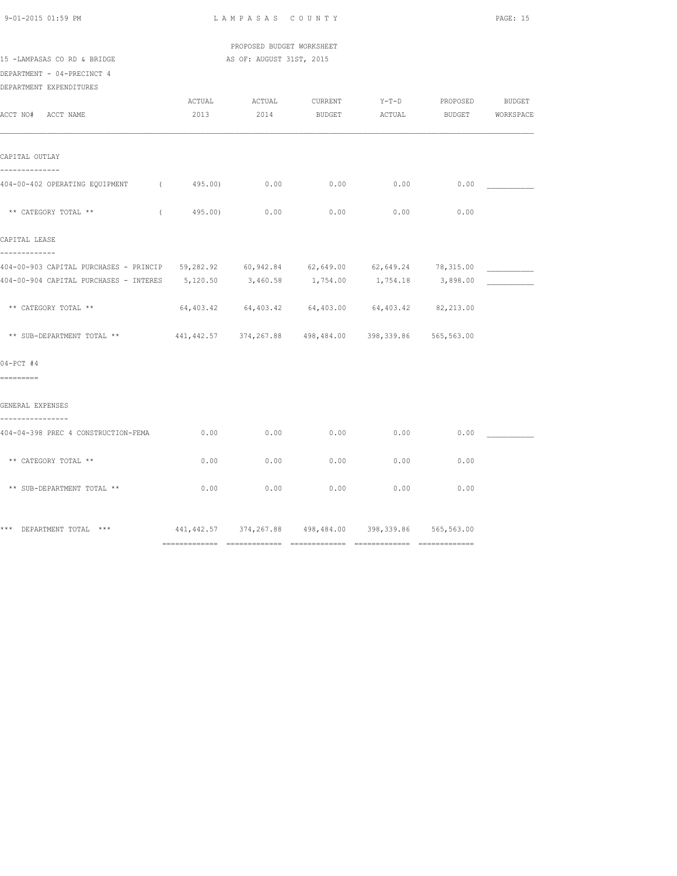PROPOSED BUDGET WORKSHEET

15 -LAMPASAS CO RD & BRIDGE AS OF: AUGUST 31ST, 2015

DEPARTMENT - 04-PRECINCT 4 DEPARTMENT EXPENDITURES

| DELARITERI EAIERDITUDU                                                                   |            |              |                                                             |      |      |  |
|------------------------------------------------------------------------------------------|------------|--------------|-------------------------------------------------------------|------|------|--|
|                                                                                          | ACTUAL     |              | ACTUAL CURRENT Y-T-D PROPOSED BUDGET                        |      |      |  |
| ACCT NO# ACCT NAME                                                                       |            |              | 2013 2014 BUDGET ACTUAL BUDGET WORKSPACE                    |      |      |  |
|                                                                                          |            |              |                                                             |      |      |  |
|                                                                                          |            |              |                                                             |      |      |  |
| CAPITAL OUTLAY                                                                           |            |              |                                                             |      |      |  |
| --------------                                                                           |            |              |                                                             |      |      |  |
| 404-00-402 OPERATING EQUIPMENT (495.00) 0.00                                             |            |              | 0.00                                                        | 0.00 | 0.00 |  |
|                                                                                          |            |              |                                                             |      |      |  |
| ** CATEGORY TOTAL **                                                                     | $\sqrt{2}$ | 495.00) 0.00 | 0.00                                                        | 0.00 | 0.00 |  |
|                                                                                          |            |              |                                                             |      |      |  |
| CAPITAL LEASE                                                                            |            |              |                                                             |      |      |  |
| -------------                                                                            |            |              |                                                             |      |      |  |
| 404-00-903 CAPITAL PURCHASES - PRINCIP 59,282.92 60,942.84 62,649.00 62,649.24 78,315.00 |            |              |                                                             |      |      |  |
| 404-00-904 CAPITAL PURCHASES - INTERES 5,120.50 3,460.58 1,754.00 1,754.18 3,898.00      |            |              |                                                             |      |      |  |
|                                                                                          |            |              |                                                             |      |      |  |
| ** CATEGORY TOTAL **                                                                     |            |              | $64,403.42$ $64,403.42$ $64,403.00$ $64,403.42$ $82,213.00$ |      |      |  |
|                                                                                          |            |              |                                                             |      |      |  |
| ** SUB-DEPARTMENT TOTAL ** 441,442.57 374,267.88 498,484.00 398,339.86 565,563.00        |            |              |                                                             |      |      |  |
|                                                                                          |            |              |                                                             |      |      |  |
| $04-PCT$ #4                                                                              |            |              |                                                             |      |      |  |
| =========                                                                                |            |              |                                                             |      |      |  |
|                                                                                          |            |              |                                                             |      |      |  |
| GENERAL EXPENSES                                                                         |            |              |                                                             |      |      |  |
|                                                                                          |            |              |                                                             |      |      |  |
| 404-04-398 PREC 4 CONSTRUCTION-FEMA                                                      | 0.00       | 0.00         | 0.00                                                        | 0.00 | 0.00 |  |
|                                                                                          |            |              |                                                             |      |      |  |
| ** CATEGORY TOTAL **                                                                     | 0.00       | 0.00         | 0.00                                                        | 0.00 | 0.00 |  |
|                                                                                          |            |              |                                                             |      |      |  |
| ** SUB-DEPARTMENT TOTAL **                                                               | 0.00       | 0.00         | 0.00                                                        | 0.00 | 0.00 |  |
|                                                                                          |            |              |                                                             |      |      |  |
|                                                                                          |            |              |                                                             |      |      |  |
| *** DEPARTMENT TOTAL ***                                                                 |            |              | 441, 442.57 374, 267.88 498, 484.00 398, 339.86 565, 563.00 |      |      |  |
|                                                                                          |            |              |                                                             |      |      |  |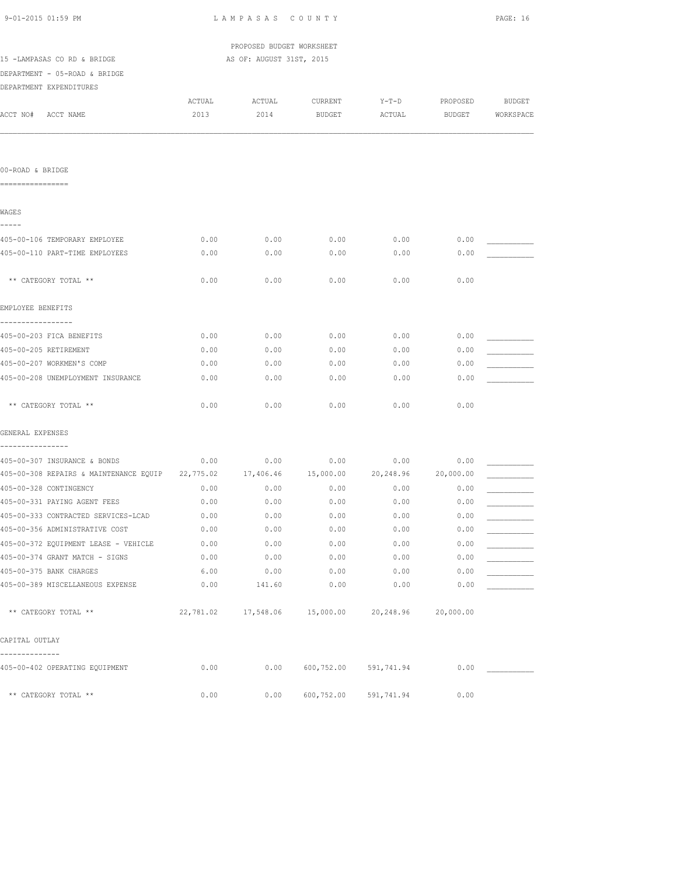| 9-01-2015 01:59 PM                                                             | LAMPASAS COUNTY | PAGE: 16                  |               |                                         |           |           |
|--------------------------------------------------------------------------------|-----------------|---------------------------|---------------|-----------------------------------------|-----------|-----------|
|                                                                                |                 | PROPOSED BUDGET WORKSHEET |               |                                         |           |           |
| 15 -LAMPASAS CO RD & BRIDGE                                                    |                 | AS OF: AUGUST 31ST, 2015  |               |                                         |           |           |
| DEPARTMENT - 05-ROAD & BRIDGE                                                  |                 |                           |               |                                         |           |           |
| DEPARTMENT EXPENDITURES                                                        |                 |                           |               |                                         |           |           |
|                                                                                | ACTUAL          | ACTUAL                    | CURRENT       | $Y-T-D$                                 | PROPOSED  | BUDGET    |
| ACCT NO# ACCT NAME                                                             | 2013            | 2014                      | <b>BUDGET</b> | ACTUAL                                  | BUDGET    | WORKSPACE |
|                                                                                |                 |                           |               |                                         |           |           |
| 00-ROAD & BRIDGE                                                               |                 |                           |               |                                         |           |           |
| ================                                                               |                 |                           |               |                                         |           |           |
| WAGES<br>-----                                                                 |                 |                           |               |                                         |           |           |
| 405-00-106 TEMPORARY EMPLOYEE                                                  | 0.00            | 0.00                      | 0.00          | 0.00                                    | 0.00      |           |
| 405-00-110 PART-TIME EMPLOYEES                                                 | 0.00            | 0.00                      | 0.00          | 0.00                                    | 0.00      |           |
| ** CATEGORY TOTAL **                                                           | 0.00            | 0.00                      | 0.00          | 0.00                                    | 0.00      |           |
| EMPLOYEE BENEFITS                                                              |                 |                           |               |                                         |           |           |
| -----------------<br>405-00-203 FICA BENEFITS                                  | 0.00            | 0.00                      | 0.00          | 0.00                                    | 0.00      |           |
| 405-00-205 RETIREMENT                                                          | 0.00            | 0.00                      | 0.00          | 0.00                                    | 0.00      |           |
| 405-00-207 WORKMEN'S COMP                                                      | 0.00            | 0.00                      | 0.00          | 0.00                                    | 0.00      |           |
| 405-00-208 UNEMPLOYMENT INSURANCE                                              | 0.00            | 0.00                      | 0.00          | 0.00                                    | 0.00      |           |
| ** CATEGORY TOTAL **                                                           | 0.00            | 0.00                      | 0.00          | 0.00                                    | 0.00      |           |
| GENERAL EXPENSES                                                               |                 |                           |               |                                         |           |           |
| ----------------<br>405-00-307 INSURANCE & BONDS                               | 0.00            | 0.00                      | 0.00          | 0.00                                    | 0.00      |           |
| 405-00-308 REPAIRS & MAINTENANCE EQUIP 22,775.02 17,406.46 15,000.00 20,248.96 |                 |                           |               |                                         | 20,000.00 |           |
| 405-00-328 CONTINGENCY                                                         | 0.00            | 0.00                      | 0.00          | 0.00                                    | 0.00      |           |
| 405-00-331 PAYING AGENT FEES                                                   | 0.00            | 0.00                      | 0.00          | 0.00                                    | 0.00      |           |
| 405-00-333 CONTRACTED SERVICES-LCAD                                            | 0.00            | 0.00                      | 0.00          | 0.00                                    | 0.00      |           |
| 405-00-356 ADMINISTRATIVE COST                                                 | 0.00            | 0.00                      | 0.00          | 0.00                                    | 0.00      |           |
| 405-00-372 EQUIPMENT LEASE - VEHICLE                                           | 0.00            | 0.00                      | 0.00          | 0.00                                    | 0.00      |           |
| 405-00-374 GRANT MATCH - SIGNS                                                 | 0.00            | 0.00                      | 0.00          | 0.00                                    | 0.00      |           |
| 405-00-375 BANK CHARGES                                                        | 6.00            | 0.00                      | 0.00          | 0.00                                    | 0.00      |           |
| 405-00-389 MISCELLANEOUS EXPENSE                                               | 0.00            | 141.60                    | 0.00          | 0.00                                    | 0.00      |           |
| ** CATEGORY TOTAL **                                                           |                 |                           |               | 22,781.02 17,548.06 15,000.00 20,248.96 | 20,000.00 |           |
| CAPITAL OUTLAY                                                                 |                 |                           |               |                                         |           |           |
| --------------<br>405-00-402 OPERATING EQUIPMENT                               | 0.00            | 0.00                      |               | 600,752.00 591,741.94                   | 0.00      |           |
| ** CATEGORY TOTAL **                                                           | 0.00            | 0.00                      | 600,752.00    | 591,741.94                              | 0.00      |           |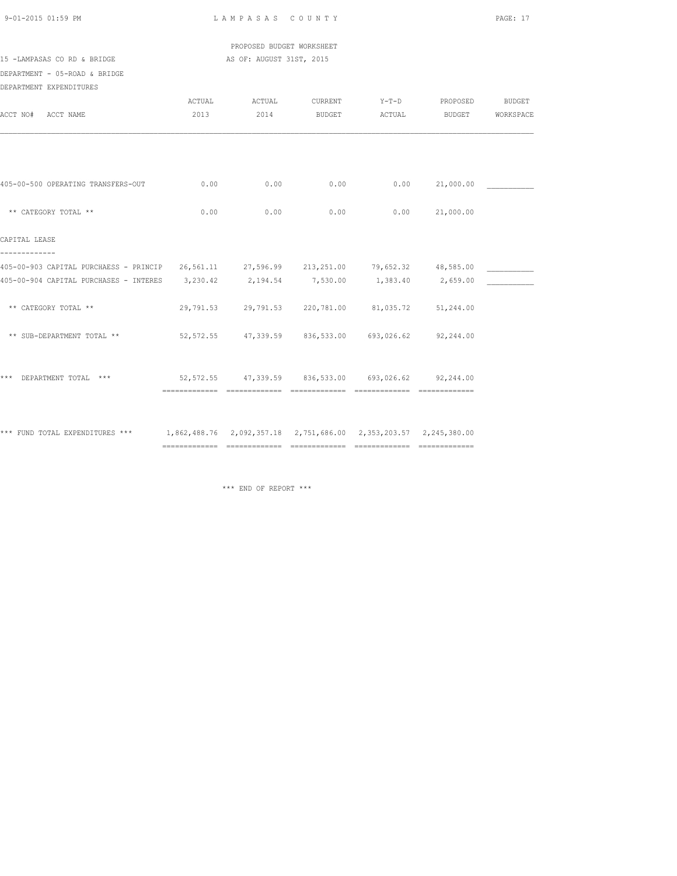| 9-01-2015 01:59 PM |  |  |
|--------------------|--|--|

LAMPASAS COUNTY PAGE: 17

 PROPOSED BUDGET WORKSHEET 15 -LAMPASAS CO RD & BRIDGE AS OF: AUGUST 31ST, 2015

DEPARTMENT - 05-ROAD & BRIDGE

| DEPARTMENT EXPENDITURES                                                                          |      |                                                     |               |        |                        |           |
|--------------------------------------------------------------------------------------------------|------|-----------------------------------------------------|---------------|--------|------------------------|-----------|
|                                                                                                  |      | ACTUAL ACTUAL                                       |               |        | CURRENT Y-T-D PROPOSED | BUDGET    |
| ACCT NO# ACCT NAME                                                                               | 2013 | 2014                                                | <b>BUDGET</b> | ACTUAL | <b>BUDGET</b>          | WORKSPACE |
|                                                                                                  |      |                                                     |               |        |                        |           |
|                                                                                                  |      |                                                     |               |        |                        |           |
|                                                                                                  |      |                                                     |               |        |                        |           |
| 405-00-500 OPERATING TRANSFERS-OUT                                                               | 0.00 | 0.00                                                | 0.00          | 0.00   | 21,000.00              |           |
|                                                                                                  |      |                                                     |               |        |                        |           |
| ** CATEGORY TOTAL **                                                                             | 0.00 | 0.00                                                | 0.00          | 0.00   | 21,000.00              |           |
| CAPITAL LEASE                                                                                    |      |                                                     |               |        |                        |           |
|                                                                                                  |      |                                                     |               |        |                        |           |
| 405-00-903 CAPITAL PURCHAESS - PRINCIP 26,561.11 27,596.99 213,251.00 79,652.32 48,585.00        |      |                                                     |               |        |                        |           |
| 405-00-904 CAPITAL PURCHASES - INTERES 3,230.42 2,194.54 7,530.00 1,383.40 2,659.00              |      |                                                     |               |        |                        |           |
|                                                                                                  |      |                                                     |               |        |                        |           |
| ** CATEGORY TOTAL **                                                                             |      | 29,791.53 29,791.53 220,781.00 81,035.72 51,244.00  |               |        |                        |           |
| ** SUB-DEPARTMENT TOTAL **                                                                       |      | 52,572.55 47,339.59 836,533.00 693,026.62 92,244.00 |               |        |                        |           |
|                                                                                                  |      |                                                     |               |        |                        |           |
|                                                                                                  |      |                                                     |               |        |                        |           |
| *** DEPARTMENT TOTAL ***                                                                         |      | 52,572.55 47,339.59 836,533.00 693,026.62 92,244.00 |               |        |                        |           |
|                                                                                                  |      |                                                     |               |        |                        |           |
|                                                                                                  |      |                                                     |               |        |                        |           |
| *** FUND TOTAL EXPENDITURES *** 1,862,488.76 2,092,357.18 2,751,686.00 2,353,203.57 2,245,380.00 |      |                                                     |               |        |                        |           |
|                                                                                                  |      |                                                     |               |        |                        |           |

\*\*\* END OF REPORT \*\*\*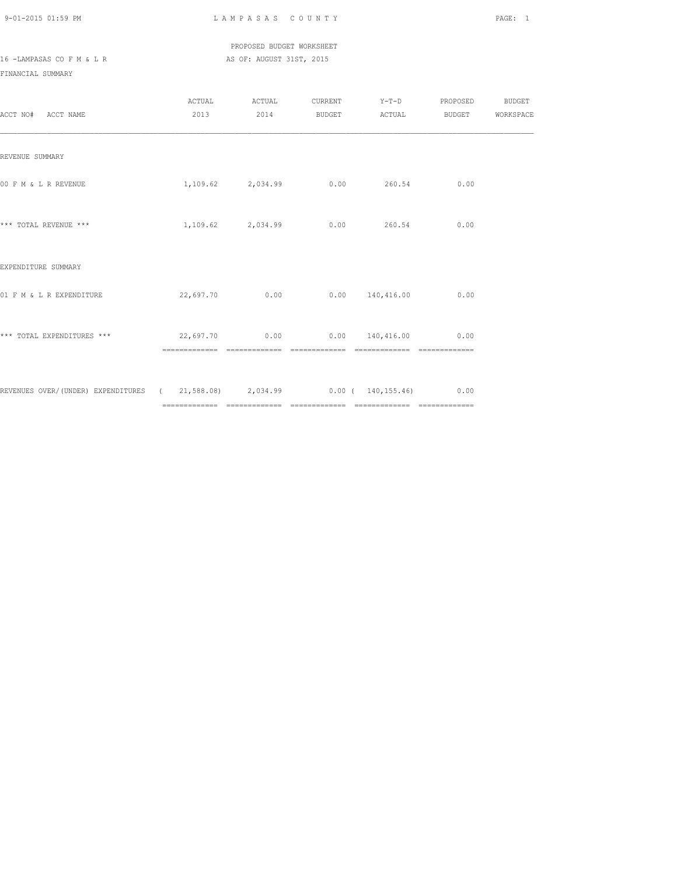PROPOSED BUDGET WORKSHEET 16 -LAMPASAS CO F M & L R AS OF: AUGUST 31ST, 2015

FINANCIAL SUMMARY

| ACCT NO# ACCT NAME                                                             | ACTUAL                                | ACTUAL            | CURRENT Y-T-D PROPOSED<br>2013  2014 BUDGET ACTUAL BUDGET WORKSPACE |      | <b>BUDGET</b> |
|--------------------------------------------------------------------------------|---------------------------------------|-------------------|---------------------------------------------------------------------|------|---------------|
| REVENUE SUMMARY                                                                |                                       |                   |                                                                     |      |               |
| 00 F M & L R REVENUE                                                           |                                       |                   | $1,109.62$ $2,034.99$ $0.00$ $260.54$                               | 0.00 |               |
| *** TOTAL REVENUE ***                                                          |                                       | 1,109.62 2,034.99 | $0.00$ 260.54                                                       | 0.00 |               |
| EXPENDITURE SUMMARY                                                            |                                       |                   |                                                                     |      |               |
| 01 F M & L R EXPENDITURE                                                       |                                       |                   | $22,697.70$ 0.00 0.00 140,416.00                                    | 0.00 |               |
| *** TOTAL EXPENDITURES ***                                                     | $22,697.70$ 0.00 0.00 140,416.00 0.00 |                   | ==============                                                      |      |               |
| REVENUES OVER/(UNDER) EXPENDITURES (21,588.08) 2,034.99 0.00 (140,155.46) 0.00 |                                       |                   |                                                                     |      |               |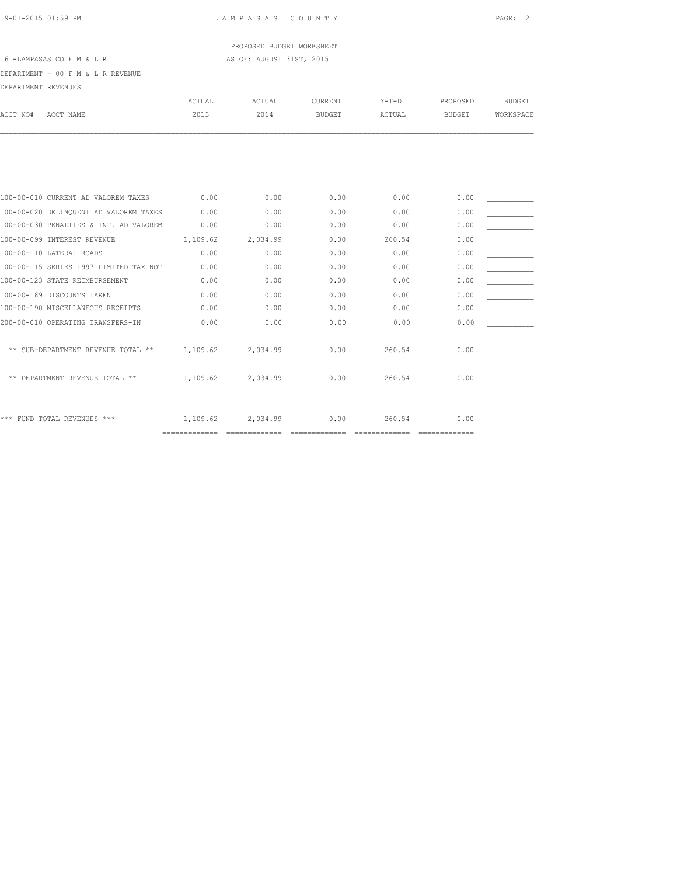PROPOSED BUDGET WORKSHEET

### 16 -LAMPASAS CO F M & L R AS OF: AUGUST 31ST, 2015

DEPARTMENT - 00 F M & L R REVENUE

| DEPARTMENT REVENUES                    |          |          |                |         |               |               |
|----------------------------------------|----------|----------|----------------|---------|---------------|---------------|
|                                        | ACTUAL   | ACTUAL   | <b>CURRENT</b> | $Y-T-D$ | PROPOSED      | <b>BUDGET</b> |
| ACCT NO#<br>ACCT NAME                  | 2013     | 2014     | <b>BUDGET</b>  | ACTUAL  | <b>BUDGET</b> | WORKSPACE     |
|                                        |          |          |                |         |               |               |
|                                        |          |          |                |         |               |               |
| 100-00-010 CURRENT AD VALOREM TAXES    | 0.00     | 0.00     | 0.00           | 0.00    | 0.00          |               |
| 100-00-020 DELINQUENT AD VALOREM TAXES | 0.00     | 0.00     | 0.00           | 0.00    | 0.00          |               |
| 100-00-030 PENALTIES & INT. AD VALOREM | 0.00     | 0.00     | 0.00           | 0.00    | 0.00          |               |
| 100-00-099 INTEREST REVENUE            | 1,109.62 | 2,034.99 | 0.00           | 260.54  | 0.00          |               |
| 100-00-110 LATERAL ROADS               | 0.00     | 0.00     | 0.00           | 0.00    | 0.00          |               |
| 100-00-115 SERIES 1997 LIMITED TAX NOT | 0.00     | 0.00     | 0.00           | 0.00    | 0.00          |               |
| 100-00-123 STATE REIMBURSEMENT         | 0.00     | 0.00     | 0.00           | 0.00    | 0.00          |               |
| 100-00-189 DISCOUNTS TAKEN             | 0.00     | 0.00     | 0.00           | 0.00    | 0.00          |               |
| 100-00-190 MISCELLANEOUS RECEIPTS      | 0.00     | 0.00     | 0.00           | 0.00    | 0.00          |               |
| 200-00-010 OPERATING TRANSFERS-IN      | 0.00     | 0.00     | 0.00           | 0.00    | 0.00          |               |
| ** SUB-DEPARTMENT REVENUE TOTAL **     | 1,109.62 | 2,034.99 | 0.00           | 260.54  | 0.00          |               |
| ** DEPARTMENT REVENUE TOTAL **         | 1,109.62 | 2,034.99 | 0.00           | 260.54  | 0.00          |               |
| *** FUND TOTAL REVENUES ***            | 1,109.62 | 2,034.99 | 0.00           | 260.54  | 0.00          |               |

============= ============= ============= ============= =============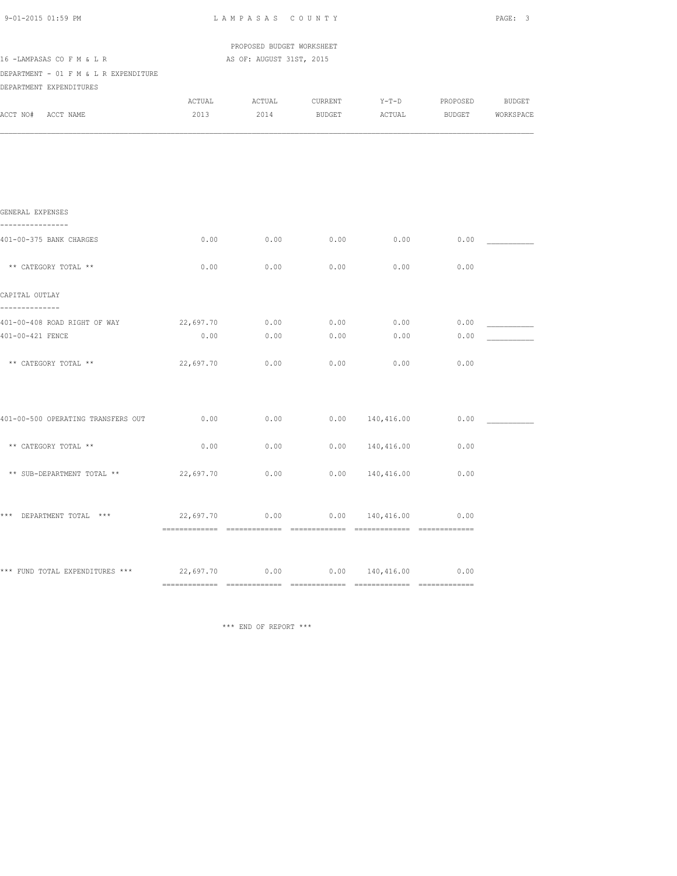| 9-01-2015 01:59 PM                                                  | LAMPASAS COUNTY |                           | PAGE: 3       |                                                                                                                                                              |      |                  |  |
|---------------------------------------------------------------------|-----------------|---------------------------|---------------|--------------------------------------------------------------------------------------------------------------------------------------------------------------|------|------------------|--|
|                                                                     |                 | PROPOSED BUDGET WORKSHEET |               |                                                                                                                                                              |      |                  |  |
| 16 - LAMPASAS CO F M & L R                                          |                 | AS OF: AUGUST 31ST, 2015  |               |                                                                                                                                                              |      |                  |  |
| DEPARTMENT - 01 F M & L R EXPENDITURE<br>DEPARTMENT EXPENDITURES    |                 |                           |               |                                                                                                                                                              |      |                  |  |
|                                                                     |                 |                           |               | ${\tt ACTUAL} \hspace{2.3cm} {\tt ACTUAL} \hspace{2.3cm} {\tt CURRENT} \hspace{2.3cm} {\tt Y-T-D} \hspace{2.3cm} {\tt PROPOSED} \hspace{2.3cm} {\tt BUDGET}$ |      |                  |  |
| ACCT NO# ACCT NAME                                                  | 2013            | 2014                      | <b>BUDGET</b> | ACTUAL                                                                                                                                                       |      | BUDGET WORKSPACE |  |
|                                                                     |                 |                           |               |                                                                                                                                                              |      |                  |  |
|                                                                     |                 |                           |               |                                                                                                                                                              |      |                  |  |
| GENERAL EXPENSES                                                    |                 |                           |               |                                                                                                                                                              |      |                  |  |
| ----------------                                                    |                 |                           |               |                                                                                                                                                              |      |                  |  |
| 401-00-375 BANK CHARGES                                             | 0.00            | 0.00                      | 0.00          | 0.00                                                                                                                                                         | 0.00 |                  |  |
| ** CATEGORY TOTAL **                                                | 0.00            | 0.00                      | 0.00          | 0.00                                                                                                                                                         | 0.00 |                  |  |
| CAPITAL OUTLAY<br>--------------                                    |                 |                           |               |                                                                                                                                                              |      |                  |  |
| 401-00-408 ROAD RIGHT OF WAY                                        | 22,697.70       | 0.00                      | 0.00          | 0.00                                                                                                                                                         | 0.00 |                  |  |
| 401-00-421 FENCE                                                    | 0.00            | 0.00                      | 0.00          | 0.00                                                                                                                                                         | 0.00 |                  |  |
| ** CATEGORY TOTAL **                                                | 22,697.70       | 0.00                      | 0.00          | 0.00                                                                                                                                                         | 0.00 |                  |  |
|                                                                     |                 |                           |               |                                                                                                                                                              |      |                  |  |
| 401-00-500 OPERATING TRANSFERS OUT                                  | 0.00            | 0.00                      |               | $0.00$ 140,416.00                                                                                                                                            | 0.00 |                  |  |
| ** CATEGORY TOTAL **                                                | 0.00            | 0.00                      |               | $0.00$ $140,416.00$                                                                                                                                          | 0.00 |                  |  |
| ** SUB-DEPARTMENT TOTAL **                                          | 22,697.70       | 0.00                      |               | $0.00$ $140,416.00$                                                                                                                                          | 0.00 |                  |  |
|                                                                     |                 |                           |               |                                                                                                                                                              |      |                  |  |
| *** DEPARTMENT TOTAL ***                                            | 22,697.70       | 0.00                      |               | 0.00 140,416.00                                                                                                                                              | 0.00 |                  |  |
|                                                                     |                 |                           |               |                                                                                                                                                              |      |                  |  |
| *** FUND TOTAL EXPENDITURES *** 22,697.70 0.00 0.00 0.00 140,416.00 |                 |                           |               |                                                                                                                                                              | 0.00 |                  |  |
|                                                                     |                 |                           |               |                                                                                                                                                              |      |                  |  |

\*\*\* END OF REPORT \*\*\*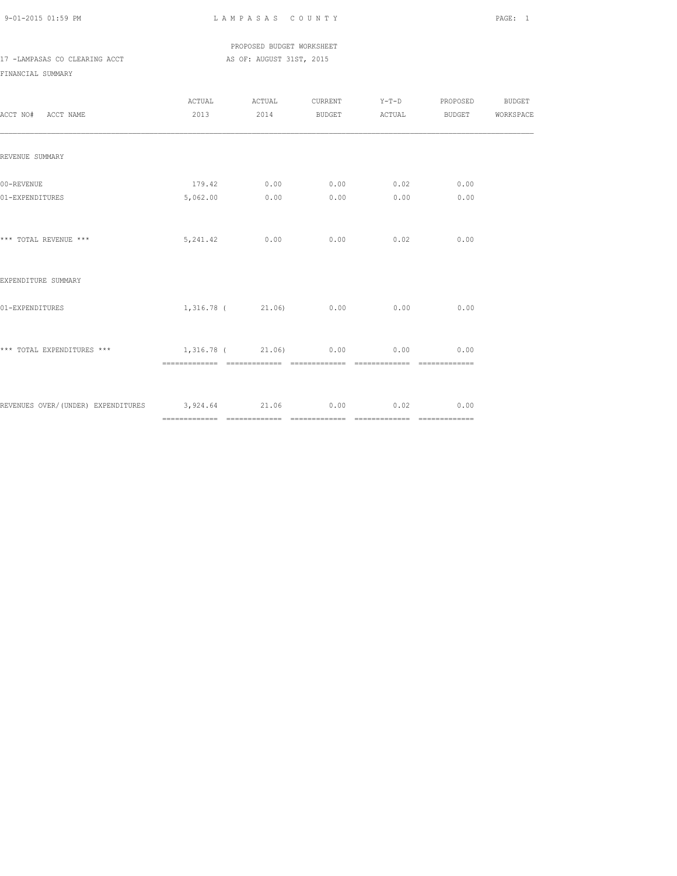PROPOSED BUDGET WORKSHEET 17 -LAMPASAS CO CLEARING ACCT AS OF: AUGUST 31ST, 2015

FINANCIAL SUMMARY

| ACCT NO# ACCT NAME                                                    | ACTUAL ACTUAL                |      |                     | CURRENT Y-T-D PROPOSED BUDGET<br>2013  2014 BUDGET ACTUAL BUDGET WORKSPACE |  |
|-----------------------------------------------------------------------|------------------------------|------|---------------------|----------------------------------------------------------------------------|--|
| REVENUE SUMMARY                                                       |                              |      |                     |                                                                            |  |
| 00-REVENUE<br>01-EXPENDITURES                                         | 179.42 0.00<br>5,062.00 0.00 | 0.00 | $0.00$ 0.02<br>0.00 | 0.00<br>0.00                                                               |  |
| *** TOTAL REVENUE ***                                                 | 5, 241.42 0.00 0.00 0.02     |      |                     | 0.00                                                                       |  |
| EXPENDITURE SUMMARY                                                   |                              |      |                     |                                                                            |  |
| 01-EXPENDITURES                                                       | 1,316.78 (21.06) 0.00        |      | 0.00                | 0.00                                                                       |  |
| *** TOTAL EXPENDITURES *** $1,316.78$ ( $21.06$ ) 0.00 0.00 0.00 0.00 |                              |      |                     |                                                                            |  |
| REVENUES OVER/(UNDER) EXPENDITURES 3,924.64 21.06 0.00 0.02           |                              |      |                     | 0.00                                                                       |  |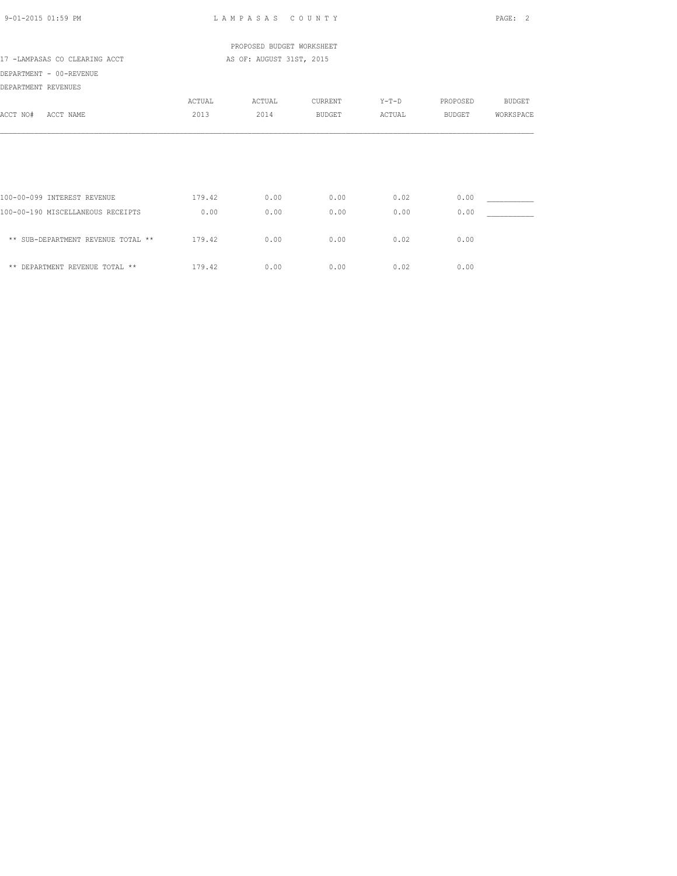| 9-01-2015 01:59 PM                                        |        | LAMPASAS COUNTY           |         |         |               | PAGE: 2       |
|-----------------------------------------------------------|--------|---------------------------|---------|---------|---------------|---------------|
|                                                           |        | PROPOSED BUDGET WORKSHEET |         |         |               |               |
| 17 -LAMPASAS CO CLEARING ACCT<br>AS OF: AUGUST 31ST, 2015 |        |                           |         |         |               |               |
| DEPARTMENT - 00-REVENUE                                   |        |                           |         |         |               |               |
| DEPARTMENT REVENUES                                       |        |                           |         |         |               |               |
|                                                           | ACTUAL | ACTUAL                    | CURRENT | $Y-T-D$ | PROPOSED      | <b>BUDGET</b> |
| ACCT NO#<br>ACCT NAME                                     | 2013   | 2014                      | BUDGET  | ACTUAL  | <b>BUDGET</b> | WORKSPACE     |
|                                                           |        |                           |         |         |               |               |
| 100-00-099 INTEREST REVENUE                               | 179.42 | 0.00                      | 0.00    | 0.02    | 0.00          |               |
| 100-00-190 MISCELLANEOUS RECEIPTS                         | 0.00   | 0.00                      | 0.00    | 0.00    | 0.00          |               |
| ** SUB-DEPARTMENT REVENUE TOTAL **                        | 179.42 | 0.00                      | 0.00    | 0.02    | 0.00          |               |
| ** DEPARTMENT REVENUE TOTAL **                            | 179.42 | 0.00                      | 0.00    | 0.02    | 0.00          |               |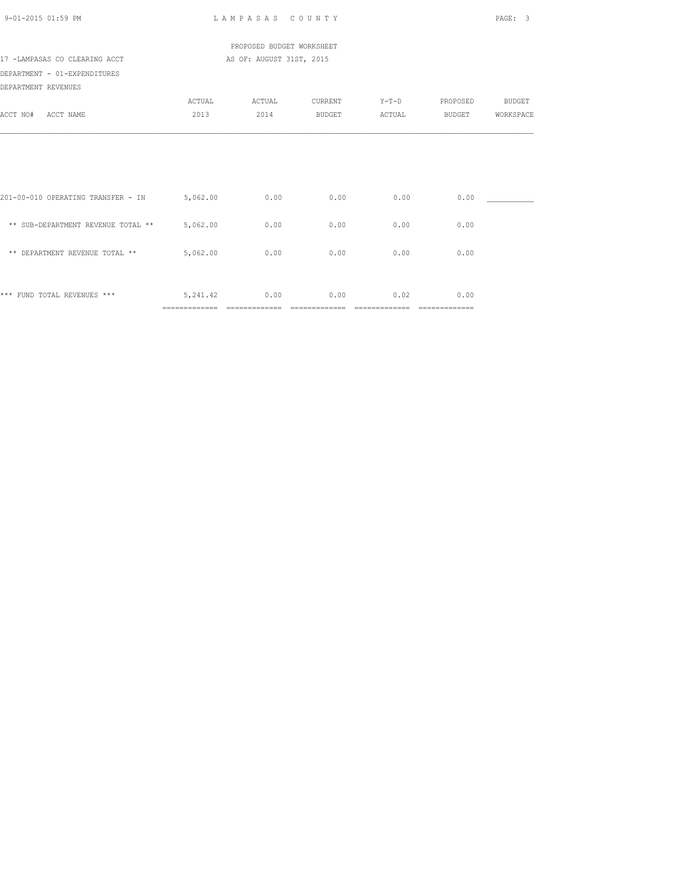| 9-01-2015 01:59 PM                          |                            | LAMPASAS COUNTY           |                       |                       |                        | PAGE:<br>3    |
|---------------------------------------------|----------------------------|---------------------------|-----------------------|-----------------------|------------------------|---------------|
|                                             |                            | PROPOSED BUDGET WORKSHEET |                       |                       |                        |               |
| 17 -LAMPASAS CO CLEARING ACCT               |                            | AS OF: AUGUST 31ST, 2015  |                       |                       |                        |               |
| DEPARTMENT - 01-EXPENDITURES                |                            |                           |                       |                       |                        |               |
| DEPARTMENT REVENUES                         |                            |                           |                       |                       |                        |               |
|                                             | ACTUAL                     | ACTUAL                    | CURRENT               | $Y-T-D$               | PROPOSED               | <b>BUDGET</b> |
| ACCT NAME<br>ACCT NO#                       | 2013                       | 2014                      | <b>BUDGET</b>         | ACTUAL                | <b>BUDGET</b>          | WORKSPACE     |
| 201-00-010 OPERATING TRANSFER - IN 5,062.00 |                            | 0.00                      | 0.00                  | 0.00                  | 0.00                   |               |
| ** SUB-DEPARTMENT REVENUE TOTAL ** 5,062.00 |                            | 0.00                      | 0.00                  | 0.00                  | 0.00                   |               |
| ** DEPARTMENT REVENUE TOTAL **              | 5,062.00                   | 0.00                      | 0.00                  | 0.00                  | 0.00                   |               |
| *** FUND TOTAL REVENUES ***                 | 5,241.42<br>============== | 0.00<br>==============    | 0.00<br>============= | 0.02<br>============= | 0.00<br>============== |               |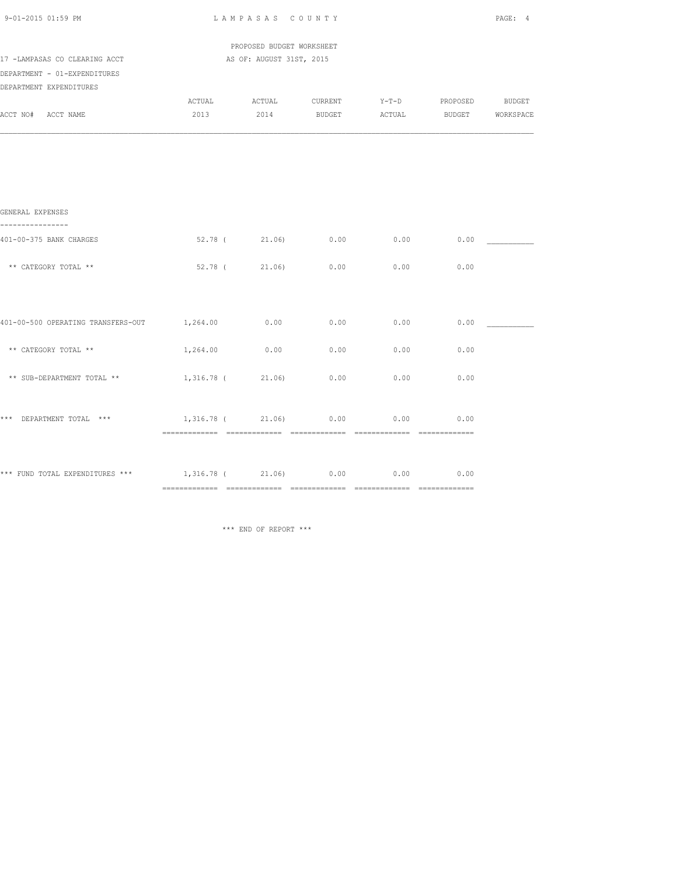| 9-01-2015 01:59 PM                                                                       | LAMPASAS COUNTY                       |               |                                                       |        |                  | PAGE: 4 |  |
|------------------------------------------------------------------------------------------|---------------------------------------|---------------|-------------------------------------------------------|--------|------------------|---------|--|
|                                                                                          | PROPOSED BUDGET WORKSHEET             |               |                                                       |        |                  |         |  |
| 17 -LAMPASAS CO CLEARING ACCT<br>DEPARTMENT - 01-EXPENDITURES<br>DEPARTMENT EXPENDITURES | AS OF: AUGUST 31ST, 2015              |               |                                                       |        |                  |         |  |
| ACCT NO# ACCT NAME                                                                       | 2013                                  | 2014          | ACTUAL ACTUAL CURRENT Y-T-D PROPOSED BUDGET<br>BUDGET | ACTUAL | BUDGET WORKSPACE |         |  |
|                                                                                          |                                       |               |                                                       |        |                  |         |  |
|                                                                                          |                                       |               |                                                       |        |                  |         |  |
| GENERAL EXPENSES<br>----------------                                                     |                                       |               |                                                       |        |                  |         |  |
| 401-00-375 BANK CHARGES                                                                  |                                       |               | $52.78$ ( $21.06$ ) 0.00 0.00 0.00                    |        |                  |         |  |
| ** CATEGORY TOTAL **                                                                     |                                       | 52.78 (21.06) | 0.00                                                  | 0.00   | 0.00             |         |  |
|                                                                                          |                                       |               |                                                       |        |                  |         |  |
| 401-00-500 OPERATING TRANSFERS-OUT 1,264.00                                              |                                       | 0.00          | 0.00                                                  | 0.00   | 0.00             |         |  |
| ** CATEGORY TOTAL **                                                                     | 1,264.00                              | 0.00          | 0.00                                                  | 0.00   | 0.00             |         |  |
| ** SUB-DEPARTMENT TOTAL **                                                               | 1,316.78 (21.06)                      |               | 0.00                                                  | 0.00   | 0.00             |         |  |
| *** DEPARTMENT TOTAL ***                                                                 | $1,316.78$ ( $21.06$ ) 0.00 0.00 0.00 |               |                                                       |        |                  |         |  |
| *** FUND TOTAL EXPENDITURES *** $1,316.78$ ( $21.06$ ) 0.00 0.00 0.00 0.00               |                                       |               |                                                       |        |                  |         |  |
|                                                                                          |                                       |               |                                                       |        |                  |         |  |

\*\*\* END OF REPORT \*\*\*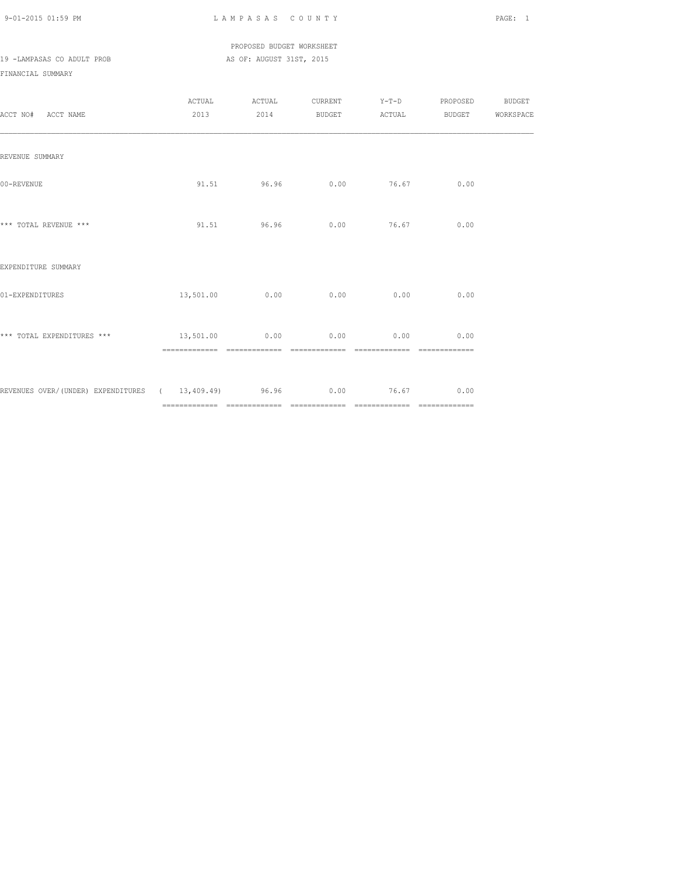### PROPOSED BUDGET WORKSHEET 19 -LAMPASAS CO ADULT PROB AS OF: AUGUST 31ST, 2015

FINANCIAL SUMMARY

| ACCT NO# ACCT NAME                                               | ACTUAL ACTUAL  |      |              | CURRENT Y-T-D PROPOSED BUDGET<br>2013 2014 BUDGET ACTUAL BUDGET WORKSPACE |  |
|------------------------------------------------------------------|----------------|------|--------------|---------------------------------------------------------------------------|--|
| REVENUE SUMMARY                                                  |                |      |              |                                                                           |  |
| 00-REVENUE                                                       | 91.51 96.96    |      | $0.00$ 76.67 | 0.00                                                                      |  |
| *** TOTAL REVENUE ***                                            | 91.51 96.96    |      | $0.00$ 76.67 | 0.00                                                                      |  |
| EXPENDITURE SUMMARY                                              |                |      |              |                                                                           |  |
| 01-EXPENDITURES                                                  | 13,501.00 0.00 | 0.00 | 0.00         | 0.00                                                                      |  |
| *** TOTAL EXPENDITURES *** $13,501.00$ 0.00 0.00 0.00 0.00       |                |      |              | 0.00                                                                      |  |
| REVENUES OVER/(UNDER) EXPENDITURES ( 13,409.49) 96.96 0.00 76.67 |                |      |              | 0.00                                                                      |  |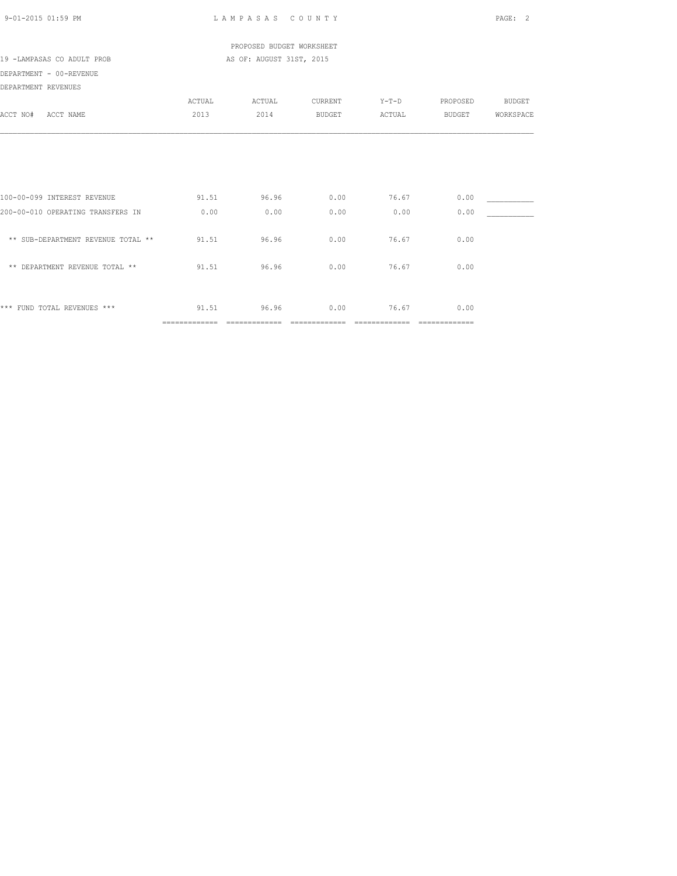|                                    |        | PROPOSED BUDGET WORKSHEET |               |              |          |               |
|------------------------------------|--------|---------------------------|---------------|--------------|----------|---------------|
| 19 -LAMPASAS CO ADULT PROB         |        | AS OF: AUGUST 31ST, 2015  |               |              |          |               |
| DEPARTMENT - 00-REVENUE            |        |                           |               |              |          |               |
| DEPARTMENT REVENUES                |        |                           |               |              |          |               |
|                                    | ACTUAL | ACTUAL                    | CURRENT       | $Y-T-D$      | PROPOSED | <b>BUDGET</b> |
| ACCT NO# ACCT NAME                 | 2013   | 2014                      | <b>BUDGET</b> | ACTUAL       | BUDGET   | WORKSPACE     |
|                                    |        |                           |               |              |          |               |
|                                    |        |                           |               |              |          |               |
| 100-00-099 INTEREST REVENUE        | 91.51  | 96.96                     | 0.00          | 76.67        | 0.00     |               |
| 200-00-010 OPERATING TRANSFERS IN  | 0.00   | 0.00                      | 0.00          | 0.00         | 0.00     |               |
| ** SUB-DEPARTMENT REVENUE TOTAL ** | 91.51  | 96.96                     | 0.00          | 76.67        | 0.00     |               |
| ** DEPARTMENT REVENUE TOTAL **     | 91.51  | 96.96                     | 0.00          | 76.67        | 0.00     |               |
| *** FUND TOTAL REVENUES ***        |        | 91.51 96.96               |               | $0.00$ 76.67 | 0.00     |               |

============= ============= ============= ============= =============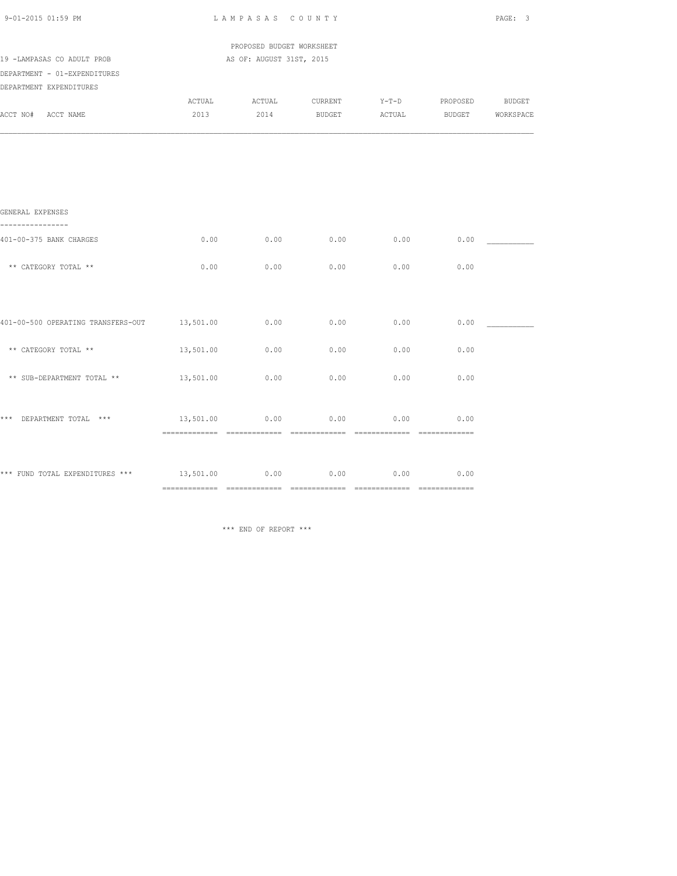| 9-01-2015 01:59 PM                                         |           | LAMPASAS COUNTY                                       |                                                              |        |               | PAGE: 3   |
|------------------------------------------------------------|-----------|-------------------------------------------------------|--------------------------------------------------------------|--------|---------------|-----------|
| 19 -LAMPASAS CO ADULT PROB                                 |           | PROPOSED BUDGET WORKSHEET<br>AS OF: AUGUST 31ST, 2015 |                                                              |        |               |           |
| DEPARTMENT - 01-EXPENDITURES<br>DEPARTMENT EXPENDITURES    |           |                                                       |                                                              |        |               |           |
| ACCT NO# ACCT NAME                                         | 2013      | 2014                                                  | ACTUAL ACTUAL CURRENT Y-T-D PROPOSED BUDGET<br><b>BUDGET</b> | ACTUAL | <b>BUDGET</b> | WORKSPACE |
|                                                            |           |                                                       |                                                              |        |               |           |
|                                                            |           |                                                       |                                                              |        |               |           |
| GENERAL EXPENSES                                           |           |                                                       |                                                              |        |               |           |
| 401-00-375 BANK CHARGES                                    | 0.00      | 0.00                                                  | 0.00                                                         | 0.00   | 0.00          |           |
| ** CATEGORY TOTAL **                                       | 0.00      | 0.00                                                  | 0.00                                                         | 0.00   | 0.00          |           |
|                                                            |           |                                                       |                                                              |        |               |           |
| 401-00-500 OPERATING TRANSFERS-OUT 13,501.00               |           | 0.00                                                  | 0.00                                                         | 0.00   | 0.00          |           |
| ** CATEGORY TOTAL **                                       | 13,501.00 | 0.00                                                  | 0.00                                                         | 0.00   | 0.00          |           |
| ** SUB-DEPARTMENT TOTAL **                                 | 13,501.00 | 0.00                                                  | 0.00                                                         | 0.00   | 0.00          |           |
| *** DEPARTMENT TOTAL ***                                   | 13,501.00 | 0.00                                                  | 0.00                                                         | 0.00   | 0.00          |           |
| *** FUND TOTAL EXPENDITURES *** $13,501.00$ 0.00 0.00 0.00 |           |                                                       |                                                              | 0.00   | 0.00          |           |
|                                                            |           |                                                       |                                                              |        |               |           |

\*\*\* END OF REPORT \*\*\*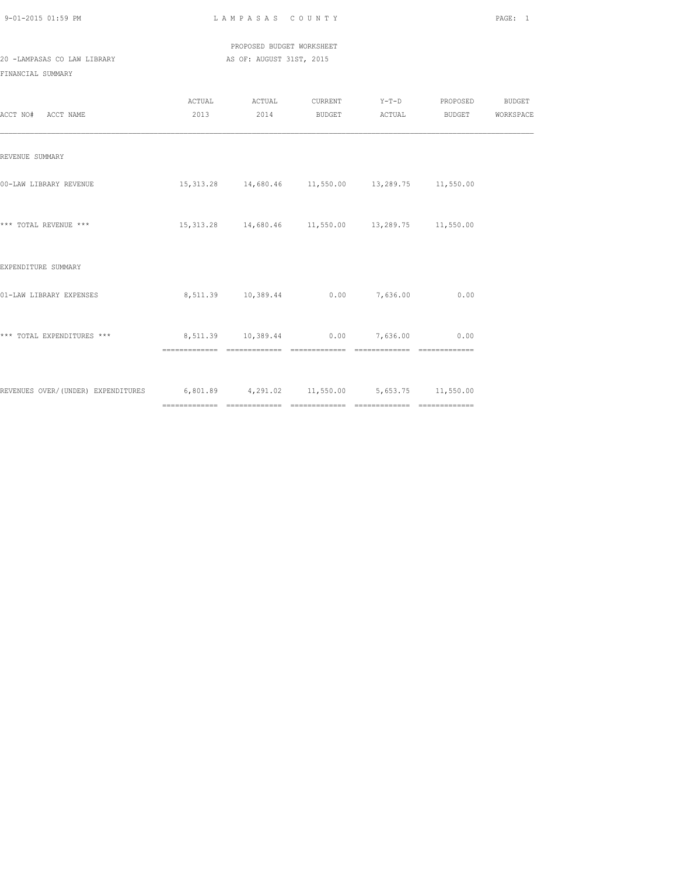PROPOSED BUDGET WORKSHEET 20 -LAMPASAS CO LAW LIBRARY AS OF: AUGUST 31ST, 2015

FINANCIAL SUMMARY

| ACCT NO# ACCT NAME                                                                |                                       |  |                                                       | 2013 2014 BUDGET ACTUAL BUDGET WORKSPACE |  |
|-----------------------------------------------------------------------------------|---------------------------------------|--|-------------------------------------------------------|------------------------------------------|--|
| REVENUE SUMMARY                                                                   |                                       |  |                                                       |                                          |  |
| 00-LAW LIBRARY REVENUE                                                            |                                       |  | 15,313.28  14,680.46  11,550.00  13,289.75  11,550.00 |                                          |  |
| *** TOTAL REVENUE ***                                                             |                                       |  | 15,313.28  14,680.46  11,550.00  13,289.75  11,550.00 |                                          |  |
| EXPENDITURE SUMMARY                                                               |                                       |  |                                                       |                                          |  |
| 01-LAW LIBRARY EXPENSES                                                           |                                       |  | 8,511.39  10,389.44  0.00  7,636.00  0.00             |                                          |  |
| *** TOTAL EXPENDITURES ***                                                        | 8,511.39 10,389.44 0.00 7,636.00 0.00 |  |                                                       |                                          |  |
| REVENUES OVER/(UNDER) EXPENDITURES 6,801.89 4,291.02 11,550.00 5,653.75 11,550.00 |                                       |  |                                                       |                                          |  |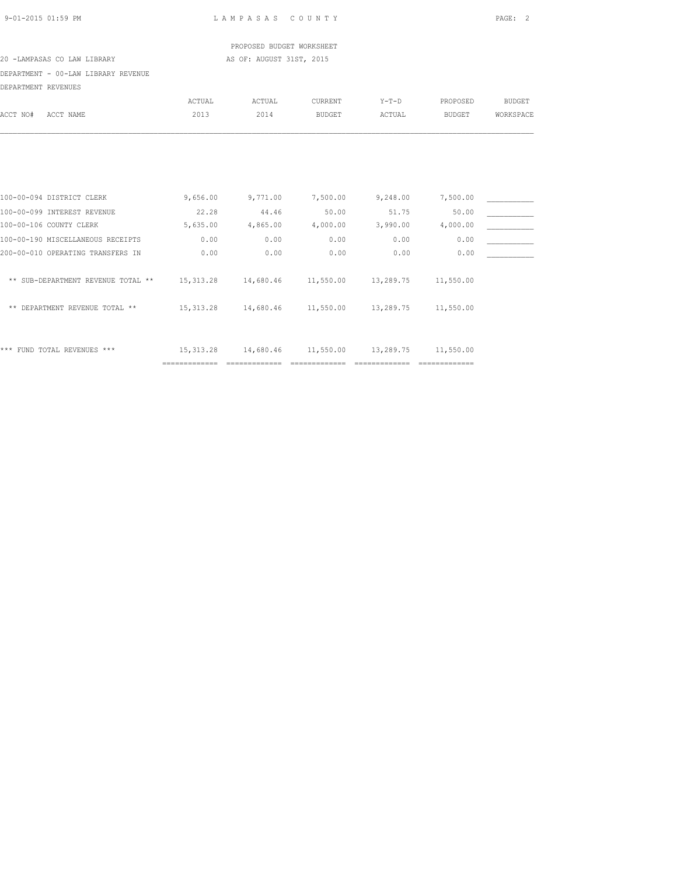| 9-01-2015 01:59 PM |  |
|--------------------|--|
|                    |  |

L A M P A S A S C O U N T Y PAGE: 2

PROPOSED BUDGET WORKSHEET<br>AS OF: AUGUST 31ST, 2015

## 20 -LAMPASAS CO LAW LIBRARY AS OF: AUGUST 31ST, 2015

DEPARTMENT - 00-LAW LIBRARY REVENUE

| DEPARTMENT - 00-LAW LIBRARY REVENUE |            |           |               |           |               |               |
|-------------------------------------|------------|-----------|---------------|-----------|---------------|---------------|
| DEPARTMENT REVENUES                 |            |           |               |           |               |               |
|                                     | ACTUAL     | ACTUAL    | CURRENT       | $Y-T-D$   | PROPOSED      | <b>BUDGET</b> |
| ACCT NO#<br>ACCT NAME               | 2013       | 2014      | <b>BUDGET</b> | ACTUAL    | <b>BUDGET</b> | WORKSPACE     |
|                                     |            |           |               |           |               |               |
|                                     |            |           |               |           |               |               |
| 100-00-094 DISTRICT CLERK           | 9,656.00   | 9,771.00  | 7,500.00      | 9,248.00  | 7,500.00      |               |
| 100-00-099 INTEREST REVENUE         | 22.28      | 44.46     | 50.00         | 51.75     | 50.00         |               |
| 100-00-106 COUNTY CLERK             | 5,635.00   | 4,865.00  | 4,000.00      | 3,990.00  | 4,000.00      |               |
| 100-00-190 MISCELLANEOUS RECEIPTS   | 0.00       | 0.00      | 0.00          | 0.00      | 0.00          |               |
| 200-00-010 OPERATING TRANSFERS IN   | 0.00       | 0.00      | 0.00          | 0.00      | 0.00          |               |
| ** SUB-DEPARTMENT REVENUE TOTAL **  | 15, 313.28 | 14,680.46 | 11,550.00     | 13,289.75 | 11,550.00     |               |
| DEPARTMENT REVENUE TOTAL **<br>**   | 15, 313.28 | 14,680.46 | 11,550.00     | 13,289.75 | 11,550.00     |               |
|                                     |            |           |               |           |               |               |
|                                     |            |           |               |           |               |               |

\*\*\* FUND TOTAL REVENUES \*\*\* 15,313.28 14,680.46 11,550.00 13,289.75 11,550.00 ============= ============= ============= ============= =============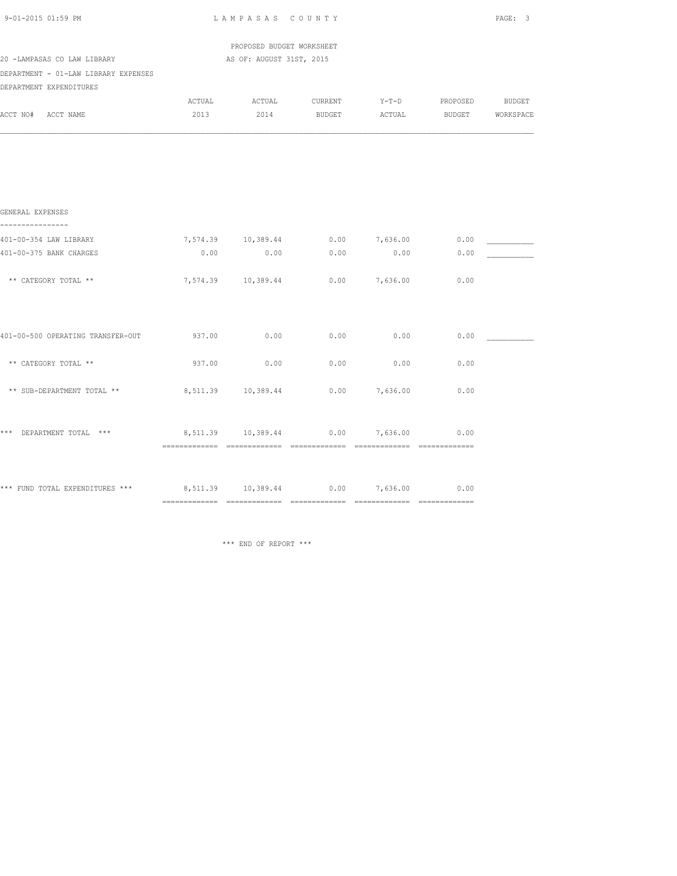| 9-01-2015 01:59 PM                                                    | LAMPASAS COUNTY | PAGE: 3                                               |             |      |                                             |  |
|-----------------------------------------------------------------------|-----------------|-------------------------------------------------------|-------------|------|---------------------------------------------|--|
| 20 -LAMPASAS CO LAW LIBRARY                                           |                 | PROPOSED BUDGET WORKSHEET<br>AS OF: AUGUST 31ST, 2015 |             |      |                                             |  |
| DEPARTMENT - 01-LAW LIBRARY EXPENSES                                  |                 |                                                       |             |      |                                             |  |
| DEPARTMENT EXPENDITURES                                               |                 |                                                       |             |      |                                             |  |
|                                                                       |                 |                                                       |             |      | ACTUAL ACTUAL CURRENT Y-T-D PROPOSED BUDGET |  |
| ACCT NO# ACCT NAME                                                    | 2013            |                                                       |             |      | 2014 BUDGET ACTUAL BUDGET WORKSPACE         |  |
|                                                                       |                 |                                                       |             |      |                                             |  |
| GENERAL EXPENSES<br>.                                                 |                 |                                                       |             |      |                                             |  |
| 401-00-354 LAW LIBRARY                                                |                 |                                                       |             |      | 7,574.39 10,389.44 0.00 7,636.00 0.00       |  |
| 401-00-375 BANK CHARGES                                               | 0.00            |                                                       | $0.00$ 0.00 | 0.00 | 0.00                                        |  |
| ** CATEGORY TOTAL **                                                  |                 | 7,574.39 10,389.44 0.00 7,636.00                      |             |      | 0.00                                        |  |
| 401-00-500 OPERATING TRANSFER-OUT                                     | 937.00          | 0.00                                                  | 0.00        | 0.00 | 0.00                                        |  |
| ** CATEGORY TOTAL **                                                  | 937.00          | 0.00                                                  | 0.00        | 0.00 | 0.00                                        |  |
| ** SUB-DEPARTMENT TOTAL **                                            |                 | 8,511.39  10,389.44  0.00  7,636.00  0.00             |             |      |                                             |  |
| *** DEPARTMENT TOTAL ***                                              |                 | 8,511.39 10,389.44 0.00 7,636.00                      |             |      | 0.00                                        |  |
| *** FUND TOTAL EXPENDITURES *** 6,511.39 10,389.44 0.00 7,636.00 0.00 |                 |                                                       |             |      |                                             |  |

\*\*\* END OF REPORT \*\*\*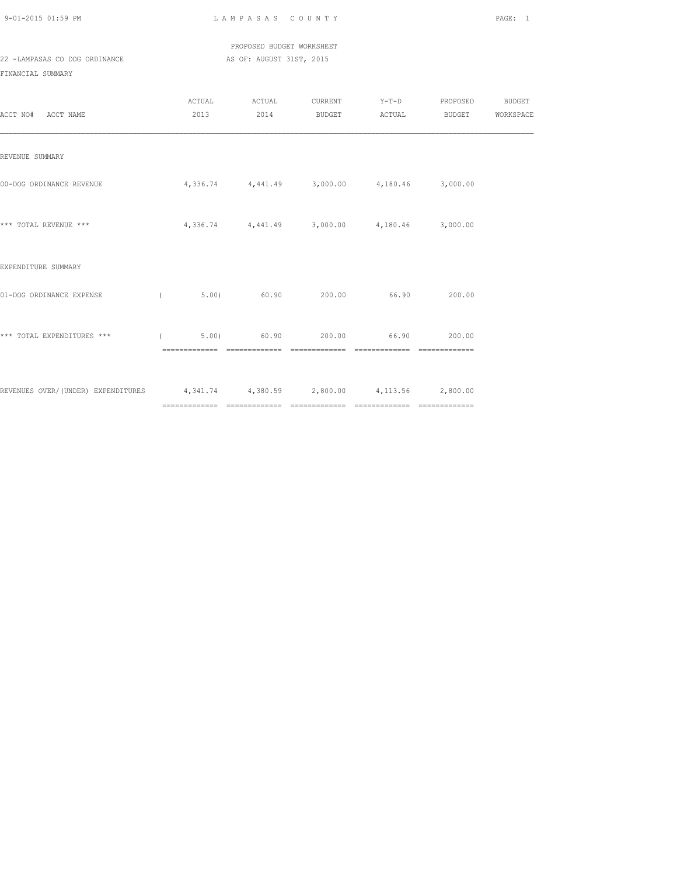PROPOSED BUDGET WORKSHEET 22 -LAMPASAS CO DOG ORDINANCE AS OF: AUGUST 31ST, 2015

FINANCIAL SUMMARY

| ACCT NO# ACCT NAME                                                              | ACTUAL     | ACTUAL | 2013 2014 BUDGET ACTUAL                                | CURRENT Y-T-D PROPOSED BUDGET | BUDGET WORKSPACE |
|---------------------------------------------------------------------------------|------------|--------|--------------------------------------------------------|-------------------------------|------------------|
| REVENUE SUMMARY                                                                 |            |        |                                                        |                               |                  |
| 00-DOG ORDINANCE REVENUE                                                        |            |        | $4,336.74$ $4,441.49$ $3,000.00$ $4,180.46$ $3,000.00$ |                               |                  |
| *** TOTAL REVENUE ***                                                           |            |        | $4,336.74$ $4,441.49$ $3,000.00$ $4,180.46$ $3,000.00$ |                               |                  |
| EXPENDITURE SUMMARY                                                             |            |        |                                                        |                               |                  |
| 01-DOG ORDINANCE EXPENSE                                                        | $\sqrt{2}$ |        | 5.00) 60.90 200.00 66.90 200.00                        |                               |                  |
| *** TOTAL EXPENDITURES *** (                                                    |            |        | 5.00) 60.90 200.00 66.90 200.00                        |                               |                  |
| REVENUES OVER/(UNDER) EXPENDITURES 4,341.74 4,380.59 2,800.00 4,113.56 2,800.00 |            |        |                                                        |                               |                  |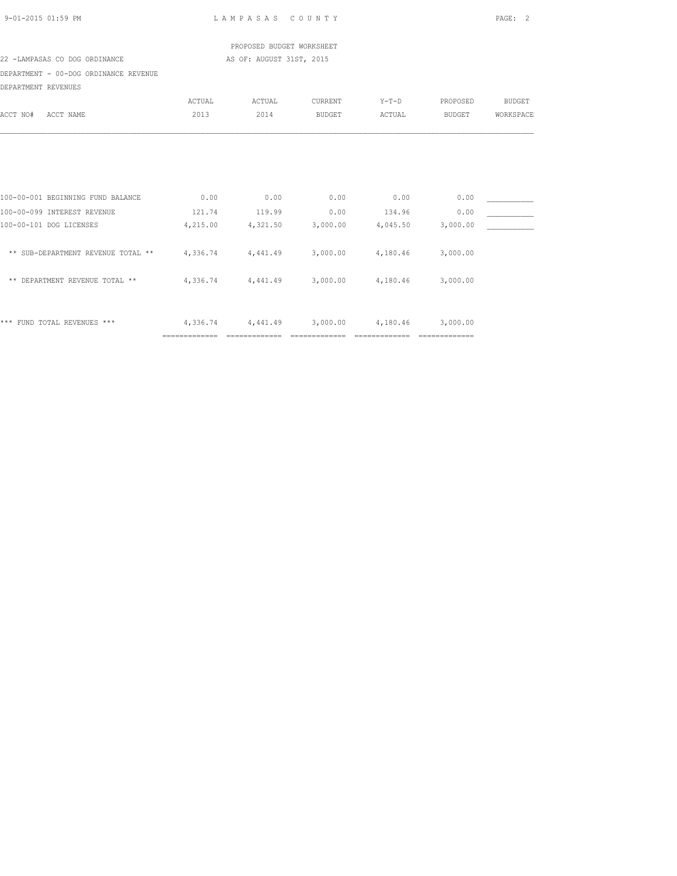|                                       |                | PROPOSED BUDGET WORKSHEET                              |                   |               |                   |               |
|---------------------------------------|----------------|--------------------------------------------------------|-------------------|---------------|-------------------|---------------|
| 22 -LAMPASAS CO DOG ORDINANCE         |                | AS OF: AUGUST 31ST, 2015                               |                   |               |                   |               |
| DEPARTMENT - 00-DOG ORDINANCE REVENUE |                |                                                        |                   |               |                   |               |
| DEPARTMENT REVENUES                   |                |                                                        |                   |               |                   |               |
|                                       | ACTUAL         | ACTUAL                                                 | CURRENT           | $Y-T-D$       | PROPOSED          | <b>BUDGET</b> |
| ACCT NO#<br>ACCT NAME                 | 2013           | 2014                                                   | BUDGET            | ACTUAL        | <b>BUDGET</b>     | WORKSPACE     |
|                                       |                |                                                        |                   |               |                   |               |
| 100-00-001 BEGINNING FUND BALANCE     | 0.00           | 0.00                                                   | 0.00              | 0.00          | 0.00              |               |
| 100-00-099 INTEREST REVENUE           | 121.74         | 119.99                                                 | 0.00              | 134.96        | 0.00              |               |
| 100-00-101 DOG LICENSES               | 4,215.00       |                                                        | 4,321.50 3,000.00 |               | 4,045.50 3,000.00 |               |
| ** SUB-DEPARTMENT REVENUE TOTAL **    |                | $4,336.74$ $4,441.49$ $3,000.00$ $4,180.46$ $3,000.00$ |                   |               |                   |               |
| ** DEPARTMENT REVENUE TOTAL **        |                | $4,336.74$ $4,441.49$ $3,000.00$ $4,180.46$ $3,000.00$ |                   |               |                   |               |
| *** FUND TOTAL REVENUES ***           | 4,336.74       |                                                        | 4,441.49 3,000.00 | 4,180.46      | 3,000.00          |               |
|                                       | ============== | ==============                                         | ==============    | ============= | ==============    |               |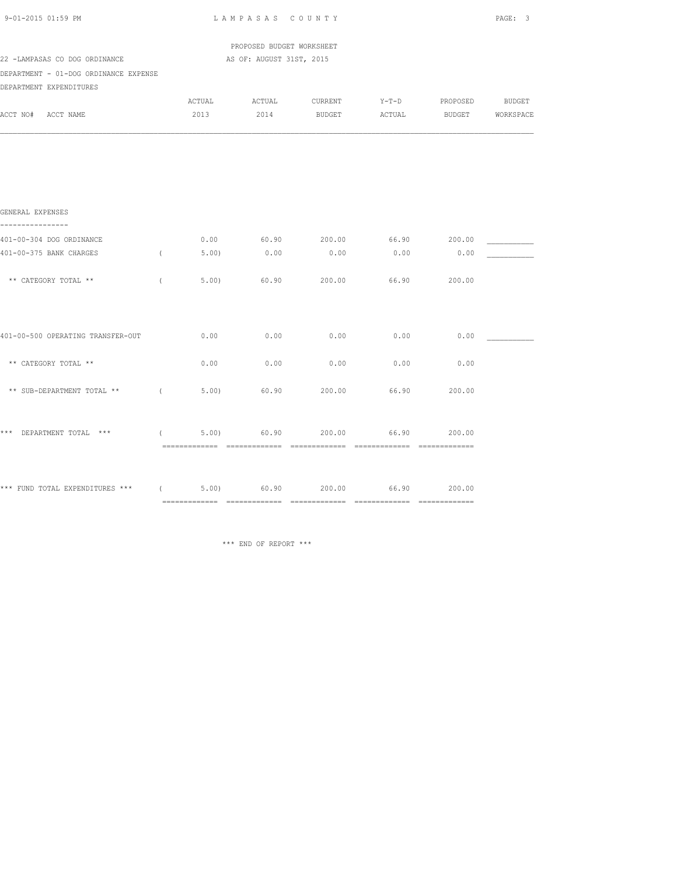| 9-01-2015 01:59 PM                                                |            | LAMPASAS COUNTY |                           |                                      |       |        | PAGE: 3 |  |  |
|-------------------------------------------------------------------|------------|-----------------|---------------------------|--------------------------------------|-------|--------|---------|--|--|
|                                                                   |            |                 | PROPOSED BUDGET WORKSHEET |                                      |       |        |         |  |  |
| 22 -LAMPASAS CO DOG ORDINANCE                                     |            |                 | AS OF: AUGUST 31ST, 2015  |                                      |       |        |         |  |  |
| DEPARTMENT - 01-DOG ORDINANCE EXPENSE                             |            |                 |                           |                                      |       |        |         |  |  |
| DEPARTMENT EXPENDITURES                                           |            |                 |                           |                                      |       |        |         |  |  |
|                                                                   |            | ACTUAL          |                           | ACTUAL CURRENT Y-T-D PROPOSED BUDGET |       |        |         |  |  |
| ACCT NO# ACCT NAME                                                |            | 2013            |                           | 2014 BUDGET ACTUAL BUDGET WORKSPACE  |       |        |         |  |  |
|                                                                   |            |                 |                           |                                      |       |        |         |  |  |
| GENERAL EXPENSES<br>----------------                              |            |                 |                           |                                      |       |        |         |  |  |
| 401-00-304 DOG ORDINANCE                                          |            |                 |                           | $0.00$ 60.90 200.00 66.90 200.00     |       |        |         |  |  |
| 401-00-375 BANK CHARGES                                           | $\sqrt{2}$ | 5.00            | 0.00                      | 0.00                                 | 0.00  | 0.00   |         |  |  |
| ** CATEGORY TOTAL **                                              | $\left($   | 5.00            | 60.90                     | 200.00                               | 66.90 | 200.00 |         |  |  |
| 401-00-500 OPERATING TRANSFER-OUT                                 |            | 0.00            | 0.00                      | 0.00                                 | 0.00  | 0.00   |         |  |  |
| ** CATEGORY TOTAL **                                              |            | 0.00            | 0.00                      | 0.00                                 | 0.00  | 0.00   |         |  |  |
| ** SUB-DEPARTMENT TOTAL **                                        | $\sqrt{2}$ | 5.00            | 60.90                     | 200.00                               | 66.90 | 200.00 |         |  |  |
| *** DEPARTMENT TOTAL ***                                          |            | (5.00)          | 60.90                     | 200.00                               | 66.90 | 200.00 |         |  |  |
| *** FUND TOTAL EXPENDITURES *** ( 5.00) 60.90 200.00 66.90 200.00 |            |                 |                           |                                      |       |        |         |  |  |
|                                                                   |            |                 |                           |                                      |       |        |         |  |  |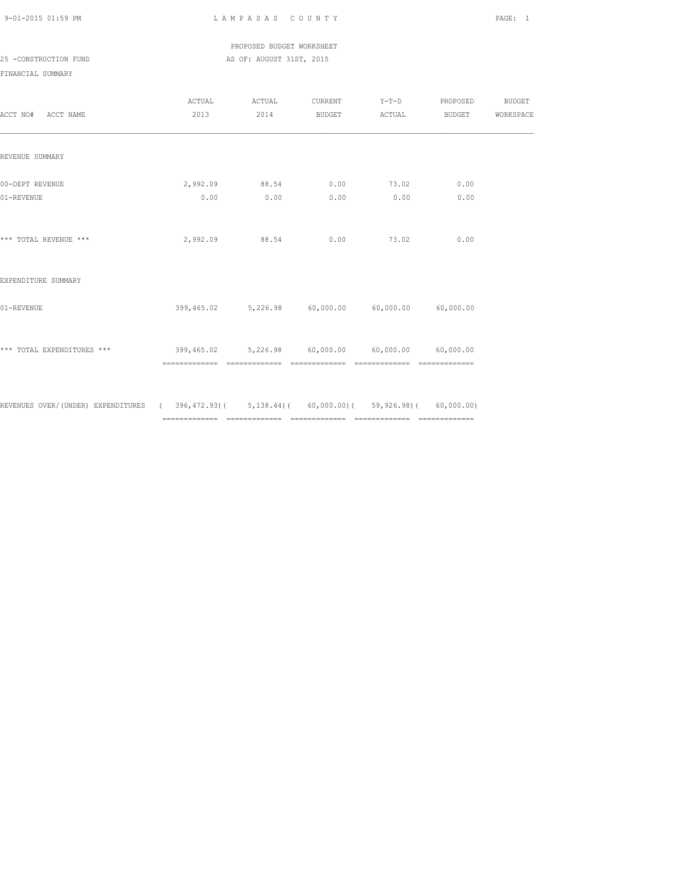PROPOSED BUDGET WORKSHEET

25 -CONSTRUCTION FUND **AS OF: AUGUST 31ST, 2015** 

| ACCT NO# ACCT NAME                                                                         | ACTUAL<br>2013                                              | ACTUAL<br>2014         | CURRENT<br>BUDGET ACTUAL | $Y-T-D$                                           | PROPOSED<br>BUDGET | <b>BUDGET</b><br>WORKSPACE |
|--------------------------------------------------------------------------------------------|-------------------------------------------------------------|------------------------|--------------------------|---------------------------------------------------|--------------------|----------------------------|
| REVENUE SUMMARY                                                                            |                                                             |                        |                          |                                                   |                    |                            |
| 00-DEPT REVENUE<br>01-REVENUE                                                              | 0.00                                                        | 2,992.09 88.54<br>0.00 | 0.00<br>0.00             | 73.02<br>0.00                                     | 0.00<br>0.00       |                            |
| *** TOTAL REVENUE ***                                                                      | 2,992.09                                                    | 88.54                  | 0.00                     | 73.02                                             | 0.00               |                            |
| EXPENDITURE SUMMARY                                                                        |                                                             |                        |                          |                                                   |                    |                            |
| 01-REVENUE                                                                                 |                                                             |                        |                          | 399,465.02 5,226.98 60,000.00 60,000.00 60,000.00 |                    |                            |
| *** TOTAL EXPENDITURES ***                                                                 | $399,465.02$ $5,226.98$ $60,000.00$ $60,000.00$ $60,000.00$ |                        |                          | ==============================                    |                    |                            |
| REVENUES OVER/(UNDER) EXPENDITURES (396,472.93)(5,138.44)(60,000.00)(59,926.98)(60,000.00) |                                                             |                        |                          |                                                   |                    |                            |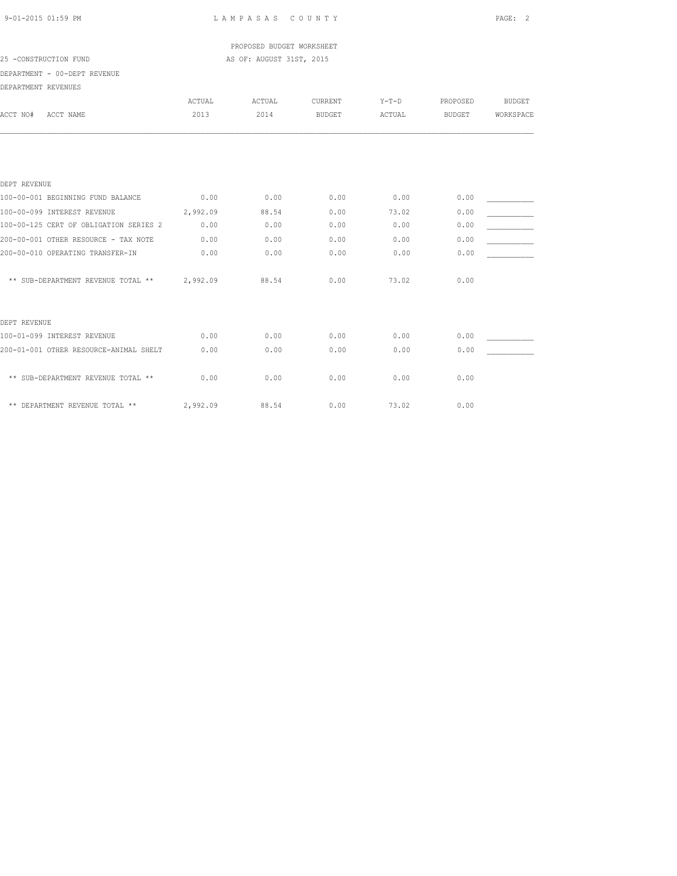### PROPOSED BUDGET WORKSHEET 25 -CONSTRUCTION FUND **AS OF: AUGUST 31ST, 2015**

| DEPARTMENT - 00-DEPT REVENUE           |          |        |               |         |               |               |
|----------------------------------------|----------|--------|---------------|---------|---------------|---------------|
| DEPARTMENT REVENUES                    |          |        |               |         |               |               |
|                                        | ACTUAL   | ACTUAL | CURRENT       | $Y-T-D$ | PROPOSED      | <b>BUDGET</b> |
| ACCT NAME<br>ACCT NO#                  | 2013     | 2014   | <b>BUDGET</b> | ACTUAL  | <b>BUDGET</b> | WORKSPACE     |
|                                        |          |        |               |         |               |               |
|                                        |          |        |               |         |               |               |
| DEPT REVENUE                           |          |        |               |         |               |               |
| 100-00-001 BEGINNING FUND BALANCE      | 0.00     | 0.00   | 0.00          | 0.00    | 0.00          |               |
| 100-00-099 INTEREST REVENUE            | 2,992.09 | 88.54  | 0.00          | 73.02   | 0.00          |               |
| 100-00-125 CERT OF OBLIGATION SERIES 2 | 0.00     | 0.00   | 0.00          | 0.00    | 0.00          |               |
| 200-00-001 OTHER RESOURCE - TAX NOTE   | 0.00     | 0.00   | 0.00          | 0.00    | 0.00          |               |
| 200-00-010 OPERATING TRANSFER-IN       | 0.00     | 0.00   | 0.00          | 0.00    | 0.00          |               |
| ** SUB-DEPARTMENT REVENUE TOTAL **     | 2,992.09 | 88.54  | 0.00          | 73.02   | 0.00          |               |
| DEPT REVENUE                           |          |        |               |         |               |               |
| 100-01-099 INTEREST REVENUE            | 0.00     | 0.00   | 0.00          | 0.00    | 0.00          |               |
| 200-01-001 OTHER RESOURCE-ANIMAL SHELT | 0.00     | 0.00   | 0.00          | 0.00    | 0.00          |               |
| ** SUB-DEPARTMENT REVENUE TOTAL **     | 0.00     | 0.00   | 0.00          | 0.00    | 0.00          |               |
| ** DEPARTMENT REVENUE TOTAL **         | 2,992.09 | 88.54  | 0.00          | 73.02   | 0.00          |               |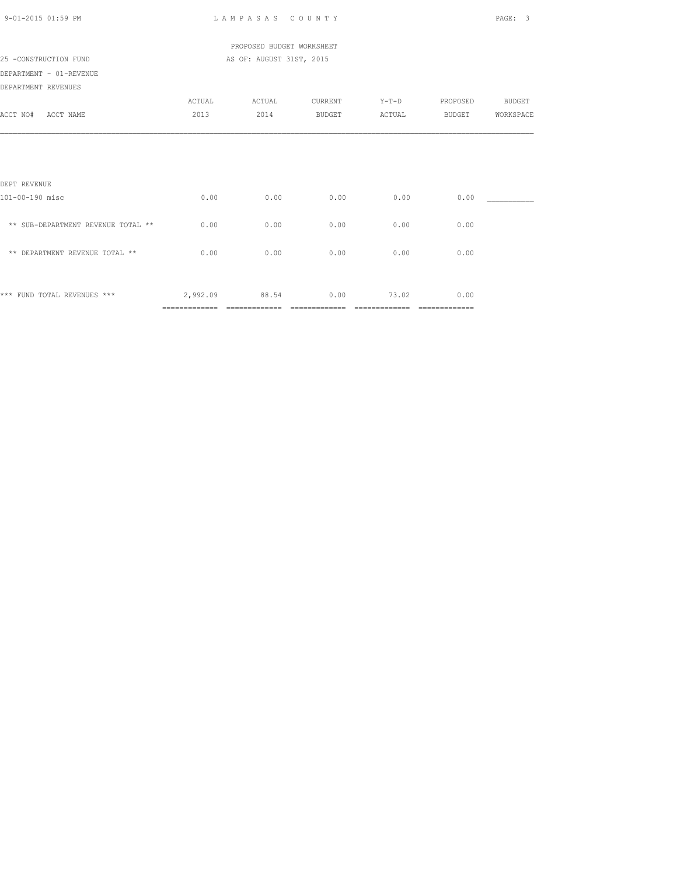| 9-01-2015 01:59 PM                 |          | LAMPASAS COUNTY           |                |                |                                                                                                                                                                                                                                                                                                                                                                                                                                                                                        | PAGE:<br>-3   |
|------------------------------------|----------|---------------------------|----------------|----------------|----------------------------------------------------------------------------------------------------------------------------------------------------------------------------------------------------------------------------------------------------------------------------------------------------------------------------------------------------------------------------------------------------------------------------------------------------------------------------------------|---------------|
|                                    |          | PROPOSED BUDGET WORKSHEET |                |                |                                                                                                                                                                                                                                                                                                                                                                                                                                                                                        |               |
| 25 -CONSTRUCTION FUND              |          | AS OF: AUGUST 31ST, 2015  |                |                |                                                                                                                                                                                                                                                                                                                                                                                                                                                                                        |               |
| DEPARTMENT - 01-REVENUE            |          |                           |                |                |                                                                                                                                                                                                                                                                                                                                                                                                                                                                                        |               |
| DEPARTMENT REVENUES                |          |                           |                |                |                                                                                                                                                                                                                                                                                                                                                                                                                                                                                        |               |
|                                    | ACTUAL   | ACTUAL                    | CURRENT        | $Y-T-D$        | PROPOSED                                                                                                                                                                                                                                                                                                                                                                                                                                                                               | <b>BUDGET</b> |
| ACCT NO# ACCT NAME                 | 2013     | 2014                      | <b>BUDGET</b>  | ACTUAL         | <b>BUDGET</b>                                                                                                                                                                                                                                                                                                                                                                                                                                                                          | WORKSPACE     |
|                                    |          |                           |                |                |                                                                                                                                                                                                                                                                                                                                                                                                                                                                                        |               |
|                                    |          |                           |                |                |                                                                                                                                                                                                                                                                                                                                                                                                                                                                                        |               |
| DEPT REVENUE                       |          |                           |                |                |                                                                                                                                                                                                                                                                                                                                                                                                                                                                                        |               |
| 101-00-190 misc                    | 0.00     | 0.00                      | 0.00           | 0.00           | 0.00                                                                                                                                                                                                                                                                                                                                                                                                                                                                                   |               |
| ** SUB-DEPARTMENT REVENUE TOTAL ** | 0.00     | 0.00                      | 0.00           | 0.00           | 0.00                                                                                                                                                                                                                                                                                                                                                                                                                                                                                   |               |
| ** DEPARTMENT REVENUE TOTAL **     | 0.00     | 0.00                      | 0.00           | 0.00           | 0.00                                                                                                                                                                                                                                                                                                                                                                                                                                                                                   |               |
|                                    |          |                           |                |                |                                                                                                                                                                                                                                                                                                                                                                                                                                                                                        |               |
| *** FUND TOTAL REVENUES ***        | 2,992.09 | 88.54                     | 0.00           | 73.02          | 0.00                                                                                                                                                                                                                                                                                                                                                                                                                                                                                   |               |
|                                    |          |                           | ============== | ============== | $\begin{array}{cccccccccccccc} \multicolumn{2}{c}{} & \multicolumn{2}{c}{} & \multicolumn{2}{c}{} & \multicolumn{2}{c}{} & \multicolumn{2}{c}{} & \multicolumn{2}{c}{} & \multicolumn{2}{c}{} & \multicolumn{2}{c}{} & \multicolumn{2}{c}{} & \multicolumn{2}{c}{} & \multicolumn{2}{c}{} & \multicolumn{2}{c}{} & \multicolumn{2}{c}{} & \multicolumn{2}{c}{} & \multicolumn{2}{c}{} & \multicolumn{2}{c}{} & \multicolumn{2}{c}{} & \multicolumn{2}{c}{} & \multicolumn{2}{c}{} & \$ |               |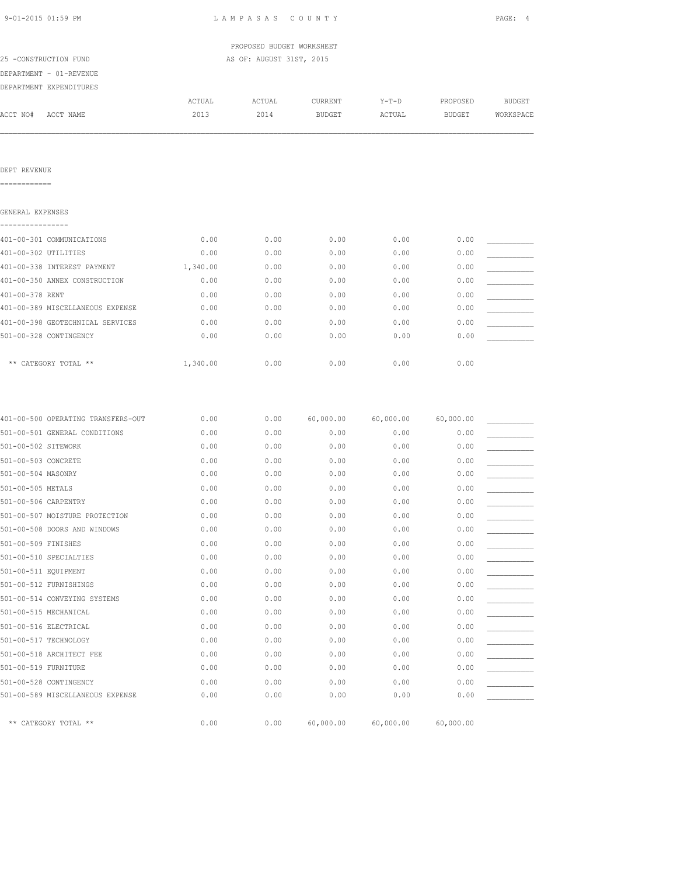| 9-01-2015 01:59 PM                 | LAMPASAS COUNTY | PAGE: 4                   |               |           |           |               |
|------------------------------------|-----------------|---------------------------|---------------|-----------|-----------|---------------|
|                                    |                 | PROPOSED BUDGET WORKSHEET |               |           |           |               |
| 25 -CONSTRUCTION FUND              |                 | AS OF: AUGUST 31ST, 2015  |               |           |           |               |
| DEPARTMENT - 01-REVENUE            |                 |                           |               |           |           |               |
| DEPARTMENT EXPENDITURES            |                 |                           |               |           |           |               |
|                                    | ACTUAL          | ACTUAL                    | CURRENT       | $Y-T-D$   | PROPOSED  | <b>BUDGET</b> |
| ACCT NO#<br>ACCT NAME              | 2013            | 2014                      | <b>BUDGET</b> | ACTUAL    | BUDGET    | WORKSPACE     |
|                                    |                 |                           |               |           |           |               |
| DEPT REVENUE<br>============       |                 |                           |               |           |           |               |
| GENERAL EXPENSES                   |                 |                           |               |           |           |               |
| 401-00-301 COMMUNICATIONS          | 0.00            | 0.00                      | 0.00          | 0.00      | 0.00      |               |
| 401-00-302 UTILITIES               | 0.00            | 0.00                      | 0.00          | 0.00      | 0.00      |               |
| 401-00-338 INTEREST PAYMENT        | 1,340.00        | 0.00                      | 0.00          | 0.00      | 0.00      |               |
| 401-00-350 ANNEX CONSTRUCTION      | 0.00            | 0.00                      | 0.00          | 0.00      | 0.00      |               |
| 401-00-378 RENT                    | 0.00            | 0.00                      | 0.00          | 0.00      | 0.00      |               |
| 401-00-389 MISCELLANEOUS EXPENSE   | 0.00            | 0.00                      | 0.00          | 0.00      | 0.00      |               |
| 401-00-398 GEOTECHNICAL SERVICES   | 0.00            | 0.00                      | 0.00          | 0.00      | 0.00      |               |
| 501-00-328 CONTINGENCY             | 0.00            | 0.00                      | 0.00          | 0.00      | 0.00      |               |
| ** CATEGORY TOTAL **               | 1,340.00        | 0.00                      | 0.00          | 0.00      | 0.00      |               |
| 401-00-500 OPERATING TRANSFERS-OUT | 0.00            | 0.00                      | 60,000.00     | 60,000.00 | 60,000.00 |               |
| 501-00-501 GENERAL CONDITIONS      | 0.00            | 0.00                      | 0.00          | 0.00      | 0.00      |               |
| 501-00-502 SITEWORK                | 0.00            | 0.00                      | 0.00          | 0.00      | 0.00      |               |
| 501-00-503 CONCRETE                | 0.00            | 0.00                      | 0.00          | 0.00      | 0.00      |               |
| 501-00-504 MASONRY                 | 0.00            | 0.00                      | 0.00          | 0.00      | 0.00      |               |
| 501-00-505 METALS                  | 0.00            | 0.00                      | 0.00          | 0.00      | 0.00      |               |
| 501-00-506 CARPENTRY               | 0.00            | 0.00                      | 0.00          | 0.00      | 0.00      |               |
| 501-00-507 MOISTURE PROTECTION     | 0.00            | 0.00                      | 0.00          | 0.00      | 0.00      |               |
| 501-00-508 DOORS AND WINDOWS       | 0.00            | 0.00                      | 0.00          | 0.00      | 0.00      |               |
| 501-00-509 FINISHES                | 0.00            | 0.00                      | 0.00          | 0.00      | 0.00      |               |
| 501-00-510 SPECIALTIES             | 0.00            | 0.00                      | 0.00          | 0.00      | 0.00      |               |
| 501-00-511 EQUIPMENT               | 0.00            | 0.00                      | 0.00          | 0.00      | 0.00      |               |
| 501-00-512 FURNISHINGS             | 0.00            | 0.00                      | 0.00          | 0.00      | 0.00      |               |

501-00-514 CONVEYING SYSTEMS  $0.00$  0.00 0.00 0.00 0.00 0.00 0.00 0.00

501-00-516 ELECTRICAL 0.00 0.00 0.00 0.00 0.00 \_\_\_\_\_\_\_\_\_\_\_ 501-00-517 TECHNOLOGY 0.00 0.00 0.00 0.00 0.00 \_\_\_\_\_\_\_\_\_\_\_  $501-00-518$  ARCHITECT FEE  $0.00$   $0.00$   $0.00$   $0.00$   $0.00$   $0.00$ 501-00-519 FURNITURE 0.00 0.00 0.00 0.00 0.00 \_\_\_\_\_\_\_\_\_\_\_ 501-00-528 CONTINGENCY 0.00 0.00 0.00 0.00 0.00 \_\_\_\_\_\_\_\_\_\_\_ 501-00-589 MISCELLANEOUS EXPENSE 0.00 0.00 0.00 0.00 0.00 \_\_\_\_\_\_\_\_\_\_\_

501-00-515 MECHANICAL **0.00** 0.00 0.00 0.00 0.00 0.00 0.00

\*\* CATEGORY TOTAL \*\* 0.00 0.00 60,000.00 60,000.00 60,000.00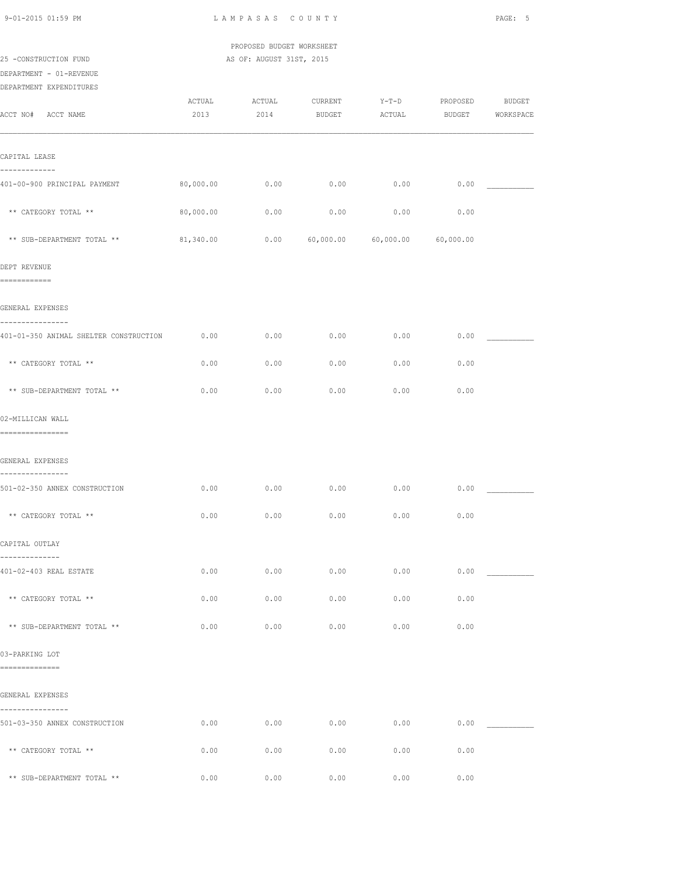| 9-01-2015 01:59 PM                                         | LAMPASAS COUNTY |                           |                  |           |               |           |
|------------------------------------------------------------|-----------------|---------------------------|------------------|-----------|---------------|-----------|
|                                                            |                 | PROPOSED BUDGET WORKSHEET |                  |           |               |           |
| 25 -CONSTRUCTION FUND<br>DEPARTMENT - 01-REVENUE           |                 | AS OF: AUGUST 31ST, 2015  |                  |           |               |           |
| DEPARTMENT EXPENDITURES                                    |                 |                           |                  |           |               |           |
|                                                            | ACTUAL          | ACTUAL                    | CURRENT          | $Y-T-D$   | PROPOSED      | BUDGET    |
| ACCT NO# ACCT NAME                                         | 2013            | 2014                      | BUDGET           | ACTUAL    | <b>BUDGET</b> | WORKSPACE |
| CAPITAL LEASE                                              |                 |                           |                  |           |               |           |
| -------------<br>401-00-900 PRINCIPAL PAYMENT              | 80,000.00       | 0.00                      | 0.00             | 0.00      | 0.00          |           |
| ** CATEGORY TOTAL **                                       | 80,000.00       | 0.00                      | 0.00             | 0.00      | 0.00          |           |
| ** SUB-DEPARTMENT TOTAL **                                 | 81,340.00       |                           | $0.00$ 60,000.00 | 60,000.00 | 60,000.00     |           |
| DEPT REVENUE                                               |                 |                           |                  |           |               |           |
| ============                                               |                 |                           |                  |           |               |           |
| GENERAL EXPENSES                                           |                 |                           |                  |           |               |           |
| ----------------<br>401-01-350 ANIMAL SHELTER CONSTRUCTION | 0.00            | 0.00                      | 0.00             | 0.00      | 0.00          |           |
| ** CATEGORY TOTAL **                                       | 0.00            | 0.00                      | 0.00             | 0.00      | 0.00          |           |
| ** SUB-DEPARTMENT TOTAL **                                 | 0.00            | 0.00                      | 0.00             | 0.00      | 0.00          |           |
| 02-MILLICAN WALL                                           |                 |                           |                  |           |               |           |
| =================                                          |                 |                           |                  |           |               |           |
| GENERAL EXPENSES<br>----------------                       |                 |                           |                  |           |               |           |
| 501-02-350 ANNEX CONSTRUCTION                              | 0.00            | 0.00                      | 0.00             | 0.00      | 0.00          |           |
| ** CATEGORY TOTAL **                                       | 0.00            | 0.00                      | 0.00             | 0.00      | 0.00          |           |
| CAPITAL OUTLAY<br>--------------                           |                 |                           |                  |           |               |           |
| 401-02-403 REAL ESTATE                                     | 0.00            | 0.00                      | 0.00             | 0.00      | 0.00          |           |
| ** CATEGORY TOTAL **                                       | 0.00            | 0.00                      | 0.00             | 0.00      | 0.00          |           |
| ** SUB-DEPARTMENT TOTAL **                                 | 0.00            | 0.00                      | 0.00             | 0.00      | 0.00          |           |
| 03-PARKING LOT<br>==============                           |                 |                           |                  |           |               |           |
| GENERAL EXPENSES                                           |                 |                           |                  |           |               |           |
| ----------------<br>501-03-350 ANNEX CONSTRUCTION          | 0.00            | 0.00                      | 0.00             | 0.00      | 0.00          |           |
| ** CATEGORY TOTAL **                                       | 0.00            | 0.00                      | 0.00             | 0.00      | 0.00          |           |
| ** SUB-DEPARTMENT TOTAL **                                 | 0.00            | 0.00                      | 0.00             | 0.00      | 0.00          |           |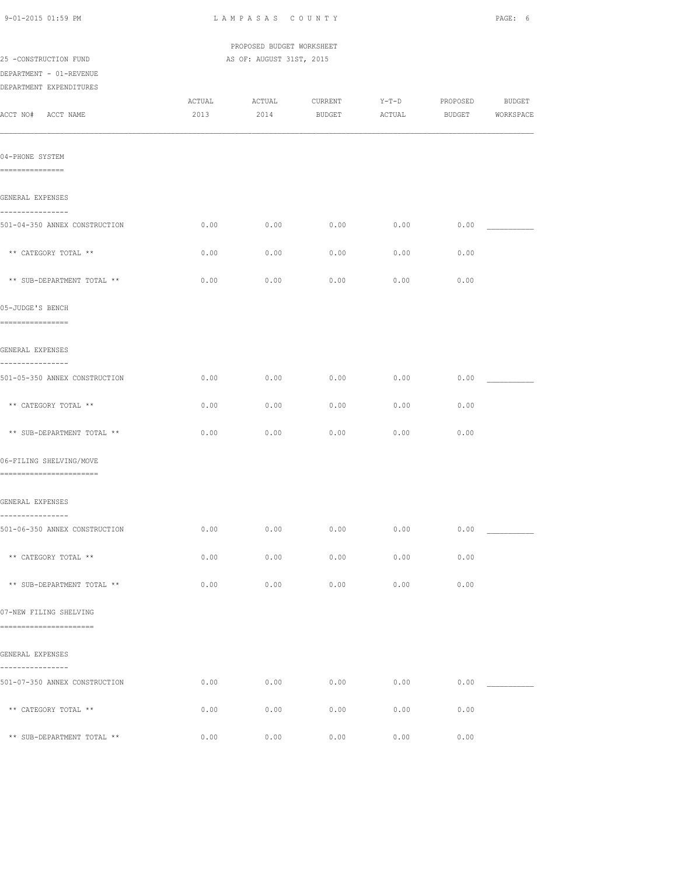| 9-01-2015 01:59 PM                                   | LAMPASAS COUNTY |                                                       | PAGE: 6           |                   |                    |                     |
|------------------------------------------------------|-----------------|-------------------------------------------------------|-------------------|-------------------|--------------------|---------------------|
| 25 -CONSTRUCTION FUND<br>DEPARTMENT - 01-REVENUE     |                 | PROPOSED BUDGET WORKSHEET<br>AS OF: AUGUST 31ST, 2015 |                   |                   |                    |                     |
| DEPARTMENT EXPENDITURES                              |                 |                                                       |                   |                   |                    |                     |
| ACCT NO# ACCT NAME                                   | ACTUAL<br>2013  | ACTUAL<br>2014                                        | CURRENT<br>BUDGET | $Y-T-D$<br>ACTUAL | PROPOSED<br>BUDGET | BUDGET<br>WORKSPACE |
| 04-PHONE SYSTEM<br>----------------                  |                 |                                                       |                   |                   |                    |                     |
| GENERAL EXPENSES                                     |                 |                                                       |                   |                   |                    |                     |
| ----------------<br>501-04-350 ANNEX CONSTRUCTION    | 0.00            | 0.00                                                  | 0.00              | 0.00              | 0.00               |                     |
| ** CATEGORY TOTAL **                                 | 0.00            | 0.00                                                  | 0.00              | 0.00              | 0.00               |                     |
| ** SUB-DEPARTMENT TOTAL **                           | 0.00            | 0.00                                                  | 0.00              | 0.00              | 0.00               |                     |
| 05-JUDGE'S BENCH<br>----------------                 |                 |                                                       |                   |                   |                    |                     |
| GENERAL EXPENSES                                     |                 |                                                       |                   |                   |                    |                     |
| ----------------<br>501-05-350 ANNEX CONSTRUCTION    | 0.00            | 0.00                                                  | 0.00              | 0.00              | 0.00               |                     |
| ** CATEGORY TOTAL **                                 | 0.00            | 0.00                                                  | 0.00              | 0.00              | 0.00               |                     |
| ** SUB-DEPARTMENT TOTAL **                           | 0.00            | 0.00                                                  | 0.00              | 0.00              | 0.00               |                     |
| 06-FILING SHELVING/MOVE<br>========================= |                 |                                                       |                   |                   |                    |                     |
| GENERAL EXPENSES                                     |                 |                                                       |                   |                   |                    |                     |
| ----------------<br>501-06-350 ANNEX CONSTRUCTION    | 0.00            | 0.00                                                  | 0.00              | 0.00              | 0.00               |                     |
| ** CATEGORY TOTAL **                                 | 0.00            | 0.00                                                  | 0.00              | 0.00              | 0.00               |                     |
| ** SUB-DEPARTMENT TOTAL **                           | 0.00            | 0.00                                                  | 0.00              | 0.00              | 0.00               |                     |
| 07-NEW FILING SHELVING                               |                 |                                                       |                   |                   |                    |                     |
| ========================                             |                 |                                                       |                   |                   |                    |                     |
| GENERAL EXPENSES<br>----------------                 |                 |                                                       |                   |                   |                    |                     |
| 501-07-350 ANNEX CONSTRUCTION                        | 0.00            | 0.00                                                  | 0.00              | 0.00              | 0.00               |                     |
| ** CATEGORY TOTAL **                                 | 0.00            | 0.00                                                  | 0.00              | 0.00              | 0.00               |                     |
| ** SUB-DEPARTMENT TOTAL **                           | 0.00            | 0.00                                                  | 0.00              | 0.00              | 0.00               |                     |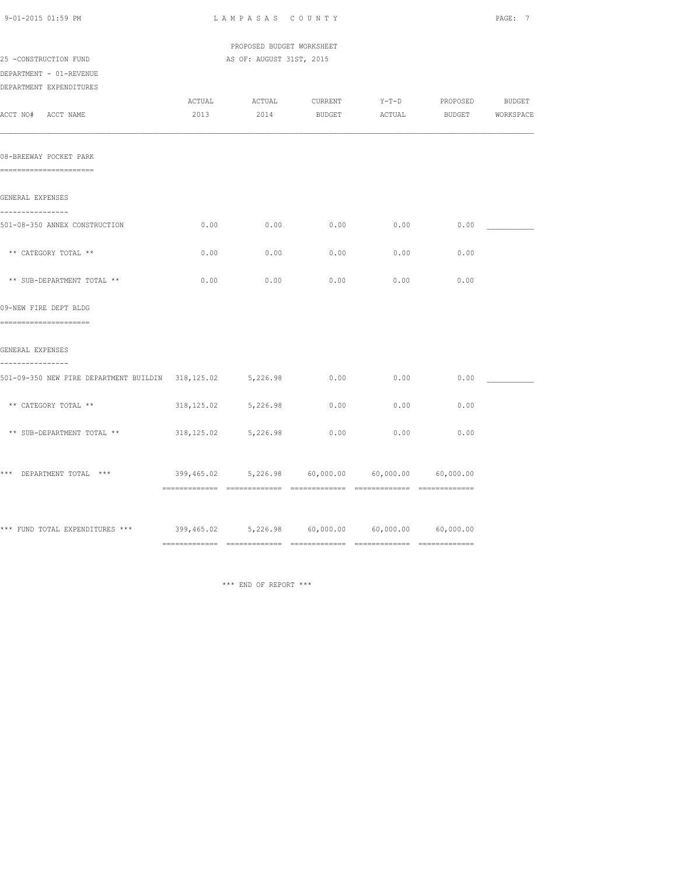| 9-01-2015 01:59 PM                                                                | LAMPASAS COUNTY                                          |                           |         |         |          |                  |
|-----------------------------------------------------------------------------------|----------------------------------------------------------|---------------------------|---------|---------|----------|------------------|
|                                                                                   |                                                          | PROPOSED BUDGET WORKSHEET |         |         |          |                  |
| 25 -CONSTRUCTION FUND                                                             |                                                          | AS OF: AUGUST 31ST, 2015  |         |         |          |                  |
| DEPARTMENT - 01-REVENUE<br>DEPARTMENT EXPENDITURES                                |                                                          |                           |         |         |          |                  |
|                                                                                   | ACTUAL                                                   | <b>ACTUAL</b>             | CURRENT | $Y-T-D$ | PROPOSED | BUDGET           |
| ACCT NO# ACCT NAME                                                                | 2013                                                     | 2014                      | BUDGET  | ACTUAL  |          | BUDGET WORKSPACE |
| 08-BREEWAY POCKET PARK<br>=======================                                 |                                                          |                           |         |         |          |                  |
| GENERAL EXPENSES                                                                  |                                                          |                           |         |         |          |                  |
| ----------------<br>501-08-350 ANNEX CONSTRUCTION                                 | 0.00                                                     | 0.00                      | 0.00    | 0.00    | 0.00     |                  |
| ** CATEGORY TOTAL **                                                              | 0.00                                                     | 0.00                      | 0.00    | 0.00    | 0.00     |                  |
| ** SUB-DEPARTMENT TOTAL **                                                        | 0.00                                                     | 0.00                      | 0.00    | 0.00    | 0.00     |                  |
| 09-NEW FIRE DEPT BLDG<br>======================                                   |                                                          |                           |         |         |          |                  |
| GENERAL EXPENSES                                                                  |                                                          |                           |         |         |          |                  |
| ----------------<br>501-09-350 NEW FIRE DEPARTMENT BUILDIN 318,125.02 5,226.98    |                                                          |                           | 0.00    | 0.00    | 0.00     |                  |
| ** CATEGORY TOTAL **                                                              | 318,125.02                                               | 5,226.98                  | 0.00    | 0.00    | 0.00     |                  |
| ** SUB-DEPARTMENT TOTAL **                                                        | 318, 125.02                                              | 5,226.98                  | 0.00    | 0.00    | 0.00     |                  |
| *** DEPARTMENT TOTAL ***                                                          | $399,465.02$ $5,226.98$ $60,000.00$ $60,000.00$ $60,000$ |                           |         |         |          |                  |
| *** FUND TOTAL EXPENDITURES *** 399,465.02 5,226.98 60,000.00 60,000.00 60,000.00 |                                                          |                           |         |         |          |                  |
|                                                                                   |                                                          |                           |         |         |          |                  |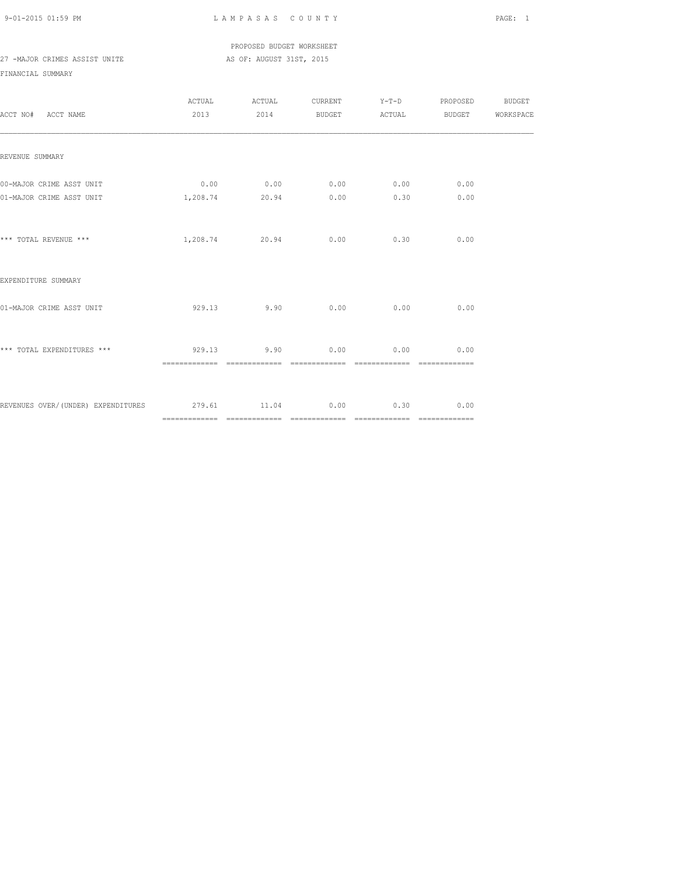PROPOSED BUDGET WORKSHEET

# 27 -MAJOR CRIMES ASSIST UNITE AS OF: AUGUST 31ST, 2015

| ACCT NO# ACCT NAME                                                                                               |                                                  | ACTUAL ACTUAL CURRENT Y-T-D PROPOSED BUDGET<br>2013 2014 BUDGET ACTUAL BUDGET WORKSPACE |  |      |  |
|------------------------------------------------------------------------------------------------------------------|--------------------------------------------------|-----------------------------------------------------------------------------------------|--|------|--|
| REVENUE SUMMARY                                                                                                  |                                                  |                                                                                         |  |      |  |
| 00-MAJOR CRIME ASST UNIT                                                                                         | $0.00$ $0.00$ $0.00$ $0.00$ $0.00$ $0.00$ $0.00$ |                                                                                         |  |      |  |
| 01-MAJOR CRIME ASST UNIT                                                                                         | $1,208.74$ 20.94 0.00 0.30                       |                                                                                         |  | 0.00 |  |
| *** TOTAL REVENUE ***                                                                                            |                                                  | 1,208.74 20.94 0.00 0.30                                                                |  | 0.00 |  |
| EXPENDITURE SUMMARY                                                                                              |                                                  |                                                                                         |  |      |  |
| 01-MAJOR CRIME ASST UNIT                                                                                         |                                                  | $929.13$ $9.90$ $0.00$ $0.00$ $0.00$ $0.00$                                             |  |      |  |
| *** TOTAL EXPENDITURES ***                         929.13             9.90                 0.00             0.00 |                                                  |                                                                                         |  | 0.00 |  |
| REVENUES OVER/(UNDER) EXPENDITURES 279.61 11.04 0.00 0.30 0.00                                                   |                                                  |                                                                                         |  |      |  |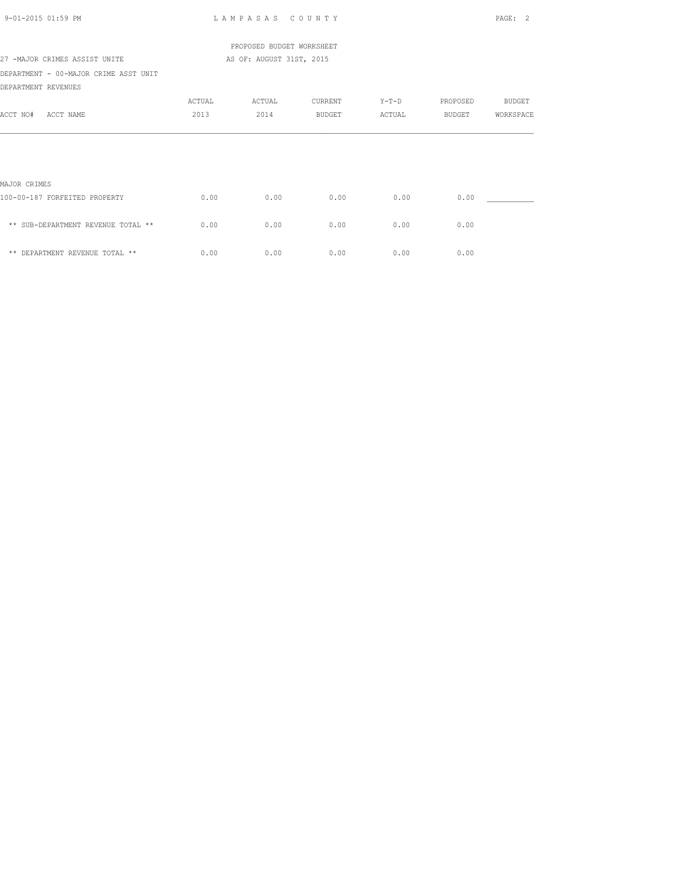| $9 - 01 - 2015$ 01:59 PM                                     |        | LAMPASAS COUNTY           |               |        |          | PAGE: 2       |
|--------------------------------------------------------------|--------|---------------------------|---------------|--------|----------|---------------|
|                                                              |        | PROPOSED BUDGET WORKSHEET |               |        |          |               |
| 27 -MAJOR CRIMES ASSIST UNITE                                |        | AS OF: AUGUST 31ST, 2015  |               |        |          |               |
| DEPARTMENT - 00-MAJOR CRIME ASST UNIT<br>DEPARTMENT REVENUES |        |                           |               |        |          |               |
|                                                              | ACTUAL | ACTUAL                    | CURRENT       | Y-T-D  | PROPOSED | <b>BUDGET</b> |
| ACCT NO#<br>ACCT NAME                                        | 2013   | 2014                      | <b>BUDGET</b> | ACTUAL | BUDGET   | WORKSPACE     |
|                                                              |        |                           |               |        |          |               |
| MAJOR CRIMES                                                 |        |                           |               |        |          |               |
| 100-00-187 FORFEITED PROPERTY                                | 0.00   | 0.00                      | 0.00          | 0.00   | 0.00     |               |
| ** SUB-DEPARTMENT REVENUE TOTAL **                           | 0.00   | 0.00                      | 0.00          | 0.00   | 0.00     |               |
| ** DEPARTMENT REVENUE TOTAL **                               | 0.00   | 0.00                      | 0.00          | 0.00   | 0.00     |               |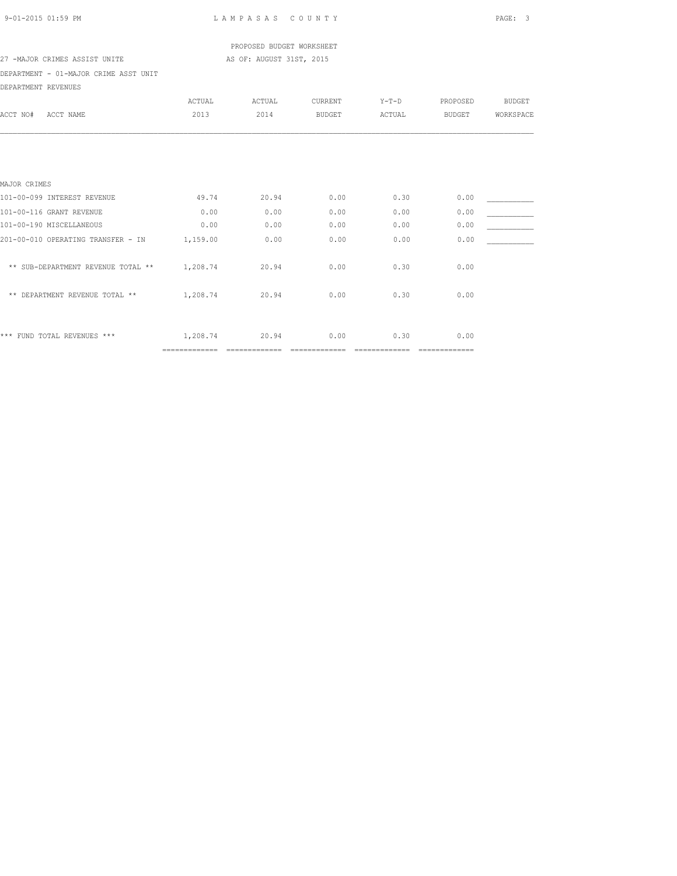| 9-01-2015 01:59 PM |  |
|--------------------|--|
|                    |  |

LAMPASAS COUNTY PAGE: 3

 PROPOSED BUDGET WORKSHEET 27 -MAJOR CRIMES ASSIST UNITE AS OF: AUGUST 31ST, 2015

DEPARTMENT - 01-MAJOR CRIME ASST UNIT DEPARTMENT REVENUES

| DEFAKIMENI KEVENUES                |               |        |                |         |               |               |
|------------------------------------|---------------|--------|----------------|---------|---------------|---------------|
|                                    | ACTUAL        | ACTUAL | CURRENT        | $Y-T-D$ | PROPOSED      | <b>BUDGET</b> |
| ACCT NO#<br>ACCT NAME              | 2013          | 2014   | <b>BUDGET</b>  | ACTUAL  | <b>BUDGET</b> | WORKSPACE     |
|                                    |               |        |                |         |               |               |
|                                    |               |        |                |         |               |               |
| MAJOR CRIMES                       |               |        |                |         |               |               |
| 101-00-099 INTEREST REVENUE        | 49.74         | 20.94  | 0.00           | 0.30    | 0.00          |               |
| 101-00-116 GRANT REVENUE           | 0.00          | 0.00   | 0.00           | 0.00    | 0.00          |               |
| 101-00-190 MISCELLANEOUS           | 0.00          | 0.00   | 0.00           | 0.00    | 0.00          |               |
| 201-00-010 OPERATING TRANSFER - IN | 1,159.00      | 0.00   | 0.00           | 0.00    | 0.00          |               |
| ** SUB-DEPARTMENT REVENUE TOTAL ** | 1,208.74      | 20.94  | 0.00           | 0.30    | 0.00          |               |
| ** DEPARTMENT REVENUE TOTAL **     | 1,208.74      | 20.94  | 0.00           | 0.30    | 0.00          |               |
|                                    |               |        |                |         |               |               |
| *** FUND TOTAL REVENUES ***        | 1,208.74      | 20.94  | 0.00           | 0.30    | 0.00          |               |
|                                    | ============= |        | ============== |         | ============= |               |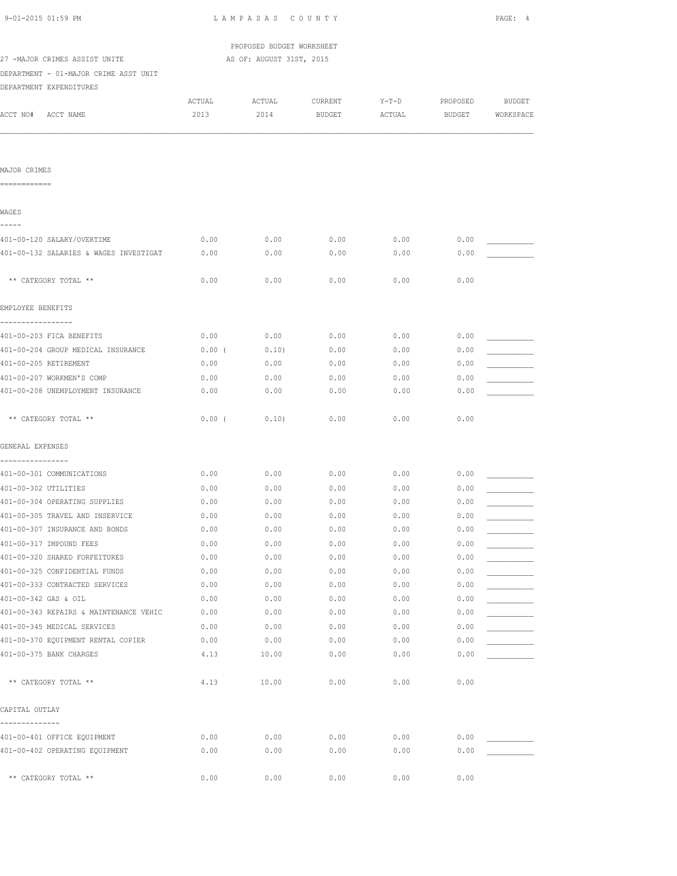| 9-01-2015 01:59 PM                            | LAMPASAS COUNTY           |                          |         |         |          |               |
|-----------------------------------------------|---------------------------|--------------------------|---------|---------|----------|---------------|
|                                               | PROPOSED BUDGET WORKSHEET |                          |         |         |          |               |
| 27 -MAJOR CRIMES ASSIST UNITE                 |                           | AS OF: AUGUST 31ST, 2015 |         |         |          |               |
| DEPARTMENT - 01-MAJOR CRIME ASST UNIT         |                           |                          |         |         |          |               |
| DEPARTMENT EXPENDITURES                       |                           |                          |         |         |          |               |
|                                               | ACTUAL                    | ACTUAL                   | CURRENT | $Y-T-D$ | PROPOSED | <b>BUDGET</b> |
| ACCT NO# ACCT NAME                            | 2013                      | 2014                     | BUDGET  | ACTUAL  | BUDGET   | WORKSPACE     |
|                                               |                           |                          |         |         |          |               |
| MAJOR CRIMES<br>============                  |                           |                          |         |         |          |               |
|                                               |                           |                          |         |         |          |               |
| WAGES<br>-----                                |                           |                          |         |         |          |               |
| 401-00-120 SALARY/OVERTIME                    | 0.00                      | 0.00                     | 0.00    | 0.00    | 0.00     |               |
| 401-00-132 SALARIES & WAGES INVESTIGAT        | 0.00                      | 0.00                     | 0.00    | 0.00    | 0.00     |               |
| ** CATEGORY TOTAL **                          | 0.00                      | 0.00                     | 0.00    | 0.00    | 0.00     |               |
| EMPLOYEE BENEFITS                             |                           |                          |         |         |          |               |
| -----------------                             |                           |                          |         |         |          |               |
| 401-00-203 FICA BENEFITS                      | 0.00                      | 0.00                     | 0.00    | 0.00    | 0.00     |               |
| 401-00-204 GROUP MEDICAL INSURANCE            | $0.00$ (                  | 0.10)                    | 0.00    | 0.00    | 0.00     |               |
| 401-00-205 RETIREMENT                         | 0.00                      | 0.00                     | 0.00    | 0.00    | 0.00     |               |
| 401-00-207 WORKMEN'S COMP                     | 0.00                      | 0.00                     | 0.00    | 0.00    | 0.00     |               |
| 401-00-208 UNEMPLOYMENT INSURANCE             | 0.00                      | 0.00                     | 0.00    | 0.00    | 0.00     |               |
| ** CATEGORY TOTAL **                          | 0.00(                     | 0.10)                    | 0.00    | 0.00    | 0.00     |               |
| GENERAL EXPENSES                              |                           |                          |         |         |          |               |
| ----------------<br>401-00-301 COMMUNICATIONS | 0.00                      | 0.00                     | 0.00    | 0.00    | 0.00     |               |
| 401-00-302 UTILITIES                          | 0.00                      | 0.00                     | 0.00    | 0.00    | 0.00     |               |
| 401-00-304 OPERATING SUPPLIES                 | 0.00                      | 0.00                     | 0.00    | 0.00    | 0.00     |               |
| 401-00-305 TRAVEL AND INSERVICE               | 0.00                      | 0.00                     | 0.00    | 0.00    | 0.00     |               |
| 401-00-307 INSURANCE AND BONDS                | 0.00                      | 0.00                     | 0.00    | 0.00    | 0.00     |               |
| 401-00-317 IMPOUND FEES                       | 0.00                      | 0.00                     | 0.00    | 0.00    | 0.00     |               |
| 401-00-320 SHARED FORFEITURES                 | 0.00                      | 0.00                     | 0.00    | 0.00    | 0.00     |               |
| 401-00-325 CONFIDENTIAL FUNDS                 | 0.00                      | 0.00                     | 0.00    | 0.00    | 0.00     |               |
| 401-00-333 CONTRACTED SERVICES                | 0.00                      | 0.00                     | 0.00    | 0.00    | 0.00     |               |
| 401-00-342 GAS & OIL                          | 0.00                      | 0.00                     | 0.00    | 0.00    | 0.00     |               |
| 401-00-343 REPAIRS & MAINTENANCE VEHIC        | 0.00                      | 0.00                     | 0.00    | 0.00    | 0.00     |               |
| 401-00-345 MEDICAL SERVICES                   | 0.00                      | 0.00                     | 0.00    | 0.00    | 0.00     |               |
| 401-00-370 EQUIPMENT RENTAL COPIER            | 0.00                      | 0.00                     | 0.00    | 0.00    | 0.00     |               |
| 401-00-375 BANK CHARGES                       | 4.13                      | 10.00                    | 0.00    | 0.00    | 0.00     |               |
| ** CATEGORY TOTAL **                          | 4.13                      | 10.00                    | 0.00    | 0.00    | 0.00     |               |
| CAPITAL OUTLAY                                |                           |                          |         |         |          |               |
|                                               |                           |                          |         |         |          |               |
| 401-00-401 OFFICE EQUIPMENT                   | 0.00                      | 0.00                     | 0.00    | 0.00    | 0.00     |               |
| 401-00-402 OPERATING EQUIPMENT                | 0.00                      | 0.00                     | 0.00    | 0.00    | 0.00     |               |
| ** CATEGORY TOTAL **                          | 0.00                      | 0.00                     | 0.00    | 0.00    | 0.00     |               |
|                                               |                           |                          |         |         |          |               |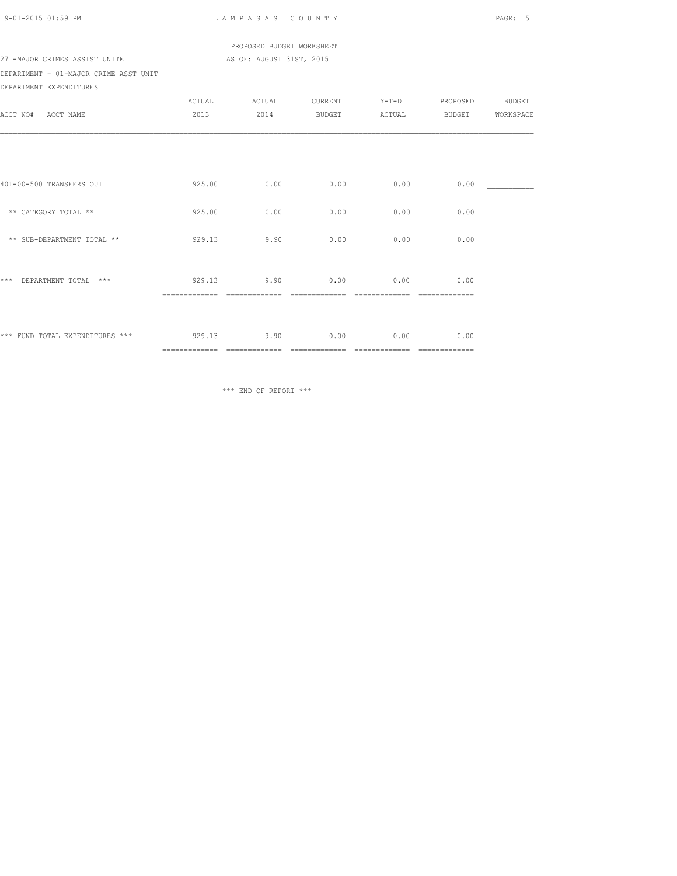| 9-01-2015 01:59 PM |  |
|--------------------|--|

LAMPASAS COUNTY PAGE: 5

## PROPOSED BUDGET WORKSHEET 27 -MAJOR CRIMES ASSIST UNITE AS OF: AUGUST 31ST, 2015

DEPARTMENT - 01-MAJOR CRIME ASST UNIT DEPARTMENT EXPENDITURES

|                                 | ACTUAL         | ACTUAL        | CURRENT       | $Y-T-D$       | PROPOSED           | <b>BUDGET</b> |
|---------------------------------|----------------|---------------|---------------|---------------|--------------------|---------------|
| ACCT NO#<br>ACCT NAME           | 2013           | 2014          | BUDGET        | ACTUAL        | BUDGET             | WORKSPACE     |
|                                 |                |               |               |               |                    |               |
|                                 |                |               |               |               |                    |               |
|                                 |                |               |               |               |                    |               |
| 401-00-500 TRANSFERS OUT        | 925.00         | 0.00          | 0.00          | 0.00          | 0.00               |               |
|                                 |                |               |               |               |                    |               |
| ** CATEGORY TOTAL **            | 925.00         | 0.00          | 0.00          | 0.00          | 0.00               |               |
| ** SUB-DEPARTMENT TOTAL **      | 929.13         | 9.90          | 0.00          | 0.00          | 0.00               |               |
|                                 |                |               |               |               |                    |               |
|                                 |                |               |               |               |                    |               |
| $***$<br>DEPARTMENT TOTAL ***   | 929.13         | 9.90          | 0.00          | 0.00          | 0.00               |               |
|                                 |                |               |               |               |                    |               |
|                                 |                |               |               |               |                    |               |
| *** FUND TOTAL EXPENDITURES *** | 929.13         | 9.90          | 0.00          | 0.00          | 0.00               |               |
|                                 | ============== | ============= | ============= | ============= | $=$ ============== |               |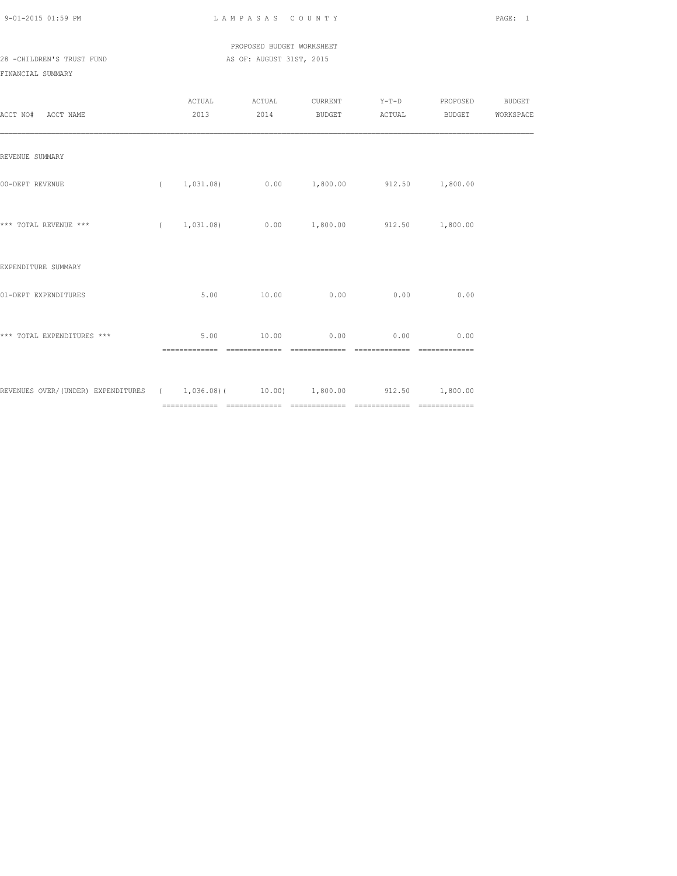## PROPOSED BUDGET WORKSHEET 28 -CHILDREN'S TRUST FUND AS OF: AUGUST 31ST, 2015

| ACCT NO# ACCT NAME                                                              | ACTUAL<br>2013 2014    | ACTUAL                                 | CURRENT Y-T-D PROPOSED BUDGET<br>BUDGET ACTUAL BUDGET WORKSPACE |                        |                         |  |
|---------------------------------------------------------------------------------|------------------------|----------------------------------------|-----------------------------------------------------------------|------------------------|-------------------------|--|
| REVENUE SUMMARY                                                                 |                        |                                        |                                                                 |                        |                         |  |
| 00-DEPT REVENUE                                                                 |                        |                                        | $(1,031.08)$ $0.00$ $1,800.00$ $912.50$ $1,800.00$              |                        |                         |  |
| *** TOTAL REVENUE ***                                                           |                        |                                        | $(1,031.08)$ $0.00$ $1,800.00$ $912.50$ $1,800.00$              |                        |                         |  |
| EXPENDITURE SUMMARY                                                             |                        |                                        |                                                                 |                        |                         |  |
| 01-DEPT EXPENDITURES                                                            | 5.00                   | 10.00                                  | 0.00                                                            | 0.00                   | 0.00                    |  |
| *** TOTAL EXPENDITURES ***                                                      | 5.00<br>-------------- | 10.00<br>-------------- -------------- | 0.00                                                            | 0.00<br>============== | 0.00<br>--------------- |  |
| REVENUES OVER/(UNDER) EXPENDITURES ( 1,036.08)( 10.00) 1,800.00 912.50 1,800.00 |                        |                                        |                                                                 |                        |                         |  |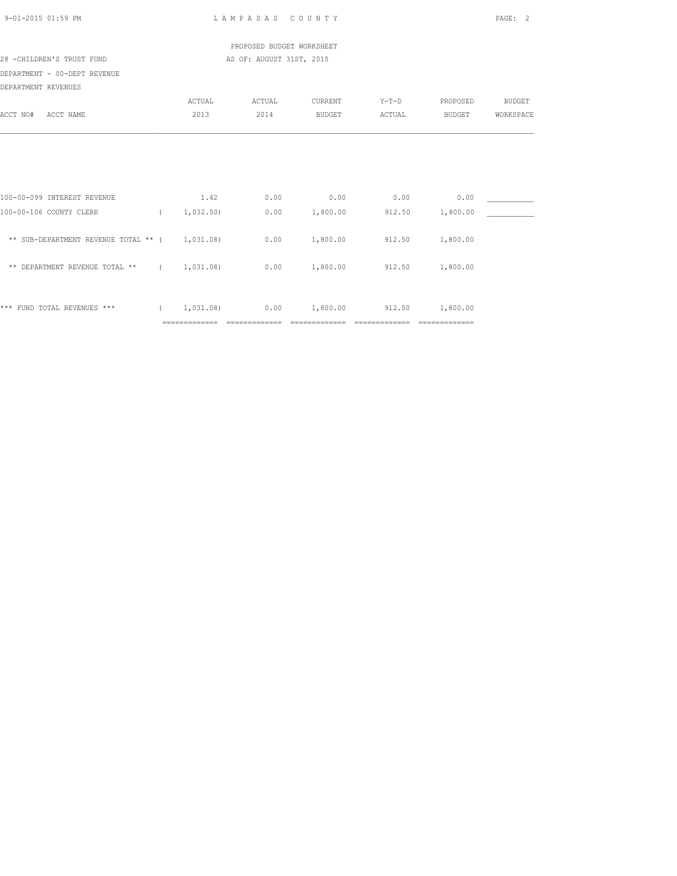| 9-01-2015 01:59 PM                             |          |               | LAMPASAS COUNTY           |               |         |          | PAGE: 2       |
|------------------------------------------------|----------|---------------|---------------------------|---------------|---------|----------|---------------|
|                                                |          |               | PROPOSED BUDGET WORKSHEET |               |         |          |               |
| 28 -CHILDREN'S TRUST FUND                      |          |               | AS OF: AUGUST 31ST, 2015  |               |         |          |               |
| DEPARTMENT - 00-DEPT REVENUE                   |          |               |                           |               |         |          |               |
| DEPARTMENT REVENUES                            |          |               |                           |               |         |          |               |
|                                                |          | ACTUAL        | ACTUAL                    | CURRENT       | $Y-T-D$ | PROPOSED | <b>BUDGET</b> |
| ACCT NO#<br>ACCT NAME                          |          | 2013          | 2014                      | <b>BUDGET</b> | ACTUAL  | BUDGET   | WORKSPACE     |
|                                                |          |               |                           |               |         |          |               |
| 100-00-099 INTEREST REVENUE                    |          | 1.42          | 0.00                      | 0.00          | 0.00    | 0.00     |               |
| 100-00-106 COUNTY CLERK                        |          | (1, 032, 50)  | 0.00                      | 1,800.00      | 912.50  | 1,800.00 |               |
| ** SUB-DEPARTMENT REVENUE TOTAL ** ( 1,031.08) |          |               | 0.00                      | 1,800.00      | 912.50  | 1,800.00 |               |
| ** DEPARTMENT REVENUE TOTAL ** $(1, 031, 08)$  |          |               | 0.00                      | 1,800.00      | 912.50  | 1,800.00 |               |
| *** FUND TOTAL REVENUES ***                    | $\left($ | 1,031.08)     | 0.00                      | 1,800.00      | 912.50  | 1,800.00 |               |
|                                                |          | ============= |                           |               |         |          |               |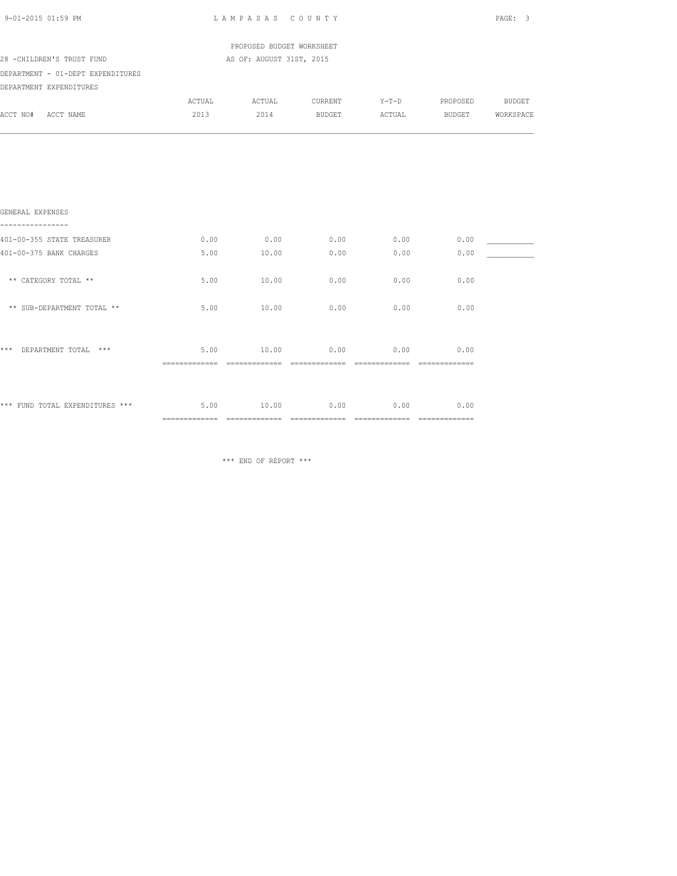| 9-01-2015 01:59 PM                   |        | LAMPASAS COUNTY           |                                           |      |                | PAGE: 3 |
|--------------------------------------|--------|---------------------------|-------------------------------------------|------|----------------|---------|
|                                      |        | PROPOSED BUDGET WORKSHEET |                                           |      |                |         |
| 28 -CHILDREN'S TRUST FUND            |        | AS OF: AUGUST 31ST, 2015  |                                           |      |                |         |
| DEPARTMENT - 01-DEPT EXPENDITURES    |        |                           |                                           |      |                |         |
| DEPARTMENT EXPENDITURES              |        |                           |                                           |      |                |         |
|                                      | ACTUAL | ACTUAL                    | CURRENT                                   |      | Y-T-D PROPOSED | BUDGET  |
| ACCT NO# ACCT NAME                   |        |                           | 2013  2014 BUDGET ACTUAL BUDGET WORKSPACE |      |                |         |
|                                      |        |                           |                                           |      |                |         |
| GENERAL EXPENSES<br>---------------- |        |                           |                                           |      |                |         |
| 401-00-355 STATE TREASURER           | 0.00   |                           | $0.00$ 0.00                               | 0.00 | 0.00           |         |
| 401-00-375 BANK CHARGES              | 5.00   | 10.00                     | 0.00                                      | 0.00 | 0.00           |         |
| ** CATEGORY TOTAL **                 | 5.00   | 10.00                     | 0.00                                      | 0.00 | 0.00           |         |
| ** SUB-DEPARTMENT TOTAL **           | 5.00   | 10.00                     | 0.00                                      | 0.00 | 0.00           |         |
| *** DEPARTMENT TOTAL ***             |        | 5.00 10.00                | 0.00                                      | 0.00 | 0.00           |         |
|                                      |        |                           |                                           |      |                |         |
| *** FUND TOTAL EXPENDITURES ***      |        | 5.00 10.00                | 0.00                                      | 0.00 | 0.00           |         |
|                                      |        |                           |                                           |      |                |         |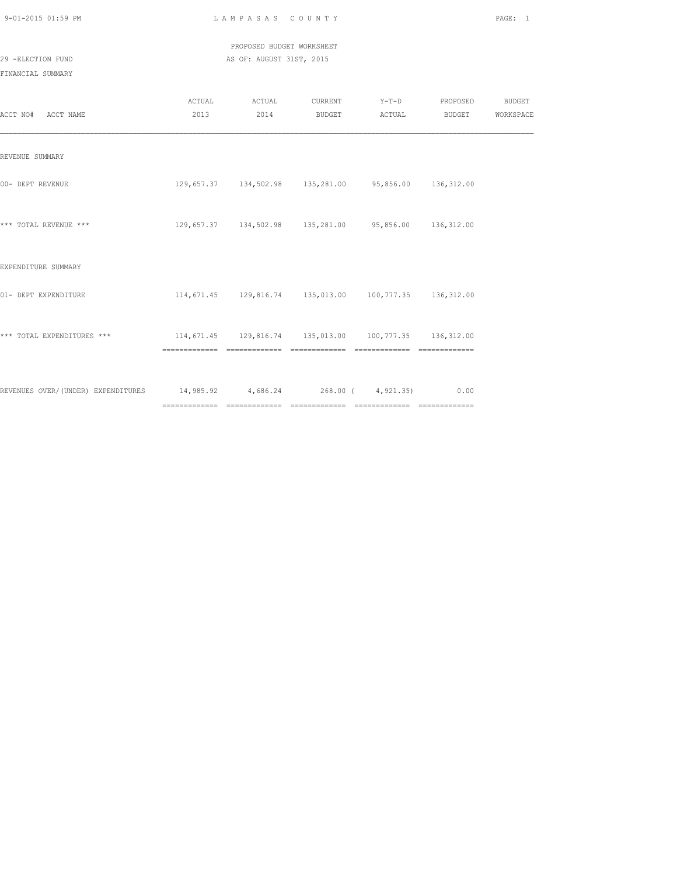| 9-01-2015 01:59 PM |  |
|--------------------|--|
|                    |  |

LAMPASAS COUNTY PAGE: 1

 PROPOSED BUDGET WORKSHEET 29 -ELECTION FUND AS OF: AUGUST 31ST, 2015

| ACCT NO# ACCT NAME                                                           |                                                            | ACTUAL ACTUAL | 2013 2014 BUDGET ACTUAL | CURRENT Y-T-D PROPOSED BUDGET                              | <b>BUDGET</b>    | WORKSPACE |
|------------------------------------------------------------------------------|------------------------------------------------------------|---------------|-------------------------|------------------------------------------------------------|------------------|-----------|
| REVENUE SUMMARY                                                              |                                                            |               |                         |                                                            |                  |           |
| 00- DEPT REVENUE                                                             |                                                            |               |                         | 129,657.37  134,502.98  135,281.00  95,856.00  136,312.00  |                  |           |
| *** TOTAL REVENUE ***                                                        |                                                            |               |                         | 129,657.37  134,502.98  135,281.00  95,856.00  136,312.00  |                  |           |
| EXPENDITURE SUMMARY                                                          |                                                            |               |                         |                                                            |                  |           |
| 01- DEPT EXPENDITURE                                                         |                                                            |               |                         | 114,671.45  129,816.74  135,013.00  100,777.35  136,312.00 |                  |           |
| *** TOTAL EXPENDITURES ***                                                   | 114,671.45  129,816.74  135,013.00  100,777.35  136,312.00 |               |                         |                                                            | ________________ |           |
| REVENUES OVER/(UNDER) EXPENDITURES 14,985.92 4,686.24 268.00 (4,921.35) 0.00 |                                                            |               |                         |                                                            |                  |           |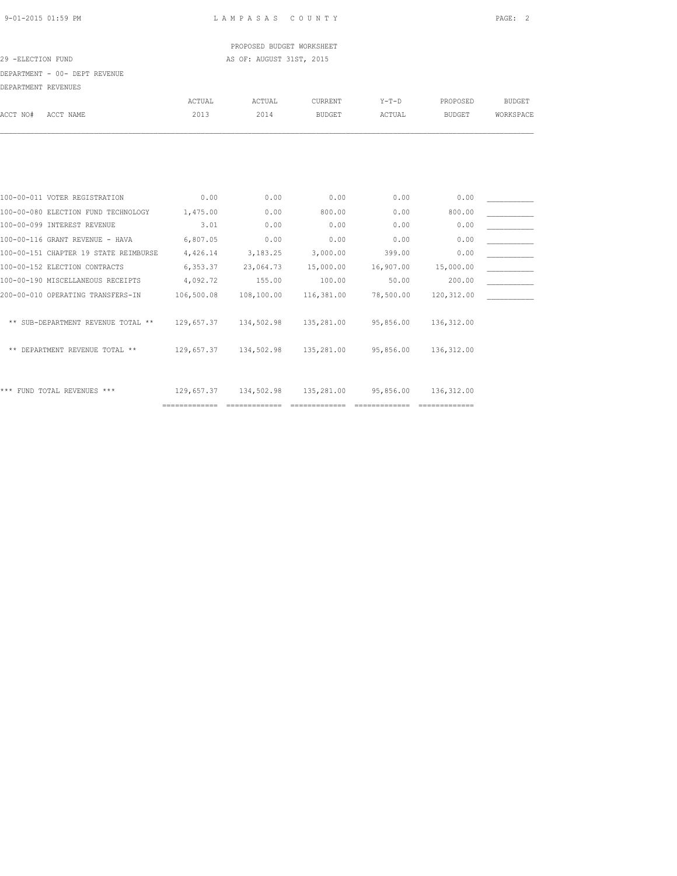## PROPOSED BUDGET WORKSHEET 29 -ELECTION FUND AS OF: AUGUST 31ST, 2015

DEPARTMENT - 00- DEPT REVENUE

| DEFANIMENI NEVENUEJ |                                       |               |               |               |           |               |               |
|---------------------|---------------------------------------|---------------|---------------|---------------|-----------|---------------|---------------|
|                     |                                       | ACTUAL        | <b>ACTUAL</b> | CURRENT       | $Y-T-D$   | PROPOSED      | <b>BUDGET</b> |
| ACCT NO#            | ACCT NAME                             | 2013          | 2014          | <b>BUDGET</b> | ACTUAL    | <b>BUDGET</b> | WORKSPACE     |
|                     |                                       |               |               |               |           |               |               |
|                     |                                       |               |               |               |           |               |               |
|                     |                                       |               |               |               |           |               |               |
|                     | 100-00-011 VOTER REGISTRATION         | 0.00          | 0.00          | 0.00          | 0.00      | 0.00          |               |
|                     | 100-00-080 ELECTION FUND TECHNOLOGY   | 1,475.00      | 0.00          | 800.00        | 0.00      | 800.00        |               |
|                     | 100-00-099 INTEREST REVENUE           | 3.01          | 0.00          | 0.00          | 0.00      | 0.00          |               |
|                     | 100-00-116 GRANT REVENUE - HAVA       | 6,807.05      | 0.00          | 0.00          | 0.00      | 0.00          |               |
|                     | 100-00-151 CHAPTER 19 STATE REIMBURSE | 4,426.14      | 3,183.25      | 3,000.00      | 399.00    | 0.00          |               |
|                     | 100-00-152 ELECTION CONTRACTS         | 6,353.37      | 23,064.73     | 15,000.00     | 16,907.00 | 15,000.00     |               |
|                     | 100-00-190 MISCELLANEOUS RECEIPTS     | 4,092.72      | 155.00        | 100.00        | 50.00     | 200.00        |               |
|                     | 200-00-010 OPERATING TRANSFERS-IN     | 106,500.08    | 108,100.00    | 116,381.00    | 78,500.00 | 120,312.00    |               |
|                     | ** SUB-DEPARTMENT REVENUE TOTAL **    | 129,657.37    | 134,502.98    | 135,281.00    | 95,856.00 | 136, 312.00   |               |
|                     | ** DEPARTMENT REVENUE TOTAL **        | 129,657.37    | 134,502.98    | 135,281.00    | 95,856.00 | 136, 312.00   |               |
|                     | *** FUND TOTAL REVENUES ***           | 129,657.37    | 134,502.98    | 135,281.00    | 95,856.00 | 136, 312.00   |               |
|                     |                                       | ============= |               |               |           |               |               |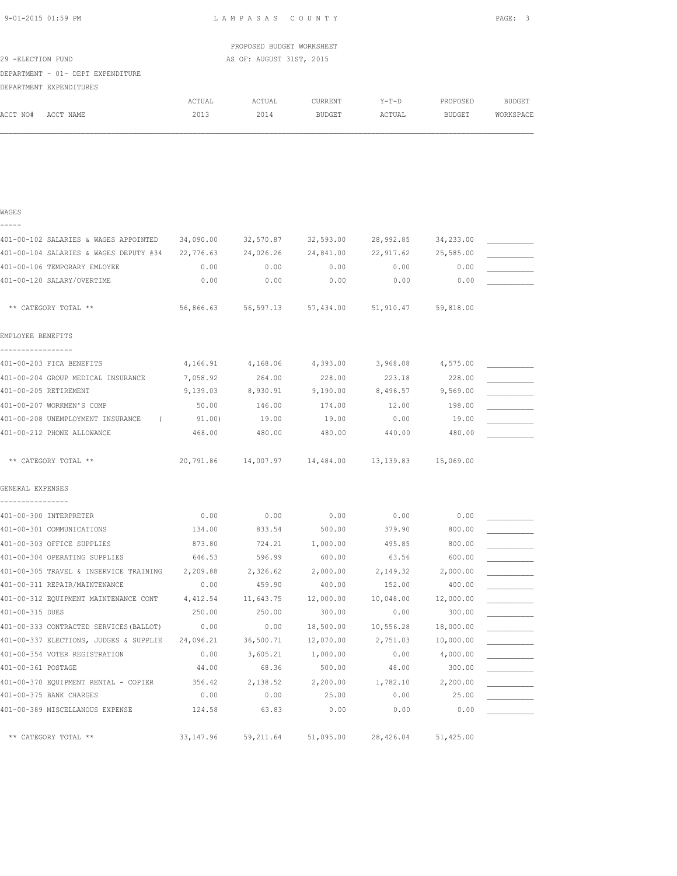|                                                                                         |                   | PROPOSED BUDGET WORKSHEET |                                                       |                   |                 |               |
|-----------------------------------------------------------------------------------------|-------------------|---------------------------|-------------------------------------------------------|-------------------|-----------------|---------------|
| 29 -ELECTION FUND                                                                       |                   | AS OF: AUGUST 31ST, 2015  |                                                       |                   |                 |               |
| DEPARTMENT - 01- DEPT EXPENDITURE                                                       |                   |                           |                                                       |                   |                 |               |
| DEPARTMENT EXPENDITURES                                                                 |                   |                           |                                                       |                   |                 |               |
|                                                                                         | ACTUAL            | ACTUAL                    | CURRENT                                               | $Y-T-D$           | PROPOSED        | <b>BUDGET</b> |
| ACCT NO# ACCT NAME                                                                      | 2013              | 2014                      | BUDGET                                                | ACTUAL            | <b>BUDGET</b>   | WORKSPACE     |
|                                                                                         |                   |                           |                                                       |                   |                 |               |
|                                                                                         |                   |                           |                                                       |                   |                 |               |
|                                                                                         |                   |                           |                                                       |                   |                 |               |
|                                                                                         |                   |                           |                                                       |                   |                 |               |
|                                                                                         |                   |                           |                                                       |                   |                 |               |
| WAGES                                                                                   |                   |                           |                                                       |                   |                 |               |
| -----                                                                                   |                   |                           |                                                       |                   |                 |               |
| 401-00-102 SALARIES & WAGES APPOINTED 34,090.00 32,570.87 32,593.00 28,992.85 34,233.00 |                   |                           |                                                       |                   |                 |               |
| 401-00-104 SALARIES & WAGES DEPUTY #34 22,776.63 24,026.26 24,841.00 22,917.62          |                   |                           |                                                       |                   | 25,585.00       |               |
| 401-00-106 TEMPORARY EMLOYEE                                                            | 0.00              | 0.00                      | 0.00                                                  | 0.00              | 0.00            |               |
| 401-00-120 SALARY/OVERTIME                                                              | 0.00              | 0.00                      | 0.00                                                  | 0.00              | 0.00            |               |
|                                                                                         |                   |                           |                                                       |                   |                 |               |
| ** CATEGORY TOTAL **                                                                    |                   |                           | 56,866.63 56,597.13 57,434.00 51,910.47               |                   | 59,818.00       |               |
|                                                                                         |                   |                           |                                                       |                   |                 |               |
| EMPLOYEE BENEFITS                                                                       |                   |                           |                                                       |                   |                 |               |
| -----------------                                                                       |                   |                           |                                                       |                   |                 |               |
| 401-00-203 FICA BENEFITS                                                                |                   | 4,166.91 4,168.06         |                                                       | 4,393.00 3,968.08 | 4,575.00        |               |
| 401-00-204 GROUP MEDICAL INSURANCE                                                      | 7,058.92          | 264.00                    | 228.00                                                | 223.18            | 228.00          |               |
| 401-00-205 RETIREMENT                                                                   | 9,139.03 8,930.91 |                           | $9,190.00$ $8,496.57$ $9,569.00$                      |                   |                 |               |
| 401-00-207 WORKMEN'S COMP<br>401-00-208 UNEMPLOYMENT INSURANCE (91.00)                  | 50.00             | 146.00<br>19.00           | 174.00<br>19.00                                       | 12.00<br>0.00     | 198.00<br>19.00 |               |
| 401-00-212 PHONE ALLOWANCE                                                              | 468.00            | 480.00                    | 480.00                                                | 440.00            | 480.00          |               |
|                                                                                         |                   |                           |                                                       |                   |                 |               |
| ** CATEGORY TOTAL **                                                                    |                   |                           | 20,791.86  14,007.97  14,484.00  13,139.83  15,069.00 |                   |                 |               |
|                                                                                         |                   |                           |                                                       |                   |                 |               |
| GENERAL EXPENSES                                                                        |                   |                           |                                                       |                   |                 |               |
|                                                                                         |                   |                           |                                                       |                   |                 |               |
| 401-00-300 INTERPRETER                                                                  | 0.00              | 0.00                      | 0.00                                                  | 0.00              | 0.00            |               |
| 401-00-301 COMMUNICATIONS                                                               | 134.00            | 833.54                    | 500.00                                                | 379.90            | 800.00          |               |
| 401-00-303 OFFICE SUPPLIES                                                              | 873.80            | 724.21                    | 1,000.00                                              | 495.85            | 800.00          |               |
| 401-00-304 OPERATING SUPPLIES                                                           | 646.53            | 596.99                    | 600.00                                                | 63.56             | 600.00          |               |
| 401-00-305 TRAVEL & INSERVICE TRAINING                                                  | 2,209.88          | 2,326.62                  | 2,000.00                                              | 2,149.32          | 2,000.00        |               |
| 401-00-311 REPAIR/MAINTENANCE                                                           | 0.00              | 459.90                    | 400.00                                                | 152.00            | 400.00          |               |
| 401-00-312 EQUIPMENT MAINTENANCE CONT                                                   | 4,412.54          | 11,643.75                 | 12,000.00                                             | 10,048.00         | 12,000.00       |               |
| 401-00-315 DUES                                                                         | 250.00            | 250.00                    | 300.00                                                | 0.00              | 300.00          |               |
| 401-00-333 CONTRACTED SERVICES (BALLOT)                                                 | 0.00              | 0.00                      | 18,500.00                                             | 10,556.28         | 18,000.00       |               |
| 401-00-337 ELECTIONS, JUDGES & SUPPLIE                                                  | 24,096.21         | 36,500.71                 | 12,070.00                                             | 2,751.03          | 10,000.00       |               |
| 401-00-354 VOTER REGISTRATION                                                           | 0.00              | 3,605.21                  | 1,000.00                                              | 0.00              | 4,000.00        |               |
| 401-00-361 POSTAGE                                                                      | 44.00             | 68.36                     | 500.00                                                | 48.00             | 300.00          |               |
| 401-00-370 EQUIPMENT RENTAL - COPIER                                                    | 356.42            | 2,138.52                  | 2,200.00                                              | 1,782.10          | 2,200.00        |               |
| 401-00-375 BANK CHARGES                                                                 | 0.00              | 0.00                      | 25.00                                                 | 0.00              | 25.00           |               |
| 401-00-389 MISCELLANOUS EXPENSE                                                         | 124.58            | 63.83                     | 0.00                                                  | 0.00              | 0.00            |               |

\*\* CATEGORY TOTAL \*\* 33,147.96 59,211.64 51,095.00 28,426.04 51,425.00

9-01-2015 01:59 PM L A M P A S A S C O U N T Y PAGE: 3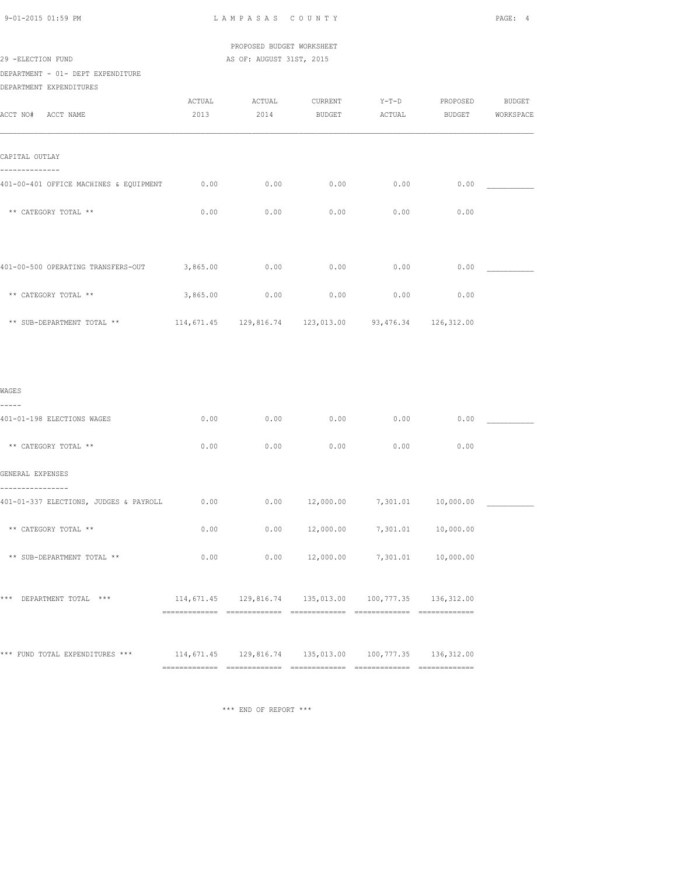|  | $9 - 01 - 2015$ 01:59 PM |  |
|--|--------------------------|--|
|  |                          |  |

LAMPASAS COUNTY PAGE: 4

 PROPOSED BUDGET WORKSHEET 29 -ELECTION FUND AS OF: AUGUST 31ST, 2015

DEPARTMENT - 01- DEPT EXPENDITURE

DEPARTMENT EXPENDITURES

| ACCT NO# ACCT NAME                                                                     | ACTUAL<br>2013 | ACTUAL<br>2014 | CURRENT<br>BUDGET  | $Y-T-D$<br>ACTUAL                                      | PROPOSED<br><b>BUDGET</b> | <b>BUDGET</b><br>WORKSPACE |
|----------------------------------------------------------------------------------------|----------------|----------------|--------------------|--------------------------------------------------------|---------------------------|----------------------------|
| CAPITAL OUTLAY                                                                         |                |                |                    |                                                        |                           |                            |
| --------------<br>401-00-401 OFFICE MACHINES & EQUIPMENT                               | 0.00           | 0.00           | 0.00               | 0.00                                                   | 0.00                      |                            |
| ** CATEGORY TOTAL **                                                                   | 0.00           | 0.00           | 0.00               | 0.00                                                   | 0.00                      |                            |
| 401-00-500 OPERATING TRANSFERS-OUT 3,865.00                                            |                | 0.00           | 0.00               | 0.00                                                   | 0.00                      |                            |
| ** CATEGORY TOTAL **                                                                   | 3,865.00       | 0.00           | 0.00               | 0.00                                                   | 0.00                      |                            |
| ** SUB-DEPARTMENT TOTAL **                                                             |                |                |                    | 114,671.45 129,816.74 123,013.00 93,476.34 126,312.00  |                           |                            |
|                                                                                        |                |                |                    |                                                        |                           |                            |
| WAGES<br>-----                                                                         |                |                |                    |                                                        |                           |                            |
| 401-01-198 ELECTIONS WAGES                                                             | 0.00           | 0.00           | 0.00               | 0.00                                                   | 0.00                      |                            |
| ** CATEGORY TOTAL **                                                                   | 0.00           | 0.00           | 0.00               | 0.00                                                   | 0.00                      |                            |
| GENERAL EXPENSES                                                                       |                |                |                    |                                                        |                           |                            |
| .<br>401-01-337 ELECTIONS, JUDGES & PAYROLL                                            | 0.00           | 0.00           | 12,000.00          |                                                        | 7,301.01  10,000.00       |                            |
| ** CATEGORY TOTAL **                                                                   | 0.00           |                | $0.00$ $12,000.00$ |                                                        | 7,301.01 10,000.00        |                            |
| ** SUB-DEPARTMENT TOTAL **                                                             | 0.00           | 0.00           | 12,000.00          |                                                        | 7,301.01 10,000.00        |                            |
| *** DEPARTMENT TOTAL ***                                                               |                |                |                    | 114,671.45 129,816.74 135,013.00 100,777.35 136,312.00 |                           |                            |
| *** FUND TOTAL EXPENDITURES *** 114,671.45 129,816.74 135,013.00 100,777.35 136,312.00 |                |                |                    |                                                        |                           |                            |
|                                                                                        |                |                |                    |                                                        |                           |                            |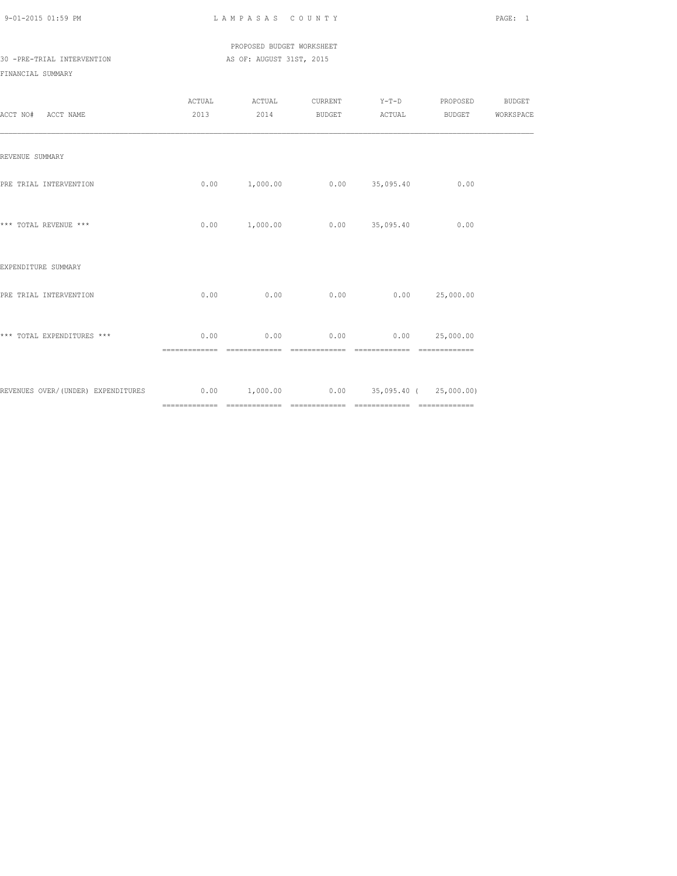PROPOSED BUDGET WORKSHEET 30 -PRE-TRIAL INTERVENTION AS OF: AUGUST 31ST, 2015

| ACCT NO# ACCT NAME                                                                    | ACTUAL                | ACTUAL<br>2013 2014 BUDGET ACTUAL |                |                                             | CURRENT Y-T-D PROPOSED BUDGET | BUDGET WORKSPACE |
|---------------------------------------------------------------------------------------|-----------------------|-----------------------------------|----------------|---------------------------------------------|-------------------------------|------------------|
| REVENUE SUMMARY                                                                       |                       |                                   |                |                                             |                               |                  |
| PRE TRIAL INTERVENTION                                                                |                       | $0.00$ 1,000.00 0.00 35,095.40    |                |                                             | 0.00                          |                  |
| *** TOTAL REVENUE ***                                                                 |                       | 0.00 1,000.00                     |                | $0.00$ 35,095.40                            | 0.00                          |                  |
| EXPENDITURE SUMMARY                                                                   |                       |                                   |                |                                             |                               |                  |
| PRE TRIAL INTERVENTION                                                                | 0.00                  | 0.00                              | 0.00           |                                             | 0.00 25,000.00                |                  |
| *** TOTAL EXPENDITURES ***                                                            | 0.00<br>============= | ==============                    | ============== | $0.00$ 0.00 0.00 25,000.00<br>============= |                               |                  |
| REVENUES OVER/(UNDER) EXPENDITURES 6.00 0.00 1,000.00 0.00 0.00 35,095.40 (25,000.00) |                       |                                   |                |                                             |                               |                  |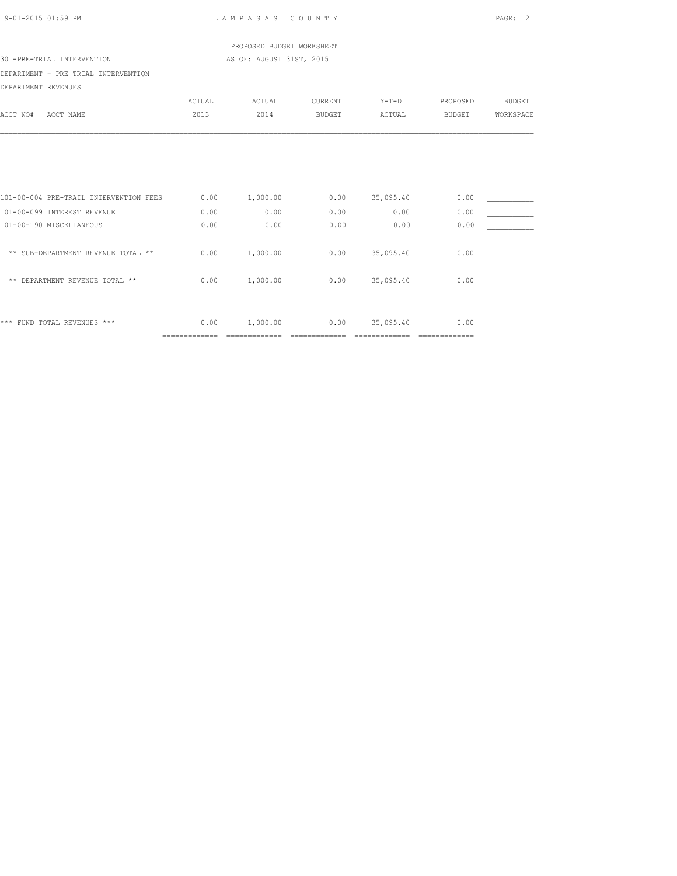| 9-01-2015 01:59 PM                                                                                |                        | LAMPASAS COUNTY            |                        |                             |                        | PAGE:<br>2    |
|---------------------------------------------------------------------------------------------------|------------------------|----------------------------|------------------------|-----------------------------|------------------------|---------------|
|                                                                                                   |                        | PROPOSED BUDGET WORKSHEET  |                        |                             |                        |               |
| 30 -PRE-TRIAL INTERVENTION                                                                        |                        | AS OF: AUGUST 31ST, 2015   |                        |                             |                        |               |
| DEPARTMENT - PRE TRIAL INTERVENTION                                                               |                        |                            |                        |                             |                        |               |
| DEPARTMENT REVENUES                                                                               |                        |                            |                        |                             |                        |               |
|                                                                                                   | ACTUAL                 | ACTUAL                     | CURRENT                | $Y-T-D$                     | PROPOSED               | <b>BUDGET</b> |
| ACCT NO#<br>ACCT NAME                                                                             | 2013                   | 2014                       | <b>BUDGET</b>          | ACTUAL                      | BUDGET                 | WORKSPACE     |
| 101-00-004 PRE-TRAIL INTERVENTION FEES<br>101-00-099 INTEREST REVENUE<br>101-00-190 MISCELLANEOUS | 0.00<br>0.00<br>0.00   | 1,000.00<br>0.00<br>0.00   | 0.00<br>0.00<br>0.00   | 35,095.40<br>0.00<br>0.00   | 0.00<br>0.00<br>0.00   |               |
| ** SUB-DEPARTMENT REVENUE TOTAL **                                                                | 0.00                   | 1,000.00                   | 0.00                   | 35,095.40                   | 0.00                   |               |
| ** DEPARTMENT REVENUE TOTAL **                                                                    | 0.00                   | 1,000.00                   | 0.00                   | 35,095.40                   | 0.00                   |               |
| *** FUND TOTAL REVENUES ***                                                                       | 0.00<br>============== | 1,000.00<br>============== | 0.00<br>============== | 35,095.40<br>============== | 0.00<br>============== |               |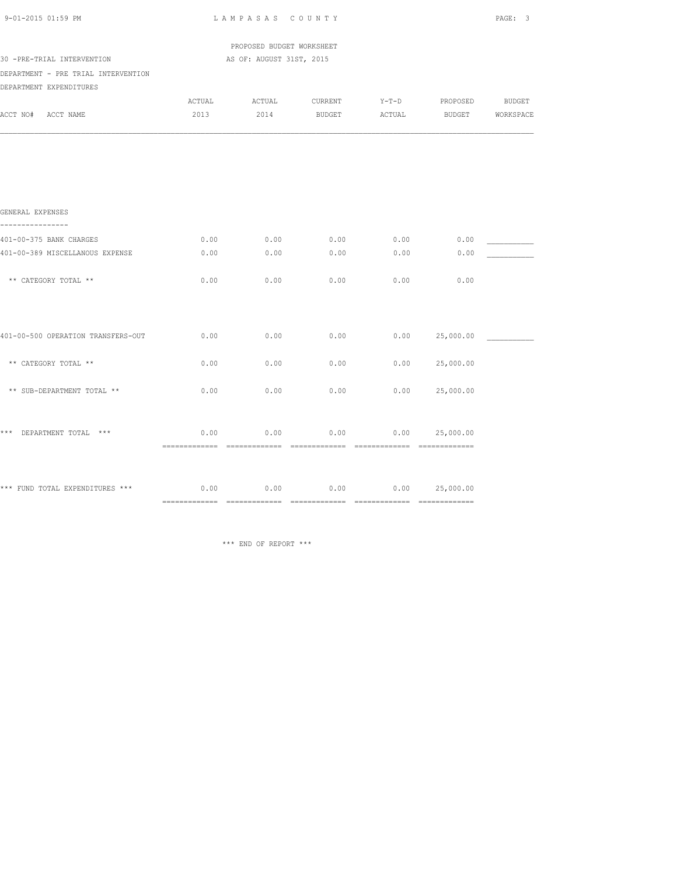| 9-01-2015 01:59 PM                                                        |      | LAMPASAS COUNTY           |                                             |      |                | PAGE: 3 |
|---------------------------------------------------------------------------|------|---------------------------|---------------------------------------------|------|----------------|---------|
|                                                                           |      | PROPOSED BUDGET WORKSHEET |                                             |      |                |         |
| 30 -PRE-TRIAL INTERVENTION                                                |      | AS OF: AUGUST 31ST, 2015  |                                             |      |                |         |
| DEPARTMENT - PRE TRIAL INTERVENTION                                       |      |                           |                                             |      |                |         |
| DEPARTMENT EXPENDITURES                                                   |      |                           |                                             |      |                |         |
|                                                                           |      |                           | ACTUAL ACTUAL CURRENT Y-T-D PROPOSED BUDGET |      |                |         |
| ACCT NO# ACCT NAME                                                        | 2013 |                           | 2014 BUDGET ACTUAL BUDGET WORKSPACE         |      |                |         |
|                                                                           |      |                           |                                             |      |                |         |
| GENERAL EXPENSES<br>----------------                                      |      |                           |                                             |      |                |         |
| 401-00-375 BANK CHARGES                                                   | 0.00 | 0.00                      | 0.00                                        | 0.00 | 0.00           |         |
| 401-00-389 MISCELLANOUS EXPENSE                                           | 0.00 | 0.00                      | 0.00                                        | 0.00 | 0.00           |         |
|                                                                           |      |                           |                                             |      |                |         |
| ** CATEGORY TOTAL **                                                      | 0.00 | 0.00                      | 0.00                                        | 0.00 | 0.00           |         |
|                                                                           |      |                           |                                             |      |                |         |
| 401-00-500 OPERATION TRANSFERS-OUT                                        | 0.00 | 0.00                      | 0.00                                        |      | 0.00 25,000.00 |         |
| ** CATEGORY TOTAL **                                                      | 0.00 | 0.00                      | 0.00                                        | 0.00 | 25,000.00      |         |
| ** SUB-DEPARTMENT TOTAL **                                                | 0.00 | 0.00                      | 0.00                                        |      | 0.00 25,000.00 |         |
| *** DEPARTMENT TOTAL ***                                                  | 0.00 | 0.00                      | 0.00                                        |      | 0.00 25,000.00 |         |
|                                                                           |      |                           |                                             |      |                |         |
| *** FUND TOTAL EXPENDITURES *** $0.00$ 0.00 0.00 0.00 0.00 0.00 25,000.00 |      |                           |                                             |      |                |         |
|                                                                           |      |                           |                                             |      |                |         |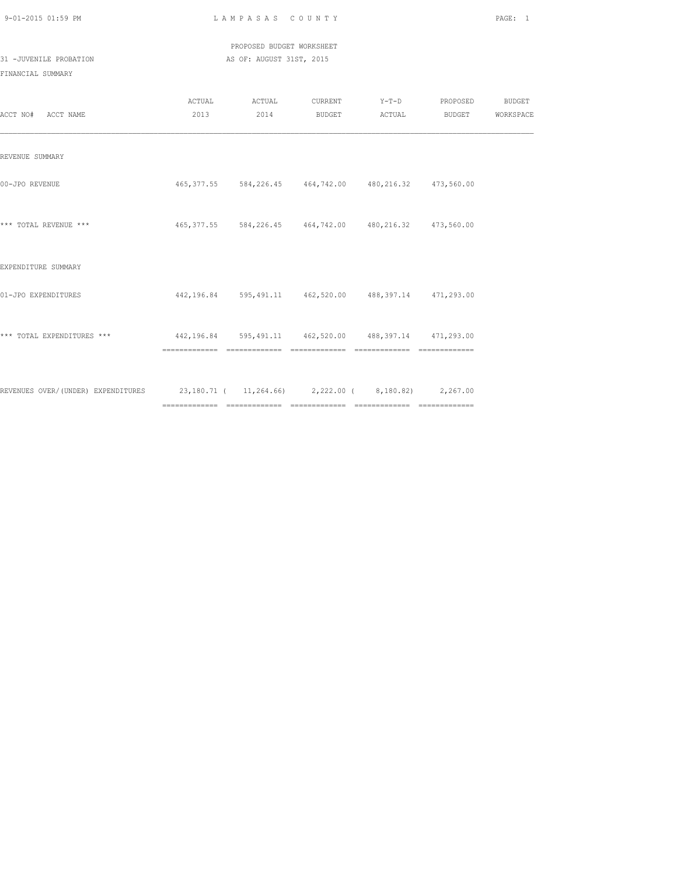| 9-01-2015 01:59 PM |  |
|--------------------|--|
|                    |  |

L A M P A S A S C O U N T Y PAGE: 1

 PROPOSED BUDGET WORKSHEET 31 -JUVENILE PROBATION AS OF: AUGUST 31ST, 2015

| ACCT NO# ACCT NAME                                                                    | ACTUAL ACTUAL<br>2013 2014 | CURRENT Y-T-D PROPOSED BUDGET                               | BUDGET ACTUAL BUDGET WORKSPACE |  |
|---------------------------------------------------------------------------------------|----------------------------|-------------------------------------------------------------|--------------------------------|--|
| REVENUE SUMMARY                                                                       |                            |                                                             |                                |  |
| 00-JPO REVENUE                                                                        |                            | 465, 377.55 584, 226.45 464, 742.00 480, 216.32 473, 560.00 |                                |  |
| *** TOTAL REVENUE ***                                                                 |                            | 465, 377.55 584, 226.45 464, 742.00 480, 216.32 473, 560.00 |                                |  |
| EXPENDITURE SUMMARY                                                                   |                            |                                                             |                                |  |
| 01-JPO EXPENDITURES                                                                   |                            | 442,196.84 595,491.11 462,520.00 488,397.14 471,293.00      |                                |  |
| *** TOTAL EXPENDITURES ***<br>442,196.84 595,491.11 462,520.00 488,397.14 471,293.00  |                            |                                                             |                                |  |
| REVENUES OVER/(UNDER) EXPENDITURES 23,180.71 (11,264.66) 2,222.00 (8,180.82) 2,267.00 |                            |                                                             |                                |  |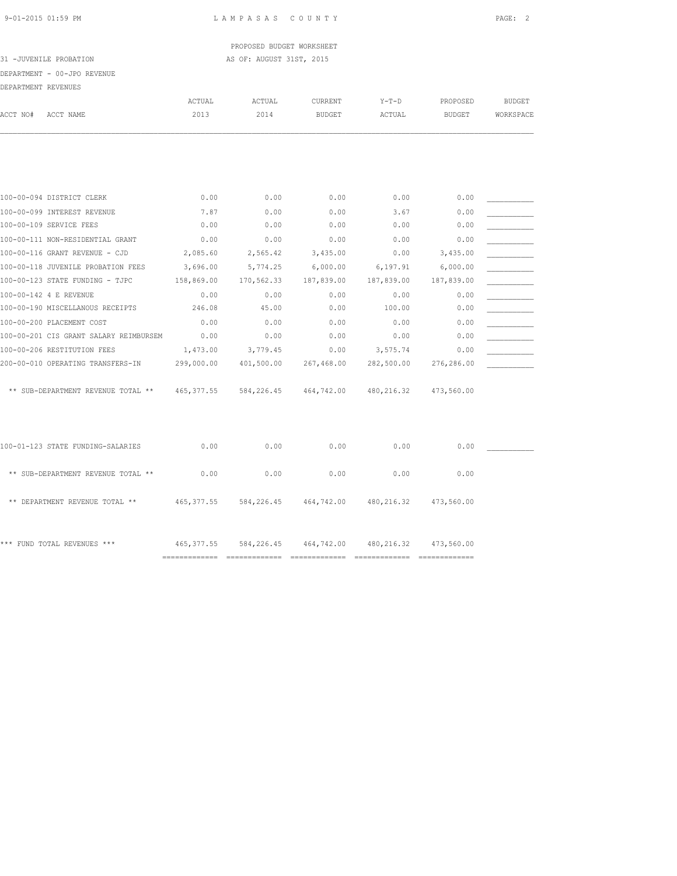PROPOSED BUDGET WORKSHEET 31 -JUVENILE PROBATION AS OF: AUGUST 31ST, 2015

### DEPARTMENT - 00-JPO REVENUE

| PROAPTMENT PRWENHIFS |  |
|----------------------|--|

| DEPARTMENT REVENUES |                                        |               |            |                |             |               |               |
|---------------------|----------------------------------------|---------------|------------|----------------|-------------|---------------|---------------|
|                     |                                        | <b>ACTUAL</b> | ACTUAL     | <b>CURRENT</b> | $Y-T-D$     | PROPOSED      | <b>BUDGET</b> |
| ACCT NO#            | ACCT NAME                              | 2013          | 2014       | <b>BUDGET</b>  | ACTUAL      | <b>BUDGET</b> | WORKSPACE     |
|                     |                                        |               |            |                |             |               |               |
|                     |                                        |               |            |                |             |               |               |
|                     | 100-00-094 DISTRICT CLERK              | 0.00          | 0.00       | 0.00           | 0.00        | 0.00          |               |
|                     | 100-00-099 INTEREST REVENUE            | 7.87          | 0.00       | 0.00           | 3.67        | 0.00          |               |
|                     | 100-00-109 SERVICE FEES                | 0.00          | 0.00       | 0.00           | 0.00        | 0.00          |               |
|                     | 100-00-111 NON-RESIDENTIAL GRANT       | 0.00          | 0.00       | 0.00           | 0.00        | 0.00          |               |
|                     | 100-00-116 GRANT REVENUE - CJD         | 2,085.60      | 2,565.42   | 3,435.00       | 0.00        | 3,435.00      |               |
|                     | 100-00-118 JUVENILE PROBATION FEES     | 3,696.00      | 5,774.25   | 6,000.00       | 6,197.91    | 6,000.00      |               |
|                     | 100-00-123 STATE FUNDING - TJPC        | 158,869.00    | 170,562.33 | 187,839.00     | 187,839.00  | 187,839.00    |               |
|                     | 100-00-142 4 E REVENUE                 | 0.00          | 0.00       | 0.00           | 0.00        | 0.00          |               |
|                     | 100-00-190 MISCELLANOUS RECEIPTS       | 246.08        | 45.00      | 0.00           | 100.00      | 0.00          |               |
|                     | 100-00-200 PLACEMENT COST              | 0.00          | 0.00       | 0.00           | 0.00        | 0.00          |               |
|                     | 100-00-201 CIS GRANT SALARY REIMBURSEM | 0.00          | 0.00       | 0.00           | 0.00        | 0.00          |               |
|                     | 100-00-206 RESTITUTION FEES            | 1,473.00      | 3,779.45   | 0.00           | 3,575.74    | 0.00          |               |
|                     | 200-00-010 OPERATING TRANSFERS-IN      | 299,000.00    | 401,500.00 | 267,468.00     | 282,500.00  | 276,286.00    |               |
|                     | ** SUB-DEPARTMENT REVENUE TOTAL **     | 465, 377.55   | 584,226.45 | 464,742.00     | 480, 216.32 | 473,560.00    |               |
|                     | 100-01-123 STATE FUNDING-SALARIES      | 0.00          | 0.00       | 0.00           | 0.00        | 0.00          |               |
|                     | ** SUB-DEPARTMENT REVENUE TOTAL **     | 0.00          | 0.00       | 0.00           | 0.00        | 0.00          |               |
|                     | ** DEPARTMENT REVENUE TOTAL **         | 465, 377.55   | 584,226.45 | 464,742.00     | 480, 216.32 | 473,560.00    |               |
|                     | *** FUND TOTAL REVENUES ***            | 465, 377.55   | 584,226.45 | 464,742.00     | 480, 216.32 | 473,560.00    |               |

============= ============= ============= ============= =============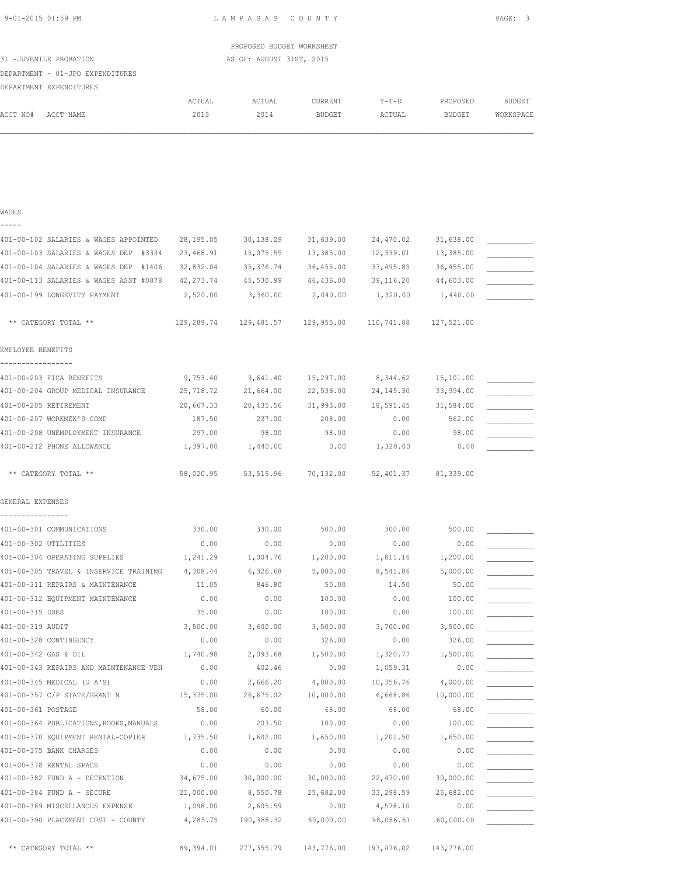| 9-01-2015 01:59 PM |  |
|--------------------|--|
|                    |  |

LAMPASAS COUNTY PAGE: 3

| ACTUAL | CURRENT | Y-T-D  | PROPOSED | BUDGET    |
|--------|---------|--------|----------|-----------|
|        |         |        |          |           |
|        |         |        |          |           |
|        |         |        |          |           |
| 2014   | BUDGET  | ACTUAL | BUDGET   | WORKSPACE |
|        |         |        |          |           |
|        |         |        |          |           |
|        |         |        |          |           |

### WAGES -----

| 401-00-102 SALARIES & WAGES APPOINTED  | 28,195.05  | 30,138.29         | 31,639.00                                      | 24,470.02          | 31,638.00           |  |
|----------------------------------------|------------|-------------------|------------------------------------------------|--------------------|---------------------|--|
| 401-00-103 SALARIES & WAGES DEP #3334  | 23,468.91  | 15,075.55         | 13,385.00                                      | 12,339.01          | 13,385.00           |  |
| 401-00-104 SALARIES & WAGES DEP #1406  | 32,832.04  | 35, 376.74        | 36,455.00                                      | 33,495.85          | 36,455.00           |  |
| 401-00-113 SALARIES & WAGES ASST #0878 | 42, 273.74 | 45,530.99         | 46,436.00                                      | 39,116.20          | 44,603.00           |  |
| 401-00-199 LONGEVITY PAYMENT           | 2,520.00   | 3,360.00          | 2,040.00                                       | 1,320.00           | 1,440.00            |  |
| ** CATEGORY TOTAL **                   |            |                   | 129,289.74  129,481.57  129,955.00  110,741.08 |                    | 127,521.00          |  |
| EMPLOYEE BENEFITS                      |            |                   |                                                |                    |                     |  |
| 401-00-203 FICA BENEFITS               |            | 9,753.40 9,641.40 |                                                | 15,297.00 8,344.62 | 15,101.00           |  |
| 401-00-204 GROUP MEDICAL INSURANCE     | 25,718.72  | 21,664.00         | 22,536.00                                      | 24, 145.30         | 33,994.00           |  |
| 401-00-205 RETIREMENT                  | 20,667.33  | 20,435.56         | 31,993.00                                      | 18,591.45          | 31,584.00           |  |
| 401-00-207 WORKMEN'S COMP              | 187.50     | 237.00            | 208.00                                         | 0.00               | 562.00              |  |
| 401-00-208 UNEMPLOYMENT INSURANCE      | 297.00     | 98.00             | 98.00                                          | 0.00               | 98.00               |  |
| 401-00-212 PHONE ALLOWANCE             | 1,397.00   | 1,440.00          | 0.00                                           | 1,320.00           | 0.00                |  |
| ** CATEGORY TOTAL **                   | 58,020.95  |                   | 53,515.96 70,132.00                            |                    | 52,401.37 81,339.00 |  |
| GENERAL EXPENSES                       |            |                   |                                                |                    |                     |  |
| 401-00-301 COMMUNICATIONS              | 330.00     | 330.00            | 500.00                                         | 300.00             | 500.00              |  |
| 401-00-302 UTILITIES                   | 0.00       | 0.00              | 0.00                                           | 0.00               | 0.00                |  |
| 401-00-304 OPERATING SUPPLIES          | 1,241.29   | 1,004.76          | 1,200.00                                       | 1,811.16           | 1,200.00            |  |
| 401-00-305 TRAVEL & INSERVICE TRAINING | 4,308.44   | 6,326.68          | 5,000.00                                       | 8,541.86           | 5,000.00            |  |
| 401-00-311 REPAIRS & MAINTENANCE       |            | 11 05 846 80      |                                                | 50.00 14.50        | 50.00               |  |

| 401-00-305 TRAVEL & INSERVICE TRAINING      | 4,308.44  | 6,326.68   | 5,000.00              | 8,541.86   | 5,000.00   |  |
|---------------------------------------------|-----------|------------|-----------------------|------------|------------|--|
| 401-00-311 REPAIRS & MAINTENANCE            | 11.05     | 846.80     | 50.00                 | 14.50      | 50.00      |  |
| 401-00-312 EQUIPMENT MAINTENANCE            | 0.00      | 0.00       | 100.00                | 0.00       | 100.00     |  |
| 401-00-315 DUES                             | 35.00     | 0.00       | 100.00                | 0.00       | 100.00     |  |
| 401-00-319 AUDIT                            | 3,500.00  | 3,600.00   | 3,500.00              | 3,700.00   | 3,500.00   |  |
| 401-00-328 CONTINGENCY                      | 0.00      | 0.00       | 326.00                | 0.00       | 326.00     |  |
| 401-00-342 GAS & OIL                        | 1,740.98  | 2,093.68   | 1,500.00              | 1,320.77   | 1,500.00   |  |
| 401-00-343 REPAIRS AND MAINTENANCE VEH      | 0.00      | 402.46     | 0.00                  | 1,059.31   | 0.00       |  |
| 401-00-345 MEDICAL (U A'S)                  | 0.00      | 2,666.20   | 4,000.00              | 10,356.76  | 4,000.00   |  |
| 401-00-357 C/P STATE/GRANT N                | 15,375.00 | 26,675.02  | 10,000.00             | 6,668.86   | 10,000.00  |  |
| 401-00-361 POSTAGE                          | 58.00     | 60.00      | 68.00                 | 68.00      | 68.00      |  |
| 401-00-364 PUBLICATIONS, BOOKS, MANUALS     | 0.00      | 203.50     | 100.00                | 0.00       | 100.00     |  |
| 401-00-370 EQUIPMENT RENTAL-COPIER 1,735.50 |           | 1,602.00   | 1,650.00              | 1,201.50   | 1,650.00   |  |
| 401-00-375 BANK CHARGES                     | 0.00      | 0.00       | 0.00                  | 0.00       | 0.00       |  |
| 401-00-378 RENTAL SPACE                     | 0.00      | 0.00       | 0.00                  | 0.00       | 0.00       |  |
| 401-00-382 FUND A - DETENTION               | 34,675.00 | 30,000.00  | 30,000.00             | 22,470.00  | 30,000.00  |  |
| 401-00-384 FUND A - SECURE                  | 21,000.00 | 8,550.78   | 25,682.00             | 33,298.59  | 25,682.00  |  |
| 401-00-389 MISCELLANOUS EXPENSE             | 1,098.00  | 2,605.59   | 0.00                  | 4,578.10   | 0.00       |  |
| 401-00-390 PLACEMENT COST - COUNTY          | 4,285.75  | 190,388.32 | 60,000.00             | 98,086.61  | 60,000.00  |  |
|                                             |           |            |                       |            |            |  |
| ** CATEGORY TOTAL **                        | 89,394.01 |            | 277,355.79 143,776.00 | 193,476.02 | 143,776.00 |  |
|                                             |           |            |                       |            |            |  |

| GORY TOTAL ** |  |  | 89,394. |  |
|---------------|--|--|---------|--|
|               |  |  |         |  |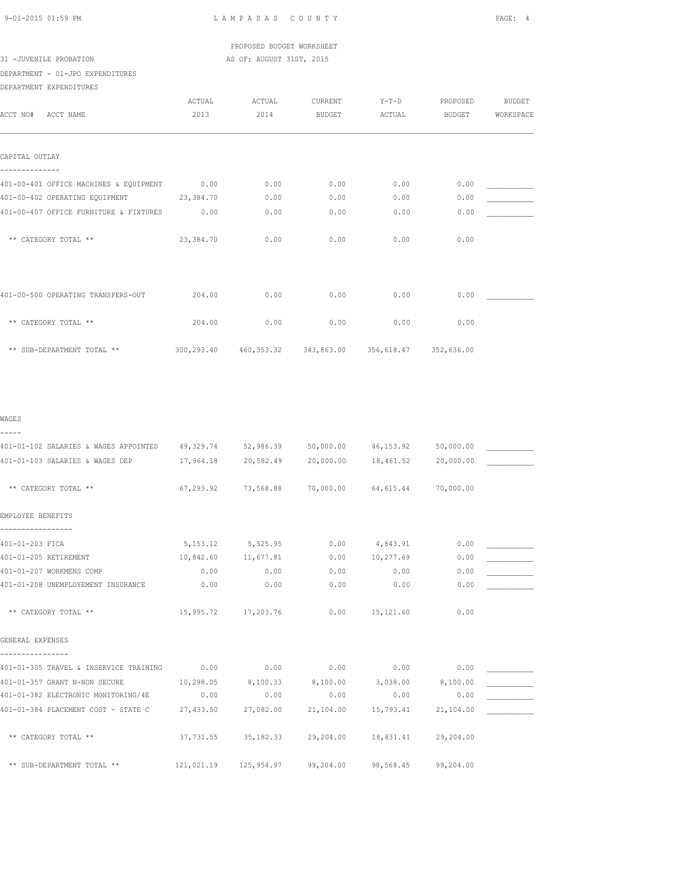PROPOSED BUDGET WORKSHEET 31 -JUVENILE PROBATION **AS OF: AUGUST 31ST, 2015** 

DEPARTMENT - 01-JPO EXPENDITURES

DEPARTMENT EXPENDITURES

|                                        | ACTUAL    | ACTUAL | CURRENT       | $Y-T-D$                                     | PROPOSED      | <b>BUDGET</b> |
|----------------------------------------|-----------|--------|---------------|---------------------------------------------|---------------|---------------|
| ACCT NO#<br>ACCT NAME                  | 2013      | 2014   | <b>BUDGET</b> | ACTUAL                                      | <b>BUDGET</b> | WORKSPACE     |
|                                        |           |        |               |                                             |               |               |
| CAPITAL OUTLAY                         |           |        |               |                                             |               |               |
|                                        |           |        |               |                                             |               |               |
| 401-00-401 OFFICE MACHINES & EQUIPMENT | 0.00      | 0.00   | 0.00          | 0.00                                        | 0.00          |               |
| 401-00-402 OPERATING EQUIPMENT         | 23,384.70 | 0.00   | 0.00          | 0.00                                        | 0.00          |               |
| 401-00-407 OFFICE FURNITURE & FIXTURES | 0.00      | 0.00   | 0.00          | 0.00                                        | 0.00          |               |
| ** CATEGORY TOTAL **                   | 23,384.70 | 0.00   | 0.00          | 0.00                                        | 0.00          |               |
|                                        |           |        |               |                                             |               |               |
| 401-00-500 OPERATING TRANSFERS-OUT     | 204.00    | 0.00   | 0.00          | 0.00                                        | 0.00          |               |
| ** CATEGORY TOTAL **                   | 204.00    | 0.00   | 0.00          | 0.00                                        | 0.00          |               |
| ** SUB-DEPARTMENT TOTAL **             |           |        |               | 300,293.40 460,353.32 343,863.00 356,618.47 | 352,636.00    |               |

| WAGES                                                                                   |                     |                                                                 |                     |                   |           |  |
|-----------------------------------------------------------------------------------------|---------------------|-----------------------------------------------------------------|---------------------|-------------------|-----------|--|
| -----                                                                                   |                     |                                                                 |                     |                   |           |  |
| 401-01-102 SALARIES & WAGES APPOINTED 49,329.74 52,986.39 50,000.00 46,153.92 50,000.00 |                     |                                                                 |                     |                   |           |  |
| 401-01-103 SALARIES & WAGES DEP                                                         | 17,964.18           |                                                                 | 20,582.49 20,000.00 | 18,461.52         | 20,000.00 |  |
|                                                                                         |                     |                                                                 |                     |                   |           |  |
| ** CATEGORY TOTAL **                                                                    |                     | $67, 293, 92$ $73, 568, 88$ $70,000,00$ $64,615,44$ $70,000,00$ |                     |                   |           |  |
| EMPLOYEE BENEFITS                                                                       |                     |                                                                 |                     |                   |           |  |
|                                                                                         |                     |                                                                 |                     |                   |           |  |
| 401-01-203 FICA                                                                         |                     | 5, 153.12 5, 525.95                                             | 0.00                | 4,843.91          | 0.00      |  |
| 401-01-205 RETIREMENT                                                                   | 10,842.60 11,677.81 |                                                                 | 0.00                | 10,277.69         | 0.00      |  |
| 401-01-207 WORKMENS COMP                                                                | 0.00                | 0.00                                                            | 0.00                | 0.00              | 0.00      |  |
| 401-01-208 UNEMPLOYEMENT INSURANCE                                                      | 0.00                | 0.00                                                            | 0.00                | 0.00              | 0.00      |  |
| ** CATEGORY TOTAL **                                                                    |                     | 15,995.72 17,203.76                                             |                     | $0.00$ 15,121.60  | 0.00      |  |
| GENERAL EXPENSES                                                                        |                     |                                                                 |                     |                   |           |  |
|                                                                                         |                     |                                                                 |                     |                   |           |  |
| 401-01-305 TRAVEL & INSERVICE TRAINING 0.00                                             |                     | 0.00                                                            | 0.00                | 0.00              | 0.00      |  |
| 401-01-357 GRANT N-NON SECURE                                                           | 10,298.05           | 8,100.33 8,100.00                                               |                     | 3,038.00 8,100.00 |           |  |
| 401-01-382 ELECTRONIC MONITORING/4E                                                     | 0.00                | 0.00                                                            | 0.00                | 0.00              | 0.00      |  |
| 401-01-384 PLACEMENT COST - STATE C                                                     | 27,433.50           | 27,082.00                                                       | 21,104.00           | 15,793.41         | 21,104.00 |  |
| ** CATEGORY TOTAL **                                                                    |                     | 37,731.55 35,182.33                                             | 29,204.00 18,831.41 |                   | 29,204.00 |  |
| ** SUB-DEPARTMENT TOTAL **                                                              |                     | $121,021.19$ $125,954.97$ $99,204.00$ $98,568.45$ $99,204.00$   |                     |                   |           |  |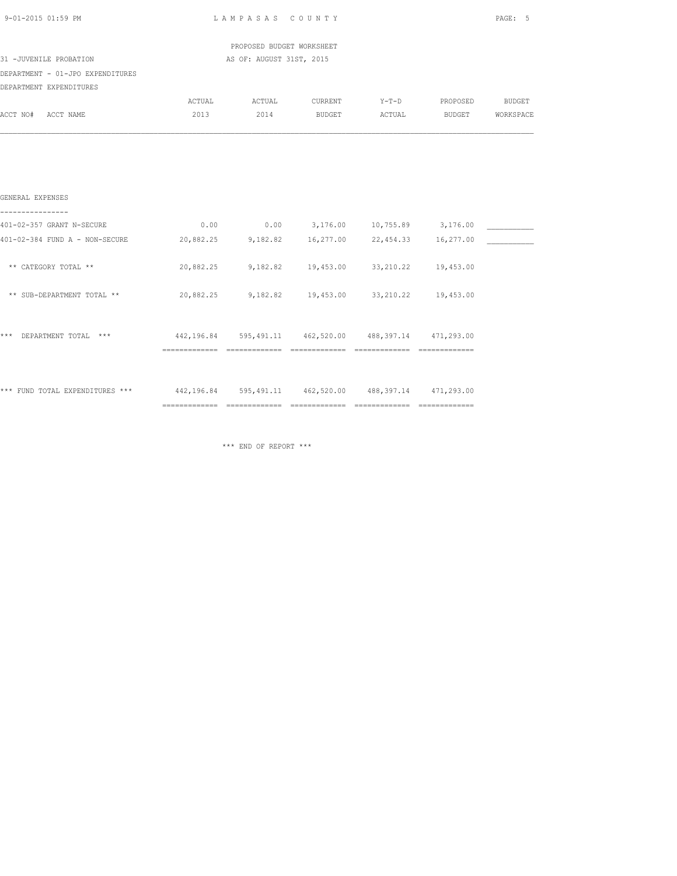| 9-01-2015 01:59 PM                                                                     | LAMPASAS COUNTY | PAGE: 5                                                |                                          |                        |               |
|----------------------------------------------------------------------------------------|-----------------|--------------------------------------------------------|------------------------------------------|------------------------|---------------|
|                                                                                        |                 | PROPOSED BUDGET WORKSHEET                              |                                          |                        |               |
| 31 -JUVENILE PROBATION                                                                 |                 | AS OF: AUGUST 31ST, 2015                               |                                          |                        |               |
| DEPARTMENT - 01-JPO EXPENDITURES                                                       |                 |                                                        |                                          |                        |               |
| DEPARTMENT EXPENDITURES                                                                |                 |                                                        |                                          |                        |               |
|                                                                                        | ACTUAL          | ACTUAL                                                 |                                          | CURRENT Y-T-D PROPOSED | <b>BUDGET</b> |
| ACCT NO# ACCT NAME                                                                     | 2013            | 2014                                                   |                                          | BUDGET ACTUAL BUDGET   | WORKSPACE     |
|                                                                                        |                 |                                                        |                                          |                        |               |
| GENERAL EXPENSES                                                                       |                 |                                                        |                                          |                        |               |
| 401-02-357 GRANT N-SECURE                                                              | 0.00            |                                                        | $0.00$ $3,176.00$ $10,755.89$ $3,176.00$ |                        |               |
| 401-02-384 FUND A - NON-SECURE                                                         |                 | 20,882.25 9,182.82 16,277.00 22,454.33 16,277.00       |                                          |                        |               |
| ** CATEGORY TOTAL **                                                                   |                 | 20,882.25 9,182.82 19,453.00 33,210.22 19,453.00       |                                          |                        |               |
| ** SUB-DEPARTMENT TOTAL **                                                             |                 | 20,882.25 9,182.82 19,453.00 33,210.22 19,453.00       |                                          |                        |               |
| *** DEPARTMENT TOTAL ***                                                               |                 | 442,196.84 595,491.11 462,520.00 488,397.14 471,293.00 |                                          |                        |               |
|                                                                                        |                 |                                                        |                                          |                        |               |
| *** FUND TOTAL EXPENDITURES *** 442,196.84 595,491.11 462,520.00 488,397.14 471,293.00 |                 |                                                        |                                          |                        |               |
|                                                                                        |                 |                                                        |                                          |                        |               |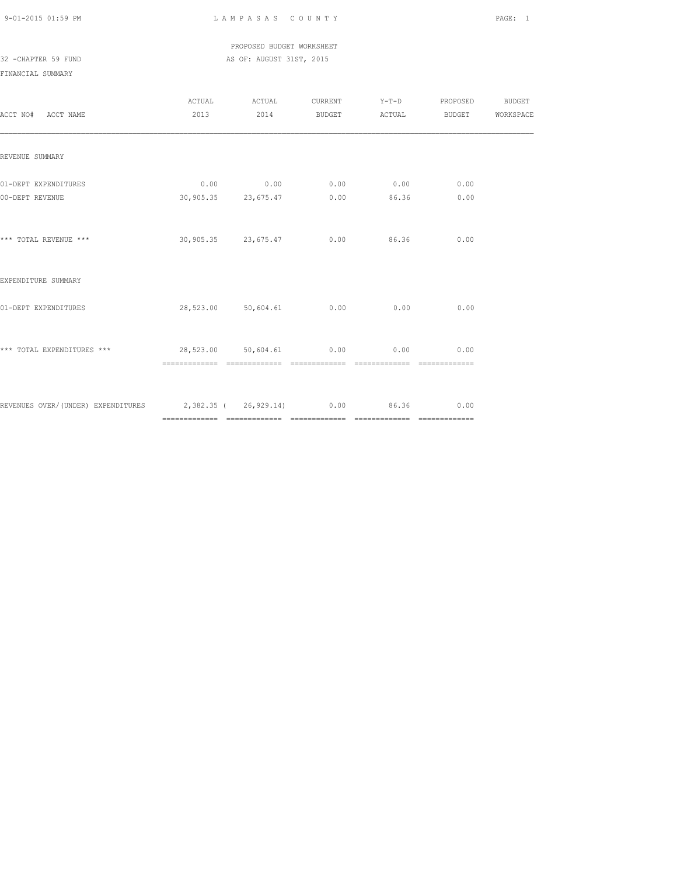PROPOSED BUDGET WORKSHEET

# 32 -CHAPTER 59 FUND AS OF: AUGUST 31ST, 2015

| ACCT NO# ACCT NAME                                                      | ACTUAL<br>2013 | ACTUAL                                                                                     | CURRENT Y-T-D PROPOSED<br>2014 BUDGET ACTUAL BUDGET WORKSPACE |                              |      | BUDGET |
|-------------------------------------------------------------------------|----------------|--------------------------------------------------------------------------------------------|---------------------------------------------------------------|------------------------------|------|--------|
| REVENUE SUMMARY                                                         |                |                                                                                            |                                                               |                              |      |        |
| 01-DEPT EXPENDITURES<br>00-DEPT REVENUE                                 |                | $0.00$ $0.00$ $0.00$ $0.00$ $0.00$ $0.00$ $0.00$<br>$30,905.35$ $23,675.47$ $0.00$ $86.36$ |                                                               |                              | 0.00 |        |
| *** TOTAL REVENUE ***                                                   |                | 30,905.35 23,675.47 0.00 86.36                                                             |                                                               |                              | 0.00 |        |
| EXPENDITURE SUMMARY                                                     |                |                                                                                            |                                                               |                              |      |        |
| 01-DEPT EXPENDITURES                                                    |                | 28,523.00 50,604.61 0.00 0.00                                                              |                                                               |                              | 0.00 |        |
| *** TOTAL EXPENDITURES *** $28,523.00$ $50,604.61$ 0.00 0.00            |                |                                                                                            |                                                               | ============================ | 0.00 |        |
| REVENUES OVER/(UNDER) EXPENDITURES 2,382.35 (26,929.14) 0.00 86.36 0.00 |                |                                                                                            |                                                               |                              |      |        |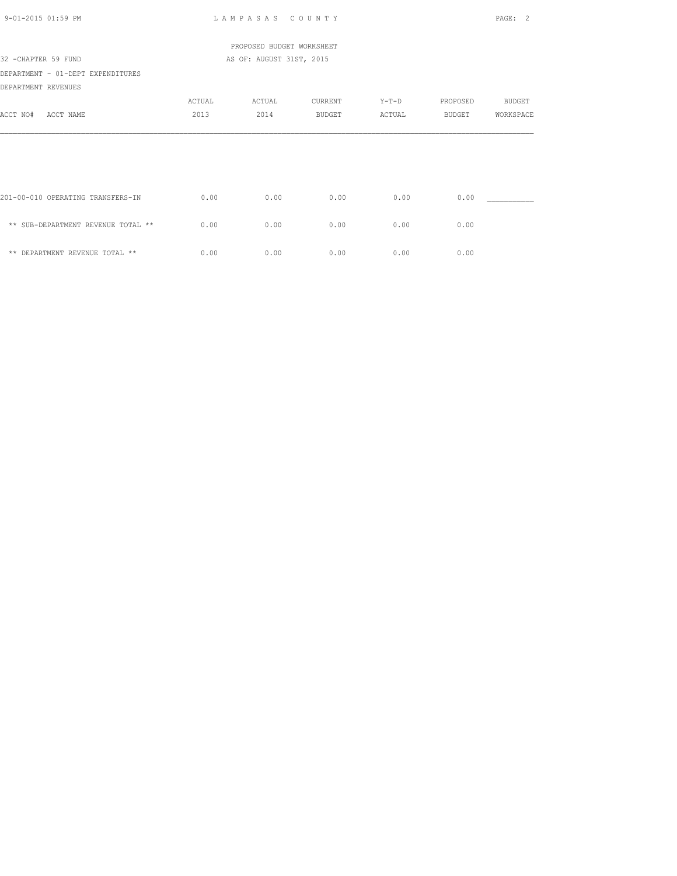| $9 - 01 - 2015$ 01:59 PM                                 |                | LAMPASAS COUNTY           |                   |                   |                    | PAGE: 2                    |
|----------------------------------------------------------|----------------|---------------------------|-------------------|-------------------|--------------------|----------------------------|
|                                                          |                | PROPOSED BUDGET WORKSHEET |                   |                   |                    |                            |
| 32 - CHAPTER 59 FUND                                     |                | AS OF: AUGUST 31ST, 2015  |                   |                   |                    |                            |
| DEPARTMENT - 01-DEPT EXPENDITURES<br>DEPARTMENT REVENUES |                |                           |                   |                   |                    |                            |
| ACCT NO#<br>ACCT NAME                                    | ACTUAL<br>2013 | ACTUAL<br>2014            | CURRENT<br>BUDGET | $Y-T-D$<br>ACTUAL | PROPOSED<br>BUDGET | <b>BUDGET</b><br>WORKSPACE |
|                                                          |                |                           |                   |                   |                    |                            |
|                                                          |                |                           |                   |                   |                    |                            |
| 201-00-010 OPERATING TRANSFERS-IN                        | 0.00           | 0.00                      | 0.00              | 0.00              | 0.00               |                            |
| ** SUB-DEPARTMENT REVENUE TOTAL **                       | 0.00           | 0.00                      | 0.00              | 0.00              | 0.00               |                            |
| ** DEPARTMENT REVENUE TOTAL **                           | 0.00           | 0.00                      | 0.00              | 0.00              | 0.00               |                            |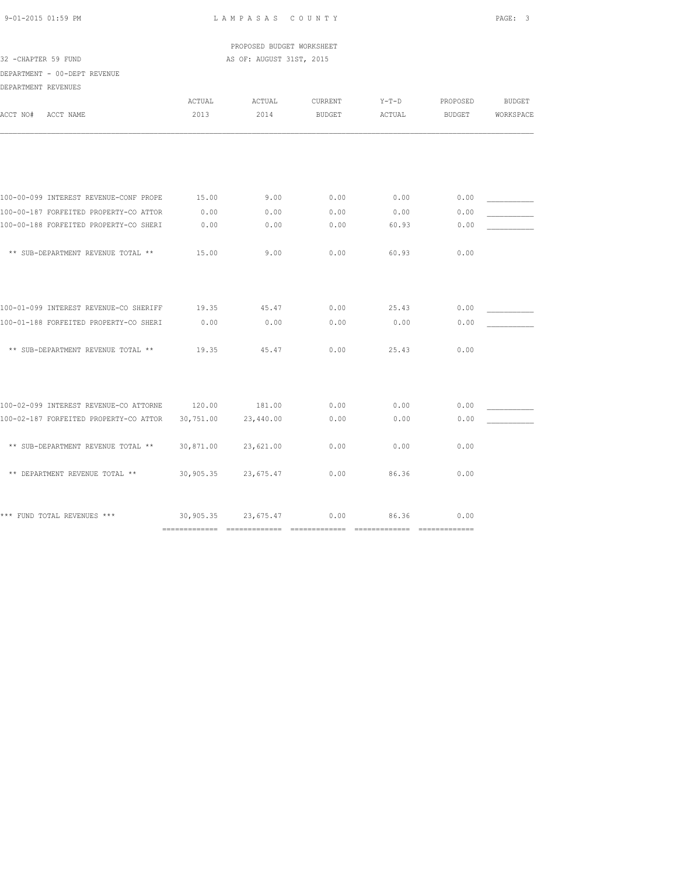PROPOSED BUDGET WORKSHEET 32 -CHAPTER 59 FUND AS OF: AUGUST 31ST, 2015

DEPARTMENT - 00-DEPT REVENUE

| DEPARTMENT REVENUES |  |
|---------------------|--|

| ACCT NO# | ACCT NAME                              | ACTUAL<br>2013                              | ACTUAL<br>2014 | CURRENT<br><b>BUDGET</b> | $Y-T-D$<br>ACTUAL                      | PROPOSED<br><b>BUDGET</b> | <b>BUDGET</b><br>WORKSPACE |
|----------|----------------------------------------|---------------------------------------------|----------------|--------------------------|----------------------------------------|---------------------------|----------------------------|
|          |                                        |                                             |                |                          |                                        |                           |                            |
|          | 100-00-099 INTEREST REVENUE-CONF PROPE | 15.00                                       | 9.00           | 0.00                     | 0.00                                   | 0.00                      |                            |
|          | 100-00-187 FORFEITED PROPERTY-CO ATTOR | 0.00                                        | 0.00           | 0.00                     | 0.00                                   | 0.00                      |                            |
|          | 100-00-188 FORFEITED PROPERTY-CO SHERI | 0.00                                        | 0.00           | 0.00                     | 60.93                                  | 0.00                      |                            |
|          | ** SUB-DEPARTMENT REVENUE TOTAL **     | 15.00                                       | 9.00           | 0.00                     | 60.93                                  | 0.00                      |                            |
|          |                                        |                                             |                |                          |                                        |                           |                            |
|          | 100-01-099 INTEREST REVENUE-CO SHERIFF | 19.35                                       | 45.47          | 0.00                     | 25.43                                  | 0.00                      |                            |
|          | 100-01-188 FORFEITED PROPERTY-CO SHERI | 0.00                                        | 0.00           | 0.00                     | 0.00                                   | 0.00                      |                            |
|          | ** SUB-DEPARTMENT REVENUE TOTAL **     | 19.35                                       | 45.47          | 0.00                     | 25.43                                  | 0.00                      |                            |
|          | 100-02-099 INTEREST REVENUE-CO ATTORNE | 120.00                                      | 181.00         | 0.00                     | 0.00                                   | 0.00                      |                            |
|          | 100-02-187 FORFEITED PROPERTY-CO ATTOR | 30,751.00                                   | 23,440.00      | 0.00                     | 0.00                                   | 0.00                      |                            |
|          | ** SUB-DEPARTMENT REVENUE TOTAL **     | 30,871.00                                   | 23,621.00      | 0.00                     | 0.00                                   | 0.00                      |                            |
|          | ** DEPARTMENT REVENUE TOTAL **         | 30,905.35                                   | 23,675.47      | 0.00                     | 86.36                                  | 0.00                      |                            |
|          | *** FUND TOTAL REVENUES ***            | 30,905.35<br>============================== | 23,675.47      | 0.00<br>==============   | 86.36<br>$=$ = = = = = = = = = = = = = | 0.00<br>==============    |                            |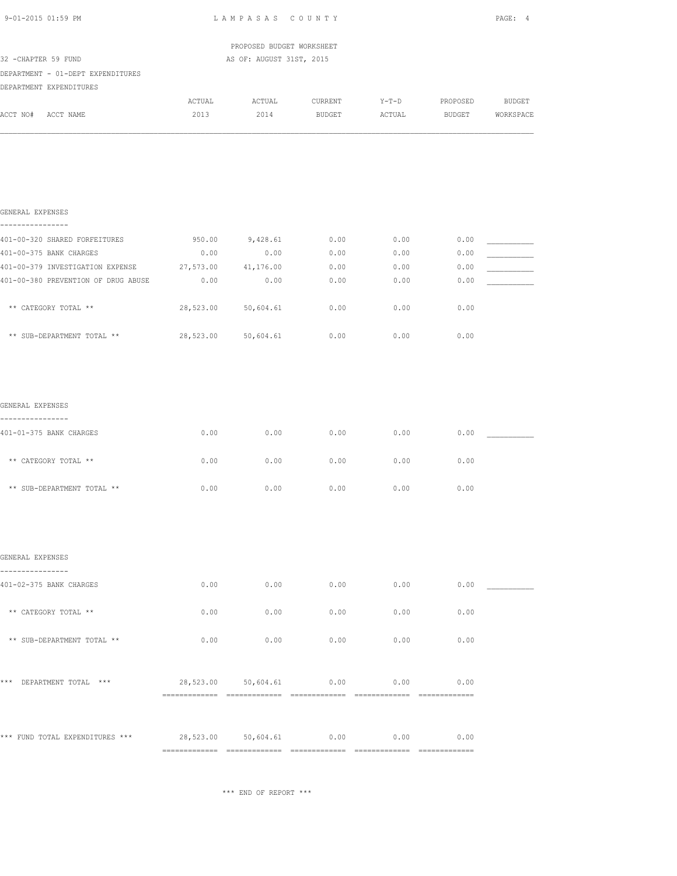| 9-01-2015 01:59 PM                                                          | LAMPASAS COUNTY |                           |                                        |        |                                           | PAGE: 4 |  |
|-----------------------------------------------------------------------------|-----------------|---------------------------|----------------------------------------|--------|-------------------------------------------|---------|--|
|                                                                             |                 | PROPOSED BUDGET WORKSHEET |                                        |        |                                           |         |  |
| 32 - CHAPTER 59 FUND                                                        |                 | AS OF: AUGUST 31ST, 2015  |                                        |        |                                           |         |  |
| DEPARTMENT - 01-DEPT EXPENDITURES                                           |                 |                           |                                        |        |                                           |         |  |
| DEPARTMENT EXPENDITURES                                                     |                 |                           |                                        |        |                                           |         |  |
| ACCT NO# ACCT NAME                                                          | 2013            | 2014                      | ACTUAL ACTUAL CURRENT<br><b>BUDGET</b> | ACTUAL | Y-T-D PROPOSED BUDGET<br>BUDGET WORKSPACE |         |  |
|                                                                             |                 |                           |                                        |        |                                           |         |  |
| GENERAL EXPENSES<br>.                                                       |                 |                           |                                        |        |                                           |         |  |
| 401-00-320 SHARED FORFEITURES                                               | 950.00          | 9,428.61                  | 0.00                                   | 0.00   | 0.00                                      |         |  |
| 401-00-375 BANK CHARGES                                                     | 0.00            | 0.00                      | 0.00                                   | 0.00   | 0.00                                      |         |  |
| 401-00-379 INVESTIGATION EXPENSE 27,573.00 41,176.00                        |                 |                           | 0.00                                   | 0.00   | 0.00                                      |         |  |
| 401-00-380 PREVENTION OF DRUG ABUSE                                         | 0.00            | 0.00                      | 0.00                                   | 0.00   | 0.00                                      |         |  |
| ** CATEGORY TOTAL **                                                        |                 | 28,523.00 50,604.61       | 0.00                                   | 0.00   | 0.00                                      |         |  |
| ** SUB-DEPARTMENT TOTAL **                                                  | 28,523.00       | 50,604.61                 | 0.00                                   | 0.00   | 0.00                                      |         |  |
| GENERAL EXPENSES                                                            |                 |                           |                                        |        |                                           |         |  |
| ----------------<br>401-01-375 BANK CHARGES                                 | 0.00            | 0.00                      | 0.00                                   | 0.00   | 0.00                                      |         |  |
| ** CATEGORY TOTAL **                                                        | 0.00            | 0.00                      | 0.00                                   | 0.00   | 0.00                                      |         |  |
| ** SUB-DEPARTMENT TOTAL **                                                  | 0.00            | 0.00                      | 0.00                                   | 0.00   | 0.00                                      |         |  |
|                                                                             |                 |                           |                                        |        |                                           |         |  |
| GENERAL EXPENSES<br>---------------                                         |                 |                           |                                        |        |                                           |         |  |
| 401-02-375 BANK CHARGES                                                     | 0.00            | 0.00                      | 0.00                                   | 0.00   | 0.00                                      |         |  |
| ** CATEGORY TOTAL **                                                        | 0.00            | 0.00                      | 0.00                                   | 0.00   | 0.00                                      |         |  |
| ** SUB-DEPARTMENT TOTAL **                                                  | 0.00            | 0.00                      | 0.00                                   | 0.00   | 0.00                                      |         |  |
| *** DEPARTMENT TOTAL ***                                                    |                 | 28,523.00 50,604.61       | 0.00                                   | 0.00   | 0.00                                      |         |  |
|                                                                             |                 |                           |                                        |        |                                           |         |  |
| *** FUND TOTAL EXPENDITURES *** $28,523.00$ $50,604.61$ 0.00 0.00 0.00 0.00 |                 |                           |                                        |        |                                           |         |  |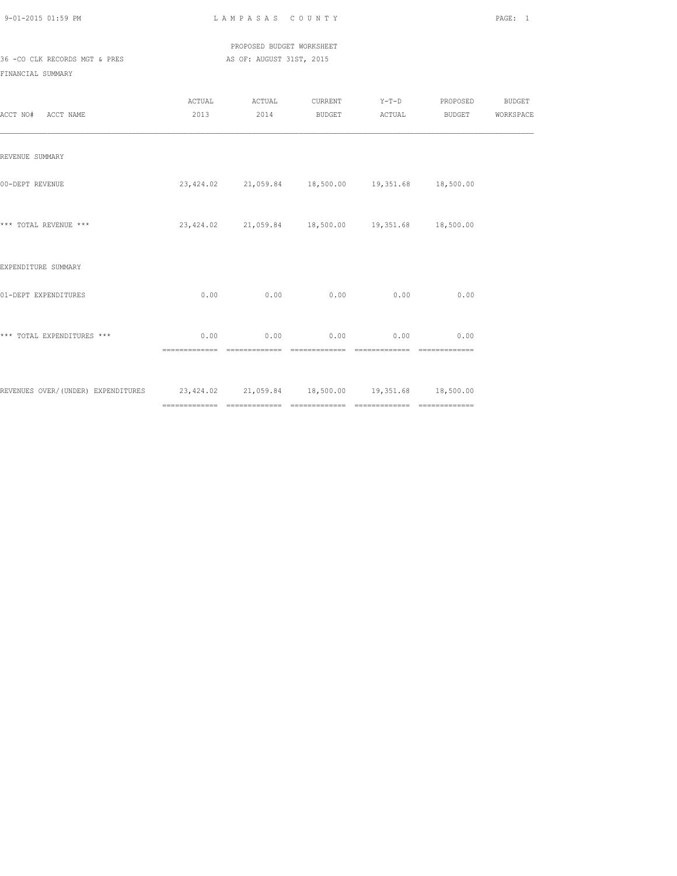PROPOSED BUDGET WORKSHEET 36 -CO CLK RECORDS MGT & PRES AS OF: AUGUST 31ST, 2015

| ACCT NO# ACCT NAME                                                                   | ACTUAL                 | ACTUAL<br>2013 2014                               |      |                                    | CURRENT Y-T-D PROPOSED BUDGET<br>BUDGET ACTUAL BUDGET WORKSPACE |  |
|--------------------------------------------------------------------------------------|------------------------|---------------------------------------------------|------|------------------------------------|-----------------------------------------------------------------|--|
| REVENUE SUMMARY                                                                      |                        |                                                   |      |                                    |                                                                 |  |
| 00-DEPT REVENUE                                                                      |                        | 23,424.02 21,059.84 18,500.00 19,351.68 18,500.00 |      |                                    |                                                                 |  |
| *** TOTAL REVENUE ***                                                                |                        | 23,424.02 21,059.84 18,500.00 19,351.68 18,500.00 |      |                                    |                                                                 |  |
| EXPENDITURE SUMMARY                                                                  |                        |                                                   |      |                                    |                                                                 |  |
| 01-DEPT EXPENDITURES                                                                 | 0.00                   | 0.00                                              | 0.00 | 0.00                               | 0.00                                                            |  |
| *** TOTAL EXPENDITURES ***                                                           | 0.00<br>============== |                                                   |      | $0.00$ $0.00$ $0.00$ $0.00$ $0.00$ | ==============                                                  |  |
| REVENUES OVER/(UNDER) EXPENDITURES 23,424.02 21,059.84 18,500.00 19,351.68 18,500.00 |                        |                                                   |      |                                    |                                                                 |  |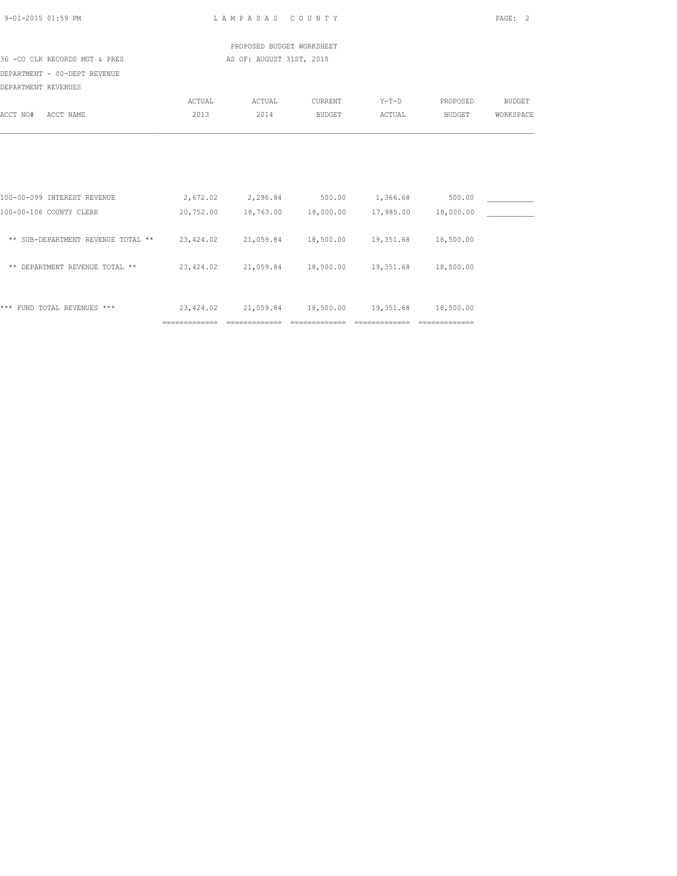| 9-01-2015 01:59 PM                                                                   |                                                             | LAMPASAS COUNTY                                                              |         |                               |                                                                                                                                                                                                                                                                                                                                                                                                                                                                                        | PAGE: 2       |
|--------------------------------------------------------------------------------------|-------------------------------------------------------------|------------------------------------------------------------------------------|---------|-------------------------------|----------------------------------------------------------------------------------------------------------------------------------------------------------------------------------------------------------------------------------------------------------------------------------------------------------------------------------------------------------------------------------------------------------------------------------------------------------------------------------------|---------------|
|                                                                                      |                                                             | PROPOSED BUDGET WORKSHEET                                                    |         |                               |                                                                                                                                                                                                                                                                                                                                                                                                                                                                                        |               |
| 36 -CO CLK RECORDS MGT & PRES                                                        |                                                             | AS OF: AUGUST 31ST, 2015                                                     |         |                               |                                                                                                                                                                                                                                                                                                                                                                                                                                                                                        |               |
| DEPARTMENT - 00-DEPT REVENUE<br>DEPARTMENT REVENUES                                  |                                                             |                                                                              |         |                               |                                                                                                                                                                                                                                                                                                                                                                                                                                                                                        |               |
|                                                                                      | ACTUAL                                                      | ACTUAL                                                                       | CURRENT | $Y-T-D$                       | PROPOSED                                                                                                                                                                                                                                                                                                                                                                                                                                                                               | <b>BUDGET</b> |
| ACCT NO#<br>ACCT NAME                                                                | 2013                                                        | 2014                                                                         | BUDGET  | ACTUAL                        | BUDGET                                                                                                                                                                                                                                                                                                                                                                                                                                                                                 | WORKSPACE     |
| 100-00-099 INTEREST REVENUE<br>100-00-106 COUNTY CLERK                               |                                                             | 2,672.02 2,296.84 500.00 1,366.68<br>20,752.00 18,763.00 18,000.00 17,985.00 |         |                               | 500.00<br>18,000.00                                                                                                                                                                                                                                                                                                                                                                                                                                                                    |               |
| ** SUB-DEPARTMENT REVENUE TOTAL ** 23,424.02 21,059.84 18,500.00 19,351.68 18,500.00 |                                                             |                                                                              |         |                               |                                                                                                                                                                                                                                                                                                                                                                                                                                                                                        |               |
| ** DEPARTMENT REVENUE TOTAL **                                                       | $23,424.02$ $21,059.84$ $18,500.00$ $19,351.68$ $18,500.00$ |                                                                              |         |                               |                                                                                                                                                                                                                                                                                                                                                                                                                                                                                        |               |
| *** FUND TOTAL REVENUES ***                                                          | ==============                                              | 23,424.02 21,059.84 18,500.00 19,351.68 18,500.00<br>==============          |         | ============================= | $\begin{array}{cccccccccccccc} \multicolumn{2}{c}{} & \multicolumn{2}{c}{} & \multicolumn{2}{c}{} & \multicolumn{2}{c}{} & \multicolumn{2}{c}{} & \multicolumn{2}{c}{} & \multicolumn{2}{c}{} & \multicolumn{2}{c}{} & \multicolumn{2}{c}{} & \multicolumn{2}{c}{} & \multicolumn{2}{c}{} & \multicolumn{2}{c}{} & \multicolumn{2}{c}{} & \multicolumn{2}{c}{} & \multicolumn{2}{c}{} & \multicolumn{2}{c}{} & \multicolumn{2}{c}{} & \multicolumn{2}{c}{} & \multicolumn{2}{c}{} & \$ |               |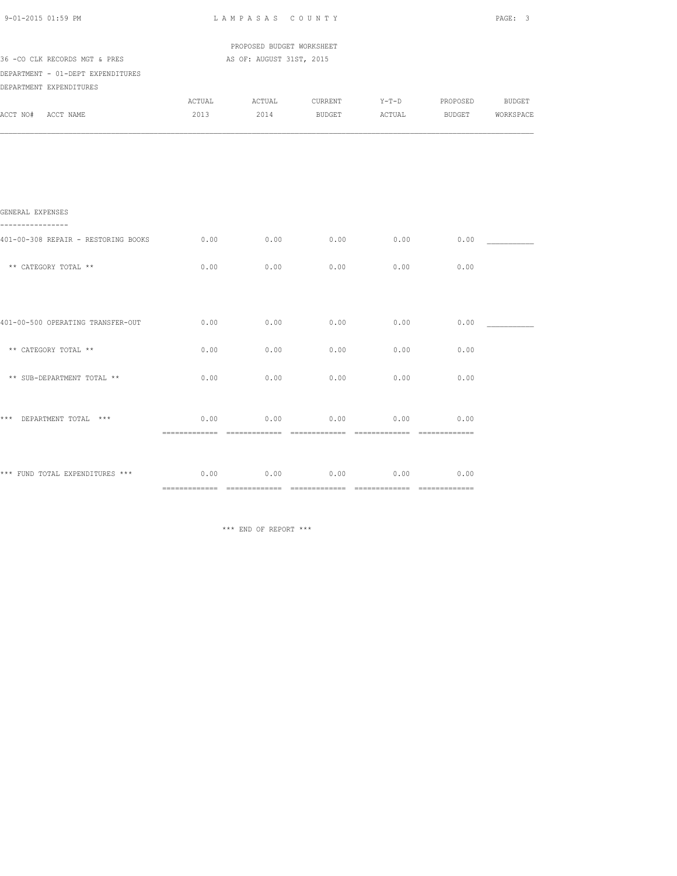| 9-01-2015 01:59 PM                                           | LAMPASAS COUNTY                                       |      |                                                                   |      |                  | PAGE: 3 |  |
|--------------------------------------------------------------|-------------------------------------------------------|------|-------------------------------------------------------------------|------|------------------|---------|--|
| 36 -CO CLK RECORDS MGT & PRES                                | PROPOSED BUDGET WORKSHEET<br>AS OF: AUGUST 31ST, 2015 |      |                                                                   |      |                  |         |  |
| DEPARTMENT - 01-DEPT EXPENDITURES<br>DEPARTMENT EXPENDITURES |                                                       |      |                                                                   |      |                  |         |  |
| ACCT NO# ACCT NAME                                           | 2013                                                  |      | ACTUAL ACTUAL CURRENT Y-T-D PROPOSED BUDGET<br>2014 BUDGET ACTUAL |      | BUDGET WORKSPACE |         |  |
|                                                              |                                                       |      |                                                                   |      |                  |         |  |
|                                                              |                                                       |      |                                                                   |      |                  |         |  |
| GENERAL EXPENSES                                             |                                                       |      |                                                                   |      |                  |         |  |
| 401-00-308 REPAIR - RESTORING BOOKS                          | 0.00                                                  | 0.00 | $0.00$ 0.00                                                       |      | 0.00             |         |  |
| ** CATEGORY TOTAL **                                         | 0.00                                                  | 0.00 | 0.00                                                              | 0.00 | 0.00             |         |  |
|                                                              |                                                       |      |                                                                   |      |                  |         |  |
| 401-00-500 OPERATING TRANSFER-OUT                            | 0.00                                                  | 0.00 | 0.00                                                              | 0.00 | 0.00             |         |  |
| ** CATEGORY TOTAL **                                         | 0.00                                                  | 0.00 | 0.00                                                              | 0.00 | 0.00             |         |  |
| ** SUB-DEPARTMENT TOTAL **                                   | 0.00                                                  | 0.00 | 0.00                                                              | 0.00 | 0.00             |         |  |
| *** DEPARTMENT TOTAL ***                                     | 0.00                                                  | 0.00 | 0.00                                                              | 0.00 | 0.00             |         |  |
| *** FUND TOTAL EXPENDITURES *** $0.00$ 0.00 0.00             |                                                       |      | 0.00                                                              | 0.00 | 0.00             |         |  |
|                                                              |                                                       |      |                                                                   |      |                  |         |  |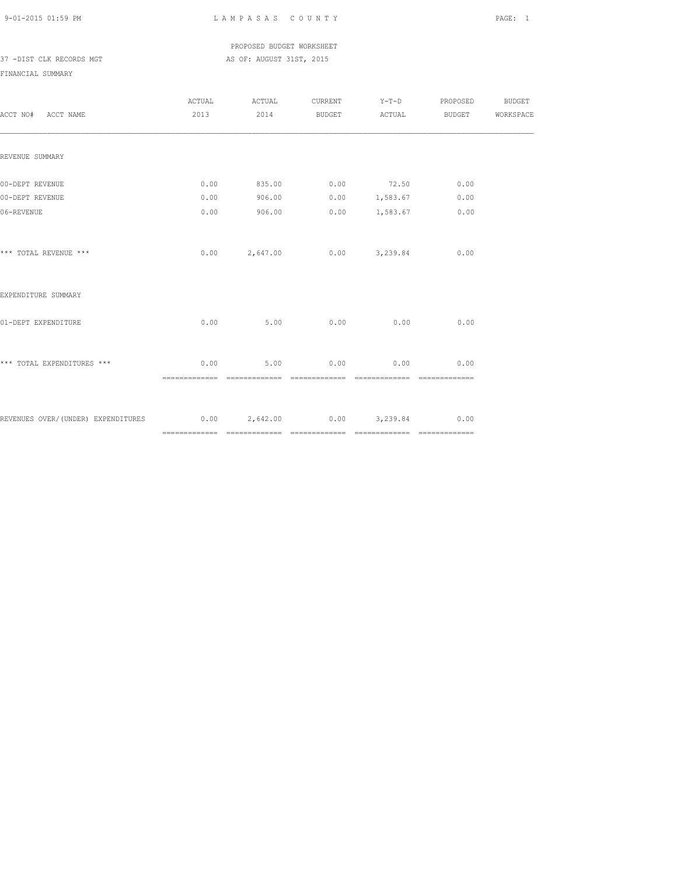PROPOSED BUDGET WORKSHEET 37 -DIST CLK RECORDS MGT AS OF: AUGUST 31ST, 2015

| ACCT NO# ACCT NAME                                                     | ACTUAL<br>2013 | ACTUAL |      |                                         | CURRENT Y-T-D PROPOSED BUDGET<br>2014 BUDGET ACTUAL BUDGET WORKSPACE |  |
|------------------------------------------------------------------------|----------------|--------|------|-----------------------------------------|----------------------------------------------------------------------|--|
| REVENUE SUMMARY                                                        |                |        |      |                                         |                                                                      |  |
| 00-DEPT REVENUE                                                        | 0.00           |        |      | 835.00 0.00 72.50 0.00                  |                                                                      |  |
| 00-DEPT REVENUE<br>06-REVENUE                                          | 0.00<br>0.00   | 906.00 |      | $906.00$ 0.00 1,583.67<br>0.00 1,583.67 | 0.00<br>0.00                                                         |  |
| *** TOTAL REVENUE ***                                                  |                |        |      | $0.00$ 2,647.00 0.00 3,239.84           | 0.00                                                                 |  |
| EXPENDITURE SUMMARY                                                    |                |        |      |                                         |                                                                      |  |
| 01-DEPT EXPENDITURE                                                    | 0.00           | 5.00   | 0.00 | 0.00                                    | 0.00                                                                 |  |
| *** TOTAL EXPENDITURES ***                                             | 0.00           | 5.00   | 0.00 | 0.00<br>==============                  | 0.00                                                                 |  |
| REVENUES OVER/(UNDER) EXPENDITURES $0.00$ $2,642.00$ $0.00$ $3,239.84$ |                |        |      |                                         | 0.00                                                                 |  |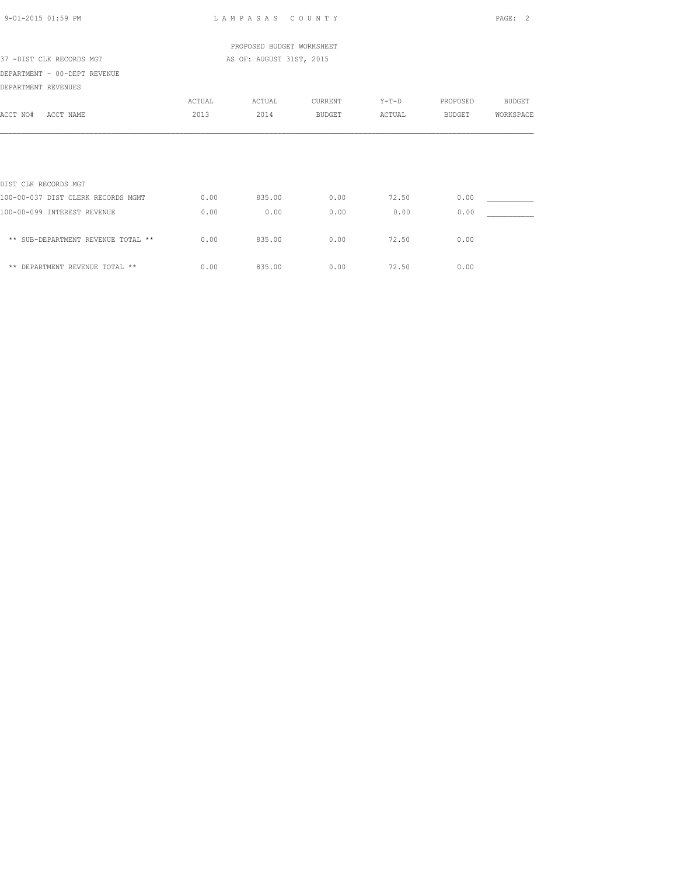| 9-01-2015 01:59 PM                 |        | LAMPASAS COUNTY           |               |        |          | PAGE:<br>2 |
|------------------------------------|--------|---------------------------|---------------|--------|----------|------------|
|                                    |        | PROPOSED BUDGET WORKSHEET |               |        |          |            |
| 37 -DIST CLK RECORDS MGT           |        | AS OF: AUGUST 31ST, 2015  |               |        |          |            |
| DEPARTMENT - 00-DEPT REVENUE       |        |                           |               |        |          |            |
| DEPARTMENT REVENUES                |        |                           |               |        |          |            |
|                                    | ACTUAL | ACTUAL                    | CURRENT       | Y-T-D  | PROPOSED | BUDGET     |
| ACCT NO#<br>ACCT NAME              | 2013   | 2014                      | <b>BUDGET</b> | ACTUAL | BUDGET   | WORKSPACE  |
|                                    |        |                           |               |        |          |            |
|                                    |        |                           |               |        |          |            |
| DIST CLK RECORDS MGT               |        |                           |               |        |          |            |
| 100-00-037 DIST CLERK RECORDS MGMT | 0.00   | 835.00                    | 0.00          | 72.50  | 0.00     |            |
| 100-00-099 INTEREST REVENUE        | 0.00   | 0.00                      | 0.00          | 0.00   | 0.00     |            |
| ** SUB-DEPARTMENT REVENUE TOTAL ** | 0.00   | 835.00                    | 0.00          | 72.50  | 0.00     |            |
| ** DEPARTMENT REVENUE TOTAL **     | 0.00   | 835.00                    | 0.00          | 72.50  | 0.00     |            |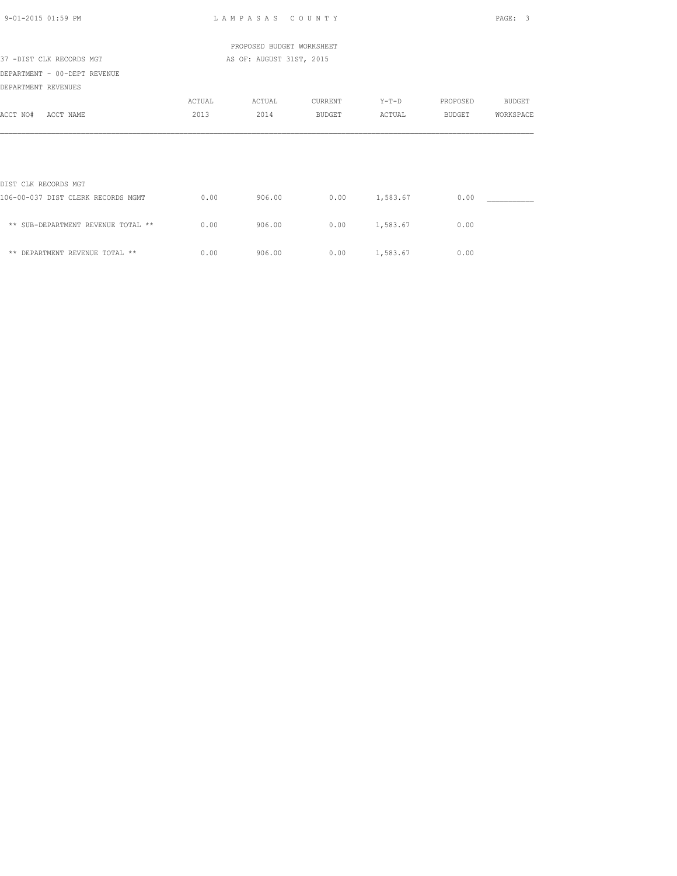| 9-01-2015 01:59 PM                 |        | LAMPASAS COUNTY           |         |                 |          | PAGE:<br>- 3  |
|------------------------------------|--------|---------------------------|---------|-----------------|----------|---------------|
|                                    |        | PROPOSED BUDGET WORKSHEET |         |                 |          |               |
| 37 -DIST CLK RECORDS MGT           |        | AS OF: AUGUST 31ST, 2015  |         |                 |          |               |
| DEPARTMENT - 00-DEPT REVENUE       |        |                           |         |                 |          |               |
| DEPARTMENT REVENUES                |        |                           |         |                 |          |               |
|                                    | ACTUAL | ACTUAL                    | CURRENT | $Y-T-D$         | PROPOSED | <b>BUDGET</b> |
| ACCT NO#<br>ACCT NAME              | 2013   | 2014                      | BUDGET  | ACTUAL          | BUDGET   | WORKSPACE     |
|                                    |        |                           |         |                 |          |               |
|                                    |        |                           |         |                 |          |               |
| DIST CLK RECORDS MGT               |        |                           |         |                 |          |               |
| 106-00-037 DIST CLERK RECORDS MGMT | 0.00   | 906.00                    |         | $0.00$ 1,583.67 | 0.00     |               |
| ** SUB-DEPARTMENT REVENUE TOTAL ** | 0.00   | 906.00                    | 0.00    | 1,583.67        | 0.00     |               |
| ** DEPARTMENT REVENUE TOTAL **     | 0.00   | 906.00                    | 0.00    | 1,583.67        | 0.00     |               |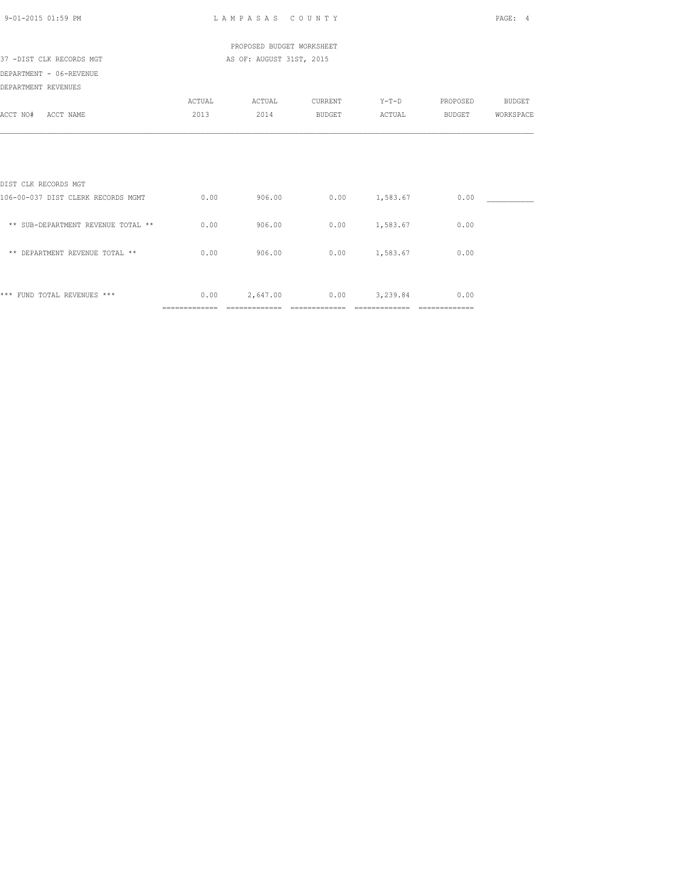| 9-01-2015 01:59 PM                 |                        | LAMPASAS COUNTY           |                        |                                |                        | PAGE:<br>4    |
|------------------------------------|------------------------|---------------------------|------------------------|--------------------------------|------------------------|---------------|
|                                    |                        | PROPOSED BUDGET WORKSHEET |                        |                                |                        |               |
| 37 -DIST CLK RECORDS MGT           |                        | AS OF: AUGUST 31ST, 2015  |                        |                                |                        |               |
| DEPARTMENT - 06-REVENUE            |                        |                           |                        |                                |                        |               |
| DEPARTMENT REVENUES                |                        |                           |                        |                                |                        |               |
|                                    | ACTUAL                 | ACTUAL                    | CURRENT                | $Y-T-D$                        | PROPOSED               | <b>BUDGET</b> |
| ACCT NO#<br>ACCT NAME              | 2013                   | 2014                      | <b>BUDGET</b>          | ACTUAL                         | BUDGET                 | WORKSPACE     |
| DIST CLK RECORDS MGT               |                        |                           |                        |                                |                        |               |
| 106-00-037 DIST CLERK RECORDS MGMT | 0.00                   | 906.00                    |                        | $0.00$ 1,583.67                | 0.00                   |               |
| ** SUB-DEPARTMENT REVENUE TOTAL ** | 0.00                   | 906.00                    |                        | $0.00$ 1,583.67                | 0.00                   |               |
| ** DEPARTMENT REVENUE TOTAL **     | 0.00                   | 906.00                    | 0.00                   | 1,583.67                       | 0.00                   |               |
| *** FUND TOTAL REVENUES ***        | 0.00<br>============== | 2,647.00<br>============= | 0.00<br>-------------- | 3,239.84<br>$=$ ============== | 0.00<br>============== |               |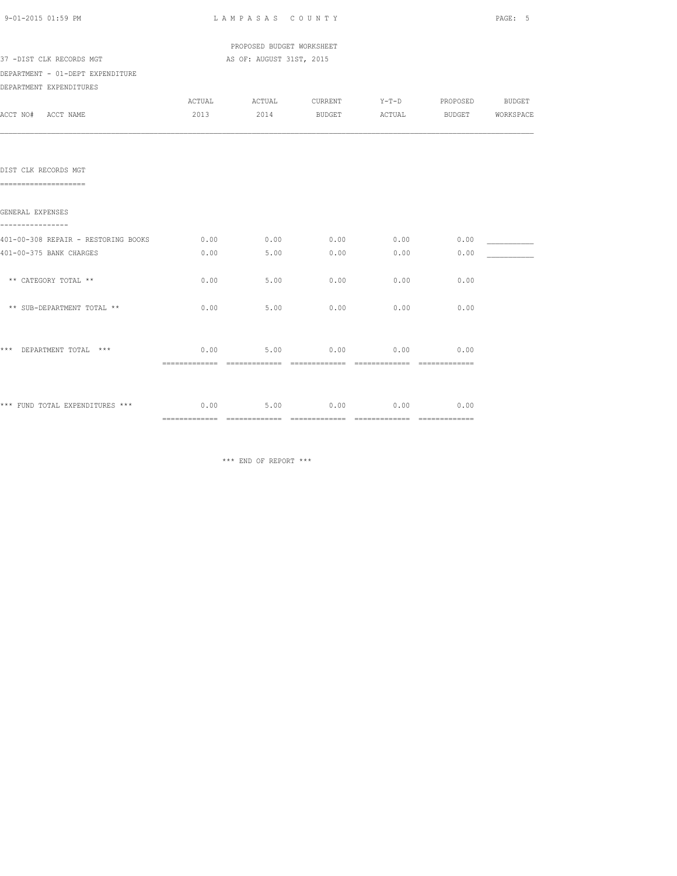| 9-01-2015 01:59 PM                            | LAMPASAS COUNTY |                           |                                |      |                       |           |
|-----------------------------------------------|-----------------|---------------------------|--------------------------------|------|-----------------------|-----------|
|                                               |                 | PROPOSED BUDGET WORKSHEET |                                |      |                       |           |
| 37 -DIST CLK RECORDS MGT                      |                 | AS OF: AUGUST 31ST, 2015  |                                |      |                       |           |
| DEPARTMENT - 01-DEPT EXPENDITURE              |                 |                           |                                |      |                       |           |
| DEPARTMENT EXPENDITURES                       |                 |                           |                                |      |                       |           |
|                                               |                 |                           | ACTUAL ACTUAL CURRENT          |      | Y-T-D PROPOSED BUDGET |           |
| ACCT NO# ACCT NAME                            |                 |                           | 2013 2014 BUDGET ACTUAL BUDGET |      |                       | WORKSPACE |
|                                               |                 |                           |                                |      |                       |           |
| DIST CLK RECORDS MGT<br>===================== |                 |                           |                                |      |                       |           |
| GENERAL EXPENSES<br>----------------          |                 |                           |                                |      |                       |           |
| 401-00-308 REPAIR - RESTORING BOOKS           | 0.00            |                           | $0.00$ 0.00                    | 0.00 | 0.00                  |           |
| 401-00-375 BANK CHARGES                       | 0.00            | 5.00                      | 0.00                           | 0.00 | 0.00                  |           |
| ** CATEGORY TOTAL **                          | 0.00            | 5.00                      | 0.00                           | 0.00 | 0.00                  |           |
| ** SUB-DEPARTMENT TOTAL **                    | 0.00            | 5.00                      | 0.00                           | 0.00 | 0.00                  |           |
| *** DEPARTMENT TOTAL ***                      | 0.00            | 5.00                      | 0.00                           | 0.00 | 0.00                  |           |
|                                               |                 |                           |                                |      |                       |           |
| *** FUND TOTAL EXPENDITURES ***               |                 |                           | $0.00$ 5.00 0.00 0.00          |      | 0.00                  |           |
|                                               |                 |                           |                                |      |                       |           |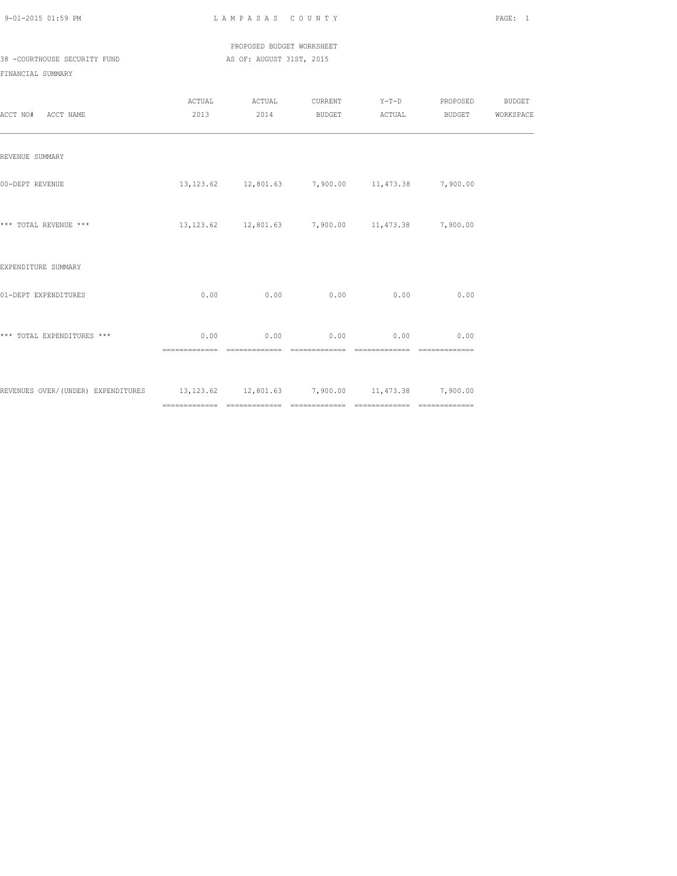PROPOSED BUDGET WORKSHEET 38 -COURTHOUSE SECURITY FUND AS OF: AUGUST 31ST, 2015

| ACCT NO# ACCT NAME                                                                 | ACTUAL                 | ACTUAL<br>2013 2014                                  |      |                                    | CURRENT Y-T-D PROPOSED<br>BUDGET ACTUAL BUDGET WORKSPACE | <b>BUDGET</b> |
|------------------------------------------------------------------------------------|------------------------|------------------------------------------------------|------|------------------------------------|----------------------------------------------------------|---------------|
| REVENUE SUMMARY                                                                    |                        |                                                      |      |                                    |                                                          |               |
| 00-DEPT REVENUE                                                                    |                        | 13, 123.62 12, 801.63 7, 900.00 11, 473.38 7, 900.00 |      |                                    |                                                          |               |
| *** TOTAL REVENUE ***                                                              |                        | 13, 123.62 12, 801.63 7, 900.00 11, 473.38 7, 900.00 |      |                                    |                                                          |               |
| EXPENDITURE SUMMARY                                                                |                        |                                                      |      |                                    |                                                          |               |
| 01-DEPT EXPENDITURES                                                               | 0.00                   | 0.00                                                 | 0.00 | 0.00                               | 0.00                                                     |               |
| *** TOTAL EXPENDITURES ***                                                         | 0.00<br>============== |                                                      |      | $0.00$ $0.00$ $0.00$ $0.00$ $0.00$ |                                                          |               |
| REVENUES OVER/(UNDER) EXPENDITURES 13,123.62 12,801.63 7,900.00 11,473.38 7,900.00 |                        |                                                      |      |                                    |                                                          |               |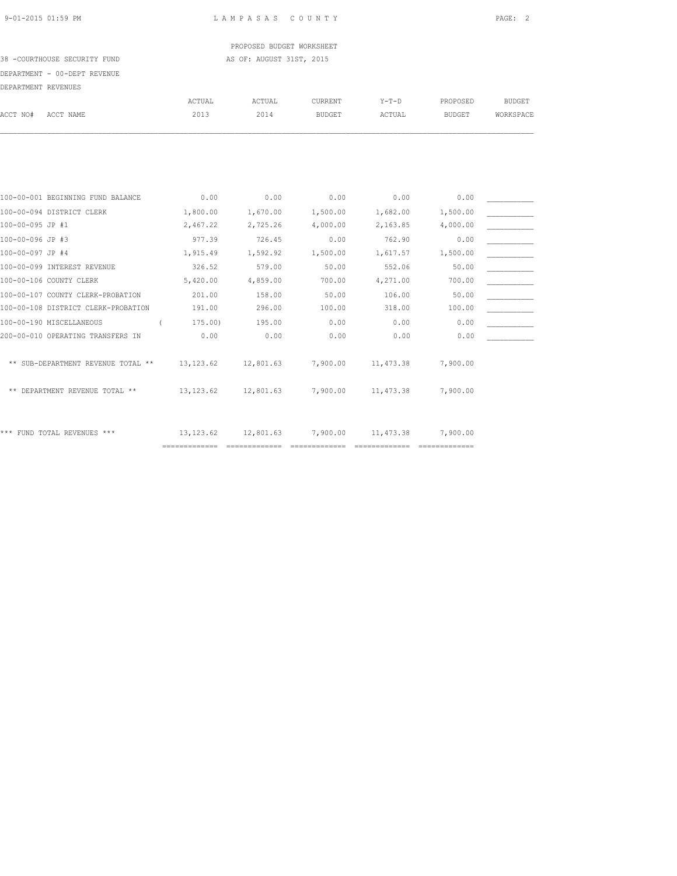PROPOSED BUDGET WORKSHEET 38 -COURTHOUSE SECURITY FUND AS OF: AUGUST 31ST, 2015

# DEPARTMENT - 00-DEPT REVENUE

| DEPARTMENT REVENUES                 |                |                |                          |                   |                           |                            |
|-------------------------------------|----------------|----------------|--------------------------|-------------------|---------------------------|----------------------------|
| ACCT NO#<br>ACCT NAME               | ACTUAL<br>2013 | ACTUAL<br>2014 | CURRENT<br><b>BUDGET</b> | $Y-T-D$<br>ACTUAL | PROPOSED<br><b>BUDGET</b> | <b>BUDGET</b><br>WORKSPACE |
|                                     |                |                |                          |                   |                           |                            |
| 100-00-001 BEGINNING FUND BALANCE   | 0.00           | 0.00           | 0.00                     | 0.00              | 0.00                      |                            |
| 100-00-094 DISTRICT CLERK           | 1,800.00       | 1,670.00       | 1,500.00                 | 1,682.00          | 1,500.00                  |                            |
| 100-00-095 JP #1                    | 2,467.22       | 2,725.26       | 4,000.00                 | 2,163.85          | 4,000.00                  |                            |
| 100-00-096 JP #3                    | 977.39         | 726.45         | 0.00                     | 762.90            | 0.00                      |                            |
| 100-00-097 JP #4                    | 1,915.49       | 1,592.92       | 1,500.00                 | 1,617.57          | 1,500.00                  |                            |
| 100-00-099 INTEREST REVENUE         | 326.52         | 579.00         | 50.00                    | 552.06            | 50.00                     |                            |
| 100-00-106 COUNTY CLERK             | 5,420.00       | 4,859.00       | 700.00                   | 4,271.00          | 700.00                    |                            |
| 100-00-107 COUNTY CLERK-PROBATION   | 201.00         | 158.00         | 50.00                    | 106.00            | 50.00                     |                            |
| 100-00-108 DISTRICT CLERK-PROBATION | 191.00         | 296.00         | 100.00                   | 318.00            | 100.00                    |                            |
| 100-00-190 MISCELLANEOUS            | 175.00         | 195.00         | 0.00                     | 0.00              | 0.00                      |                            |
| 200-00-010 OPERATING TRANSFERS IN   | 0.00           | 0.00           | 0.00                     | 0.00              | 0.00                      |                            |
| ** SUB-DEPARTMENT REVENUE TOTAL **  | 13, 123.62     | 12,801.63      | 7,900.00                 | 11, 473.38        | 7,900.00                  |                            |
| ** DEPARTMENT REVENUE TOTAL **      | 13, 123.62     | 12,801.63      | 7,900.00                 | 11, 473.38        | 7,900.00                  |                            |
| *** FUND TOTAL REVENUES ***         | 13, 123.62     | 12,801.63      | 7,900.00                 | 11, 473.38        | 7,900.00                  |                            |

============= ============= ============= ============= =============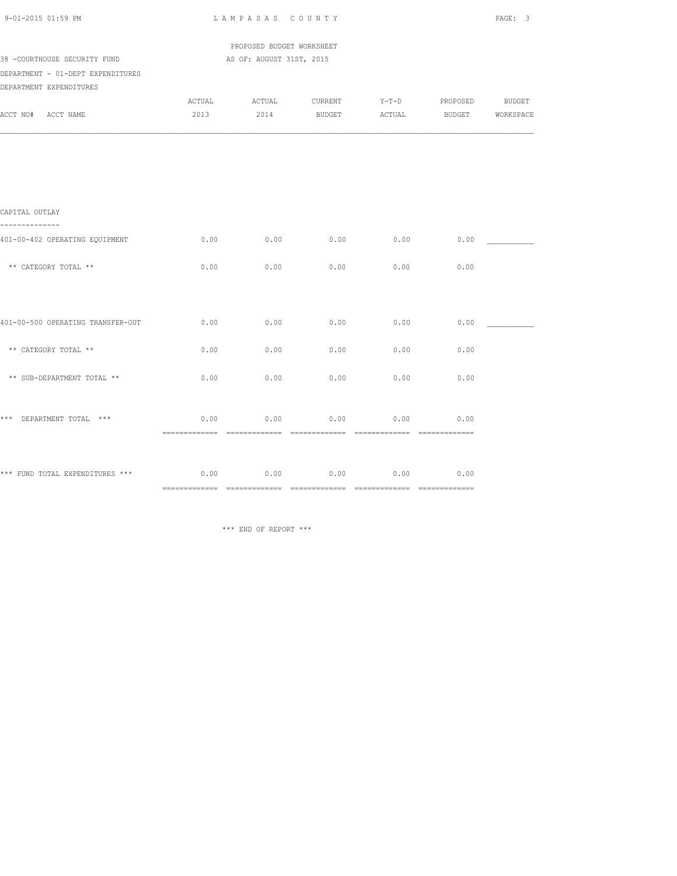| 9-01-2015 01:59 PM                                           |                | LAMPASAS COUNTY                                       |                   |                   |          |                                   |  |  |
|--------------------------------------------------------------|----------------|-------------------------------------------------------|-------------------|-------------------|----------|-----------------------------------|--|--|
| 38 -COURTHOUSE SECURITY FUND                                 |                | PROPOSED BUDGET WORKSHEET<br>AS OF: AUGUST 31ST, 2015 |                   |                   |          |                                   |  |  |
| DEPARTMENT - 01-DEPT EXPENDITURES<br>DEPARTMENT EXPENDITURES |                |                                                       |                   |                   |          |                                   |  |  |
| ACCT NO# ACCT NAME                                           | ACTUAL<br>2013 | ACTUAL<br>2014                                        | CURRENT<br>BUDGET | $Y-T-D$<br>ACTUAL | PROPOSED | <b>BUDGET</b><br>BUDGET WORKSPACE |  |  |
|                                                              |                |                                                       |                   |                   |          |                                   |  |  |
|                                                              |                |                                                       |                   |                   |          |                                   |  |  |
| CAPITAL OUTLAY<br>.                                          |                |                                                       |                   |                   |          |                                   |  |  |
| 401-00-402 OPERATING EQUIPMENT                               | 0.00           | 0.00                                                  | 0.00              | 0.00              | 0.00     |                                   |  |  |
| ** CATEGORY TOTAL **                                         | 0.00           | 0.00                                                  | 0.00              | 0.00              | 0.00     |                                   |  |  |
|                                                              |                |                                                       |                   |                   |          |                                   |  |  |
| 401-00-500 OPERATING TRANSFER-OUT                            | 0.00           | 0.00                                                  | 0.00              | 0.00              | 0.00     |                                   |  |  |
| ** CATEGORY TOTAL **                                         | 0.00           | 0.00                                                  | 0.00              | 0.00              | 0.00     |                                   |  |  |
| ** SUB-DEPARTMENT TOTAL **                                   | 0.00           | 0.00                                                  | 0.00              | 0.00              | 0.00     |                                   |  |  |
| *** DEPARTMENT TOTAL ***                                     | 0.00           | 0.00                                                  | 0.00              | 0.00              | 0.00     |                                   |  |  |
|                                                              |                |                                                       |                   |                   |          |                                   |  |  |
| *** FUND TOTAL EXPENDITURES *** $0.00$ 0.00 0.00             |                |                                                       | 0.00              | 0.00              | 0.00     |                                   |  |  |
|                                                              |                |                                                       |                   |                   |          |                                   |  |  |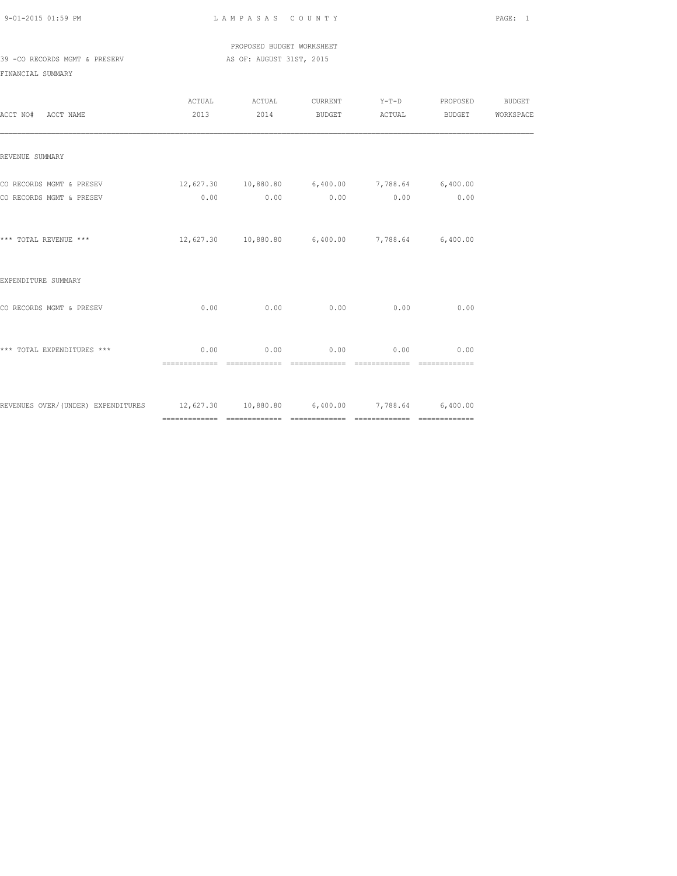PROPOSED BUDGET WORKSHEET 39 -CO RECORDS MGMT & PRESERV AS OF: AUGUST 31ST, 2015

| ACCT NO# ACCT NAME                                                                |                                                          | ACTUAL ACTUAL<br>2013 2014                               |                                    | CURRENT Y-T-D PROPOSED | BUDGET |
|-----------------------------------------------------------------------------------|----------------------------------------------------------|----------------------------------------------------------|------------------------------------|------------------------|--------|
| REVENUE SUMMARY                                                                   |                                                          |                                                          |                                    |                        |        |
| CO RECORDS MGMT & PRESEV<br>CO RECORDS MGMT & PRESEV                              | $12,627.30$ $10,880.80$ $6,400.00$ $7,788.64$ $6,400.00$ | $0.00$ $0.00$ $0.00$ $0.00$ $0.00$ $0.00$ $0.00$         |                                    |                        |        |
|                                                                                   |                                                          |                                                          |                                    |                        |        |
| *** TOTAL REVENUE ***                                                             |                                                          | $12,627.30$ $10,880.80$ $6,400.00$ $7,788.64$ $6,400.00$ |                                    |                        |        |
| EXPENDITURE SUMMARY                                                               |                                                          |                                                          |                                    |                        |        |
| CO RECORDS MGMT & PRESEV                                                          | 0.00                                                     |                                                          | $0.00$ $0.00$ $0.00$ $0.00$ $0.00$ |                        |        |
| *** TOTAL EXPENDITURES ***                                                        | 0.00                                                     |                                                          | $0.00$ $0.00$ $0.00$ $0.00$        | 0.00                   |        |
| REVENUES OVER/(UNDER) EXPENDITURES 12,627.30 10,880.80 6,400.00 7,788.64 6,400.00 |                                                          |                                                          |                                    |                        |        |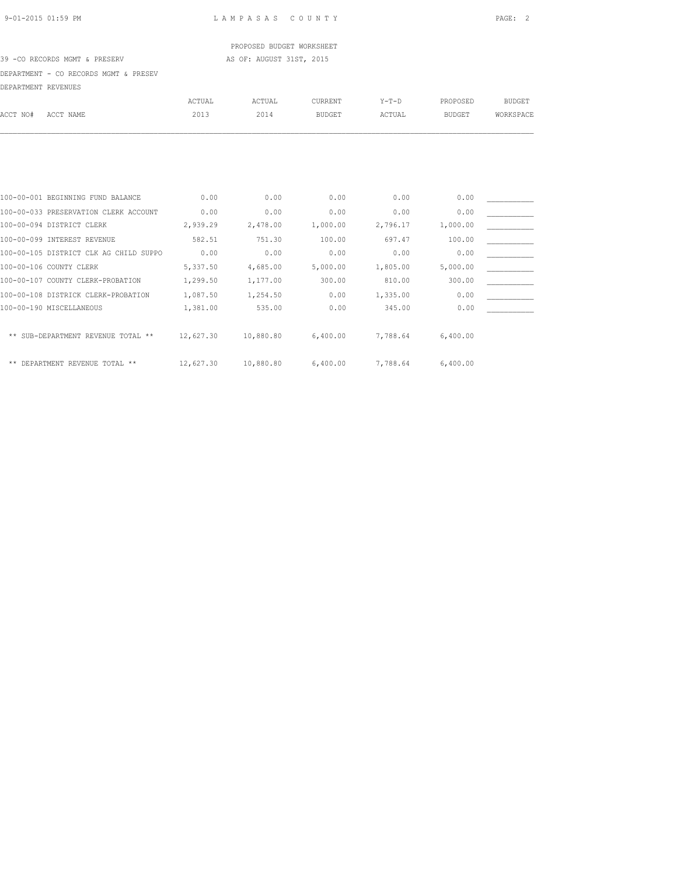## PROPOSED BUDGET WORKSHEET

### 39 -CO RECORDS MGMT & PRESERV AS OF: AUGUST 31ST, 2015

DEPARTMENT - CO RECORDS MGMT & PRESEV

|                     | DEPARIMENI - CO RECORDS MGMI & PRESEV  |           |               |                |          |               |               |
|---------------------|----------------------------------------|-----------|---------------|----------------|----------|---------------|---------------|
| DEPARTMENT REVENUES |                                        |           |               |                |          |               |               |
|                     |                                        | ACTUAL    | <b>ACTUAL</b> | <b>CURRENT</b> | $Y-T-D$  | PROPOSED      | <b>BUDGET</b> |
| ACCT NO#            | ACCT NAME                              | 2013      | 2014          | <b>BUDGET</b>  | ACTUAL   | <b>BUDGET</b> | WORKSPACE     |
|                     |                                        |           |               |                |          |               |               |
|                     |                                        |           |               |                |          |               |               |
|                     |                                        |           |               |                |          |               |               |
|                     | 100-00-001 BEGINNING FUND BALANCE      | 0.00      | 0.00          | 0.00           | 0.00     | 0.00          |               |
|                     | 100-00-033 PRESERVATION CLERK ACCOUNT  | 0.00      | 0.00          | 0.00           | 0.00     | 0.00          |               |
|                     | 100-00-094 DISTRICT CLERK              | 2,939.29  | 2,478.00      | 1,000.00       | 2,796.17 | 1,000.00      |               |
|                     | 100-00-099 INTEREST REVENUE            | 582.51    | 751.30        | 100.00         | 697.47   | 100.00        |               |
|                     | 100-00-105 DISTRICT CLK AG CHILD SUPPO | 0.00      | 0.00          | 0.00           | 0.00     | 0.00          |               |
|                     | 100-00-106 COUNTY CLERK                | 5,337.50  | 4,685.00      | 5,000.00       | 1,805.00 | 5,000.00      |               |
|                     | 100-00-107 COUNTY CLERK-PROBATION      | 1,299.50  | 1,177.00      | 300.00         | 810.00   | 300.00        |               |
|                     | 100-00-108 DISTRICK CLERK-PROBATION    | 1,087.50  | 1,254.50      | 0.00           | 1,335.00 | 0.00          |               |
|                     | 100-00-190 MISCELLANEOUS               | 1,381.00  | 535.00        | 0.00           | 345.00   | 0.00          |               |
| $* *$               | SUB-DEPARTMENT REVENUE TOTAL **        | 12,627.30 | 10,880.80     | 6,400.00       | 7,788.64 | 6,400.00      |               |
|                     |                                        |           |               |                |          |               |               |

\*\* DEPARTMENT REVENUE TOTAL \*\* 12,627.30 10,880.80 6,400.00 7,788.64 6,400.00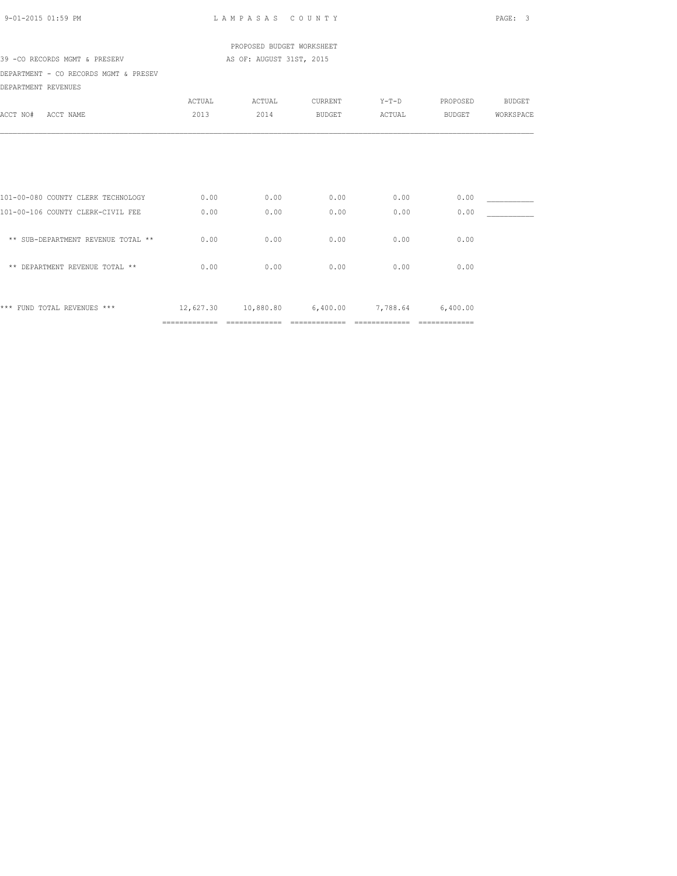| 9-01-2015 01:59 PM                    |               | LAMPASAS COUNTY           | PAGE: 3        |                                       |                |               |
|---------------------------------------|---------------|---------------------------|----------------|---------------------------------------|----------------|---------------|
|                                       |               | PROPOSED BUDGET WORKSHEET |                |                                       |                |               |
| 39 -CO RECORDS MGMT & PRESERV         |               |                           |                |                                       |                |               |
| DEPARTMENT - CO RECORDS MGMT & PRESEV |               |                           |                |                                       |                |               |
| DEPARTMENT REVENUES                   |               |                           |                |                                       |                |               |
|                                       | ACTUAL        | ACTUAL                    | CURRENT        | $Y-T-D$                               | PROPOSED       | <b>BUDGET</b> |
| ACCT NAME<br>ACCT NO#                 | 2013          | 2014                      | BUDGET         | ACTUAL                                | BUDGET         | WORKSPACE     |
|                                       |               |                           |                |                                       |                |               |
| 101-00-080 COUNTY CLERK TECHNOLOGY    | 0.00          | 0.00                      | 0.00           | 0.00                                  | 0.00           |               |
| 101-00-106 COUNTY CLERK-CIVIL FEE     | 0.00          | 0.00                      | 0.00           | 0.00                                  | 0.00           |               |
| ** SUB-DEPARTMENT REVENUE TOTAL **    | 0.00          | 0.00                      | 0.00           | 0.00                                  | 0.00           |               |
| ** DEPARTMENT REVENUE TOTAL **        | 0.00          | 0.00                      | 0.00           | 0.00                                  | 0.00           |               |
| *** FUND TOTAL REVENUES ***           |               |                           |                | 12,627.30 10,880.80 6,400.00 7,788.64 | 6,400.00       |               |
|                                       | ============= | ==============            | ============== | ==============                        | ============== |               |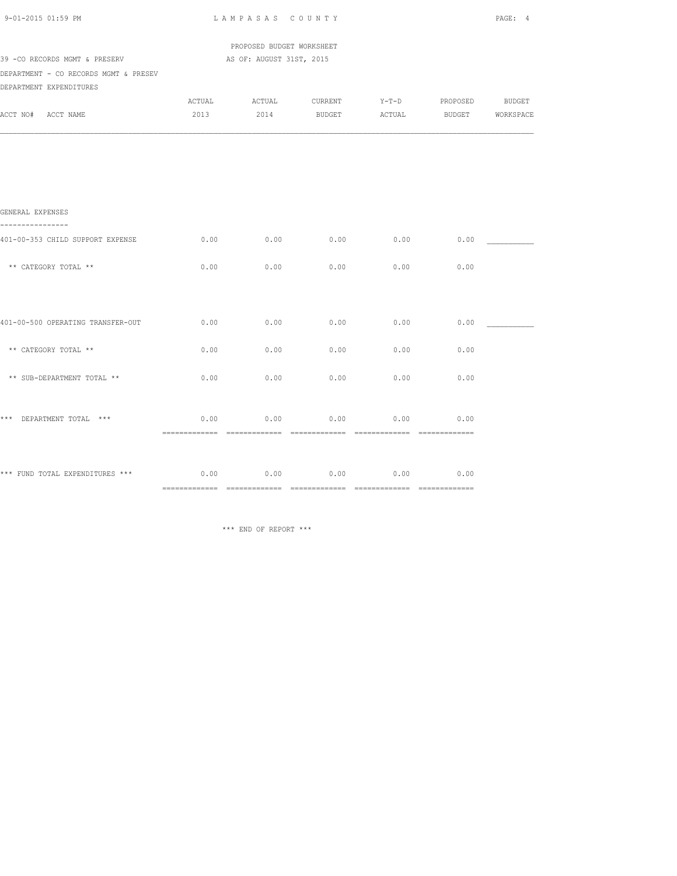| 9-01-2015 01:59 PM                               |        | LAMPASAS COUNTY           |               |         |          |                  |  |  |
|--------------------------------------------------|--------|---------------------------|---------------|---------|----------|------------------|--|--|
|                                                  |        | PROPOSED BUDGET WORKSHEET |               |         |          |                  |  |  |
| 39 - CO RECORDS MGMT & PRESERV                   |        | AS OF: AUGUST 31ST, 2015  |               |         |          |                  |  |  |
| DEPARTMENT - CO RECORDS MGMT & PRESEV            |        |                           |               |         |          |                  |  |  |
| DEPARTMENT EXPENDITURES                          |        |                           |               |         |          |                  |  |  |
|                                                  | ACTUAL | ACTUAL                    | CURRENT       | $Y-T-D$ | PROPOSED | <b>BUDGET</b>    |  |  |
| ACCT NO# ACCT NAME                               | 2013   | 2014                      | <b>BUDGET</b> | ACTUAL  |          | BUDGET WORKSPACE |  |  |
|                                                  |        |                           |               |         |          |                  |  |  |
| GENERAL EXPENSES<br>----------                   |        |                           |               |         |          |                  |  |  |
| 401-00-353 CHILD SUPPORT EXPENSE                 | 0.00   | 0.00                      | 0.00          | 0.00    | 0.00     |                  |  |  |
| ** CATEGORY TOTAL **                             | 0.00   | 0.00                      | 0.00          | 0.00    | 0.00     |                  |  |  |
|                                                  |        |                           |               |         |          |                  |  |  |
| 401-00-500 OPERATING TRANSFER-OUT                | 0.00   | 0.00                      | 0.00          | 0.00    | 0.00     |                  |  |  |
| ** CATEGORY TOTAL **                             | 0.00   | 0.00                      | 0.00          | 0.00    | 0.00     |                  |  |  |
| ** SUB-DEPARTMENT TOTAL **                       | 0.00   | 0.00                      | 0.00          | 0.00    | 0.00     |                  |  |  |
| *** DEPARTMENT TOTAL ***                         | 0.00   | 0.00                      | 0.00          | 0.00    | 0.00     |                  |  |  |
|                                                  |        |                           |               |         |          |                  |  |  |
| *** FUND TOTAL EXPENDITURES *** $0.00$ 0.00 0.00 |        |                           | 0.00          | 0.00    | 0.00     |                  |  |  |
|                                                  |        |                           |               |         |          |                  |  |  |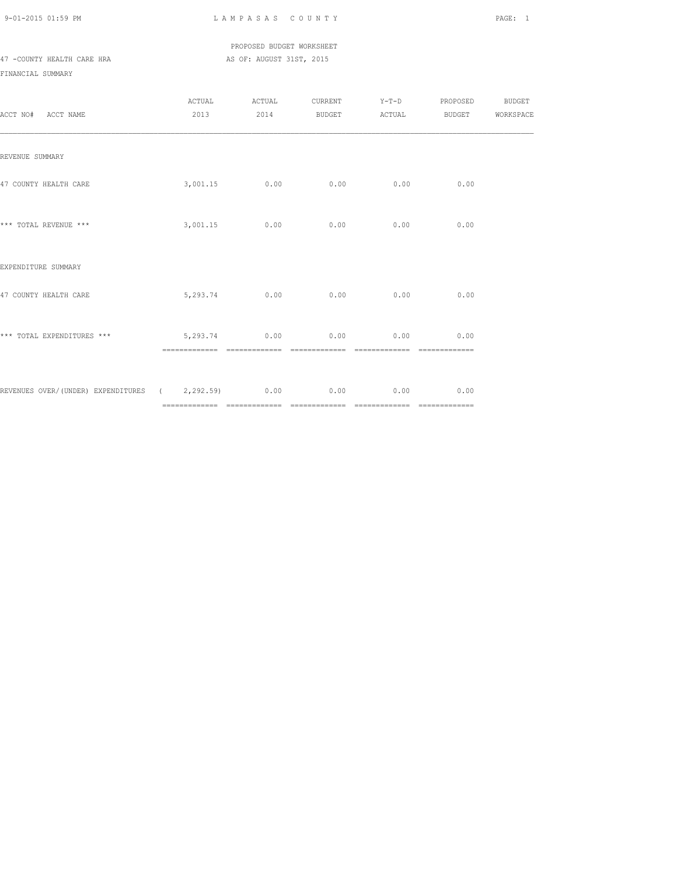### PROPOSED BUDGET WORKSHEET 47 -COUNTY HEALTH CARE HRA AS OF: AUGUST 31ST, 2015

| ACCT NO# ACCT NAME                                      |                           |               | ${\tt ACTUAL} \hspace{2.3cm} {\tt ACTUAL} \hspace{2.3cm} {\tt V-T-D} \hspace{2.3cm} {\tt PROPOSED} \hspace{2.3cm} {\tt BUDGET}$<br>2013 2014 BUDGET ACTUAL BUDGET WORKSPACE |                               |               |  |
|---------------------------------------------------------|---------------------------|---------------|-----------------------------------------------------------------------------------------------------------------------------------------------------------------------------|-------------------------------|---------------|--|
| REVENUE SUMMARY                                         |                           |               |                                                                                                                                                                             |                               |               |  |
| 47 COUNTY HEALTH CARE                                   | $3,001.15$ 0.00 0.00 0.00 |               |                                                                                                                                                                             |                               | 0.00          |  |
| *** TOTAL REVENUE ***                                   |                           | 3,001.15 0.00 | 0.00                                                                                                                                                                        | 0.00                          | 0.00          |  |
| EXPENDITURE SUMMARY                                     |                           |               |                                                                                                                                                                             |                               |               |  |
| 47 COUNTY HEALTH CARE                                   | 5,293.74 0.00             |               | 0.00                                                                                                                                                                        | 0.00                          | 0.00          |  |
| *** TOTAL EXPENDITURES *** $5,293.74$ 0.00 0.00         |                           |               |                                                                                                                                                                             | $0.00$ 0.00<br>============== | ============= |  |
| REVENUES OVER/(UNDER) EXPENDITURES (2,292.59) 0.00 0.00 |                           |               |                                                                                                                                                                             | 0.00                          | 0.00          |  |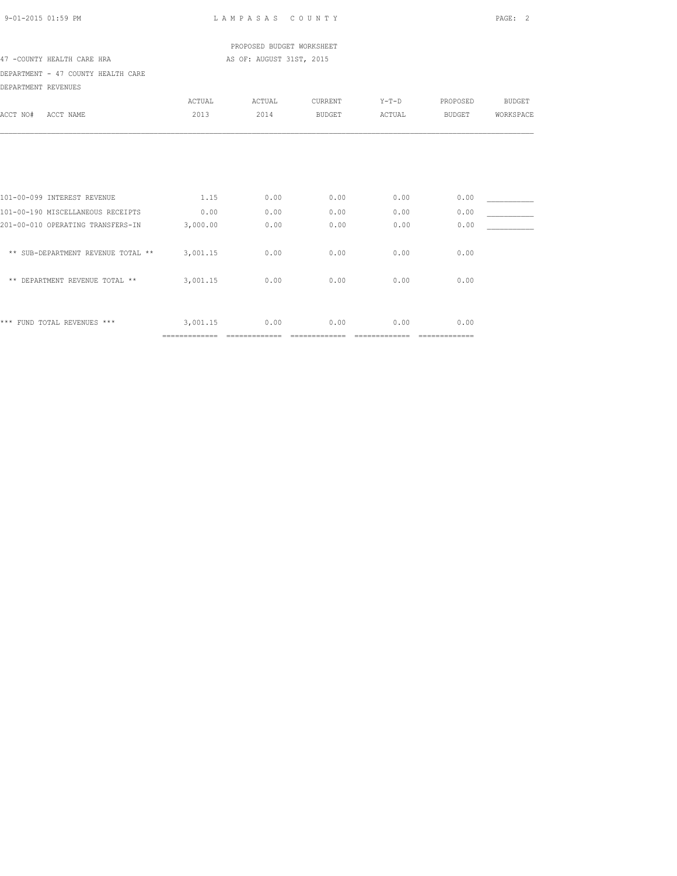| 9-01-2015 01:59 PM |  |
|--------------------|--|

L A M P A S A S C O U N T Y PAGE: 2

 PROPOSED BUDGET WORKSHEET 47 -COUNTY HEALTH CARE HRA AS OF: AUGUST 31ST, 2015

DEPARTMENT - 47 COUNTY HEALTH CARE

| ACCT NAME<br>ACCT NO#                                                  | <b>ACTUAL</b><br>2013 | ACTUAL<br>2014 | CURRENT<br><b>BUDGET</b> | $Y-T-D$<br>ACTUAL | PROPOSED<br><b>BUDGET</b> | <b>BUDGET</b><br>WORKSPACE |
|------------------------------------------------------------------------|-----------------------|----------------|--------------------------|-------------------|---------------------------|----------------------------|
|                                                                        |                       |                |                          |                   |                           |                            |
| 101-00-099 INTEREST REVENUE                                            | 1.15                  | 0.00           | 0.00                     | 0.00              | 0.00                      |                            |
| 101-00-190 MISCELLANEOUS RECEIPTS<br>201-00-010 OPERATING TRANSFERS-IN | 0.00<br>3,000.00      | 0.00<br>0.00   | 0.00<br>0.00             | 0.00<br>0.00      | 0.00<br>0.00              |                            |
| ** SUB-DEPARTMENT REVENUE TOTAL **                                     | 3,001.15              | 0.00           | 0.00                     | 0.00              | 0.00                      |                            |
| ** DEPARTMENT REVENUE TOTAL **                                         | 3,001.15              | 0.00           | 0.00                     | 0.00              | 0.00                      |                            |
| *** FUND TOTAL REVENUES ***                                            | 3,001.15              | 0.00           | 0.00                     | 0.00              | 0.00                      |                            |
|                                                                        | =============         |                |                          |                   | =============             |                            |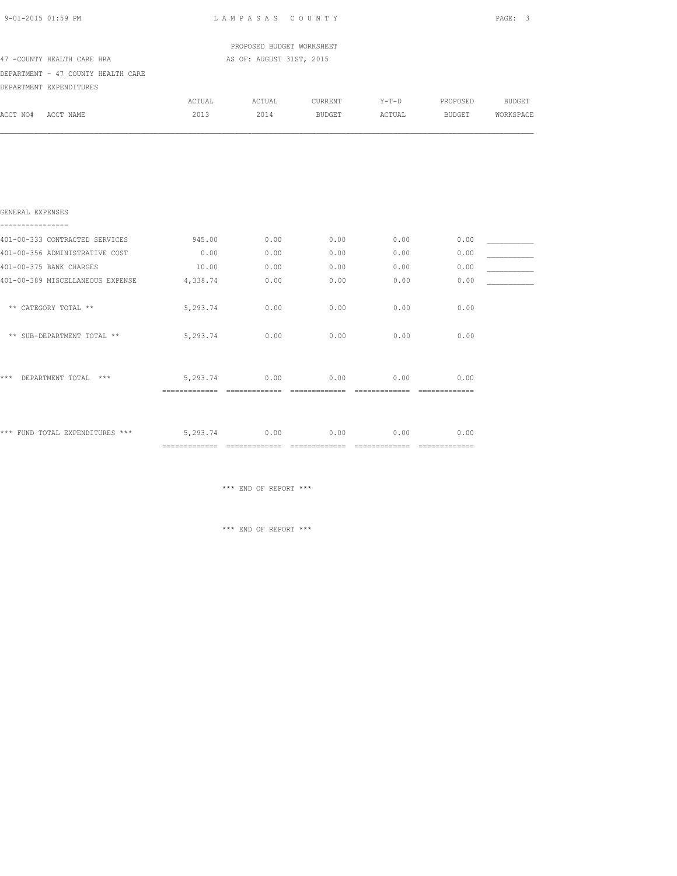| 9-01-2015 01:59 PM                                                  |               | LAMPASAS COUNTY           |         |         |               | PAGE: 3       |
|---------------------------------------------------------------------|---------------|---------------------------|---------|---------|---------------|---------------|
|                                                                     |               | PROPOSED BUDGET WORKSHEET |         |         |               |               |
| 47 -COUNTY HEALTH CARE HRA                                          |               | AS OF: AUGUST 31ST, 2015  |         |         |               |               |
| DEPARTMENT - 47 COUNTY HEALTH CARE                                  |               |                           |         |         |               |               |
| DEPARTMENT EXPENDITURES                                             |               |                           |         |         |               |               |
|                                                                     | ACTUAL        | ACTUAL                    | CURRENT | $Y-T-D$ | PROPOSED      | <b>BUDGET</b> |
| ACCT NO# ACCT NAME                                                  | 2013          | 2014 BUDGET               |         | ACTUAL  | <b>BUDGET</b> | WORKSPACE     |
|                                                                     |               |                           |         |         |               |               |
| GENERAL EXPENSES<br>----------------                                |               |                           |         |         |               |               |
| 401-00-333 CONTRACTED SERVICES                                      | 945.00        | 0.00                      | 0.00    | 0.00    | 0.00          |               |
| 401-00-356 ADMINISTRATIVE COST                                      | 0.00          | 0.00                      | 0.00    | 0.00    | 0.00          |               |
| 401-00-375 BANK CHARGES                                             | 10.00         | 0.00                      | 0.00    | 0.00    | 0.00          |               |
| 401-00-389 MISCELLANEOUS EXPENSE                                    | 4,338.74      | 0.00                      | 0.00    | 0.00    | 0.00          |               |
| ** CATEGORY TOTAL **                                                | 5,293.74      | 0.00                      | 0.00    | 0.00    | 0.00          |               |
| ** SUB-DEPARTMENT TOTAL **                                          | 5,293.74      | 0.00                      | 0.00    | 0.00    | 0.00          |               |
| *** DEPARTMENT TOTAL ***                                            | 5,293.74 0.00 |                           | 0.00    | 0.00    | 0.00          |               |
| *** FUND TOTAL EXPENDITURES *** $5,293.74$ 0.00 0.00 0.00 0.00 0.00 |               |                           |         |         |               |               |

============= ============= ============= ============= =============

\*\*\* END OF REPORT \*\*\*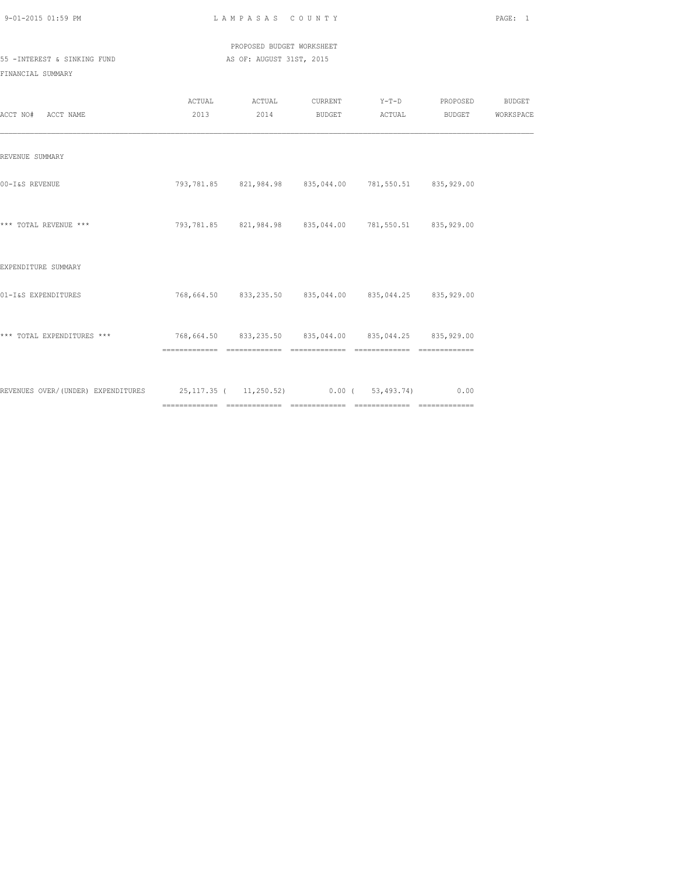| 9-01-2015 01:59 PM |  |
|--------------------|--|

LAMPASAS COUNTY PAGE: 1

 PROPOSED BUDGET WORKSHEET 55 -INTEREST & SINKING FUND AS OF: AUGUST 31ST, 2015

| ACCT NO# ACCT NAME                                                                              |  | ACTUAL ACTUAL CURRENT Y-T-D PROPOSED BUDGET<br>2013 2014 BUDGET ACTUAL | BUDGET | WORKSPACE |
|-------------------------------------------------------------------------------------------------|--|------------------------------------------------------------------------|--------|-----------|
| REVENUE SUMMARY                                                                                 |  |                                                                        |        |           |
| 00-I&S REVENUE                                                                                  |  | 793,781.85 821,984.98 835,044.00 781,550.51 835,929.00                 |        |           |
| *** TOTAL REVENUE ***                                                                           |  | 793,781.85 821,984.98 835,044.00 781,550.51 835,929.00                 |        |           |
| EXPENDITURE SUMMARY                                                                             |  |                                                                        |        |           |
| 01-I&S EXPENDITURES                                                                             |  | 768,664.50 833,235.50 835,044.00 835,044.25 835,929.00                 |        |           |
| *** TOTAL EXPENDITURES ***<br>768,664.50    83,235.50    835,044.00    835,044.25    835,929.00 |  |                                                                        |        |           |
| REVENUES OVER/(UNDER) EXPENDITURES 25,117.35 ( 11,250.52) 0.00 ( 53,493.74) 0.00                |  |                                                                        |        |           |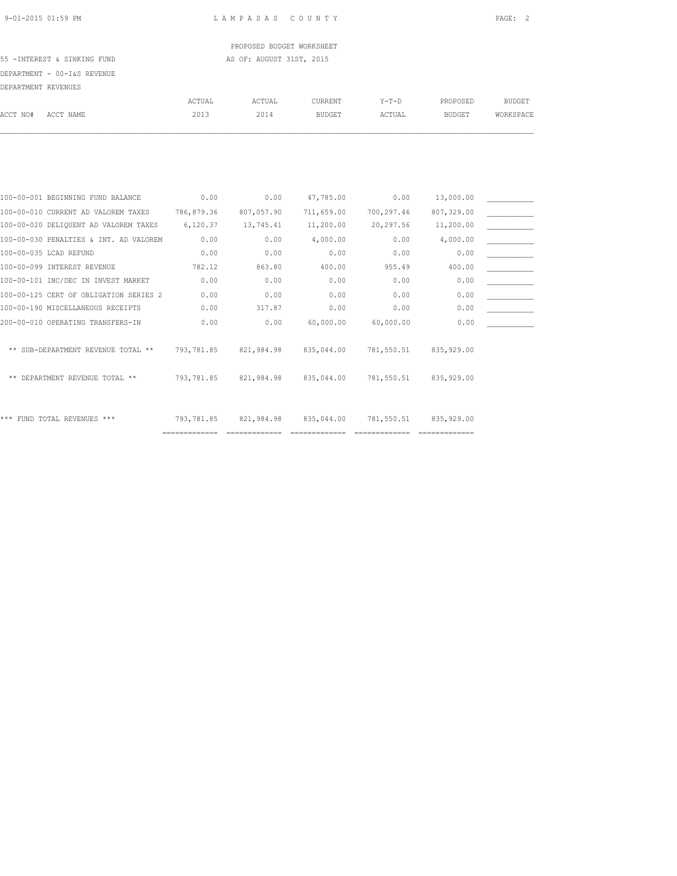PROPOSED BUDGET WORKSHEET 55 -INTEREST & SINKING FUND **AS OF: AUGUST 31ST, 2015** 

DEPARTMENT - 00-I&S REVENUE

| DEPARTMENT REVENUES |                                   |                |                |                          |                   |                    |                            |
|---------------------|-----------------------------------|----------------|----------------|--------------------------|-------------------|--------------------|----------------------------|
| ACCT NO#            | ACCT NAME                         | ACTUAL<br>2013 | ACTUAL<br>2014 | CURRENT<br><b>BUDGET</b> | $Y-T-D$<br>ACTUAL | PROPOSED<br>BUDGET | <b>BUDGET</b><br>WORKSPACE |
|                     |                                   |                |                |                          |                   |                    |                            |
|                     |                                   |                |                |                          |                   |                    |                            |
|                     | 100-00-001 BEGINNING FUND BALANCE | 0.00           | 0.00           | 47,785.00                | 0.00              | 13,000.00          |                            |

| 100-00-010 CURRENT AD VALOREM TAXES         | 786,879.36 | 807,057.90   | 711,659.00 | 700,297.46 | 807,329.00   |  |
|---------------------------------------------|------------|--------------|------------|------------|--------------|--|
| 100-00-020 DELIQUENT AD VALOREM TAXES       | 6,120.37   | 13,745.41    | 11,200.00  | 20,297.56  | 11,200.00    |  |
| 100-00-030 PENALTIES & INT. AD VALOREM      | 0.00       | 0.00         | 4,000.00   | 0.00       | 4,000.00     |  |
| 100-00-035 LCAD REFUND                      | 0.00       | 0.00         | 0.00       | 0.00       | 0.00         |  |
| 100-00-099 INTEREST REVENUE                 | 782.12     | 863.80       | 400.00     | 955.49     | 400.00       |  |
| 100-00-101 INC/DEC IN INVEST MARKET         | 0.00       | 0.00         | 0.00       | 0.00       | 0.00         |  |
| 100-00-125 CERT OF OBLIGATION SERIES 2      | 0.00       | 0.00         | 0.00       | 0.00       | 0.00         |  |
| 100-00-190 MISCELLANEOUS RECEIPTS           | 0.00       | 317.87       | 0.00       | 0.00       | 0.00         |  |
| 200-00-010 OPERATING TRANSFERS-IN           | 0.00       | 0.00         | 60,000.00  | 60,000.00  | 0.00         |  |
| ** SUB-DEPARTMENT REVENUE TOTAL **          | 793,781.85 | 821,984.98   | 835,044.00 | 781,550.51 | 835,929.00   |  |
| DEPARTMENT REVENUE TOTAL **<br>$\star\star$ | 793,781.85 | 821,984.98   | 835,044.00 | 781,550.51 | 835, 929, 00 |  |
| *** FUND TOTAL REVENUES ***                 | 793,781.85 | 821, 984, 98 | 835,044.00 | 781,550.51 | 835, 929, 00 |  |
|                                             |            |              |            |            |              |  |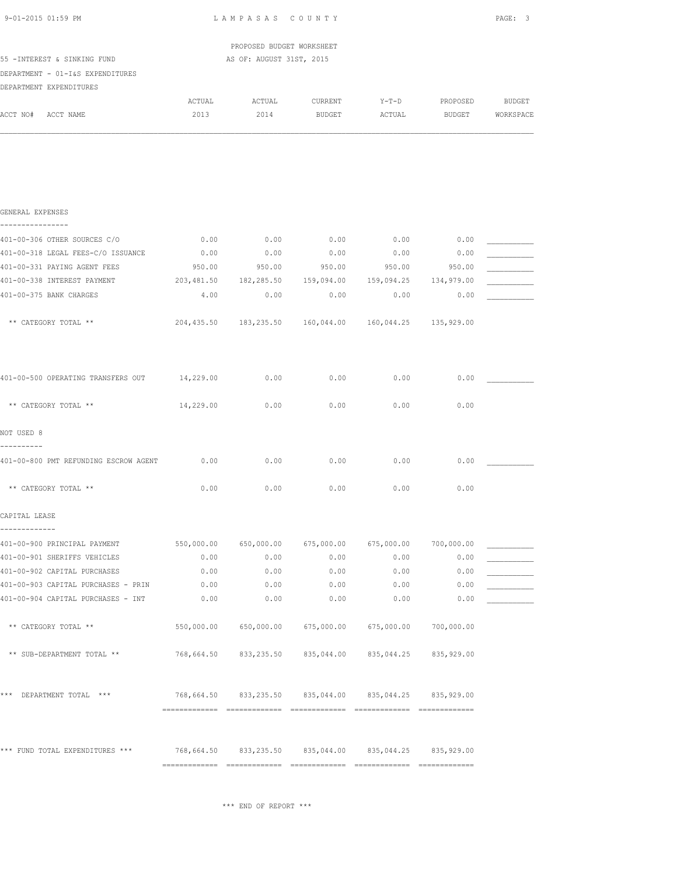| 9-01-2015 01:59 PM                                                                  | LAMPASAS COUNTY |                                                            |                   |                   |                           |                     |
|-------------------------------------------------------------------------------------|-----------------|------------------------------------------------------------|-------------------|-------------------|---------------------------|---------------------|
|                                                                                     |                 | PROPOSED BUDGET WORKSHEET                                  |                   |                   |                           |                     |
| 55 -INTEREST & SINKING FUND<br>DEPARTMENT - 01-I&S EXPENDITURES                     |                 | AS OF: AUGUST 31ST, 2015                                   |                   |                   |                           |                     |
| DEPARTMENT EXPENDITURES                                                             |                 |                                                            |                   |                   |                           |                     |
| ACCT NO# ACCT NAME                                                                  | ACTUAL<br>2013  | ACTUAL<br>2014                                             | CURRENT<br>BUDGET | $Y-T-D$<br>ACTUAL | PROPOSED<br><b>BUDGET</b> | BUDGET<br>WORKSPACE |
|                                                                                     |                 |                                                            |                   |                   |                           |                     |
| GENERAL EXPENSES<br>----------------                                                |                 |                                                            |                   |                   |                           |                     |
| 401-00-306 OTHER SOURCES C/O                                                        | 0.00            | 0.00                                                       | 0.00              | 0.00              | 0.00                      |                     |
| 401-00-318 LEGAL FEES-C/O ISSUANCE                                                  | 0.00            | 0.00                                                       | 0.00              | 0.00              | 0.00                      |                     |
| 401-00-331 PAYING AGENT FEES                                                        | 950.00          | 950.00                                                     | 950.00            | 950.00            | 950.00                    |                     |
| 401-00-338 INTEREST PAYMENT                                                         |                 | 203,481.50 182,285.50 159,094.00 159,094.25 134,979.00     |                   |                   |                           |                     |
| 401-00-375 BANK CHARGES                                                             | 4.00            | 0.00                                                       | 0.00              | 0.00              | 0.00                      |                     |
|                                                                                     |                 |                                                            |                   |                   |                           |                     |
| ** CATEGORY TOTAL **                                                                |                 | 204,435.50 183,235.50 160,044.00 160,044.25 135,929.00     |                   |                   |                           |                     |
| 401-00-500 OPERATING TRANSFERS OUT 14,229.00                                        |                 | 0.00                                                       | 0.00              | 0.00              | 0.00                      |                     |
| ** CATEGORY TOTAL **                                                                | 14,229.00       | 0.00                                                       | 0.00              | 0.00              | 0.00                      |                     |
| NOT USED 8<br>----------                                                            |                 |                                                            |                   |                   |                           |                     |
| 401-00-800 PMT REFUNDING ESCROW AGENT 0.00                                          |                 | 0.00                                                       | 0.00              | 0.00              | 0.00                      |                     |
| ** CATEGORY TOTAL **                                                                | 0.00            | 0.00                                                       | 0.00              | 0.00              | 0.00                      |                     |
| CAPITAL LEASE<br>-------------                                                      |                 |                                                            |                   |                   |                           |                     |
| 401-00-900 PRINCIPAL PAYMENT 550,000.00 650,000.00 675,000.00 675,000.00 700,000.00 |                 |                                                            |                   |                   |                           |                     |
| 401-00-901 SHERIFFS VEHICLES                                                        | 0.00            |                                                            | $0.00$ 0.00       | 0.00              | 0.00                      |                     |
| 401-00-902 CAPITAL PURCHASES                                                        | 0.00            | 0.00                                                       | 0.00              | 0.00              | 0.00                      |                     |
| 401-00-903 CAPITAL PURCHASES - PRIN                                                 | 0.00            | 0.00                                                       | 0.00              | 0.00              | 0.00                      |                     |
| 401-00-904 CAPITAL PURCHASES - INT                                                  | 0.00            | 0.00                                                       | 0.00              | 0.00              | 0.00                      |                     |
| ** CATEGORY TOTAL **                                                                |                 | 550,000.00 650,000.00 675,000.00 675,000.00 700,000.00     |                   |                   |                           |                     |
| ** SUB-DEPARTMENT TOTAL **                                                          |                 | 768,664.50 833,235.50 835,044.00 835,044.25 835,929.00     |                   |                   |                           |                     |
| *** DEPARTMENT TOTAL ***                                                            |                 | 768,664.50  833,235.50  835,044.00  835,044.25  835,929.00 |                   |                   |                           |                     |
|                                                                                     |                 |                                                            |                   |                   |                           |                     |
| *** FUND TOTAL EXPENDITURES ***                                                     |                 | 768,664.50  833,235.50  835,044.00  835,044.25  835,929.00 |                   |                   |                           |                     |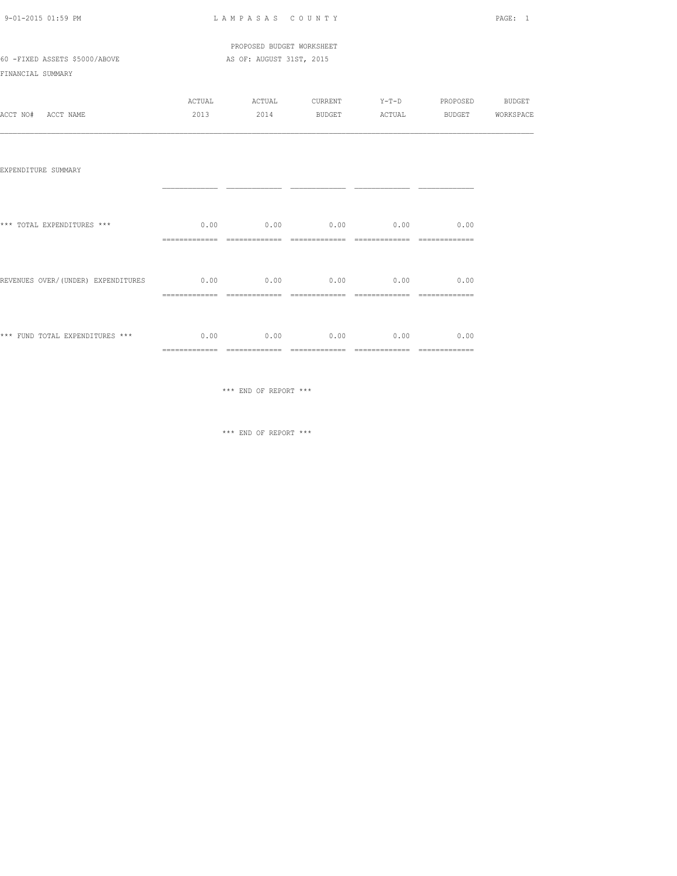| 9-01-2015 01:59 PM |  |
|--------------------|--|

LAMPASAS COUNTY PAGE: 1

 PROPOSED BUDGET WORKSHEET 60 -FIXED ASSETS \$5000/ABOVE AS OF: AUGUST 31ST, 2015

FINANCIAL SUMMARY

|          |           | ACTUAL | ACTUAL | CURRENT       | Y-T-D  | PROPOSED      | <b>BUDGET</b> |
|----------|-----------|--------|--------|---------------|--------|---------------|---------------|
| ACCT NO# | ACCT NAME | 2013   | 2014   | <b>BUDGET</b> | ACTUAL | <b>BUDGET</b> | WORKSPACE     |

| EXPENDITURE SUMMARY                |                        |      |             |      |      |
|------------------------------------|------------------------|------|-------------|------|------|
| *** TOTAL EXPENDITURES ***         | 0.00                   | 0.00 | $0.00$ 0.00 |      | 0.00 |
| REVENUES OVER/(UNDER) EXPENDITURES | 0.00<br>-------------- | 0.00 | $0.00$ 0.00 |      | 0.00 |
| *** FUND TOTAL EXPENDITURES ***    | 0.00                   | 0.00 | 0.00        | 0.00 | 0.00 |

\*\*\* END OF REPORT \*\*\*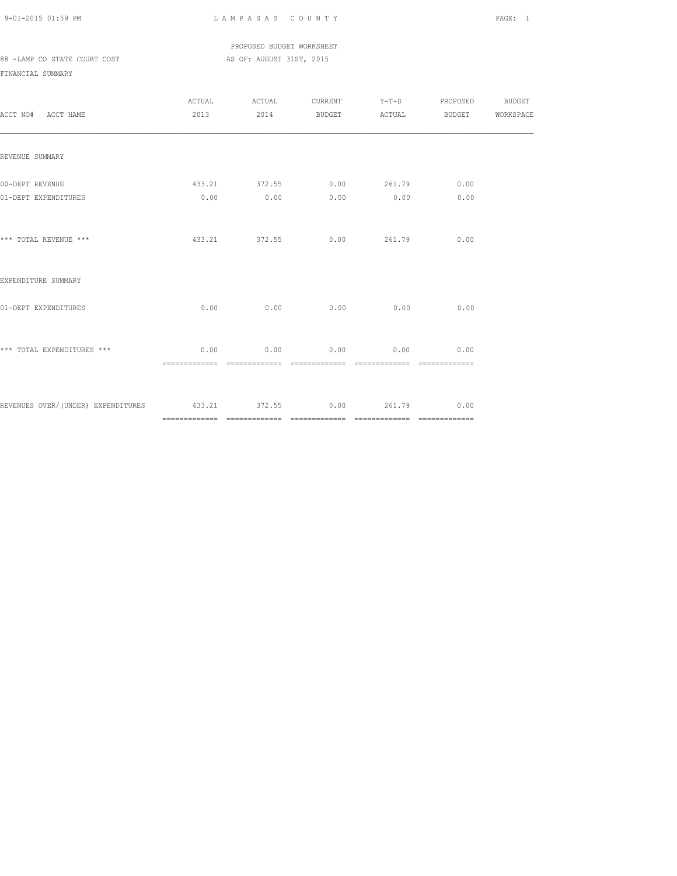PROPOSED BUDGET WORKSHEET 88 -LAMP CO STATE COURT COST AS OF: AUGUST 31ST, 2015

| ACCT NO# ACCT NAME                                           |      | ACTUAL ACTUAL CURRENT Y-T-D PROPOSED BUDGET<br>2013 2014 BUDGET ACTUAL BUDGET WORKSPACE |                  |      |  |
|--------------------------------------------------------------|------|-----------------------------------------------------------------------------------------|------------------|------|--|
| REVENUE SUMMARY                                              |      |                                                                                         |                  |      |  |
| 00-DEPT REVENUE<br>01-DEPT EXPENDITURES                      |      | 433.21 372.55 0.00 261.79 0.00<br>$0.00$ $0.00$ $0.00$ $0.00$ $0.00$                    |                  | 0.00 |  |
| *** TOTAL REVENUE ***                                        |      | 433.21 372.55 0.00 261.79 0.00                                                          |                  |      |  |
| EXPENDITURE SUMMARY                                          |      |                                                                                         |                  |      |  |
| 01-DEPT EXPENDITURES                                         | 0.00 |                                                                                         | $0.00$ 0.00 0.00 | 0.00 |  |
| *** TOTAL EXPENDITURES ***                                   |      | $0.00$ $0.00$ $0.00$ $0.00$ $0.00$                                                      |                  | 0.00 |  |
| REVENUES OVER/(UNDER) EXPENDITURES 433.21 372.55 0.00 261.79 |      |                                                                                         |                  | 0.00 |  |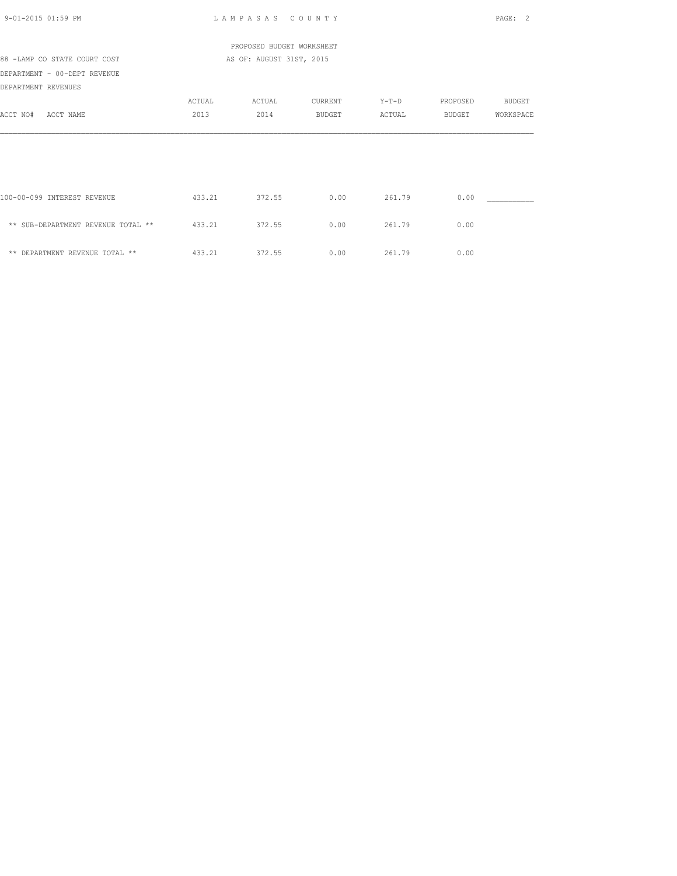| 9-01-2015 01:59 PM                 |                          | LAMPASAS COUNTY           |         |         |          | PAGE: 2       |  |  |
|------------------------------------|--------------------------|---------------------------|---------|---------|----------|---------------|--|--|
|                                    |                          | PROPOSED BUDGET WORKSHEET |         |         |          |               |  |  |
| 88 -LAMP CO STATE COURT COST       | AS OF: AUGUST 31ST, 2015 |                           |         |         |          |               |  |  |
| DEPARTMENT - 00-DEPT REVENUE       |                          |                           |         |         |          |               |  |  |
| DEPARTMENT REVENUES                |                          |                           |         |         |          |               |  |  |
|                                    | ACTUAL                   | ACTUAL                    | CURRENT | $Y-T-D$ | PROPOSED | <b>BUDGET</b> |  |  |
| ACCT NO#<br>ACCT NAME              | 2013                     | 2014                      | BUDGET  | ACTUAL  | BUDGET   | WORKSPACE     |  |  |
|                                    |                          |                           |         |         |          |               |  |  |
|                                    |                          |                           |         |         |          |               |  |  |
| 100-00-099 INTEREST REVENUE        | 433.21                   | 372.55                    | 0.00    | 261.79  | 0.00     |               |  |  |
| ** SUB-DEPARTMENT REVENUE TOTAL ** | 433.21                   | 372.55                    | 0.00    | 261.79  | 0.00     |               |  |  |
| ** DEPARTMENT REVENUE TOTAL **     | 433.21                   | 372.55                    | 0.00    | 261.79  | 0.00     |               |  |  |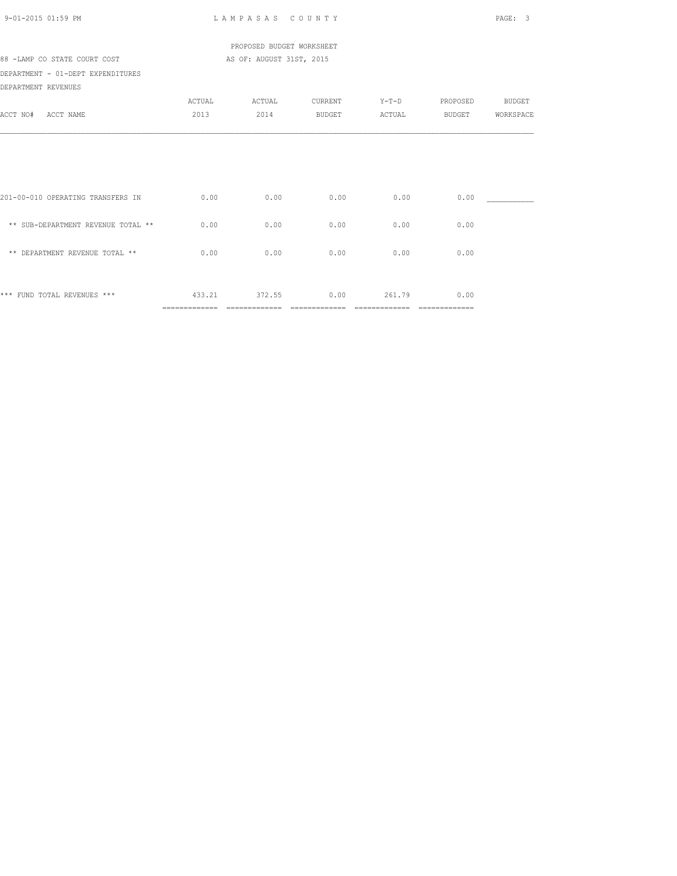| 9-01-2015 01:59 PM                 |               | LAMPASAS COUNTY           |               |               |                | PAGE: 3       |
|------------------------------------|---------------|---------------------------|---------------|---------------|----------------|---------------|
|                                    |               | PROPOSED BUDGET WORKSHEET |               |               |                |               |
| 88 -LAMP CO STATE COURT COST       |               | AS OF: AUGUST 31ST, 2015  |               |               |                |               |
| DEPARTMENT - 01-DEPT EXPENDITURES  |               |                           |               |               |                |               |
| DEPARTMENT REVENUES                |               |                           |               |               |                |               |
|                                    | ACTUAL        | ACTUAL                    | CURRENT       | $Y-T-D$       | PROPOSED       | <b>BUDGET</b> |
| ACCT NO# ACCT NAME                 | 2013          | 2014                      | BUDGET        | ACTUAL        | BUDGET         | WORKSPACE     |
|                                    |               |                           |               |               |                |               |
|                                    |               |                           |               |               |                |               |
|                                    |               |                           |               |               |                |               |
|                                    |               |                           |               |               |                |               |
| 201-00-010 OPERATING TRANSFERS IN  | 0.00          | 0.00                      | 0.00          | 0.00          | 0.00           |               |
|                                    |               |                           |               |               |                |               |
| ** SUB-DEPARTMENT REVENUE TOTAL ** | 0.00          | 0.00                      | 0.00          | 0.00          | 0.00           |               |
|                                    |               |                           |               |               |                |               |
| ** DEPARTMENT REVENUE TOTAL **     | 0.00          | 0.00                      | 0.00          | 0.00          | 0.00           |               |
|                                    |               |                           |               |               |                |               |
| *** FUND TOTAL REVENUES ***        | 433.21        | 372.55                    | 0.00          | 261.79        | 0.00           |               |
|                                    | ============= | =============             | ============= | ============= | -------------- |               |
|                                    |               |                           |               |               |                |               |